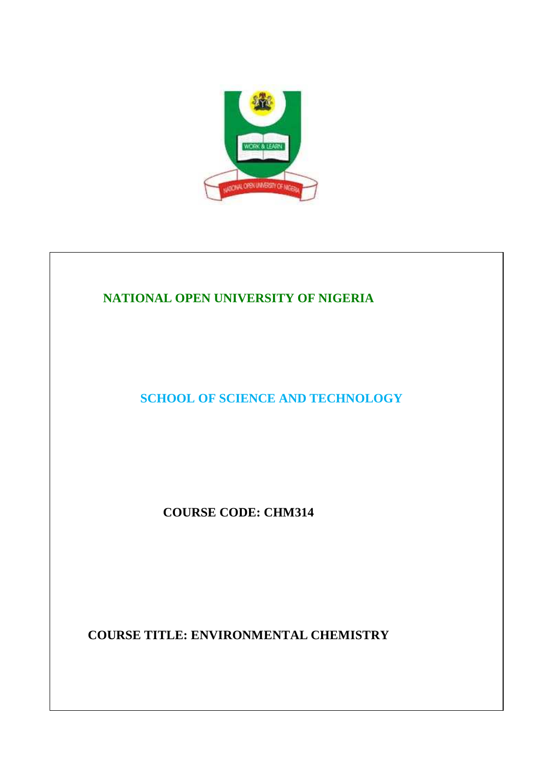

# **NATIONAL OPEN UNIVERSITY OF NIGERIA**

**SCHOOL OF SCIENCE AND TECHNOLOGY** 

**COURSE CODE: CHM314**

**COURSE TITLE: ENVIRONMENTAL CHEMISTRY**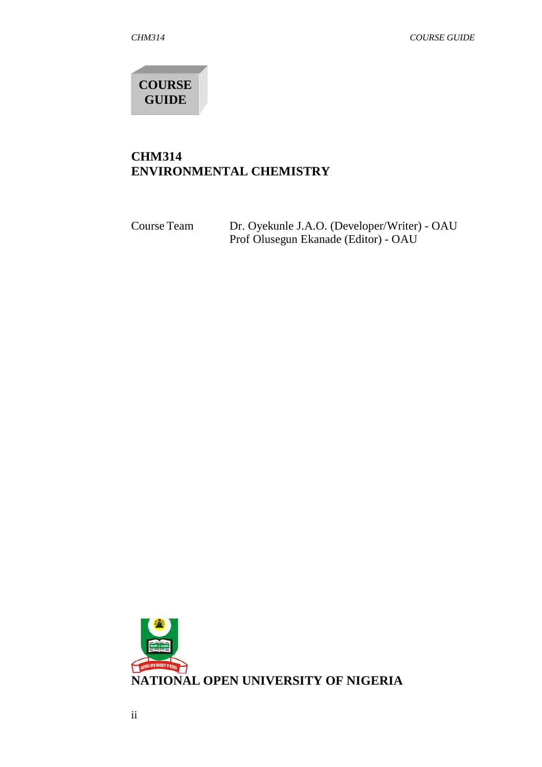**COURSE GUIDE**

## **CHM314 ENVIRONMENTAL CHEMISTRY**

| Course Team | Dr. Oyekunle J.A.O. (Developer/Writer) - OAU |
|-------------|----------------------------------------------|
|             | Prof Olusegun Ekanade (Editor) - OAU         |

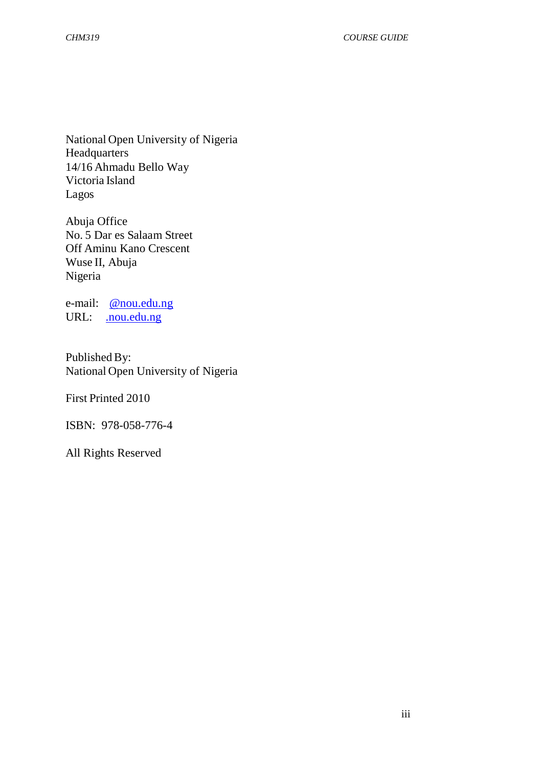National Open University of Nigeria **Headquarters** 14/16 Ahmadu Bello Way Victoria Island Lagos

Abuja Office No. 5 Dar es Salaam Street Off Aminu Kano Crescent Wuse II, Abuja Nigeria

e-mail: @nou.edu.ng URL: . nou.edu.ng

Published By: National Open University of Nigeria

First Printed 2010

ISBN: 978-058-776-4

All Rights Reserved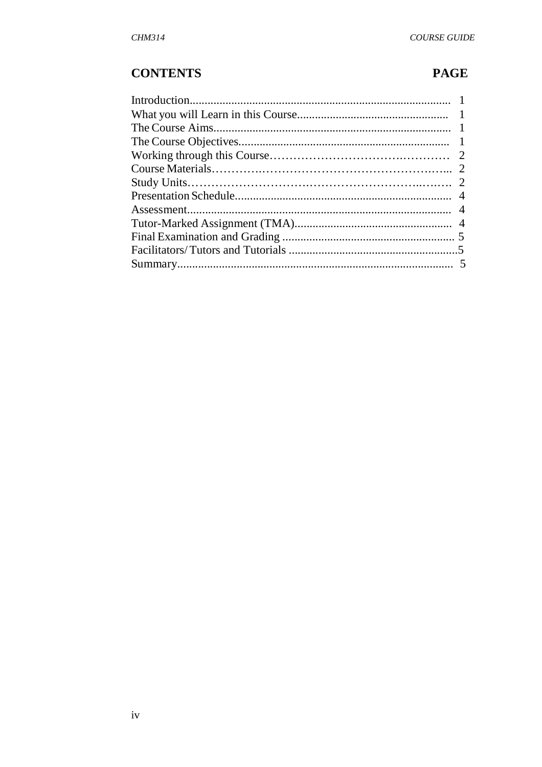# **CONTENTS**

# **PAGE**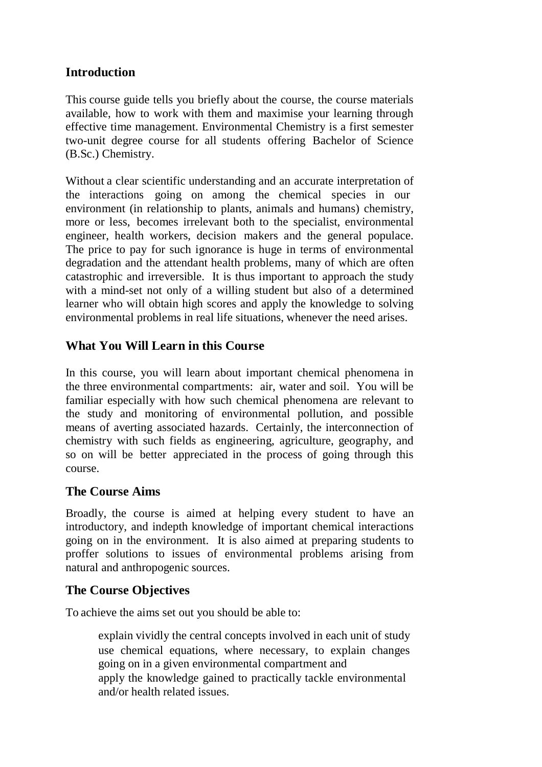## **Introduction**

This course guide tells you briefly about the course, the course materials available, how to work with them and maximise your learning through effective time management. Environmental Chemistry is a first semester two-unit degree course for all students offering Bachelor of Science (B.Sc.) Chemistry.

Without a clear scientific understanding and an accurate interpretation of the interactions going on among the chemical species in our environment (in relationship to plants, animals and humans) chemistry, more or less, becomes irrelevant both to the specialist, environmental engineer, health workers, decision makers and the general populace. The price to pay for such ignorance is huge in terms of environmental degradation and the attendant health problems, many of which are often catastrophic and irreversible. It is thus important to approach the study with a mind-set not only of a willing student but also of a determined learner who will obtain high scores and apply the knowledge to solving environmental problems in real life situations, whenever the need arises.

## **What You Will Learn in this Course**

In this course, you will learn about important chemical phenomena in the three environmental compartments: air, water and soil. You will be familiar especially with how such chemical phenomena are relevant to the study and monitoring of environmental pollution, and possible means of averting associated hazards. Certainly, the interconnection of chemistry with such fields as engineering, agriculture, geography, and so on will be better appreciated in the process of going through this course.

#### **The Course Aims**

Broadly, the course is aimed at helping every student to have an introductory, and indepth knowledge of important chemical interactions going on in the environment. It is also aimed at preparing students to proffer solutions to issues of environmental problems arising from natural and anthropogenic sources.

#### **The Course Objectives**

To achieve the aims set out you should be able to:

 explain vividly the central concepts involved in each unit of study use chemical equations, where necessary, to explain changes going on in a given environmental compartment and apply the knowledge gained to practically tackle environmental and/or health related issues.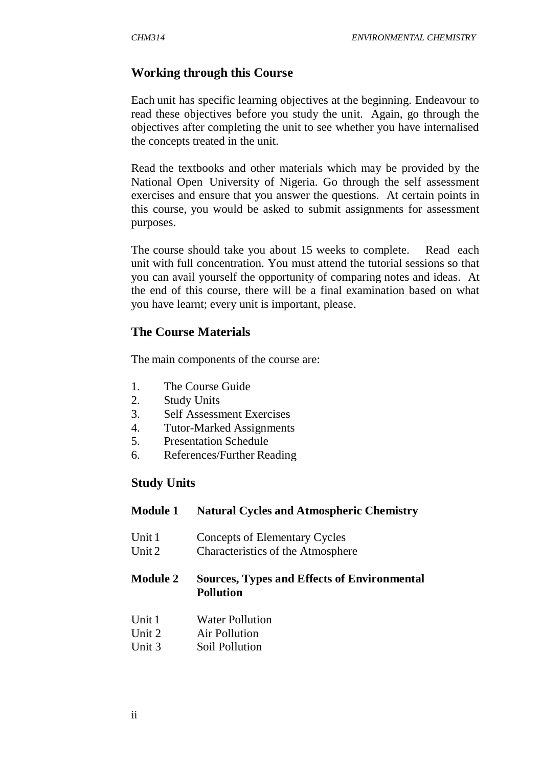#### **Working through this Course**

Each unit has specific learning objectives at the beginning. Endeavour to read these objectives before you study the unit. Again, go through the objectives after completing the unit to see whether you have internalised the concepts treated in the unit.

Read the textbooks and other materials which may be provided by the National Open University of Nigeria. Go through the self assessment exercises and ensure that you answer the questions. At certain points in this course, you would be asked to submit assignments for assessment purposes.

The course should take you about 15 weeks to complete. Read each unit with full concentration. You must attend the tutorial sessions so that you can avail yourself the opportunity of comparing notes and ideas. At the end of this course, there will be a final examination based on what you have learnt; every unit is important, please.

#### **The Course Materials**

The main components of the course are:

- 1. The Course Guide
- 2. Study Units
- 3. Self Assessment Exercises
- 4. Tutor-Marked Assignments
- 5. Presentation Schedule
- 6. References/Further Reading

#### **Study Units**

#### **Module 1 Natural Cycles and Atmospheric Chemistry**

- Unit 1 Concepts of Elementary Cycles
- Unit 2 Characteristics of the Atmosphere

#### **Module 2 Sources, Types and Effects of Environmental Pollution**

- Unit 1 Water Pollution
- Unit 2 Air Pollution
- Unit 3 Soil Pollution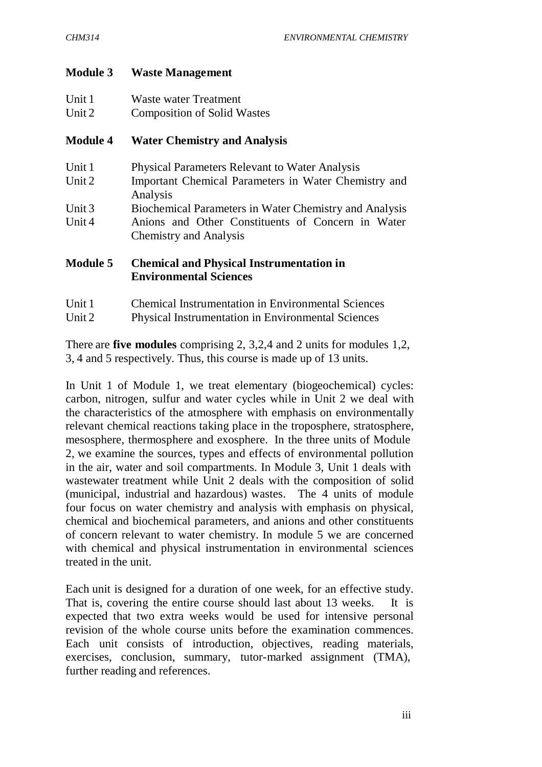#### **Module 3 Waste Management**

| Unit 1 | Waste water Treatment              |
|--------|------------------------------------|
| Unit 2 | <b>Composition of Solid Wastes</b> |

#### **Module 4 Water Chemistry and Analysis**

| Physical Parameters Relevant to Water Analysis                                     |  |  |
|------------------------------------------------------------------------------------|--|--|
| Important Chemical Parameters in Water Chemistry and                               |  |  |
| Analysis                                                                           |  |  |
| Biochemical Parameters in Water Chemistry and Analysis                             |  |  |
| Anions and Other Constituents of Concern in Water<br><b>Chemistry and Analysis</b> |  |  |
|                                                                                    |  |  |

#### **Module 5 Chemical and Physical Instrumentation in Environmental Sciences**

- Unit 1 Chemical Instrumentation in Environmental Sciences
- Unit 2 Physical Instrumentation in Environmental Sciences

There are **five modules** comprising 2, 3,2,4 and 2 units for modules 1,2, 3, 4 and 5 respectively. Thus, this course is made up of 13 units.

In Unit 1 of Module 1, we treat elementary (biogeochemical) cycles: carbon, nitrogen, sulfur and water cycles while in Unit 2 we deal with the characteristics of the atmosphere with emphasis on environmentally relevant chemical reactions taking place in the troposphere, stratosphere, mesosphere, thermosphere and exosphere. In the three units of Module 2, we examine the sources, types and effects of environmental pollution in the air, water and soil compartments. In Module 3, Unit 1 deals with wastewater treatment while Unit 2 deals with the composition of solid (municipal, industrial and hazardous) wastes. The 4 units of module four focus on water chemistry and analysis with emphasis on physical, chemical and biochemical parameters, and anions and other constituents of concern relevant to water chemistry. In module 5 we are concerned with chemical and physical instrumentation in environmental sciences treated in the unit.

Each unit is designed for a duration of one week, for an effective study. That is, covering the entire course should last about 13 weeks. It is expected that two extra weeks would be used for intensive personal revision of the whole course units before the examination commences. Each unit consists of introduction, objectives, reading materials, exercises, conclusion, summary, tutor-marked assignment (TMA), further reading and references.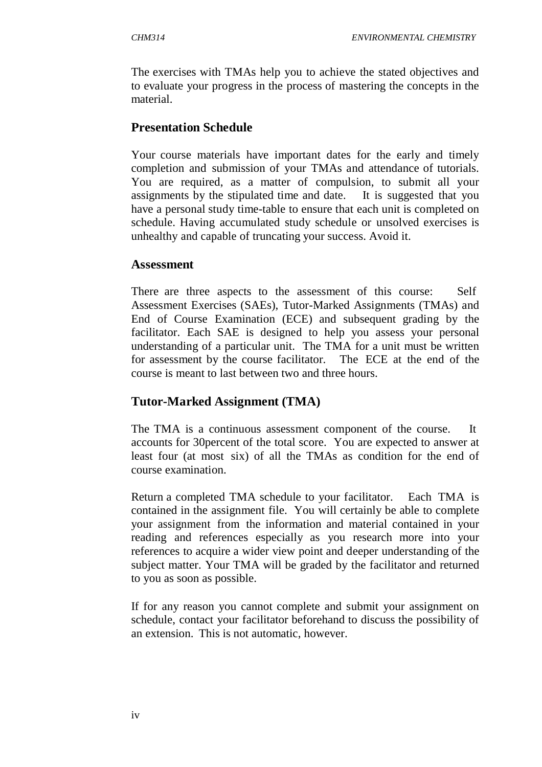The exercises with TMAs help you to achieve the stated objectives and to evaluate your progress in the process of mastering the concepts in the material.

## **Presentation Schedule**

Your course materials have important dates for the early and timely completion and submission of your TMAs and attendance of tutorials. You are required, as a matter of compulsion, to submit all your assignments by the stipulated time and date. It is suggested that you have a personal study time-table to ensure that each unit is completed on schedule. Having accumulated study schedule or unsolved exercises is unhealthy and capable of truncating your success. Avoid it.

#### **Assessment**

There are three aspects to the assessment of this course: Self Assessment Exercises (SAEs), Tutor-Marked Assignments (TMAs) and End of Course Examination (ECE) and subsequent grading by the facilitator. Each SAE is designed to help you assess your personal understanding of a particular unit. The TMA for a unit must be written for assessment by the course facilitator. The ECE at the end of the course is meant to last between two and three hours.

## **Tutor-Marked Assignment (TMA)**

The TMA is a continuous assessment component of the course. It accounts for 30percent of the total score. You are expected to answer at least four (at most six) of all the TMAs as condition for the end of course examination.

Return a completed TMA schedule to your facilitator. Each TMA is contained in the assignment file. You will certainly be able to complete your assignment from the information and material contained in your reading and references especially as you research more into your references to acquire a wider view point and deeper understanding of the subject matter. Your TMA will be graded by the facilitator and returned to you as soon as possible.

If for any reason you cannot complete and submit your assignment on schedule, contact your facilitator beforehand to discuss the possibility of an extension. This is not automatic, however.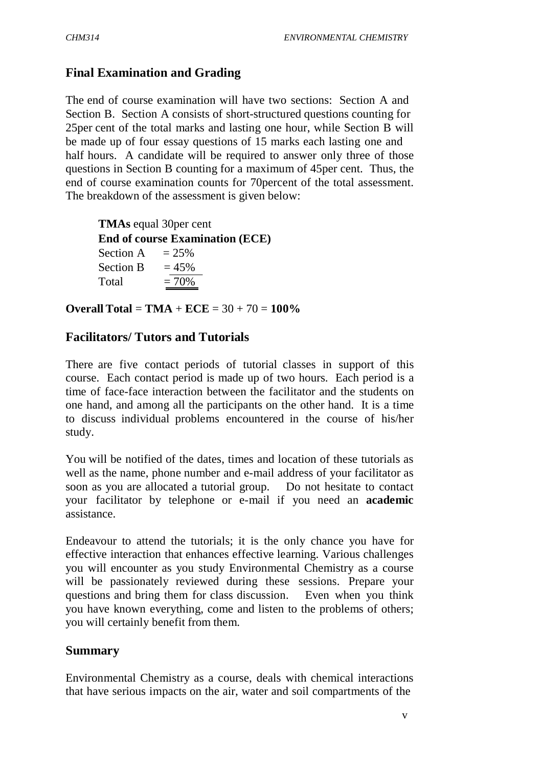## **Final Examination and Grading**

The end of course examination will have two sections: Section A and Section B. Section A consists of short-structured questions counting for 25per cent of the total marks and lasting one hour, while Section B will be made up of four essay questions of 15 marks each lasting one and half hours. A candidate will be required to answer only three of those questions in Section B counting for a maximum of 45per cent. Thus, the end of course examination counts for 70percent of the total assessment. The breakdown of the assessment is given below:

 **TMAs** equal 30per cent **End of course Examination (ECE)** Section A  $= 25\%$ Section B  $= 45\%$ Total  $= 70\%$ 

**Overall Total** = **TMA** + **ECE** = 30 + 70 = **100%**

## **Facilitators/ Tutors and Tutorials**

There are five contact periods of tutorial classes in support of this course. Each contact period is made up of two hours. Each period is a time of face-face interaction between the facilitator and the students on one hand, and among all the participants on the other hand. It is a time to discuss individual problems encountered in the course of his/her study.

You will be notified of the dates, times and location of these tutorials as well as the name, phone number and e-mail address of your facilitator as soon as you are allocated a tutorial group. Do not hesitate to contact your facilitator by telephone or e-mail if you need an **academic**  assistance.

Endeavour to attend the tutorials; it is the only chance you have for effective interaction that enhances effective learning. Various challenges you will encounter as you study Environmental Chemistry as a course will be passionately reviewed during these sessions. Prepare your questions and bring them for class discussion. Even when you think you have known everything, come and listen to the problems of others; you will certainly benefit from them.

#### **Summary**

Environmental Chemistry as a course, deals with chemical interactions that have serious impacts on the air, water and soil compartments of the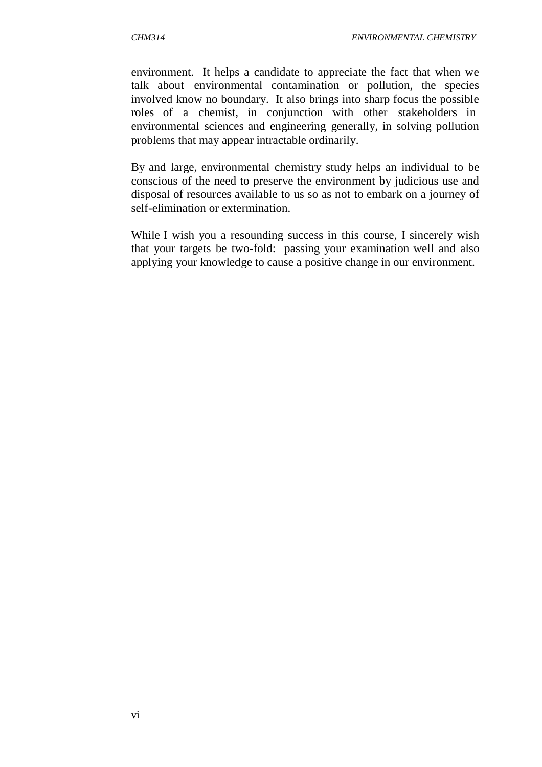environment. It helps a candidate to appreciate the fact that when we talk about environmental contamination or pollution, the species involved know no boundary. It also brings into sharp focus the possible roles of a chemist, in conjunction with other stakeholders in environmental sciences and engineering generally, in solving pollution problems that may appear intractable ordinarily.

By and large, environmental chemistry study helps an individual to be conscious of the need to preserve the environment by judicious use and disposal of resources available to us so as not to embark on a journey of self-elimination or extermination.

While I wish you a resounding success in this course, I sincerely wish that your targets be two-fold: passing your examination well and also applying your knowledge to cause a positive change in our environment.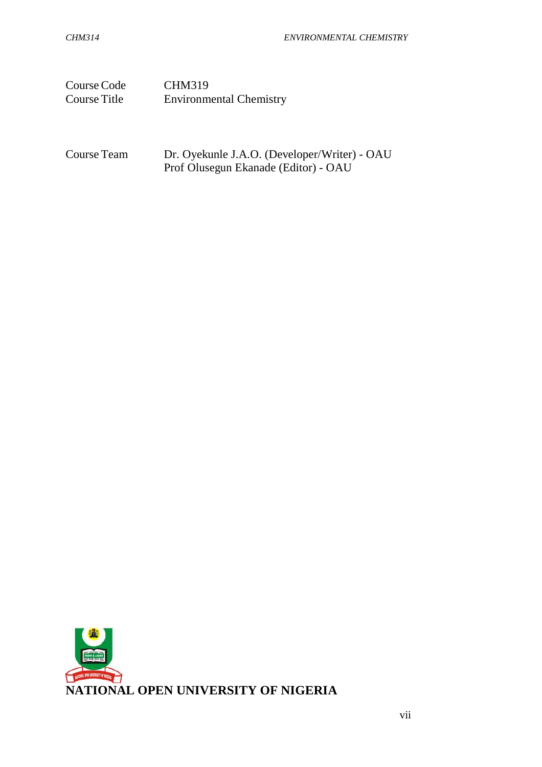| Course Code  | <b>CHM319</b>                  |
|--------------|--------------------------------|
| Course Title | <b>Environmental Chemistry</b> |

Course Team Dr. Oyekunle J.A.O. (Developer/Writer) - OAU Prof Olusegun Ekanade (Editor) - OAU

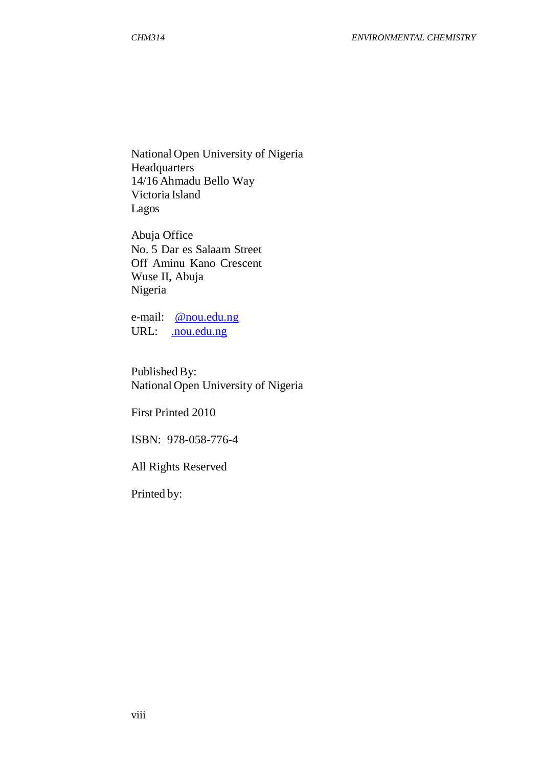National Open University of Nigeria Headquarters 14/16 Ahmadu Bello Way Victoria Island Lagos

Abuja Office No. 5 Dar es Salaam Street Off Aminu Kano Crescent Wuse II, Abuja Nigeria

e-mail: @nou.edu.ng URL: .nou.edu.ng

Published By: National Open University of Nigeria

First Printed 2010

ISBN: 978-058-776-4

All Rights Reserved

Printed by: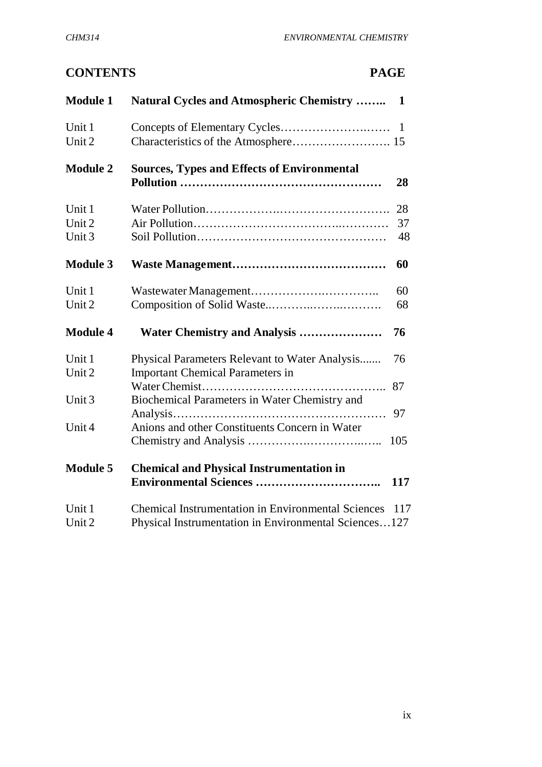# **CONTENTS PAGE**

| <b>Module 1</b>            | <b>Natural Cycles and Atmospheric Chemistry </b>                                                                   | 1              |
|----------------------------|--------------------------------------------------------------------------------------------------------------------|----------------|
| Unit 1<br>Unit 2           |                                                                                                                    | $\blacksquare$ |
| <b>Module 2</b>            | <b>Sources, Types and Effects of Environmental</b>                                                                 | 28             |
| Unit 1<br>Unit 2<br>Unit 3 |                                                                                                                    | 28<br>37<br>48 |
| <b>Module 3</b>            |                                                                                                                    | 60             |
| Unit 1<br>Unit 2           |                                                                                                                    | 60<br>68       |
| <b>Module 4</b>            | Water Chemistry and Analysis                                                                                       | 76             |
| Unit 1<br>Unit 2           | Physical Parameters Relevant to Water Analysis<br><b>Important Chemical Parameters in</b>                          | 76             |
| Unit 3                     | Biochemical Parameters in Water Chemistry and                                                                      | 87<br>97       |
| Unit 4                     | Anions and other Constituents Concern in Water                                                                     | 105            |
| <b>Module 5</b>            | <b>Chemical and Physical Instrumentation in</b>                                                                    | 117            |
| Unit 1<br>Unit 2           | <b>Chemical Instrumentation in Environmental Sciences</b><br>Physical Instrumentation in Environmental Sciences127 | 117            |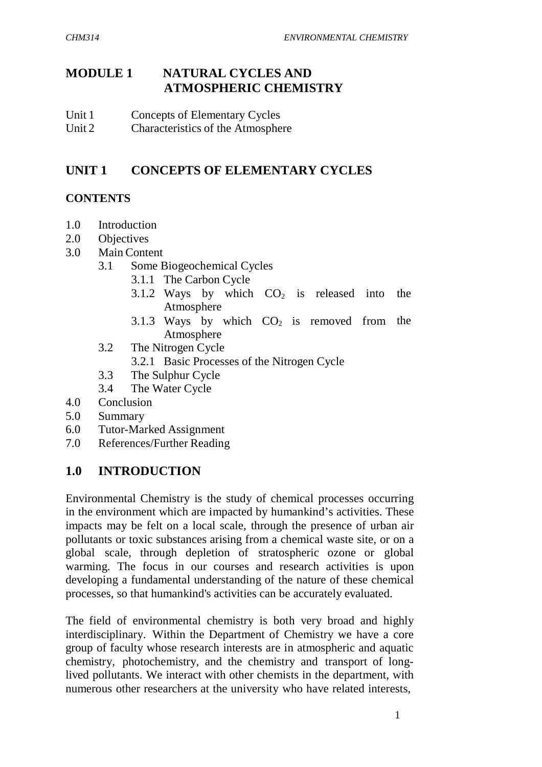# **MODULE 1 NATURAL CYCLES AND ATMOSPHERIC CHEMISTRY**

- Unit 1 Concepts of Elementary Cycles
- Unit 2 Characteristics of the Atmosphere

# **UNIT 1 CONCEPTS OF ELEMENTARY CYCLES**

# **CONTENTS**

- 1.0 Introduction
- 2.0 Objectives
- 3.0 Main Content
	- 3.1 Some Biogeochemical Cycles
		- 3.1.1 The Carbon Cycle
		- 3.1.2 Ways by which  $CO<sub>2</sub>$  is released into Atmosphere the
		- 3.1.3 Ways by which  $CO<sub>2</sub>$  is removed from the Atmosphere
	- 3.2 The Nitrogen Cycle
		- 3.2.1 Basic Processes of the Nitrogen Cycle
	- 3.3 The Sulphur Cycle
	- 3.4 The Water Cycle
- 4.0 Conclusion
- 5.0 Summary
- 6.0 Tutor-Marked Assignment
- 7.0 References/Further Reading

# **1.0 INTRODUCTION**

Environmental Chemistry is the study of chemical processes occurring in the environment which are impacted by humankind's activities. These impacts may be felt on a local scale, through the presence of urban air pollutants or toxic substances arising from a chemical waste site, or on a global scale, through depletion of stratospheric ozone or global warming. The focus in our courses and research activities is upon developing a fundamental understanding of the nature of these chemical processes, so that humankind's activities can be accurately evaluated.

The field of environmental chemistry is both very broad and highly interdisciplinary. Within the Department of Chemistry we have a core group of faculty whose research interests are in atmospheric and aquatic chemistry, photochemistry, and the chemistry and transport of longlived pollutants. We interact with other chemists in the department, with numerous other researchers at the university who have related interests,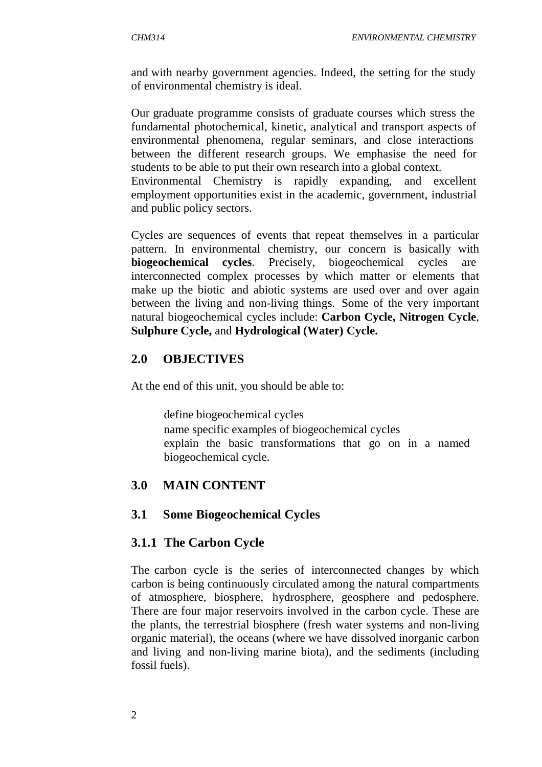and with nearby government agencies. Indeed, the setting for the study of environmental chemistry is ideal.

Our graduate programme consists of graduate courses which stress the fundamental photochemical, kinetic, analytical and transport aspects of environmental phenomena, regular seminars, and close interactions between the different research groups. We emphasise the need for students to be able to put their own research into a global context. Environmental Chemistry is rapidly expanding, and excellent employment opportunities exist in the academic, government, industrial and public policy sectors.

Cycles are sequences of events that repeat themselves in a particular pattern. In environmental chemistry, our concern is basically with **biogeochemical cycles**. Precisely, biogeochemical cycles are interconnected complex processes by which matter or elements that make up the biotic and abiotic systems are used over and over again between the living and non-living things. Some of the very important natural biogeochemical cycles include: **Carbon Cycle, Nitrogen Cycle**, **Sulphure Cycle,** and **Hydrological (Water) Cycle.**

## **2.0 OBJECTIVES**

At the end of this unit, you should be able to:

 define biogeochemical cycles name specific examples of biogeochemical cycles explain the basic transformations that go on in a named biogeochemical cycle.

# **3.0 MAIN CONTENT**

## **3.1 Some Biogeochemical Cycles**

## **3.1.1 The Carbon Cycle**

The carbon cycle is the series of interconnected changes by which carbon is being continuously circulated among the natural compartments of atmosphere, biosphere, hydrosphere, geosphere and pedosphere. There are four major reservoirs involved in the carbon cycle. These are the plants, the terrestrial biosphere (fresh water systems and non-living organic material), the oceans (where we have dissolved inorganic carbon and living and non-living marine biota), and the sediments (including fossil fuels).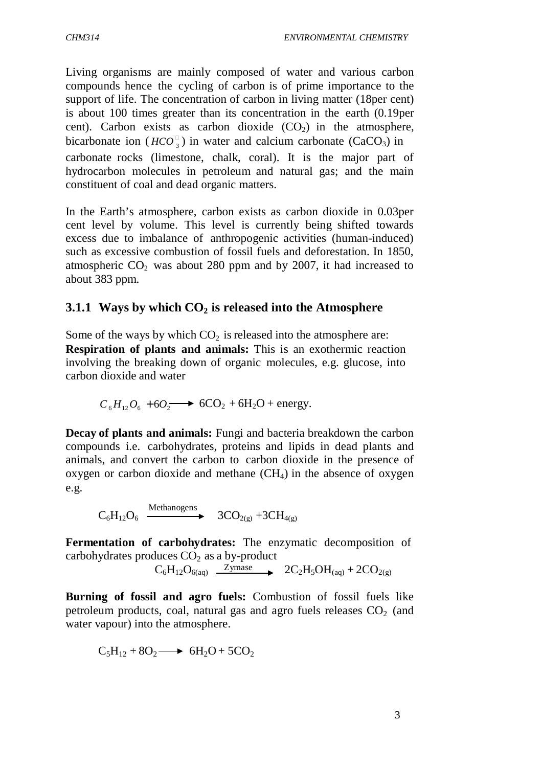bicarbonate ion ( $HCO_3^{\circ}$ ) in water and calcium carbonate (CaCO<sub>3</sub>) in Living organisms are mainly composed of water and various carbon compounds hence the cycling of carbon is of prime importance to the support of life. The concentration of carbon in living matter (18per cent) is about 100 times greater than its concentration in the earth (0.19per cent). Carbon exists as carbon dioxide  $(CO<sub>2</sub>)$  in the atmosphere, carbonate rocks (limestone, chalk, coral). It is the major part of hydrocarbon molecules in petroleum and natural gas; and the main constituent of coal and dead organic matters.

In the Earth's atmosphere, carbon exists as carbon dioxide in 0.03per cent level by volume. This level is currently being shifted towards excess due to imbalance of anthropogenic activities (human-induced) such as excessive combustion of fossil fuels and deforestation. In 1850, atmospheric  $CO<sub>2</sub>$  was about 280 ppm and by 2007, it had increased to about 383 ppm.

## **3.1.1 Ways by which CO2 is released into the Atmosphere**

Some of the ways by which  $CO<sub>2</sub>$  is released into the atmosphere are: **Respiration of plants and animals:** This is an exothermic reaction involving the breaking down of organic molecules, e.g. glucose, into carbon dioxide and water

$$
C_6H_{12}O_6 + 6O_2 \longrightarrow 6CO_2 + 6H_2O + energy.
$$

**Decay of plants and animals:** Fungi and bacteria breakdown the carbon compounds i.e. carbohydrates, proteins and lipids in dead plants and animals, and convert the carbon to carbon dioxide in the presence of oxygen or carbon dioxide and methane  $(CH<sub>4</sub>)$  in the absence of oxygen e.g.

 $\mathrm{C_6H_{12}O_6} \xrightarrow{\text{Methodes}} 3\mathrm{CO_{2(g)}} + 3\mathrm{CH_{4(g)}}$ 

**Fermentation of carbohydrates:** The enzymatic decomposition of carbohydrates produces  $CO<sub>2</sub>$  as a by-product

 $C_6H_{12}O_{6(aq)}$   $\overline{\phantom{25\text{mase}}}$   $2C_2H_5OH_{(aa)} + 2CO_{2(a)}$ 

**Burning of fossil and agro fuels:** Combustion of fossil fuels like petroleum products, coal, natural gas and agro fuels releases  $CO<sub>2</sub>$  (and water vapour) into the atmosphere.

$$
C_5H_{12} + 8O_2 \longrightarrow 6H_2O + 5CO_2
$$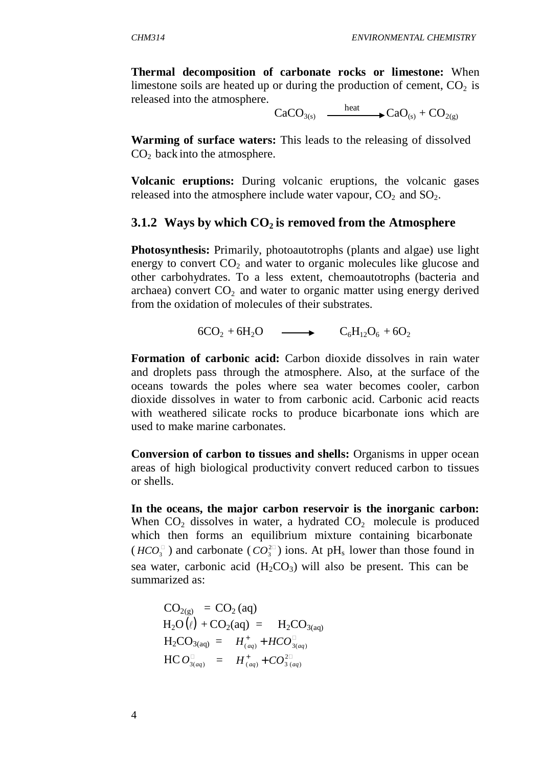**Thermal decomposition of carbonate rocks or limestone:** When limestone soils are heated up or during the production of cement,  $CO<sub>2</sub>$  is released into the atmosphere.

 $CaCO<sub>3(s)</sub>$   $\xrightarrow{\text{heat}} CaO<sub>(s)</sub> + CO$  $3(s)$   $\longrightarrow$   $\cup dU_{(s)}$  +  $\cup U_{(s)}$ 

**Warming of surface waters:** This leads to the releasing of dissolved  $CO<sub>2</sub>$  back into the atmosphere.

**Volcanic eruptions:** During volcanic eruptions, the volcanic gases released into the atmosphere include water vapour,  $CO<sub>2</sub>$  and  $SO<sub>2</sub>$ .

#### **3.1.2 Ways by which CO2 is removed from the Atmosphere**

**Photosynthesis:** Primarily, photoautotrophs (plants and algae) use light energy to convert  $CO<sub>2</sub>$  and water to organic molecules like glucose and other carbohydrates. To a less extent, chemoautotrophs (bacteria and archaea) convert  $CO<sub>2</sub>$  and water to organic matter using energy derived from the oxidation of molecules of their substrates.

$$
6CO2 + 6H2O \longrightarrow C6H12O6 + 6O2
$$

**Formation of carbonic acid:** Carbon dioxide dissolves in rain water and droplets pass through the atmosphere. Also, at the surface of the oceans towards the poles where sea water becomes cooler, carbon dioxide dissolves in water to from carbonic acid. Carbonic acid reacts with weathered silicate rocks to produce bicarbonate ions which are used to make marine carbonates.

**Conversion of carbon to tissues and shells:** Organisms in upper ocean areas of high biological productivity convert reduced carbon to tissues or shells.

**In the oceans, the major carbon reservoir is the inorganic carbon:**  When  $CO<sub>2</sub>$  dissolves in water, a hydrated  $CO<sub>2</sub>$  molecule is produced which then forms an equilibrium mixture containing bicarbonate  $(HCO_3^{\square})$  and carbonate  $(CO_3^{\square})$  ions. At pH<sub>s</sub> lower than those found in sea water, carbonic acid  $(H_2CO_3)$  will also be present. This can be summarized as:

 $CO<sub>2(g)</sub> = CO<sub>2</sub>(aq)$  $H_2O(\ell) + CO_2(aq) = H_2CO_{3(aq)}$  $H_2CO_{3(aq)} = H^+_{(aq)} + HCO_{3(aq)}^ \text{HC } O_{3(aq)}^{\square} = H_{(aq)}^+ + CO_{3(aq)}^{\square}$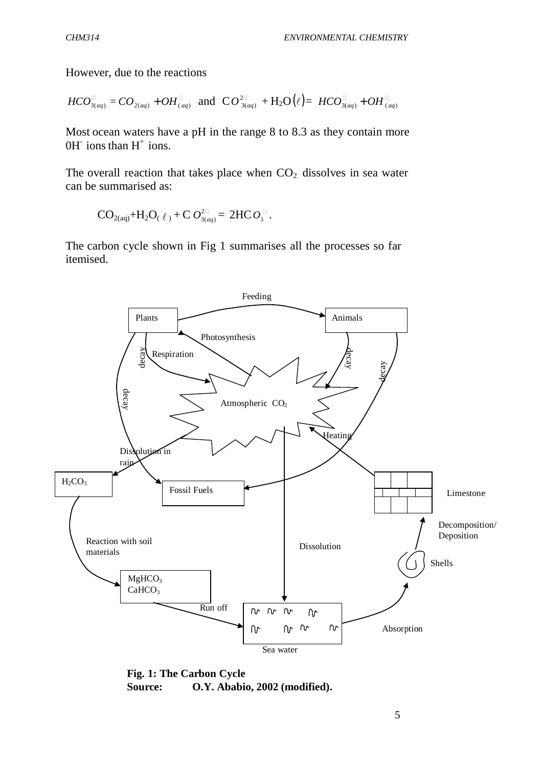However, due to the reactions

$$
HCO_{3(aq)}^{\square} = CO_{2(aq)} + OH_{(aq)}^{\square} \text{ and } CO_{3(aq)}^{2\square} + H_2O(\ell) = HCO_{3(aq)}^{\square} + OH_{(aq)}^{\square}
$$

Most ocean waters have a pH in the range 8 to 8.3 as they contain more  $OH^-$  ions than  $H^+$  ions.

The overall reaction that takes place when  $CO<sub>2</sub>$  dissolves in sea water can be summarised as:

$$
\mathrm{CO}_{2(\mathrm{aq})} + \mathrm{H}_2\mathrm{O}_{(\ell)} + \mathrm{C} \ O_{3(\mathrm{aq})}^{2\mathbb{Z}} = 2\mathrm{HC} \ O_{3}^{\mathbb{Z}}.
$$

The carbon cycle shown in Fig 1 summarises all the processes so far itemised.



**Fig. 1: The Carbon Cycle Source: O.Y. Ababio, 2002 (modified).**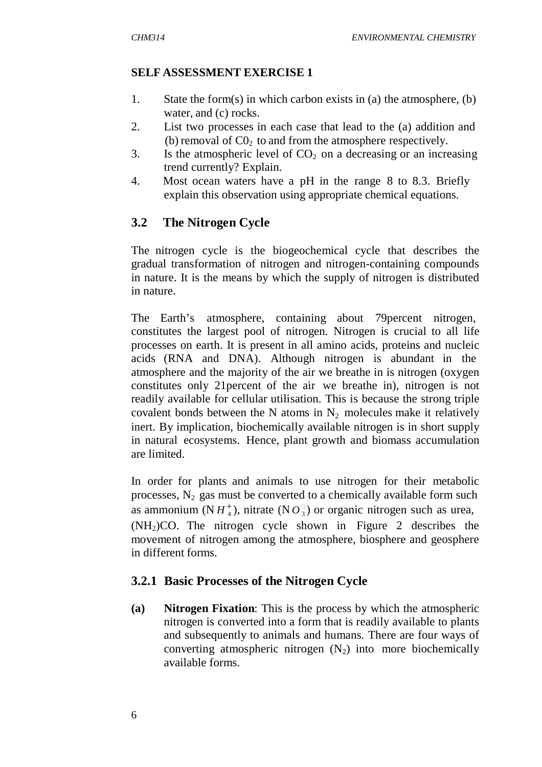## **SELF ASSESSMENT EXERCISE 1**

- 1. State the form(s) in which carbon exists in (a) the atmosphere, (b) water, and (c) rocks.
- 2. List two processes in each case that lead to the (a) addition and (b) removal of  $C_0$  to and from the atmosphere respectively.
- 3. Is the atmospheric level of  $CO<sub>2</sub>$  on a decreasing or an increasing trend currently? Explain.
- 4. Most ocean waters have a pH in the range 8 to 8.3. Briefly explain this observation using appropriate chemical equations.

# **3.2 The Nitrogen Cycle**

The nitrogen cycle is the biogeochemical cycle that describes the gradual transformation of nitrogen and nitrogen-containing compounds in nature. It is the means by which the supply of nitrogen is distributed in nature.

The Earth's atmosphere, containing about 79percent nitrogen, constitutes the largest pool of nitrogen. Nitrogen is crucial to all life processes on earth. It is present in all amino acids, proteins and nucleic acids (RNA and DNA). Although nitrogen is abundant in the atmosphere and the majority of the air we breathe in is nitrogen (oxygen constitutes only 21percent of the air we breathe in), nitrogen is not readily available for cellular utilisation. This is because the strong triple covalent bonds between the N atoms in  $N_2$  molecules make it relatively inert. By implication, biochemically available nitrogen is in short supply in natural ecosystems. Hence, plant growth and biomass accumulation are limited.

In order for plants and animals to use nitrogen for their metabolic processes,  $N_2$  gas must be converted to a chemically available form such as ammonium (N  $H_4^+$ ), nitrate (N  $O_3^{\square}$ ) or organic nitrogen such as urea,  $(NH<sub>2</sub>)CO$ . The nitrogen cycle shown in Figure 2 describes the movement of nitrogen among the atmosphere, biosphere and geosphere in different forms.

# **3.2.1 Basic Processes of the Nitrogen Cycle**

**(a) Nitrogen Fixation**: This is the process by which the atmospheric nitrogen is converted into a form that is readily available to plants and subsequently to animals and humans. There are four ways of converting atmospheric nitrogen  $(N_2)$  into more biochemically available forms.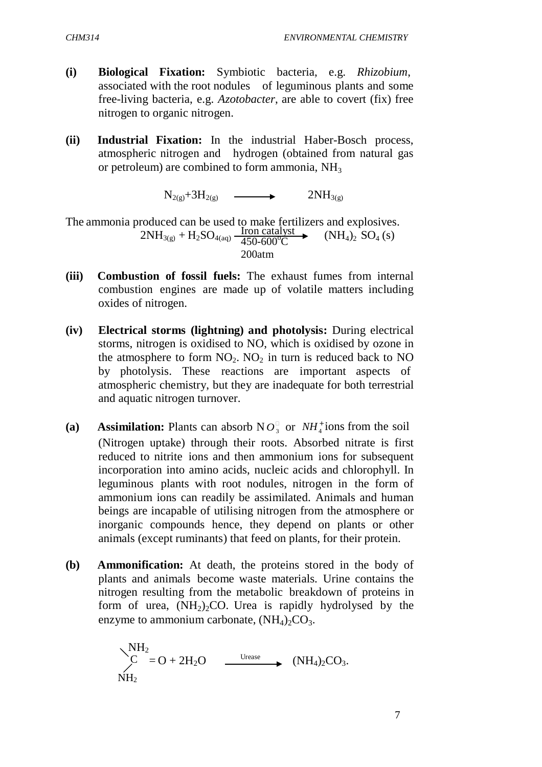- **(i) Biological Fixation:** Symbiotic bacteria, e.g. *Rhizobium*, associated with the root nodules of leguminous plants and some free-living bacteria, e.g. *Azotobacter*, are able to covert (fix) free nitrogen to organic nitrogen.
- **(ii) Industrial Fixation:** In the industrial Haber-Bosch process, atmospheric nitrogen and hydrogen (obtained from natural gas or petroleum) are combined to form ammonia,  $NH<sub>3</sub>$

 $N_{2(9)}+3H_{2(9)} \quad \longrightarrow \quad 2NH_{3(9)}$ 

The ammonia produced can be used to make fertilizers and explosives.  $2NH_{3(g)} + H_2SO_{4(aq)} \frac{\text{Iron catalyst}}{450-600\degree}$  $\frac{100 \text{ catalyst}}{450-600^{\circ}\text{C}}$  (NH<sub>4</sub>)<sub>2</sub> SO<sub>4</sub> (s) 200atm

- **(iii) Combustion of fossil fuels:** The exhaust fumes from internal combustion engines are made up of volatile matters including oxides of nitrogen.
- **(iv) Electrical storms (lightning) and photolysis:** During electrical storms, nitrogen is oxidised to NO, which is oxidised by ozone in the atmosphere to form  $NO_2$ .  $NO_2$  in turn is reduced back to  $NO$ by photolysis. These reactions are important aspects of atmospheric chemistry, but they are inadequate for both terrestrial and aquatic nitrogen turnover.
- (a) Assimilation: Plants can absorb  $N O_3^{\square}$  or  $NH_4^+$  ions from the soil (Nitrogen uptake) through their roots. Absorbed nitrate is first reduced to nitrite ions and then ammonium ions for subsequent incorporation into amino acids, nucleic acids and chlorophyll. In leguminous plants with root nodules, nitrogen in the form of ammonium ions can readily be assimilated. Animals and human beings are incapable of utilising nitrogen from the atmosphere or inorganic compounds hence, they depend on plants or other animals (except ruminants) that feed on plants, for their protein.
- **(b) Ammonification:** At death, the proteins stored in the body of plants and animals become waste materials. Urine contains the nitrogen resulting from the metabolic breakdown of proteins in form of urea,  $(NH<sub>2</sub>)<sub>2</sub>CO$ . Urea is rapidly hydrolysed by the enzyme to ammonium carbonate,  $(NH_4)_2CO_3$ .

$$
\begin{array}{ccc}\scriptstyle\bigwedge^{NH_2}=O+2H_2O&\xrightarrow{\text{Urease}}&\scriptstyle(\text{NH}_4)_2CO_3.\\ \scriptstyle\text{NH}_2\end{array}
$$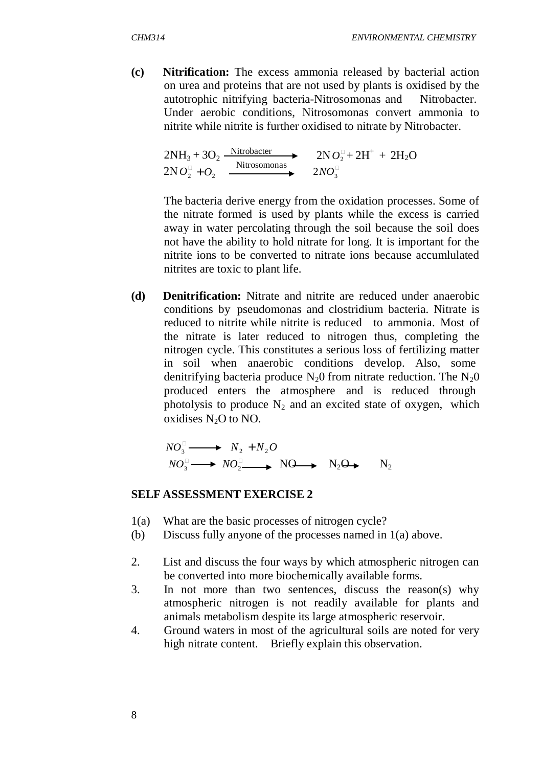**(c) Nitrification:** The excess ammonia released by bacterial action on urea and proteins that are not used by plants is oxidised by the autotrophic nitrifying bacteria-Nitrosomonas and Nitrobacter. Under aerobic conditions, Nitrosomonas convert ammonia to nitrite while nitrite is further oxidised to nitrate by Nitrobacter.

$$
2NH_3 + 3O_2 \xrightarrow{\text{Nitrobacter}} 2NO_2^{\Box} + 2H^+ + 2H_2O
$$
  

$$
2NO_2^{\Box} + O_2 \xrightarrow{\text{Nitrosomonas}} 2NO_3^{\Box}
$$

The bacteria derive energy from the oxidation processes. Some of the nitrate formed is used by plants while the excess is carried away in water percolating through the soil because the soil does not have the ability to hold nitrate for long. It is important for the nitrite ions to be converted to nitrate ions because accumlulated nitrites are toxic to plant life.

**(d) Denitrification:** Nitrate and nitrite are reduced under anaerobic conditions by pseudomonas and clostridium bacteria. Nitrate is reduced to nitrite while nitrite is reduced to ammonia. Most of the nitrate is later reduced to nitrogen thus, completing the nitrogen cycle. This constitutes a serious loss of fertilizing matter in soil when anaerobic conditions develop. Also, some denitrifying bacteria produce  $N_2$ 0 from nitrate reduction. The  $N_2$ 0 produced enters the atmosphere and is reduced through photolysis to produce  $N_2$  and an excited state of oxygen, which oxidises N<sub>2</sub>O to NO.

 $NO_3^{\square} \longrightarrow N_2 + N_2O$  $NO_3^{\square} \longrightarrow NO_2^{\square} \longrightarrow NO \longrightarrow N_2O \longrightarrow N_2$ 

#### **SELF ASSESSMENT EXERCISE 2**

- 1(a) What are the basic processes of nitrogen cycle?
- (b) Discuss fully anyone of the processes named in 1(a) above.
- 2. List and discuss the four ways by which atmospheric nitrogen can be converted into more biochemically available forms.
- 3. In not more than two sentences, discuss the reason(s) why atmospheric nitrogen is not readily available for plants and animals metabolism despite its large atmospheric reservoir.
- 4. Ground waters in most of the agricultural soils are noted for very high nitrate content. Briefly explain this observation.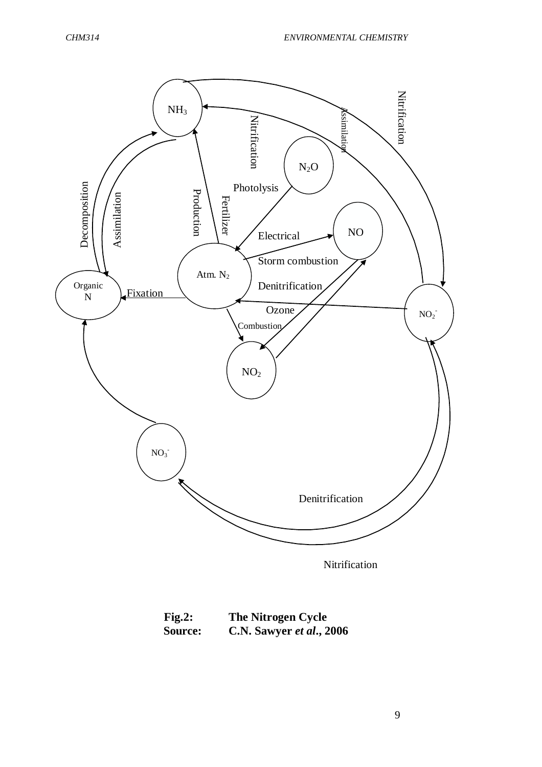

Nitrification

| Fig.2:         | The Nitrogen Cycle       |  |  |
|----------------|--------------------------|--|--|
| <b>Source:</b> | C.N. Sawyer et al., 2006 |  |  |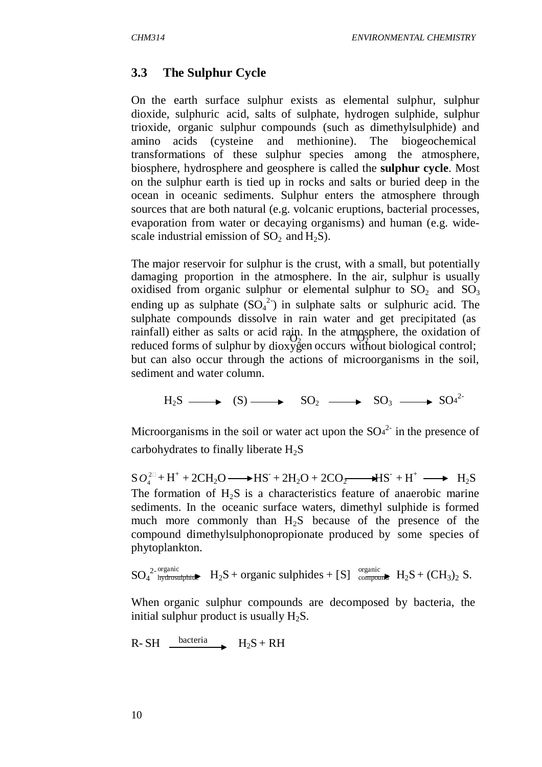# **3.3 The Sulphur Cycle**

On the earth surface sulphur exists as elemental sulphur, sulphur dioxide, sulphuric acid, salts of sulphate, hydrogen sulphide, sulphur trioxide, organic sulphur compounds (such as dimethylsulphide) and amino acids (cysteine and methionine). The biogeochemical transformations of these sulphur species among the atmosphere, biosphere, hydrosphere and geosphere is called the **sulphur cycle**. Most on the sulphur earth is tied up in rocks and salts or buried deep in the ocean in oceanic sediments. Sulphur enters the atmosphere through sources that are both natural (e.g. volcanic eruptions, bacterial processes, evaporation from water or decaying organisms) and human (e.g. widescale industrial emission of  $SO_2$  and  $H_2S$ ).

reduced forms of sulphur by dioxygen occurs without biological control; The major reservoir for sulphur is the crust, with a small, but potentially damaging proportion in the atmosphere. In the air, sulphur is usually oxidised from organic sulphur or elemental sulphur to  $SO_2$  and  $SO_3$ ending up as sulphate  $(SO_4^2)$  in sulphate salts or sulphuric acid. The sulphate compounds dissolve in rain water and get precipitated (as rainfall) either as salts or acid rain. In the atmosphere, the oxidation of but can also occur through the actions of microorganisms in the soil, sediment and water column.

$$
H_2S \longrightarrow (S) \longrightarrow SO_2 \longrightarrow SO_3 \longrightarrow SO_4^{2-}
$$

Microorganisms in the soil or water act upon the  $SO<sup>4</sup>$  in the presence of carbohydrates to finally liberate  $H_2S$ 

 $SO_4^{2\Box} + H^+ + 2CH_2O \longrightarrow HS^- + 2H_2O + 2CO_2 \longrightarrow HS^- + H^+ \longrightarrow H_2S$ The formation of  $H_2S$  is a characteristics feature of anaerobic marine sediments. In the oceanic surface waters, dimethyl sulphide is formed much more commonly than  $H_2S$  because of the presence of the compound dimethylsulphonopropionate produced by some species of phytoplankton.

 $SO_4^2$ -organic<br> $SO_4^2$ -h<del>ydrosulphide</del>  $H_2S +$  organic sulphides + [S] compound  $H_2S + (CH_3)_2 S$ .

When organic sulphur compounds are decomposed by bacteria, the initial sulphur product is usually  $H_2S$ .

 $R-SH$  **bacteria**  $H_2S + RH$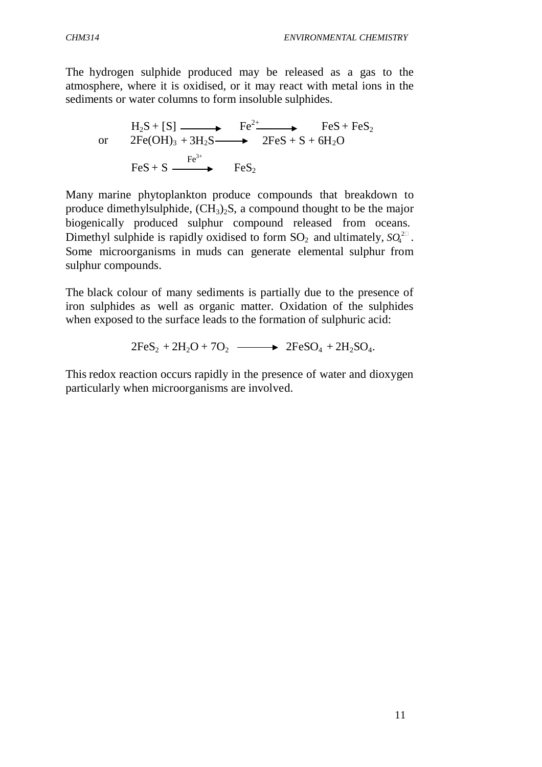The hydrogen sulphide produced may be released as a gas to the atmosphere, where it is oxidised, or it may react with metal ions in the sediments or water columns to form insoluble sulphides.

$$
\begin{array}{ccc}\n\text{H}_{2}\text{S} + [\text{S}] & \longrightarrow & \text{Fe}^{2+} & \text{Fe} \text{S} + \text{Fe} \text{S}_{2} \\
\text{or} & 2\text{Fe(OH)}_{3} + 3\text{H}_{2}\text{S} & \longrightarrow & 2\text{Fe} \text{S} + \text{S} + 6\text{H}_{2}\text{O} \\
\text{Fe} \text{S} + \text{S} & \longrightarrow & \text{Fe} \text{S}_{2} & \n\end{array}
$$

Dimethyl sulphide is rapidly oxidised to form  $SO_2$  and ultimately,  $SO_4^{\{2\}}$ . Many marine phytoplankton produce compounds that breakdown to produce dimethylsulphide,  $(CH_3)_2S$ , a compound thought to be the major biogenically produced sulphur compound released from oceans. Some microorganisms in muds can generate elemental sulphur from sulphur compounds.

The black colour of many sediments is partially due to the presence of iron sulphides as well as organic matter. Oxidation of the sulphides when exposed to the surface leads to the formation of sulphuric acid:

 $2FeS_2 + 2H_2O + 7O_2$   $\longrightarrow$   $2FeSO_4 + 2H_2SO_4$ .

This redox reaction occurs rapidly in the presence of water and dioxygen particularly when microorganisms are involved.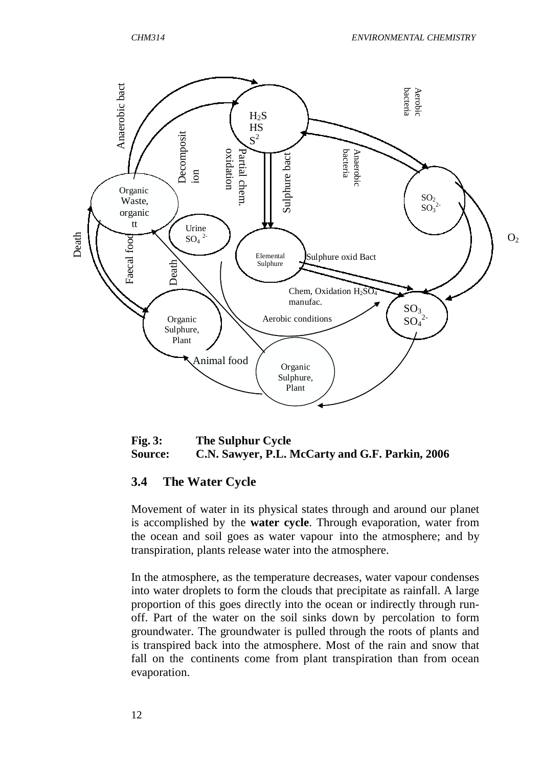

**Fig. 3: The Sulphur Cycle Source: C.N. Sawyer, P.L. McCarty and G.F. Parkin, 2006**

## **3.4 The Water Cycle**

Movement of water in its physical states through and around our planet is accomplished by the **water cycle**. Through evaporation, water from the ocean and soil goes as water vapour into the atmosphere; and by transpiration, plants release water into the atmosphere.

In the atmosphere, as the temperature decreases, water vapour condenses into water droplets to form the clouds that precipitate as rainfall. A large proportion of this goes directly into the ocean or indirectly through runoff. Part of the water on the soil sinks down by percolation to form groundwater. The groundwater is pulled through the roots of plants and is transpired back into the atmosphere. Most of the rain and snow that fall on the continents come from plant transpiration than from ocean evaporation.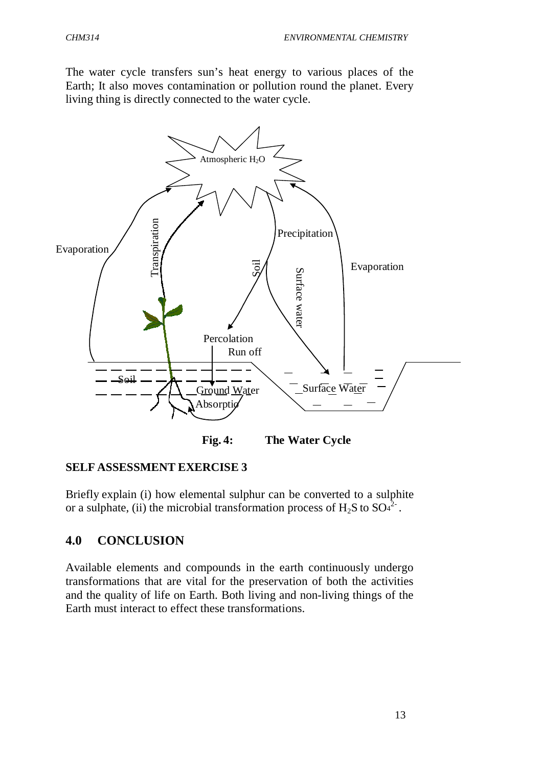The water cycle transfers sun's heat energy to various places of the Earth; It also moves contamination or pollution round the planet. Every living thing is directly connected to the water cycle.



**Fig. 4: The Water Cycle**

#### **SELF ASSESSMENT EXERCISE 3**

Briefly explain (i) how elemental sulphur can be converted to a sulphite or a sulphate, (ii) the microbial transformation process of  $H_2S$  to  $SO<sup>2</sup>$ .

# **4.0 CONCLUSION**

Available elements and compounds in the earth continuously undergo transformations that are vital for the preservation of both the activities and the quality of life on Earth. Both living and non-living things of the Earth must interact to effect these transformations.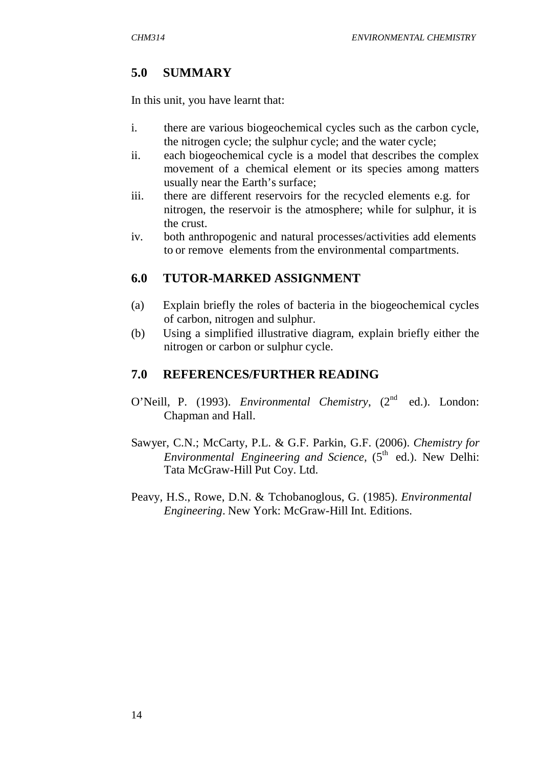# **5.0 SUMMARY**

In this unit, you have learnt that:

- i. there are various biogeochemical cycles such as the carbon cycle, the nitrogen cycle; the sulphur cycle; and the water cycle;
- ii. each biogeochemical cycle is a model that describes the complex movement of a chemical element or its species among matters usually near the Earth's surface;
- iii. there are different reservoirs for the recycled elements e.g. for nitrogen, the reservoir is the atmosphere; while for sulphur, it is the crust.
- iv. both anthropogenic and natural processes/activities add elements to or remove elements from the environmental compartments.

# **6.0 TUTOR-MARKED ASSIGNMENT**

- (a) Explain briefly the roles of bacteria in the biogeochemical cycles of carbon, nitrogen and sulphur.
- (b) Using a simplified illustrative diagram, explain briefly either the nitrogen or carbon or sulphur cycle.

## **7.0 REFERENCES/FURTHER READING**

- O'Neill, P. (1993). *Environmental Chemistry*, (2<sup>nd</sup> ed.). London: Chapman and Hall.
- Sawyer, C.N.; McCarty, P.L. & G.F. Parkin, G.F. (2006). *Chemistry for Environmental Engineering and Science,* (5<sup>th</sup> ed.). New Delhi: Tata McGraw-Hill Put Coy. Ltd.
- Peavy, H.S., Rowe, D.N. & Tchobanoglous, G. (1985). *Environmental Engineering*. New York: McGraw-Hill Int. Editions.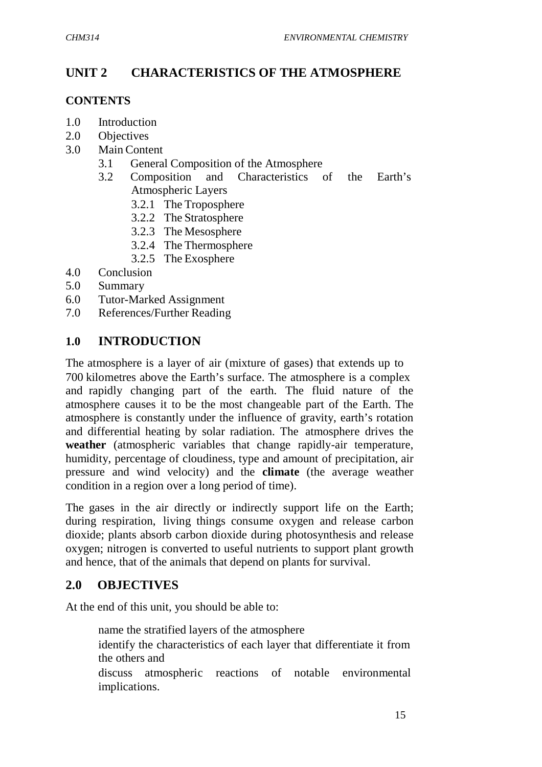# **UNIT 2 CHARACTERISTICS OF THE ATMOSPHERE**

#### **CONTENTS**

- 1.0 Introduction
- 2.0 Objectives
- 3.0 Main Content
	- 3.1 General Composition of the Atmosphere
	- 3.2 Composition and Characteristics of the Earth's Atmospheric Layers
		- 3.2.1 The Troposphere
		- 3.2.2 The Stratosphere
		- 3.2.3 The Mesosphere
		- 3.2.4 The Thermosphere
		- 3.2.5 The Exosphere
- 4.0 Conclusion
- 5.0 Summary
- 6.0 Tutor-Marked Assignment
- 7.0 References/Further Reading

## **1.0 INTRODUCTION**

The atmosphere is a layer of air (mixture of gases) that extends up to 700 kilometres above the Earth's surface. The atmosphere is a complex and rapidly changing part of the earth. The fluid nature of the atmosphere causes it to be the most changeable part of the Earth. The atmosphere is constantly under the influence of gravity, earth's rotation and differential heating by solar radiation. The atmosphere drives the **weather** (atmospheric variables that change rapidly-air temperature, humidity, percentage of cloudiness, type and amount of precipitation, air pressure and wind velocity) and the **climate** (the average weather condition in a region over a long period of time).

The gases in the air directly or indirectly support life on the Earth; during respiration, living things consume oxygen and release carbon dioxide; plants absorb carbon dioxide during photosynthesis and release oxygen; nitrogen is converted to useful nutrients to support plant growth and hence, that of the animals that depend on plants for survival.

## **2.0 OBJECTIVES**

At the end of this unit, you should be able to:

name the stratified layers of the atmosphere

- identify the characteristics of each layer that differentiate it from the others and
- discuss atmospheric reactions of notable environmental implications.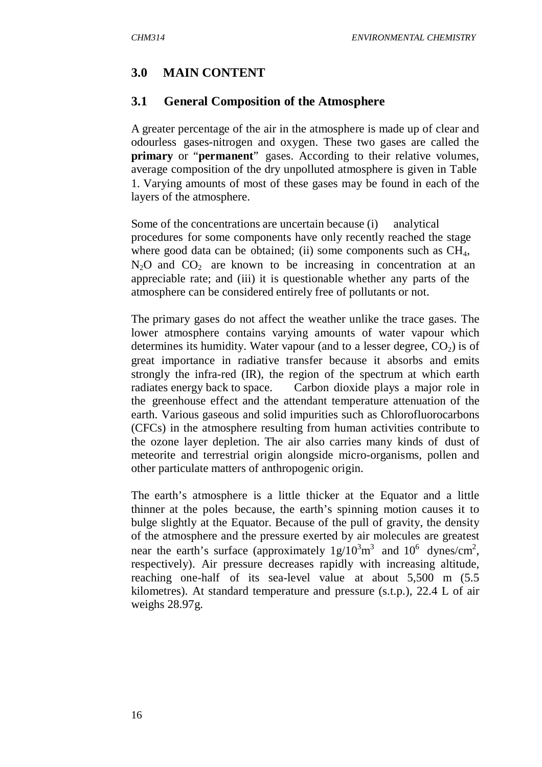# **3.0 MAIN CONTENT**

## **3.1 General Composition of the Atmosphere**

A greater percentage of the air in the atmosphere is made up of clear and odourless gases-nitrogen and oxygen. These two gases are called the **primary** or "**permanent**" gases. According to their relative volumes, average composition of the dry unpolluted atmosphere is given in Table 1. Varying amounts of most of these gases may be found in each of the layers of the atmosphere.

Some of the concentrations are uncertain because (i) analytical procedures for some components have only recently reached the stage where good data can be obtained; (ii) some components such as  $CH_4$ ,  $N<sub>2</sub>O$  and  $CO<sub>2</sub>$  are known to be increasing in concentration at an appreciable rate; and (iii) it is questionable whether any parts of the atmosphere can be considered entirely free of pollutants or not.

The primary gases do not affect the weather unlike the trace gases. The lower atmosphere contains varying amounts of water vapour which determines its humidity. Water vapour (and to a lesser degree,  $CO<sub>2</sub>$ ) is of great importance in radiative transfer because it absorbs and emits strongly the infra-red (IR), the region of the spectrum at which earth radiates energy back to space. Carbon dioxide plays a major role in the greenhouse effect and the attendant temperature attenuation of the earth. Various gaseous and solid impurities such as Chlorofluorocarbons (CFCs) in the atmosphere resulting from human activities contribute to the ozone layer depletion. The air also carries many kinds of dust of meteorite and terrestrial origin alongside micro-organisms, pollen and other particulate matters of anthropogenic origin.

The earth's atmosphere is a little thicker at the Equator and a little thinner at the poles because, the earth's spinning motion causes it to bulge slightly at the Equator. Because of the pull of gravity, the density of the atmosphere and the pressure exerted by air molecules are greatest near the earth's surface (approximately  $1g/10^3m^3$  and  $10^6$  dynes/cm<sup>2</sup>, respectively). Air pressure decreases rapidly with increasing altitude, reaching one-half of its sea-level value at about 5,500 m (5.5 kilometres). At standard temperature and pressure (s.t.p.), 22.4 L of air weighs 28.97g.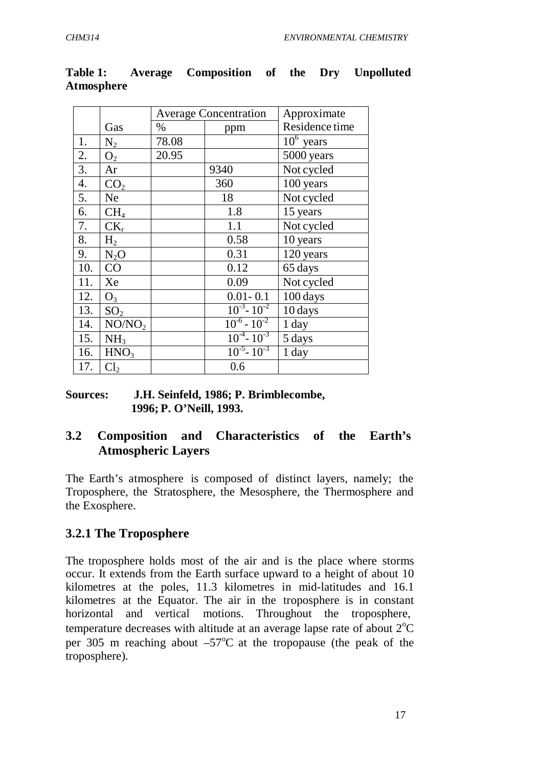|                  |                    | <b>Average Concentration</b> |                     | Approximate             |
|------------------|--------------------|------------------------------|---------------------|-------------------------|
|                  | Gas                | $\%$                         | ppm                 | Residence time          |
| 1.               | $N_2$              | 78.08                        |                     | $\overline{10^6}$ years |
| 2.               | O <sub>2</sub>     | 20.95                        |                     | 5000 years              |
| 3.               | Ar                 |                              | 9340                | Not cycled              |
| $\overline{4}$ . | CO <sub>2</sub>    |                              | 360                 | 100 years               |
| 5.               | Ne.                |                              | 18                  | Not cycled              |
| 6.               | CH <sub>4</sub>    |                              | 1.8                 | 15 years                |
| 7.               | $CK_r$             |                              | 1.1                 | Not cycled              |
| 8.               | H <sub>2</sub>     |                              | 0.58                | 10 years                |
| 9.               | $N_2O$             |                              | 0.31                | 120 years               |
| 10.              | CO                 |                              | 0.12                | 65 days                 |
| 11.              | Xe                 |                              | 0.09                | Not cycled              |
| 12.              | $O_3$              |                              | $0.01 - 0.1$        | 100 days                |
| 13.              | SO <sub>2</sub>    |                              | $10^{-3} - 10^{-2}$ | 10 days                 |
| 14.              | NO/NO <sub>2</sub> |                              | $10^{-6} - 10^{-2}$ | 1 day                   |
| 15.              | NH <sub>3</sub>    |                              | $10^{-4} - 10^{-3}$ | 5 days                  |
| 16.              | HNO <sub>3</sub>   |                              | $10^{-5} - 10^{-3}$ | 1 day                   |
| 17.              | Cl <sub>2</sub>    |                              | 0.6                 |                         |

**Table 1: Average Composition of the Dry Unpolluted Atmosphere**

#### **Sources: J.H. Seinfeld, 1986; P. Brimblecombe, 1996; P. O'Neill, 1993.**

# **3.2 Composition and Characteristics of the Earth's Atmospheric Layers**

The Earth's atmosphere is composed of distinct layers, namely; the Troposphere, the Stratosphere, the Mesosphere, the Thermosphere and the Exosphere.

# **3.2.1 The Troposphere**

The troposphere holds most of the air and is the place where storms occur. It extends from the Earth surface upward to a height of about 10 kilometres at the poles, 11.3 kilometres in mid-latitudes and 16.1 kilometres at the Equator. The air in the troposphere is in constant horizontal and vertical motions. Throughout the troposphere, temperature decreases with altitude at an average lapse rate of about  $2^{\circ}C$ per 305 m reaching about  $-57^{\circ}$ C at the tropopause (the peak of the troposphere).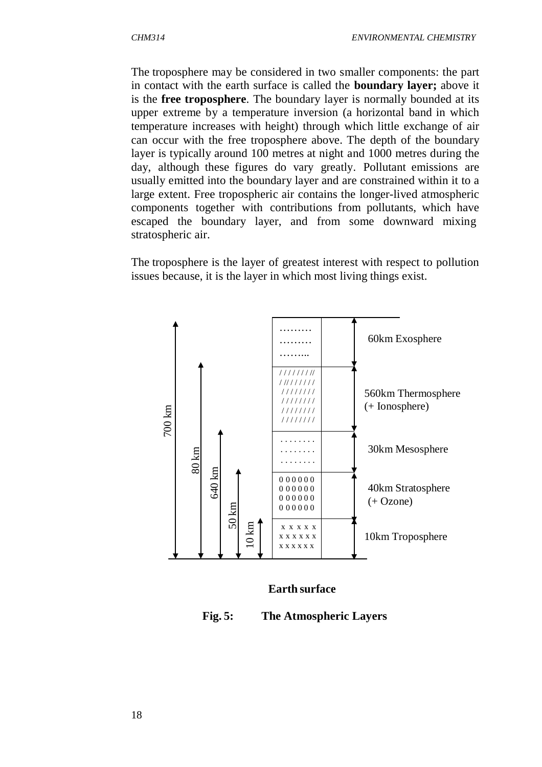The troposphere may be considered in two smaller components: the part in contact with the earth surface is called the **boundary layer;** above it is the **free troposphere**. The boundary layer is normally bounded at its upper extreme by a temperature inversion (a horizontal band in which temperature increases with height) through which little exchange of air can occur with the free troposphere above. The depth of the boundary layer is typically around 100 metres at night and 1000 metres during the day, although these figures do vary greatly. Pollutant emissions are usually emitted into the boundary layer and are constrained within it to a large extent. Free tropospheric air contains the longer-lived atmospheric components together with contributions from pollutants, which have escaped the boundary layer, and from some downward mixing stratospheric air.

The troposphere is the layer of greatest interest with respect to pollution issues because, it is the layer in which most living things exist.



#### **Earth surface**

**Fig. 5: The Atmospheric Layers**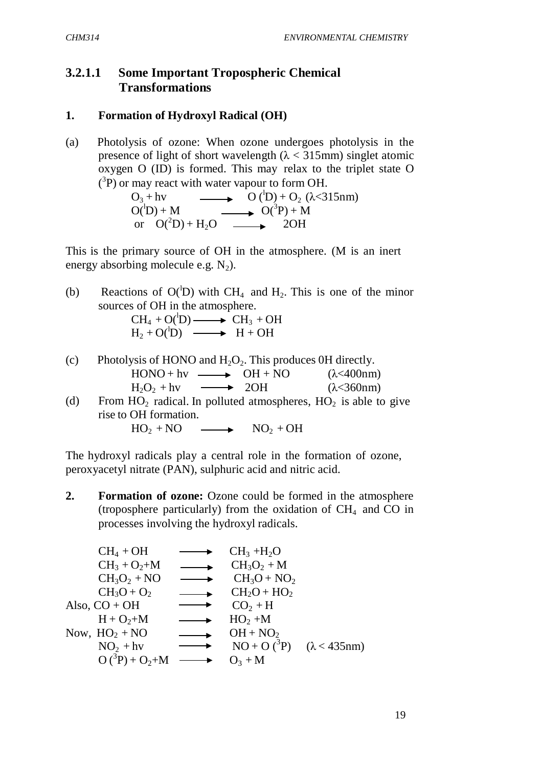### **3.2.1.1 Some Important Tropospheric Chemical Transformations**

#### **1. Formation of Hydroxyl Radical (OH)**

(a) Photolysis of ozone: When ozone undergoes photolysis in the presence of light of short wavelength  $(\lambda < 315$ mm) singlet atomic oxygen O (ID) is formed. This may relax to the triplet state O  $({}^{3}P)$  or may react with water vapour to form OH.

> $O_3 + hv$   $O(^1D) + O_2 (\lambda < 315nm)$ <br> $O(^1D) + M$   $O(^3P) + M$  $O(^{1}D) + M$   $\longrightarrow$   $O(^{3}P) + M$ or  $O(^2D) + H_2O \longrightarrow 2OH$

This is the primary source of OH in the atmosphere. (M is an inert energy absorbing molecule e.g.  $N_2$ ).

(b) Reactions of  $O(D)$  with CH<sub>4</sub> and H<sub>2</sub>. This is one of the minor sources of OH in the atmosphere.

$$
CH4 + O(1D) \longrightarrow CH3 + OHH2 + O(1D) \longrightarrow H + OH
$$

- (c) Photolysis of HONO and  $H_2O_2$ . This produces 0H directly.  $HONO + hv \longrightarrow OH + NO$  ( $\lambda < 400 \text{nm}$ )  $H_2O_2 + hv$  2OH ( $\lambda$ <360nm)
- (d) From  $HO_2$  radical. In polluted atmospheres,  $HO_2$  is able to give rise to OH formation.

$$
HO_2 + NO \longrightarrow NO_2 + OH
$$

The hydroxyl radicals play a central role in the formation of ozone, peroxyacetyl nitrate (PAN), sulphuric acid and nitric acid.

**2.** Formation of ozone: Ozone could be formed in the atmosphere (troposphere particularly) from the oxidation of  $CH<sub>4</sub>$  and CO in processes involving the hydroxyl radicals.

| \n $CH_4 + OH$<br>\n $CH_3 + O_2 + M$<br>\n $CH_3O_2 + NO$<br>\n $CH_3O_2 + NO$<br>\n $CH_3O + O_2$<br>\n $CH_3O + O_2$<br>\n $CH_2O + HO_2$ \n                                                                                                             |
|-------------------------------------------------------------------------------------------------------------------------------------------------------------------------------------------------------------------------------------------------------------|
| \n        Also, CO + OH<br>\n $H + O_2 + M$<br>\n $H + O_2 + M$<br>\n $HO_2 + M$<br>\n $SO_2 + H$<br>\n $HO_2 + M$<br>\n $HO_2 + O_2$<br>\n $OH + NO_2$<br>\n $OO + O_2$<br>\n $OO + O_2$<br>\n $OH + NO_2$<br>\n $NO + O(^3P)$<br>\n $O(^3P) + O_2 + M$ \n |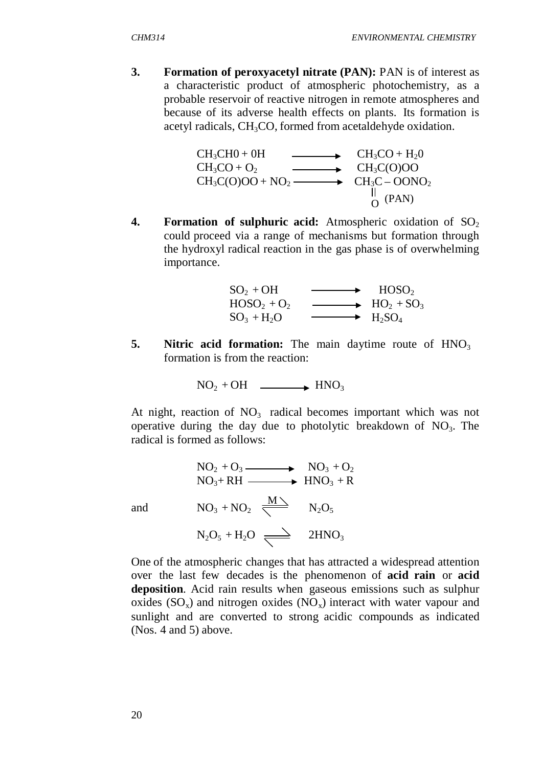**3.** Formation of peroxyacetyl nitrate (PAN): PAN is of interest as a characteristic product of atmospheric photochemistry, as a probable reservoir of reactive nitrogen in remote atmospheres and because of its adverse health effects on plants. Its formation is acetyl radicals, CH<sub>3</sub>CO, formed from acetaldehyde oxidation.

$$
CH_3CHO + OH \longrightarrow CH_3CO + H_2O
$$
  
\n
$$
CH_3CO + O_2 \longrightarrow CH_3C(O)OO
$$
  
\n
$$
CH_3C(O)OO + NO_2 \longrightarrow CH_3C - OONO_2
$$
  
\n
$$
CH_3C - OONO_2
$$
  
\n
$$
CH_3C - OONO_2
$$
  
\n
$$
O
$$
  
\n
$$
PAN
$$

**4. Formation of sulphuric acid:** Atmospheric oxidation of SO<sub>2</sub> could proceed via a range of mechanisms but formation through the hydroxyl radical reaction in the gas phase is of overwhelming importance.

$$
SO2 + OH\nHOSO2 + O2\nSO3 + H2O\n\n\n\n\nHOSO2\nHOSO2\nHO2 + SO3\nH2SO4
$$

**5.** Nitric acid formation: The main daytime route of HNO<sub>3</sub> formation is from the reaction:

$$
NO2 + OH \longrightarrow HNO3
$$

At night, reaction of  $NO<sub>3</sub>$  radical becomes important which was not operative during the day due to photolytic breakdown of  $NO<sub>3</sub>$ . The radical is formed as follows:

and

$$
NO2 + O3 \longrightarrow NO3 + O2
$$
  
\n
$$
NO3 + RH \longrightarrow HNO3 + R
$$
  
\n
$$
NO3 + NO2 \longrightarrow M2O5
$$
  
\n
$$
N2O5 + H2O \longrightarrow 2HNO3
$$

One of the atmospheric changes that has attracted a widespread attention over the last few decades is the phenomenon of **acid rain** or **acid deposition**. Acid rain results when gaseous emissions such as sulphur oxides  $(SO_x)$  and nitrogen oxides  $(NO_x)$  interact with water vapour and sunlight and are converted to strong acidic compounds as indicated (Nos. 4 and 5) above.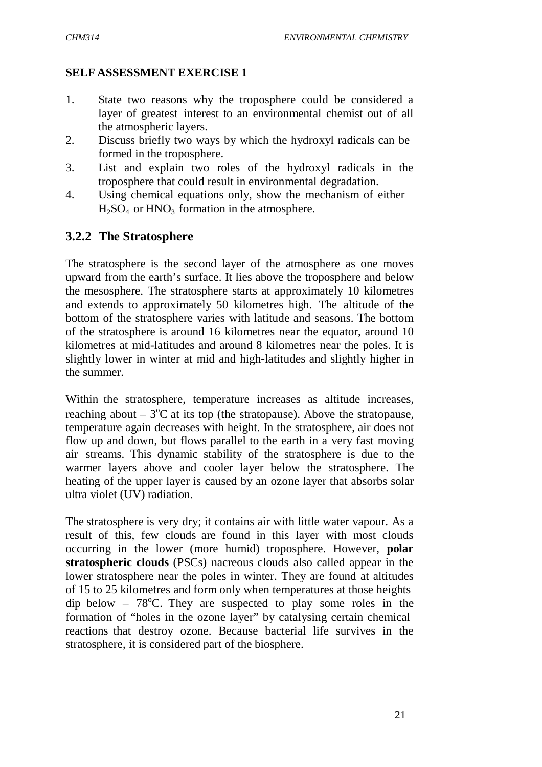#### **SELF ASSESSMENT EXERCISE 1**

- 1. State two reasons why the troposphere could be considered a layer of greatest interest to an environmental chemist out of all the atmospheric layers.
- 2. Discuss briefly two ways by which the hydroxyl radicals can be formed in the troposphere.
- 3. List and explain two roles of the hydroxyl radicals in the troposphere that could result in environmental degradation.
- 4. Using chemical equations only, show the mechanism of either  $H_2SO_4$  or  $HNO_3$  formation in the atmosphere.

## **3.2.2 The Stratosphere**

The stratosphere is the second layer of the atmosphere as one moves upward from the earth's surface. It lies above the troposphere and below the mesosphere. The stratosphere starts at approximately 10 kilometres and extends to approximately 50 kilometres high. The altitude of the bottom of the stratosphere varies with latitude and seasons. The bottom of the stratosphere is around 16 kilometres near the equator, around 10 kilometres at mid-latitudes and around 8 kilometres near the poles. It is slightly lower in winter at mid and high-latitudes and slightly higher in the summer.

Within the stratosphere, temperature increases as altitude increases, reaching about –  $3^{\circ}$ C at its top (the stratopause). Above the stratopause, temperature again decreases with height. In the stratosphere, air does not flow up and down, but flows parallel to the earth in a very fast moving air streams. This dynamic stability of the stratosphere is due to the warmer layers above and cooler layer below the stratosphere. The heating of the upper layer is caused by an ozone layer that absorbs solar ultra violet (UV) radiation.

The stratosphere is very dry; it contains air with little water vapour. As a result of this, few clouds are found in this layer with most clouds occurring in the lower (more humid) troposphere. However, **polar stratospheric clouds** (PSCs) nacreous clouds also called appear in the lower stratosphere near the poles in winter. They are found at altitudes of 15 to 25 kilometres and form only when temperatures at those heights dip below –  $78^{\circ}$ C. They are suspected to play some roles in the formation of "holes in the ozone layer" by catalysing certain chemical reactions that destroy ozone. Because bacterial life survives in the stratosphere, it is considered part of the biosphere.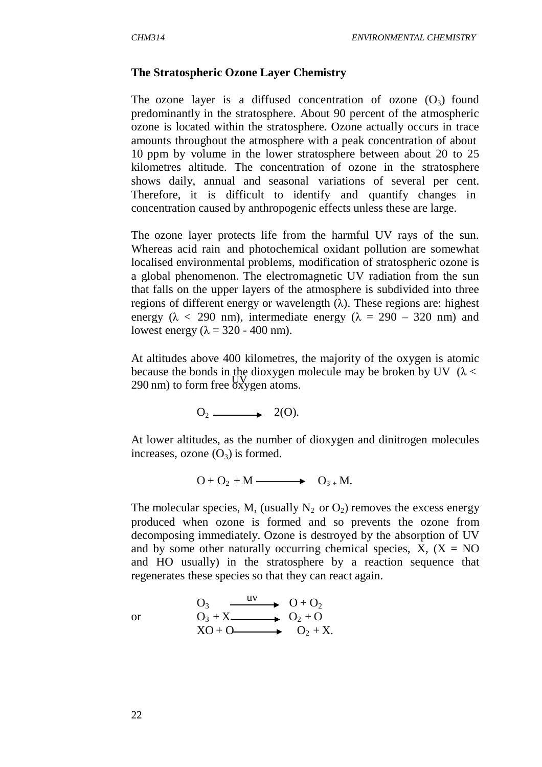#### **The Stratospheric Ozone Layer Chemistry**

The ozone layer is a diffused concentration of ozone  $(O_3)$  found predominantly in the stratosphere. About 90 percent of the atmospheric ozone is located within the stratosphere. Ozone actually occurs in trace amounts throughout the atmosphere with a peak concentration of about 10 ppm by volume in the lower stratosphere between about 20 to 25 kilometres altitude. The concentration of ozone in the stratosphere shows daily, annual and seasonal variations of several per cent. Therefore, it is difficult to identify and quantify changes in concentration caused by anthropogenic effects unless these are large.

The ozone layer protects life from the harmful UV rays of the sun. Whereas acid rain and photochemical oxidant pollution are somewhat localised environmental problems, modification of stratospheric ozone is a global phenomenon. The electromagnetic UV radiation from the sun that falls on the upper layers of the atmosphere is subdivided into three regions of different energy or wavelength (λ). These regions are: highest energy ( $\lambda$  < 290 nm), intermediate energy ( $\lambda$  = 290 – 320 nm) and lowest energy ( $\lambda = 320 - 400$  nm).

At altitudes above 400 kilometres, the majority of the oxygen is atomic because the bonds in the dioxygen molecule may be broken by UV ( $\lambda$  <  $290 \text{ nm}$ ) to form free  $6xygen$  atoms.

$$
O_2 \longrightarrow 2(O).
$$

At lower altitudes, as the number of dioxygen and dinitrogen molecules increases, ozone  $(O_3)$  is formed.

$$
O + O_2 + M \longrightarrow O_{3+} M.
$$

The molecular species, M, (usually  $N_2$  or  $O_2$ ) removes the excess energy produced when ozone is formed and so prevents the ozone from decomposing immediately. Ozone is destroyed by the absorption of UV and by some other naturally occurring chemical species,  $X$ ,  $(X = NO)$ and HO usually) in the stratosphere by a reaction sequence that regenerates these species so that they can react again.

$$
\overline{\text{or}}
$$

or  
\n
$$
O_3 \xrightarrow{\text{uv}} O_1 + O_2
$$
\n
$$
O_3 + X \xrightarrow{\text{uv}} O_2 + O_2
$$
\n
$$
XO + O \xrightarrow{\text{cv}} O_2 + X.
$$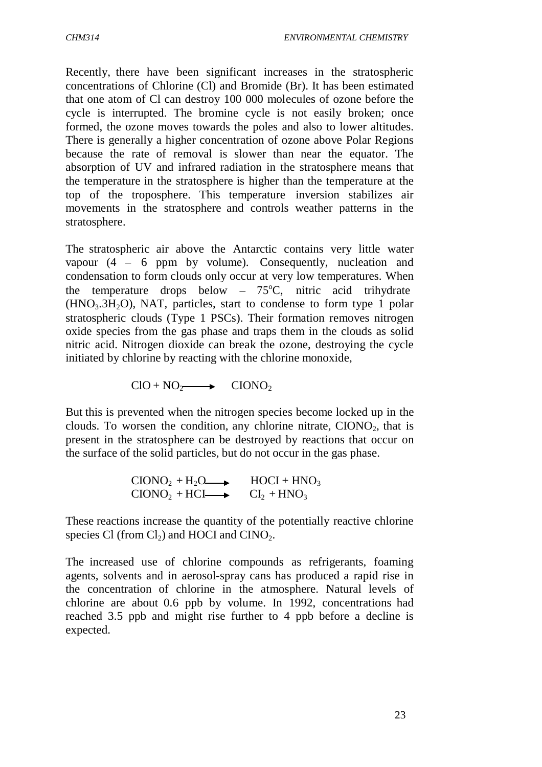Recently, there have been significant increases in the stratospheric concentrations of Chlorine (Cl) and Bromide (Br). It has been estimated that one atom of Cl can destroy 100 000 molecules of ozone before the cycle is interrupted. The bromine cycle is not easily broken; once formed, the ozone moves towards the poles and also to lower altitudes. There is generally a higher concentration of ozone above Polar Regions because the rate of removal is slower than near the equator. The absorption of UV and infrared radiation in the stratosphere means that the temperature in the stratosphere is higher than the temperature at the top of the troposphere. This temperature inversion stabilizes air movements in the stratosphere and controls weather patterns in the stratosphere.

The stratospheric air above the Antarctic contains very little water vapour (4 – 6 ppm by volume). Consequently, nucleation and condensation to form clouds only occur at very low temperatures. When the temperature drops below –  $75^{\circ}$ C, nitric acid trihydrate  $(HNO<sub>3</sub>.3H<sub>2</sub>O)$ , NAT, particles, start to condense to form type 1 polar stratospheric clouds (Type 1 PSCs). Their formation removes nitrogen oxide species from the gas phase and traps them in the clouds as solid nitric acid. Nitrogen dioxide can break the ozone, destroying the cycle initiated by chlorine by reacting with the chlorine monoxide,

 $CIO + NO_2 \longrightarrow CONO_2$ 

But this is prevented when the nitrogen species become locked up in the clouds. To worsen the condition, any chlorine nitrate,  $CIONO<sub>2</sub>$ , that is present in the stratosphere can be destroyed by reactions that occur on the surface of the solid particles, but do not occur in the gas phase.

> $CIONO<sub>2</sub> + H<sub>2</sub>O \longrightarrow HOCI + HNO<sub>3</sub>$  $CIONO<sub>2</sub> + HCI \longrightarrow Cl<sub>2</sub> + HNO<sub>3</sub>$

These reactions increase the quantity of the potentially reactive chlorine species Cl (from  $Cl_2$ ) and HOCI and CINO<sub>2</sub>.

The increased use of chlorine compounds as refrigerants, foaming agents, solvents and in aerosol-spray cans has produced a rapid rise in the concentration of chlorine in the atmosphere. Natural levels of chlorine are about 0.6 ppb by volume. In 1992, concentrations had reached 3.5 ppb and might rise further to 4 ppb before a decline is expected.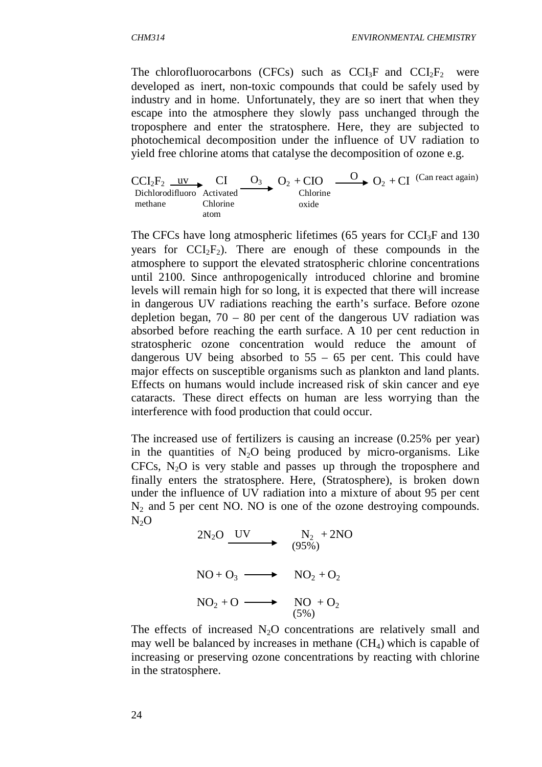The chlorofluorocarbons (CFCs) such as  $CCI_3F$  and  $CCI_2F_2$  were developed as inert, non-toxic compounds that could be safely used by industry and in home. Unfortunately, they are so inert that when they escape into the atmosphere they slowly pass unchanged through the troposphere and enter the stratosphere. Here, they are subjected to photochemical decomposition under the influence of UV radiation to yield free chlorine atoms that catalyse the decomposition of ozone e.g.

 $CCI<sub>2</sub>F<sub>2</sub>$  uv CI O<sub>3</sub> O<sub>2</sub> + CIO  $\frac{O_2 + CO_1}{O_2 + Cl}$  (Can react again) Dichlorodifluoro Activated Chlorine methane Chlorine atom oxide

The CFCs have long atmospheric lifetimes (65 years for  $\text{CCI}_3\text{F}$  and 130 years for  $CCI_2F_2$ ). There are enough of these compounds in the atmosphere to support the elevated stratospheric chlorine concentrations until 2100. Since anthropogenically introduced chlorine and bromine levels will remain high for so long, it is expected that there will increase in dangerous UV radiations reaching the earth's surface. Before ozone depletion began, 70 – 80 per cent of the dangerous UV radiation was absorbed before reaching the earth surface. A 10 per cent reduction in stratospheric ozone concentration would reduce the amount of dangerous UV being absorbed to 55 – 65 per cent. This could have major effects on susceptible organisms such as plankton and land plants. Effects on humans would include increased risk of skin cancer and eye cataracts. These direct effects on human are less worrying than the interference with food production that could occur.

The increased use of fertilizers is causing an increase (0.25% per year) in the quantities of  $N_2O$  being produced by micro-organisms. Like  $CFCs$ ,  $N<sub>2</sub>O$  is very stable and passes up through the troposphere and finally enters the stratosphere. Here, (Stratosphere), is broken down under the influence of UV radiation into a mixture of about 95 per cent  $N_2$  and 5 per cent NO. NO is one of the ozone destroying compounds.  $N<sub>2</sub>O$ 

$$
2N_2O \xrightarrow{UV} \nN_2 + 2NO
$$
\n
$$
(95\%)
$$
\n
$$
NO + O_3 \xrightarrow{N_2 + O_2} \nNO_2 + O_2
$$
\n
$$
NO_2 + O \xrightarrow{N_2 + O_2} \n(5\%)
$$

The effects of increased  $N_2O$  concentrations are relatively small and may well be balanced by increases in methane  $(CH<sub>4</sub>)$  which is capable of increasing or preserving ozone concentrations by reacting with chlorine in the stratosphere.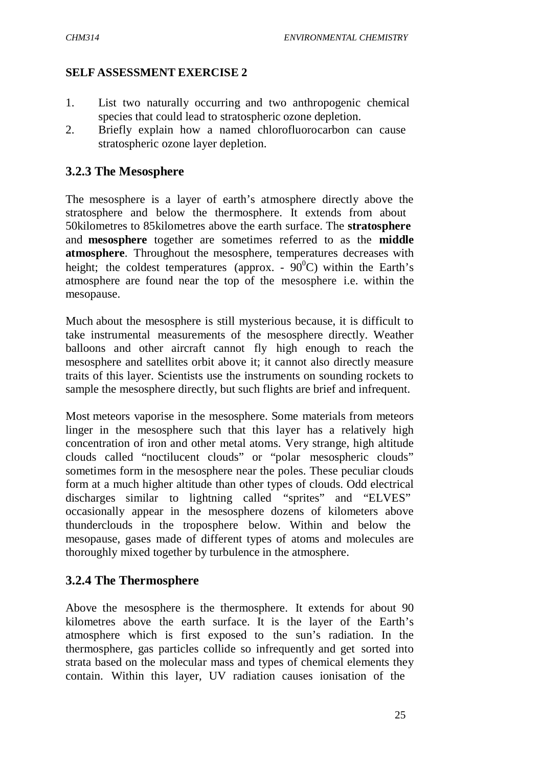#### **SELF ASSESSMENT EXERCISE 2**

- 1. List two naturally occurring and two anthropogenic chemical species that could lead to stratospheric ozone depletion.
- 2. Briefly explain how a named chlorofluorocarbon can cause stratospheric ozone layer depletion.

#### **3.2.3 The Mesosphere**

The mesosphere is a layer of earth's atmosphere directly above the stratosphere and below the thermosphere. It extends from about 50kilometres to 85kilometres above the earth surface. The **stratosphere** and **mesosphere** together are sometimes referred to as the **middle atmosphere**. Throughout the mesosphere, temperatures decreases with height; the coldest temperatures (approx. -  $90^{\circ}$ C) within the Earth's atmosphere are found near the top of the mesosphere i.e. within the mesopause.

Much about the mesosphere is still mysterious because, it is difficult to take instrumental measurements of the mesosphere directly. Weather balloons and other aircraft cannot fly high enough to reach the mesosphere and satellites orbit above it; it cannot also directly measure traits of this layer. Scientists use the instruments on sounding rockets to sample the mesosphere directly, but such flights are brief and infrequent.

Most meteors vaporise in the mesosphere. Some materials from meteors linger in the mesosphere such that this layer has a relatively high concentration of iron and other metal atoms. Very strange, high altitude clouds called "noctilucent clouds" or "polar mesospheric clouds" sometimes form in the mesosphere near the poles. These peculiar clouds form at a much higher altitude than other types of clouds. Odd electrical discharges similar to lightning called "sprites" and "ELVES" occasionally appear in the mesosphere dozens of kilometers above thunderclouds in the troposphere below. Within and below the mesopause, gases made of different types of atoms and molecules are thoroughly mixed together by turbulence in the atmosphere.

#### **3.2.4 The Thermosphere**

Above the mesosphere is the thermosphere. It extends for about 90 kilometres above the earth surface. It is the layer of the Earth's atmosphere which is first exposed to the sun's radiation. In the thermosphere, gas particles collide so infrequently and get sorted into strata based on the molecular mass and types of chemical elements they contain. Within this layer, UV radiation causes ionisation of the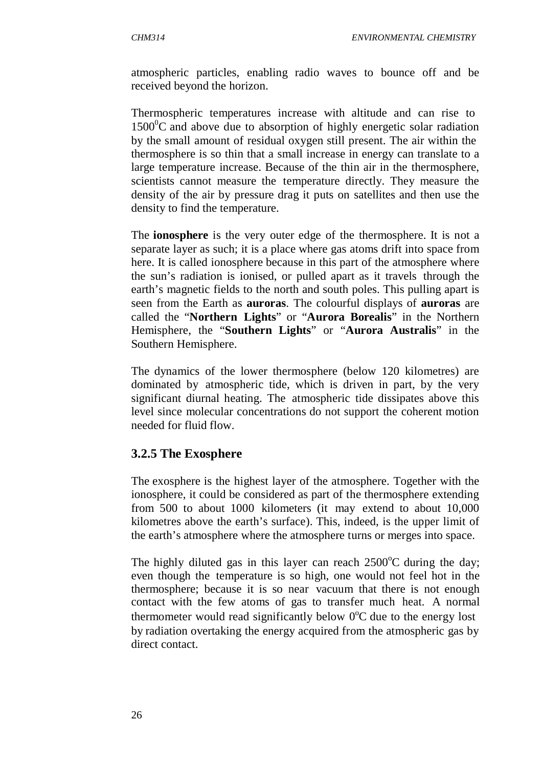atmospheric particles, enabling radio waves to bounce off and be received beyond the horizon.

Thermospheric temperatures increase with altitude and can rise to  $1500^{\circ}$ C and above due to absorption of highly energetic solar radiation by the small amount of residual oxygen still present. The air within the thermosphere is so thin that a small increase in energy can translate to a large temperature increase. Because of the thin air in the thermosphere, scientists cannot measure the temperature directly. They measure the density of the air by pressure drag it puts on satellites and then use the density to find the temperature.

The **ionosphere** is the very outer edge of the thermosphere. It is not a separate layer as such; it is a place where gas atoms drift into space from here. It is called ionosphere because in this part of the atmosphere where the sun's radiation is ionised, or pulled apart as it travels through the earth's magnetic fields to the north and south poles. This pulling apart is seen from the Earth as **auroras**. The colourful displays of **auroras** are called the "**Northern Lights**" or "**Aurora Borealis**" in the Northern Hemisphere, the "**Southern Lights**" or "**Aurora Australis**" in the Southern Hemisphere.

The dynamics of the lower thermosphere (below 120 kilometres) are dominated by atmospheric tide, which is driven in part, by the very significant diurnal heating. The atmospheric tide dissipates above this level since molecular concentrations do not support the coherent motion needed for fluid flow.

# **3.2.5 The Exosphere**

The exosphere is the highest layer of the atmosphere. Together with the ionosphere, it could be considered as part of the thermosphere extending from 500 to about 1000 kilometers (it may extend to about 10,000 kilometres above the earth's surface). This, indeed, is the upper limit of the earth's atmosphere where the atmosphere turns or merges into space.

The highly diluted gas in this layer can reach  $2500^{\circ}$ C during the day; even though the temperature is so high, one would not feel hot in the thermosphere; because it is so near vacuum that there is not enough contact with the few atoms of gas to transfer much heat. A normal thermometer would read significantly below  $0^{\circ}$ C due to the energy lost by radiation overtaking the energy acquired from the atmospheric gas by direct contact.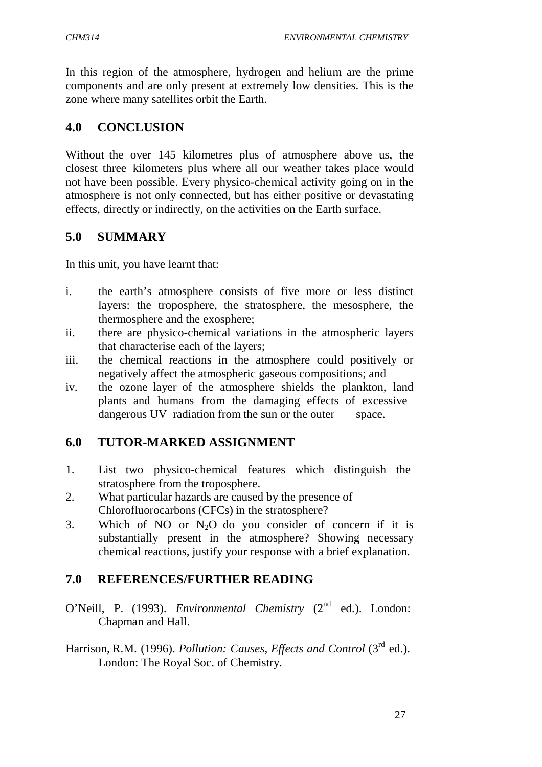In this region of the atmosphere, hydrogen and helium are the prime components and are only present at extremely low densities. This is the zone where many satellites orbit the Earth.

### **4.0 CONCLUSION**

Without the over 145 kilometres plus of atmosphere above us, the closest three kilometers plus where all our weather takes place would not have been possible. Every physico-chemical activity going on in the atmosphere is not only connected, but has either positive or devastating effects, directly or indirectly, on the activities on the Earth surface.

### **5.0 SUMMARY**

In this unit, you have learnt that:

- i. the earth's atmosphere consists of five more or less distinct layers: the troposphere, the stratosphere, the mesosphere, the thermosphere and the exosphere;
- ii. there are physico-chemical variations in the atmospheric layers that characterise each of the layers;
- iii. the chemical reactions in the atmosphere could positively or negatively affect the atmospheric gaseous compositions; and
- iv. the ozone layer of the atmosphere shields the plankton, land plants and humans from the damaging effects of excessive dangerous UV radiation from the sun or the outer space.

#### **6.0 TUTOR-MARKED ASSIGNMENT**

- 1. List two physico-chemical features which distinguish the stratosphere from the troposphere.
- 2. What particular hazards are caused by the presence of Chlorofluorocarbons (CFCs) in the stratosphere?
- 3. Which of NO or  $N_2O$  do you consider of concern if it is substantially present in the atmosphere? Showing necessary chemical reactions, justify your response with a brief explanation.

# **7.0 REFERENCES/FURTHER READING**

- O'Neill, P. (1993). *Environmental Chemistry (2<sup>nd</sup> ed.)*. London: Chapman and Hall.
- Harrison, R.M. (1996). *Pollution: Causes, Effects and Control* (3<sup>rd</sup> ed.). London: The Royal Soc. of Chemistry.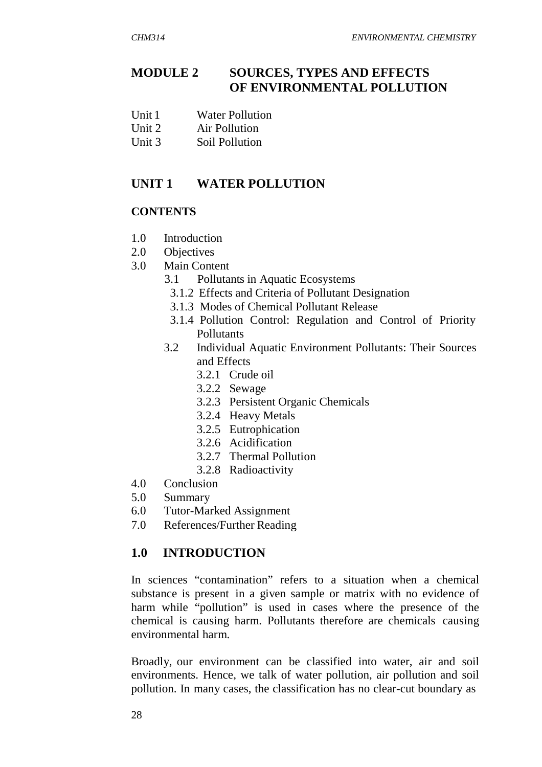### **MODULE 2 SOURCES, TYPES AND EFFECTS OF ENVIRONMENTAL POLLUTION**

- Unit 1 Water Pollution
- Unit 2 Air Pollution
- Unit 3 Soil Pollution

### **UNIT 1 WATER POLLUTION**

#### **CONTENTS**

- 1.0 Introduction
- 2.0 Objectives
- 3.0 Main Content
	- 3.1 Pollutants in Aquatic Ecosystems
	- 3.1.2 Effects and Criteria of Pollutant Designation
	- 3.1.3 Modes of Chemical Pollutant Release
	- 3.1.4 Pollution Control: Regulation and Control of Priority Pollutants
	- 3.2 Individual Aquatic Environment Pollutants: Their Sources and Effects
		- 3.2.1 Crude oil
		- 3.2.2 Sewage
		- 3.2.3 Persistent Organic Chemicals
		- 3.2.4 Heavy Metals
		- 3.2.5 Eutrophication
		- 3.2.6 Acidification
		- 3.2.7 Thermal Pollution
		- 3.2.8 Radioactivity
- 4.0 Conclusion
- 5.0 Summary
- 6.0 Tutor-Marked Assignment
- 7.0 References/Further Reading

#### **1.0 INTRODUCTION**

In sciences "contamination" refers to a situation when a chemical substance is present in a given sample or matrix with no evidence of harm while "pollution" is used in cases where the presence of the chemical is causing harm. Pollutants therefore are chemicals causing environmental harm.

Broadly, our environment can be classified into water, air and soil environments. Hence, we talk of water pollution, air pollution and soil pollution. In many cases, the classification has no clear-cut boundary as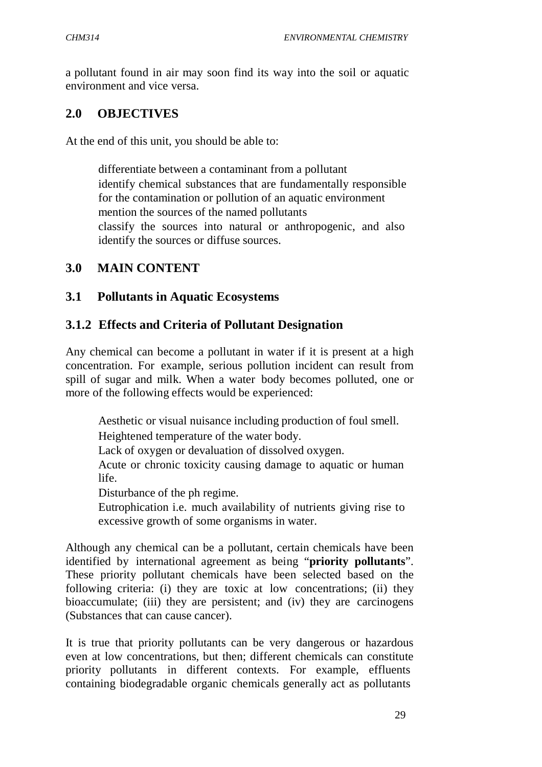a pollutant found in air may soon find its way into the soil or aquatic environment and vice versa.

#### **2.0 OBJECTIVES**

At the end of this unit, you should be able to:

 differentiate between a contaminant from a pollutant identify chemical substances that are fundamentally responsible for the contamination or pollution of an aquatic environment mention the sources of the named pollutants classify the sources into natural or anthropogenic, and also identify the sources or diffuse sources.

#### **3.0 MAIN CONTENT**

#### **3.1 Pollutants in Aquatic Ecosystems**

#### **3.1.2 Effects and Criteria of Pollutant Designation**

Any chemical can become a pollutant in water if it is present at a high concentration. For example, serious pollution incident can result from spill of sugar and milk. When a water body becomes polluted, one or more of the following effects would be experienced:

 Aesthetic or visual nuisance including production of foul smell. Heightened temperature of the water body. Lack of oxygen or devaluation of dissolved oxygen. Acute or chronic toxicity causing damage to aquatic or human life. Disturbance of the ph regime. Eutrophication i.e. much availability of nutrients giving rise to excessive growth of some organisms in water.

Although any chemical can be a pollutant, certain chemicals have been identified by international agreement as being "**priority pollutants**". These priority pollutant chemicals have been selected based on the following criteria: (i) they are toxic at low concentrations; (ii) they bioaccumulate; (iii) they are persistent; and (iv) they are carcinogens (Substances that can cause cancer).

It is true that priority pollutants can be very dangerous or hazardous even at low concentrations, but then; different chemicals can constitute priority pollutants in different contexts. For example, effluents containing biodegradable organic chemicals generally act as pollutants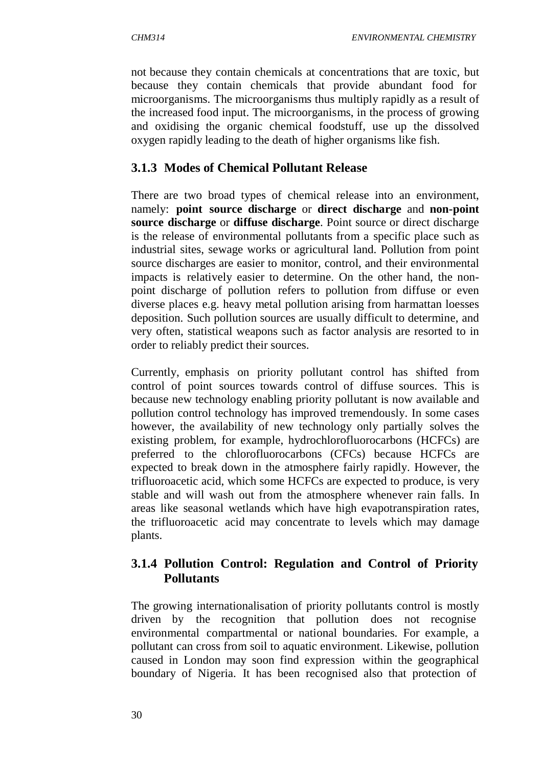not because they contain chemicals at concentrations that are toxic, but because they contain chemicals that provide abundant food for microorganisms. The microorganisms thus multiply rapidly as a result of the increased food input. The microorganisms, in the process of growing and oxidising the organic chemical foodstuff, use up the dissolved oxygen rapidly leading to the death of higher organisms like fish.

## **3.1.3 Modes of Chemical Pollutant Release**

There are two broad types of chemical release into an environment, namely: **point source discharge** or **direct discharge** and **non-point source discharge** or **diffuse discharge**. Point source or direct discharge is the release of environmental pollutants from a specific place such as industrial sites, sewage works or agricultural land. Pollution from point source discharges are easier to monitor, control, and their environmental impacts is relatively easier to determine. On the other hand, the nonpoint discharge of pollution refers to pollution from diffuse or even diverse places e.g. heavy metal pollution arising from harmattan loesses deposition. Such pollution sources are usually difficult to determine, and very often, statistical weapons such as factor analysis are resorted to in order to reliably predict their sources.

Currently, emphasis on priority pollutant control has shifted from control of point sources towards control of diffuse sources. This is because new technology enabling priority pollutant is now available and pollution control technology has improved tremendously. In some cases however, the availability of new technology only partially solves the existing problem, for example, hydrochlorofluorocarbons (HCFCs) are preferred to the chlorofluorocarbons (CFCs) because HCFCs are expected to break down in the atmosphere fairly rapidly. However, the trifluoroacetic acid, which some HCFCs are expected to produce, is very stable and will wash out from the atmosphere whenever rain falls. In areas like seasonal wetlands which have high evapotranspiration rates, the trifluoroacetic acid may concentrate to levels which may damage plants.

### **3.1.4 Pollution Control: Regulation and Control of Priority Pollutants**

The growing internationalisation of priority pollutants control is mostly driven by the recognition that pollution does not recognise environmental compartmental or national boundaries. For example, a pollutant can cross from soil to aquatic environment. Likewise, pollution caused in London may soon find expression within the geographical boundary of Nigeria. It has been recognised also that protection of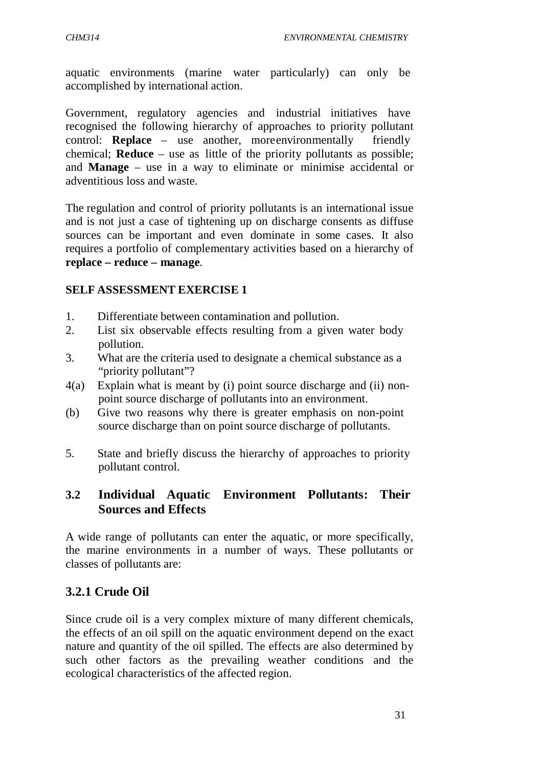aquatic environments (marine water particularly) can only be accomplished by international action.

Government, regulatory agencies and industrial initiatives have recognised the following hierarchy of approaches to priority pollutant control: **Replace** – use another, more environmentally friendly chemical; **Reduce** – use as little of the priority pollutants as possible; and **Manage** – use in a way to eliminate or minimise accidental or adventitious loss and waste.

The regulation and control of priority pollutants is an international issue and is not just a case of tightening up on discharge consents as diffuse sources can be important and even dominate in some cases. It also requires a portfolio of complementary activities based on a hierarchy of **replace – reduce – manage**.

#### **SELF ASSESSMENT EXERCISE 1**

- 1. Differentiate between contamination and pollution.
- 2. List six observable effects resulting from a given water body pollution.
- 3. What are the criteria used to designate a chemical substance as a "priority pollutant"?
- 4(a) Explain what is meant by (i) point source discharge and (ii) nonpoint source discharge of pollutants into an environment.
- (b) Give two reasons why there is greater emphasis on non-point source discharge than on point source discharge of pollutants.
- 5. State and briefly discuss the hierarchy of approaches to priority pollutant control.

### **3.2 Individual Aquatic Environment Pollutants: Their Sources and Effects**

A wide range of pollutants can enter the aquatic, or more specifically, the marine environments in a number of ways. These pollutants or classes of pollutants are:

# **3.2.1 Crude Oil**

Since crude oil is a very complex mixture of many different chemicals, the effects of an oil spill on the aquatic environment depend on the exact nature and quantity of the oil spilled. The effects are also determined by such other factors as the prevailing weather conditions and the ecological characteristics of the affected region.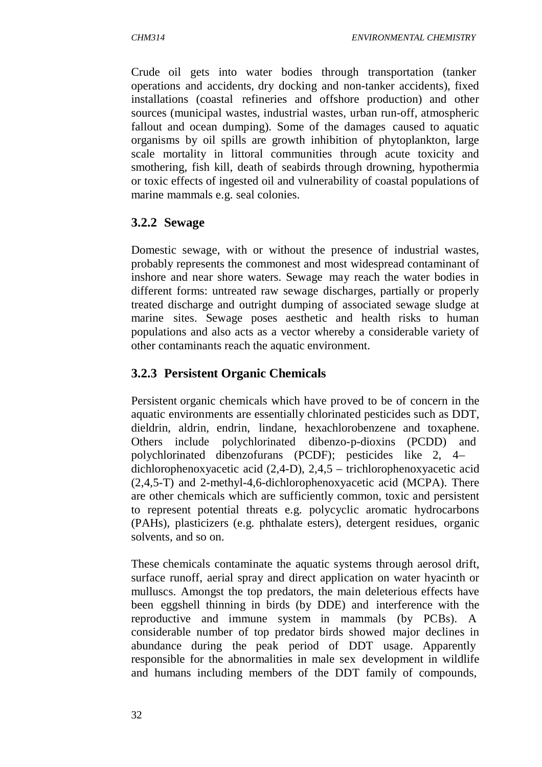Crude oil gets into water bodies through transportation (tanker operations and accidents, dry docking and non-tanker accidents), fixed installations (coastal refineries and offshore production) and other sources (municipal wastes, industrial wastes, urban run-off, atmospheric fallout and ocean dumping). Some of the damages caused to aquatic organisms by oil spills are growth inhibition of phytoplankton, large scale mortality in littoral communities through acute toxicity and smothering, fish kill, death of seabirds through drowning, hypothermia or toxic effects of ingested oil and vulnerability of coastal populations of marine mammals e.g. seal colonies.

### **3.2.2 Sewage**

Domestic sewage, with or without the presence of industrial wastes, probably represents the commonest and most widespread contaminant of inshore and near shore waters. Sewage may reach the water bodies in different forms: untreated raw sewage discharges, partially or properly treated discharge and outright dumping of associated sewage sludge at marine sites. Sewage poses aesthetic and health risks to human populations and also acts as a vector whereby a considerable variety of other contaminants reach the aquatic environment.

# **3.2.3 Persistent Organic Chemicals**

Persistent organic chemicals which have proved to be of concern in the aquatic environments are essentially chlorinated pesticides such as DDT, dieldrin, aldrin, endrin, lindane, hexachlorobenzene and toxaphene. Others include polychlorinated dibenzo-p-dioxins (PCDD) and polychlorinated dibenzofurans (PCDF); pesticides like 2, 4 – dichlorophenoxyacetic acid (2,4-D), 2,4,5 – trichlorophenoxyacetic acid (2,4,5-T) and 2-methyl-4,6-dichlorophenoxyacetic acid (MCPA). There are other chemicals which are sufficiently common, toxic and persistent to represent potential threats e.g. polycyclic aromatic hydrocarbons (PAHs), plasticizers (e.g. phthalate esters), detergent residues, organic solvents, and so on.

These chemicals contaminate the aquatic systems through aerosol drift, surface runoff, aerial spray and direct application on water hyacinth or mulluscs. Amongst the top predators, the main deleterious effects have been eggshell thinning in birds (by DDE) and interference with the reproductive and immune system in mammals (by PCBs). A considerable number of top predator birds showed major declines in abundance during the peak period of DDT usage. Apparently responsible for the abnormalities in male sex development in wildlife and humans including members of the DDT family of compounds,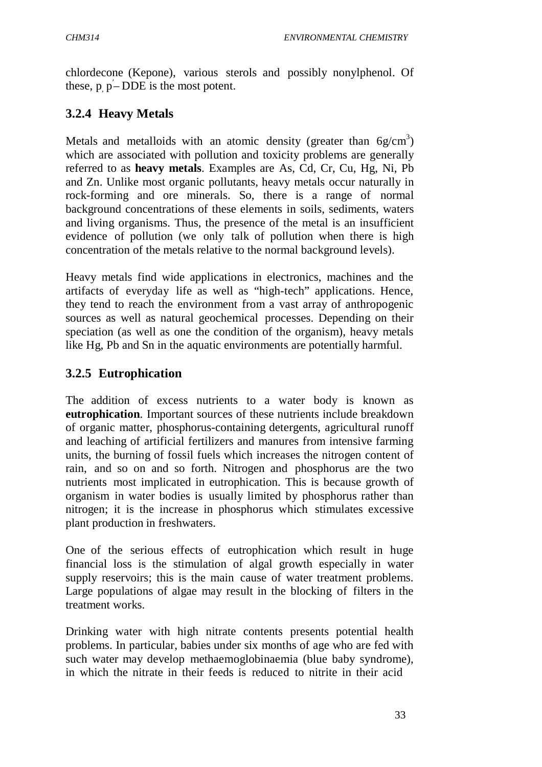chlordecone (Kepone), various sterols and possibly nonylphenol. Of these,  $p_p - DDE$  is the most potent.

# **3.2.4 Heavy Metals**

Metals and metalloids with an atomic density (greater than  $6g/cm<sup>3</sup>$ ) which are associated with pollution and toxicity problems are generally referred to as **heavy metals**. Examples are As, Cd, Cr, Cu, Hg, Ni, Pb and Zn. Unlike most organic pollutants, heavy metals occur naturally in rock-forming and ore minerals. So, there is a range of normal background concentrations of these elements in soils, sediments, waters and living organisms. Thus, the presence of the metal is an insufficient evidence of pollution (we only talk of pollution when there is high concentration of the metals relative to the normal background levels).

Heavy metals find wide applications in electronics, machines and the artifacts of everyday life as well as "high-tech" applications. Hence, they tend to reach the environment from a vast array of anthropogenic sources as well as natural geochemical processes. Depending on their speciation (as well as one the condition of the organism), heavy metals like Hg, Pb and Sn in the aquatic environments are potentially harmful.

# **3.2.5 Eutrophication**

The addition of excess nutrients to a water body is known as **eutrophication**. Important sources of these nutrients include breakdown of organic matter, phosphorus-containing detergents, agricultural runoff and leaching of artificial fertilizers and manures from intensive farming units, the burning of fossil fuels which increases the nitrogen content of rain, and so on and so forth. Nitrogen and phosphorus are the two nutrients most implicated in eutrophication. This is because growth of organism in water bodies is usually limited by phosphorus rather than nitrogen; it is the increase in phosphorus which stimulates excessive plant production in freshwaters.

One of the serious effects of eutrophication which result in huge financial loss is the stimulation of algal growth especially in water supply reservoirs; this is the main cause of water treatment problems. Large populations of algae may result in the blocking of filters in the treatment works.

Drinking water with high nitrate contents presents potential health problems. In particular, babies under six months of age who are fed with such water may develop methaemoglobinaemia (blue baby syndrome), in which the nitrate in their feeds is reduced to nitrite in their acid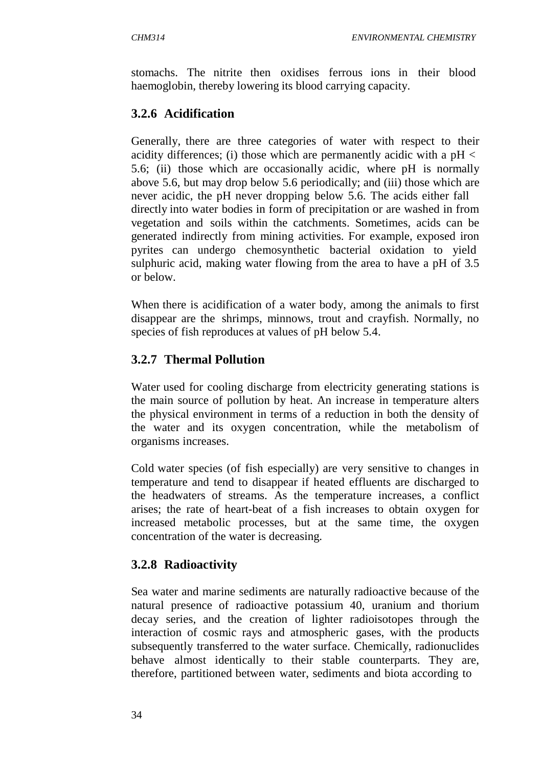stomachs. The nitrite then oxidises ferrous ions in their blood haemoglobin, thereby lowering its blood carrying capacity.

# **3.2.6 Acidification**

Generally, there are three categories of water with respect to their acidity differences; (i) those which are permanently acidic with a  $pH <$ 5.6; (ii) those which are occasionally acidic, where pH is normally above 5.6, but may drop below 5.6 periodically; and (iii) those which are never acidic, the pH never dropping below 5.6. The acids either fall directly into water bodies in form of precipitation or are washed in from vegetation and soils within the catchments. Sometimes, acids can be generated indirectly from mining activities. For example, exposed iron pyrites can undergo chemosynthetic bacterial oxidation to yield sulphuric acid, making water flowing from the area to have a pH of 3.5 or below.

When there is acidification of a water body, among the animals to first disappear are the shrimps, minnows, trout and crayfish. Normally, no species of fish reproduces at values of pH below 5.4.

# **3.2.7 Thermal Pollution**

Water used for cooling discharge from electricity generating stations is the main source of pollution by heat. An increase in temperature alters the physical environment in terms of a reduction in both the density of the water and its oxygen concentration, while the metabolism of organisms increases.

Cold water species (of fish especially) are very sensitive to changes in temperature and tend to disappear if heated effluents are discharged to the headwaters of streams. As the temperature increases, a conflict arises; the rate of heart-beat of a fish increases to obtain oxygen for increased metabolic processes, but at the same time, the oxygen concentration of the water is decreasing.

# **3.2.8 Radioactivity**

Sea water and marine sediments are naturally radioactive because of the natural presence of radioactive potassium 40, uranium and thorium decay series, and the creation of lighter radioisotopes through the interaction of cosmic rays and atmospheric gases, with the products subsequently transferred to the water surface. Chemically, radionuclides behave almost identically to their stable counterparts. They are, therefore, partitioned between water, sediments and biota according to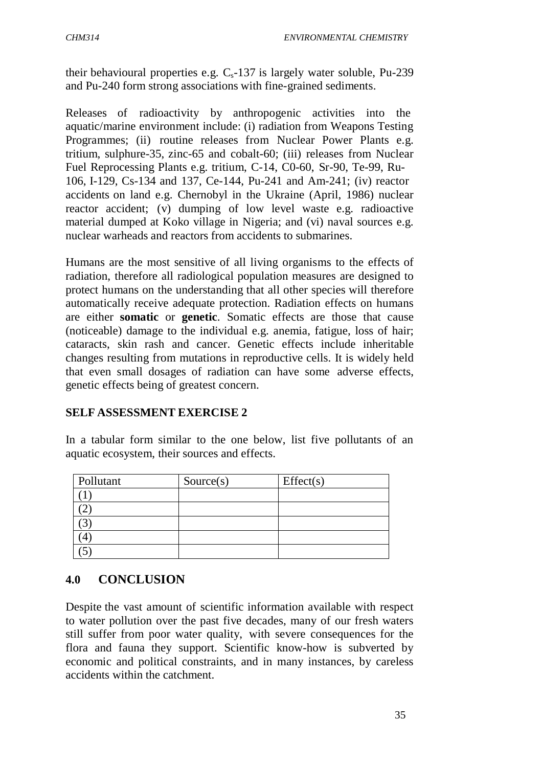their behavioural properties e.g.  $C_s$ -137 is largely water soluble, Pu-239 and Pu-240 form strong associations with fine-grained sediments.

Releases of radioactivity by anthropogenic activities into the aquatic/marine environment include: (i) radiation from Weapons Testing Programmes; (ii) routine releases from Nuclear Power Plants e.g. tritium, sulphure-35, zinc-65 and cobalt-60; (iii) releases from Nuclear Fuel Reprocessing Plants e.g. tritium, C-14, C0-60, Sr-90, Te-99, Ru-106, I-129, Cs-134 and 137, Ce-144, Pu-241 and Am-241; (iv) reactor accidents on land e.g. Chernobyl in the Ukraine (April, 1986) nuclear reactor accident; (v) dumping of low level waste e.g. radioactive material dumped at Koko village in Nigeria; and (vi) naval sources e.g. nuclear warheads and reactors from accidents to submarines.

Humans are the most sensitive of all living organisms to the effects of radiation, therefore all radiological population measures are designed to protect humans on the understanding that all other species will therefore automatically receive adequate protection. Radiation effects on humans are either **somatic** or **genetic**. Somatic effects are those that cause (noticeable) damage to the individual e.g. anemia, fatigue, loss of hair; cataracts, skin rash and cancer. Genetic effects include inheritable changes resulting from mutations in reproductive cells. It is widely held that even small dosages of radiation can have some adverse effects, genetic effects being of greatest concern.

#### **SELF ASSESSMENT EXERCISE 2**

In a tabular form similar to the one below, list five pollutants of an aquatic ecosystem, their sources and effects.

| Pollutant | Source(s) | Effect(s) |
|-----------|-----------|-----------|
|           |           |           |
|           |           |           |
|           |           |           |
|           |           |           |
|           |           |           |

#### **4.0 CONCLUSION**

Despite the vast amount of scientific information available with respect to water pollution over the past five decades, many of our fresh waters still suffer from poor water quality, with severe consequences for the flora and fauna they support. Scientific know-how is subverted by economic and political constraints, and in many instances, by careless accidents within the catchment.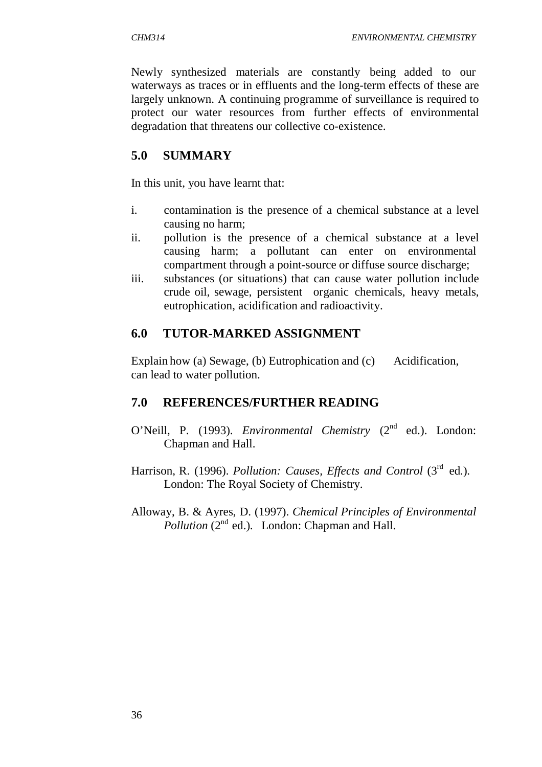Newly synthesized materials are constantly being added to our waterways as traces or in effluents and the long-term effects of these are largely unknown. A continuing programme of surveillance is required to protect our water resources from further effects of environmental degradation that threatens our collective co-existence.

# **5.0 SUMMARY**

In this unit, you have learnt that:

- i. contamination is the presence of a chemical substance at a level causing no harm;
- ii. pollution is the presence of a chemical substance at a level causing harm; a pollutant can enter on environmental compartment through a point-source or diffuse source discharge;
- iii. substances (or situations) that can cause water pollution include crude oil, sewage, persistent organic chemicals, heavy metals, eutrophication, acidification and radioactivity.

### **6.0 TUTOR-MARKED ASSIGNMENT**

Explain how (a) Sewage, (b) Eutrophication and (c) Acidification, can lead to water pollution.

# **7.0 REFERENCES/FURTHER READING**

- O'Neill, P. (1993). *Environmental Chemistry (2<sup>nd</sup> ed.)*. London: Chapman and Hall.
- Harrison, R. (1996). *Pollution: Causes, Effects and Control* (3<sup>rd</sup> ed.). London: The Royal Society of Chemistry.
- Alloway, B. & Ayres, D. (1997). *Chemical Principles of Environmental Pollution* (2<sup>nd</sup> ed.). London: Chapman and Hall.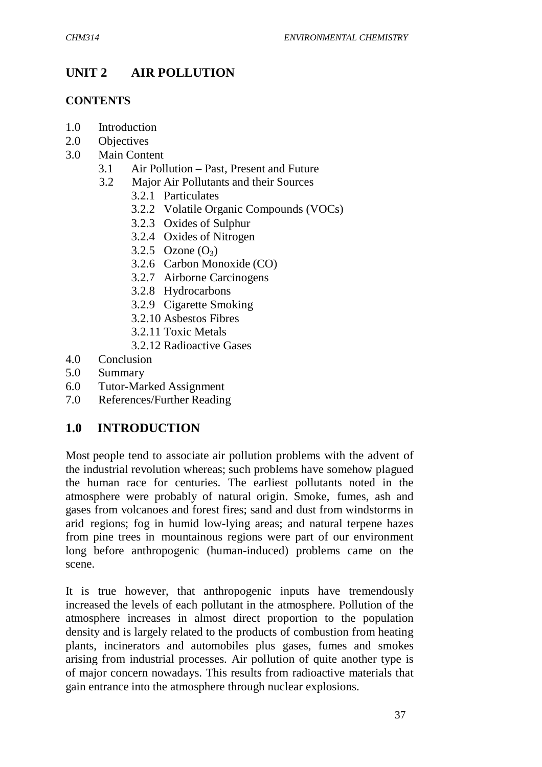# **UNIT 2 AIR POLLUTION**

#### **CONTENTS**

- 1.0 Introduction
- 2.0 Objectives
- 3.0 Main Content
	- 3.1 Air Pollution Past, Present and Future
	- 3.2 Major Air Pollutants and their Sources
		- 3.2.1 Particulates
		- 3.2.2 Volatile Organic Compounds (VOCs)
		- 3.2.3 Oxides of Sulphur
		- 3.2.4 Oxides of Nitrogen
		- 3.2.5 Ozone  $(O_3)$
		- 3.2.6 Carbon Monoxide (CO)
		- 3.2.7 Airborne Carcinogens
		- 3.2.8 Hydrocarbons
		- 3.2.9 Cigarette Smoking
		- 3.2.10 Asbestos Fibres
		- 3.2.11 Toxic Metals
		- 3.2.12 Radioactive Gases
- 4.0 Conclusion
- 5.0 Summary
- 6.0 Tutor-Marked Assignment
- 7.0 References/Further Reading

# **1.0 INTRODUCTION**

Most people tend to associate air pollution problems with the advent of the industrial revolution whereas; such problems have somehow plagued the human race for centuries. The earliest pollutants noted in the atmosphere were probably of natural origin. Smoke, fumes, ash and gases from volcanoes and forest fires; sand and dust from windstorms in arid regions; fog in humid low-lying areas; and natural terpene hazes from pine trees in mountainous regions were part of our environment long before anthropogenic (human-induced) problems came on the scene.

It is true however, that anthropogenic inputs have tremendously increased the levels of each pollutant in the atmosphere. Pollution of the atmosphere increases in almost direct proportion to the population density and is largely related to the products of combustion from heating plants, incinerators and automobiles plus gases, fumes and smokes arising from industrial processes. Air pollution of quite another type is of major concern nowadays. This results from radioactive materials that gain entrance into the atmosphere through nuclear explosions.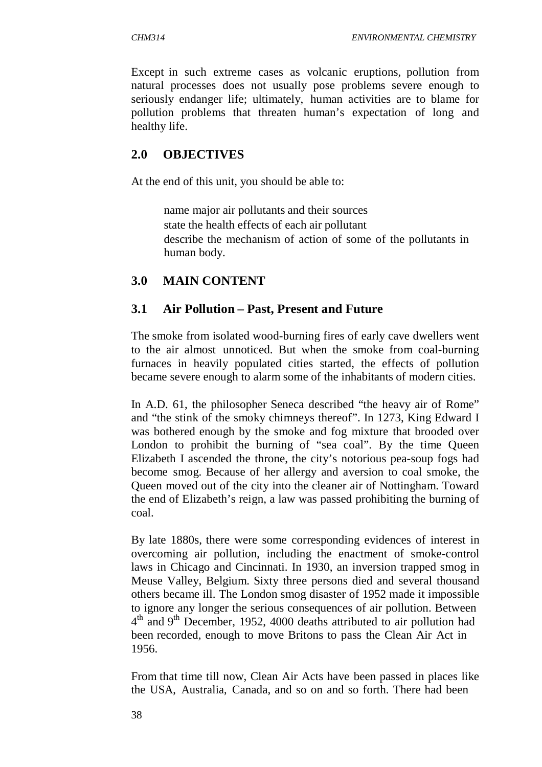Except in such extreme cases as volcanic eruptions, pollution from natural processes does not usually pose problems severe enough to seriously endanger life; ultimately, human activities are to blame for pollution problems that threaten human's expectation of long and healthy life.

### **2.0 OBJECTIVES**

At the end of this unit, you should be able to:

 name major air pollutants and their sources state the health effects of each air pollutant describe the mechanism of action of some of the pollutants in human body.

### **3.0 MAIN CONTENT**

#### **3.1 Air Pollution – Past, Present and Future**

The smoke from isolated wood-burning fires of early cave dwellers went to the air almost unnoticed. But when the smoke from coal-burning furnaces in heavily populated cities started, the effects of pollution became severe enough to alarm some of the inhabitants of modern cities.

In A.D. 61, the philosopher Seneca described "the heavy air of Rome" and "the stink of the smoky chimneys thereof". In 1273, King Edward I was bothered enough by the smoke and fog mixture that brooded over London to prohibit the burning of "sea coal". By the time Queen Elizabeth I ascended the throne, the city's notorious pea-soup fogs had become smog. Because of her allergy and aversion to coal smoke, the Queen moved out of the city into the cleaner air of Nottingham. Toward the end of Elizabeth's reign, a law was passed prohibiting the burning of coal.

By late 1880s, there were some corresponding evidences of interest in overcoming air pollution, including the enactment of smoke-control laws in Chicago and Cincinnati. In 1930, an inversion trapped smog in Meuse Valley, Belgium. Sixty three persons died and several thousand others became ill. The London smog disaster of 1952 made it impossible to ignore any longer the serious consequences of air pollution. Between 4<sup>th</sup> and 9<sup>th</sup> December, 1952, 4000 deaths attributed to air pollution had been recorded, enough to move Britons to pass the Clean Air Act in 1956.

From that time till now, Clean Air Acts have been passed in places like the USA, Australia, Canada, and so on and so forth. There had been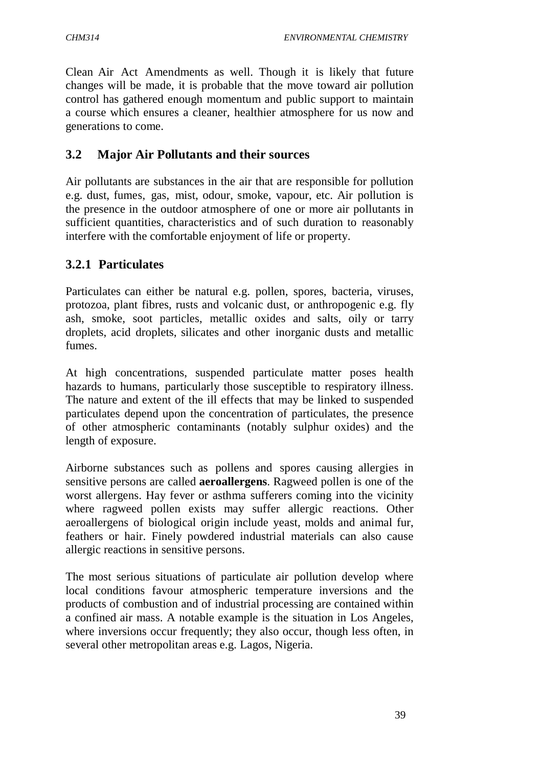Clean Air Act Amendments as well. Though it is likely that future changes will be made, it is probable that the move toward air pollution control has gathered enough momentum and public support to maintain a course which ensures a cleaner, healthier atmosphere for us now and generations to come.

#### **3.2 Major Air Pollutants and their sources**

Air pollutants are substances in the air that are responsible for pollution e.g. dust, fumes, gas, mist, odour, smoke, vapour, etc. Air pollution is the presence in the outdoor atmosphere of one or more air pollutants in sufficient quantities, characteristics and of such duration to reasonably interfere with the comfortable enjoyment of life or property.

#### **3.2.1 Particulates**

Particulates can either be natural e.g. pollen, spores, bacteria, viruses, protozoa, plant fibres, rusts and volcanic dust, or anthropogenic e.g. fly ash, smoke, soot particles, metallic oxides and salts, oily or tarry droplets, acid droplets, silicates and other inorganic dusts and metallic fumes.

At high concentrations, suspended particulate matter poses health hazards to humans, particularly those susceptible to respiratory illness. The nature and extent of the ill effects that may be linked to suspended particulates depend upon the concentration of particulates, the presence of other atmospheric contaminants (notably sulphur oxides) and the length of exposure.

Airborne substances such as pollens and spores causing allergies in sensitive persons are called **aeroallergens**. Ragweed pollen is one of the worst allergens. Hay fever or asthma sufferers coming into the vicinity where ragweed pollen exists may suffer allergic reactions. Other aeroallergens of biological origin include yeast, molds and animal fur, feathers or hair. Finely powdered industrial materials can also cause allergic reactions in sensitive persons.

The most serious situations of particulate air pollution develop where local conditions favour atmospheric temperature inversions and the products of combustion and of industrial processing are contained within a confined air mass. A notable example is the situation in Los Angeles, where inversions occur frequently; they also occur, though less often, in several other metropolitan areas e.g. Lagos, Nigeria.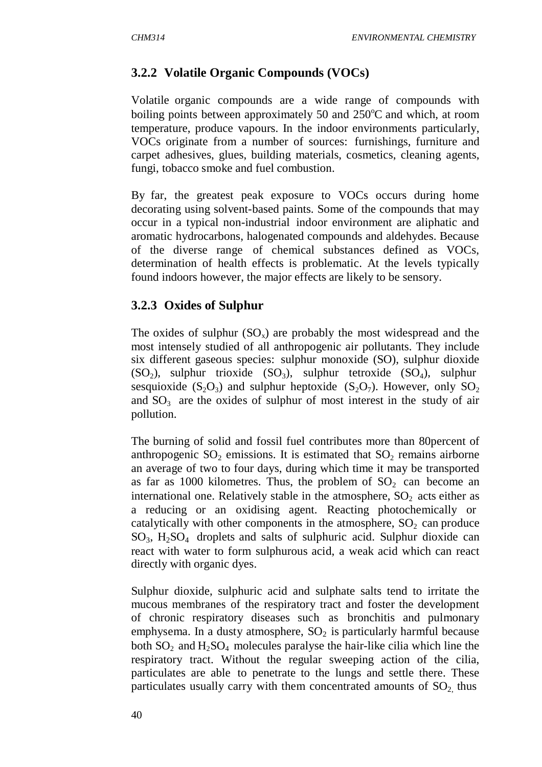### **3.2.2 Volatile Organic Compounds (VOCs)**

Volatile organic compounds are a wide range of compounds with boiling points between approximately 50 and  $250^{\circ}$ C and which, at room temperature, produce vapours. In the indoor environments particularly, VOCs originate from a number of sources: furnishings, furniture and carpet adhesives, glues, building materials, cosmetics, cleaning agents, fungi, tobacco smoke and fuel combustion.

By far, the greatest peak exposure to VOCs occurs during home decorating using solvent-based paints. Some of the compounds that may occur in a typical non-industrial indoor environment are aliphatic and aromatic hydrocarbons, halogenated compounds and aldehydes. Because of the diverse range of chemical substances defined as VOCs, determination of health effects is problematic. At the levels typically found indoors however, the major effects are likely to be sensory.

#### **3.2.3 Oxides of Sulphur**

The oxides of sulphur  $(SO_x)$  are probably the most widespread and the most intensely studied of all anthropogenic air pollutants. They include six different gaseous species: sulphur monoxide (SO), sulphur dioxide  $(SO_2)$ , sulphur trioxide  $(SO_3)$ , sulphur tetroxide  $(SO_4)$ , sulphur sesquioxide ( $S_2O_3$ ) and sulphur heptoxide ( $S_2O_7$ ). However, only  $SO_2$ and  $SO_3$  are the oxides of sulphur of most interest in the study of air pollution.

The burning of solid and fossil fuel contributes more than 80percent of anthropogenic  $SO_2$  emissions. It is estimated that  $SO_2$  remains airborne an average of two to four days, during which time it may be transported as far as 1000 kilometres. Thus, the problem of  $SO_2$  can become an international one. Relatively stable in the atmosphere,  $SO_2$  acts either as a reducing or an oxidising agent. Reacting photochemically or catalytically with other components in the atmosphere,  $SO<sub>2</sub>$  can produce  $SO_3$ ,  $H_2SO_4$  droplets and salts of sulphuric acid. Sulphur dioxide can react with water to form sulphurous acid, a weak acid which can react directly with organic dyes.

Sulphur dioxide, sulphuric acid and sulphate salts tend to irritate the mucous membranes of the respiratory tract and foster the development of chronic respiratory diseases such as bronchitis and pulmonary emphysema. In a dusty atmosphere,  $SO_2$  is particularly harmful because both  $SO_2$  and  $H_2SO_4$  molecules paralyse the hair-like cilia which line the respiratory tract. Without the regular sweeping action of the cilia, particulates are able to penetrate to the lungs and settle there. These particulates usually carry with them concentrated amounts of  $SO_2$  thus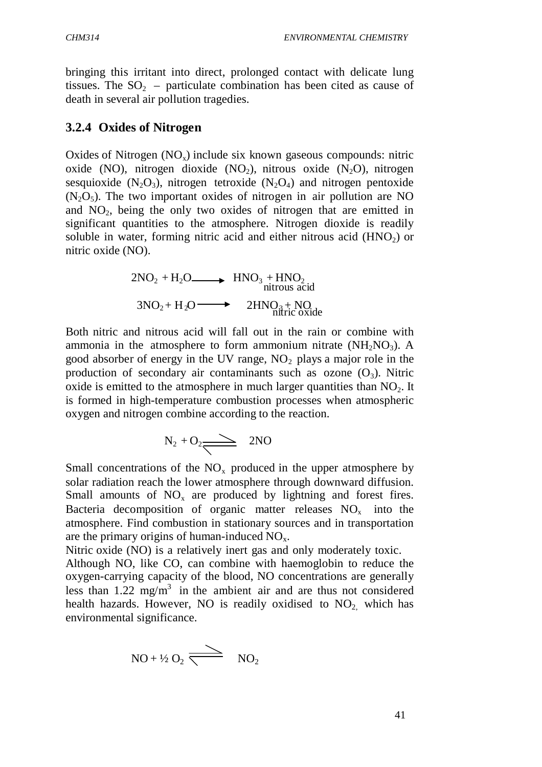bringing this irritant into direct, prolonged contact with delicate lung tissues. The  $SO<sub>2</sub>$  – particulate combination has been cited as cause of death in several air pollution tragedies.

#### **3.2.4 Oxides of Nitrogen**

Oxides of Nitrogen  $(NO_x)$  include six known gaseous compounds: nitric oxide (NO), nitrogen dioxide (NO<sub>2</sub>), nitrous oxide  $(N_2O)$ , nitrogen sesquioxide  $(N_2O_3)$ , nitrogen tetroxide  $(N_2O_4)$  and nitrogen pentoxide  $(N<sub>2</sub>O<sub>5</sub>)$ . The two important oxides of nitrogen in air pollution are NO and  $NO<sub>2</sub>$ , being the only two oxides of nitrogen that are emitted in significant quantities to the atmosphere. Nitrogen dioxide is readily soluble in water, forming nitric acid and either nitrous acid  $(HNO<sub>2</sub>)$  or nitric oxide (NO).

$$
2NO2 + H2O \longrightarrow HNO3 + HNO2
$$
  
nitrous acid  

$$
3NO2 + H2O \longrightarrow 2HNO3 + NO3
$$
  
nditric oxide

Both nitric and nitrous acid will fall out in the rain or combine with ammonia in the atmosphere to form ammonium nitrate  $(NH_2NO_3)$ . A good absorber of energy in the UV range,  $NO<sub>2</sub>$  plays a major role in the production of secondary air contaminants such as ozone  $(O_3)$ . Nitric oxide is emitted to the atmosphere in much larger quantities than  $NO<sub>2</sub>$ . It is formed in high-temperature combustion processes when atmospheric oxygen and nitrogen combine according to the reaction.

$$
N_2 + O_2 \longrightarrow 2NO
$$

Small concentrations of the  $NO<sub>x</sub>$  produced in the upper atmosphere by solar radiation reach the lower atmosphere through downward diffusion. Small amounts of  $NO<sub>x</sub>$  are produced by lightning and forest fires. Bacteria decomposition of organic matter releases  $NO<sub>x</sub>$  into the atmosphere. Find combustion in stationary sources and in transportation are the primary origins of human-induced  $NO<sub>x</sub>$ .

Nitric oxide (NO) is a relatively inert gas and only moderately toxic.

Although NO, like CO, can combine with haemoglobin to reduce the oxygen-carrying capacity of the blood, NO concentrations are generally less than  $1.22 \text{ mg/m}^3$  in the ambient air and are thus not considered health hazards. However, NO is readily oxidised to  $NO<sub>2</sub>$  which has environmental significance.

$$
NO + \frac{1}{2} O_2 \xrightarrow{\text{ } NO_2} \qquad NO_2
$$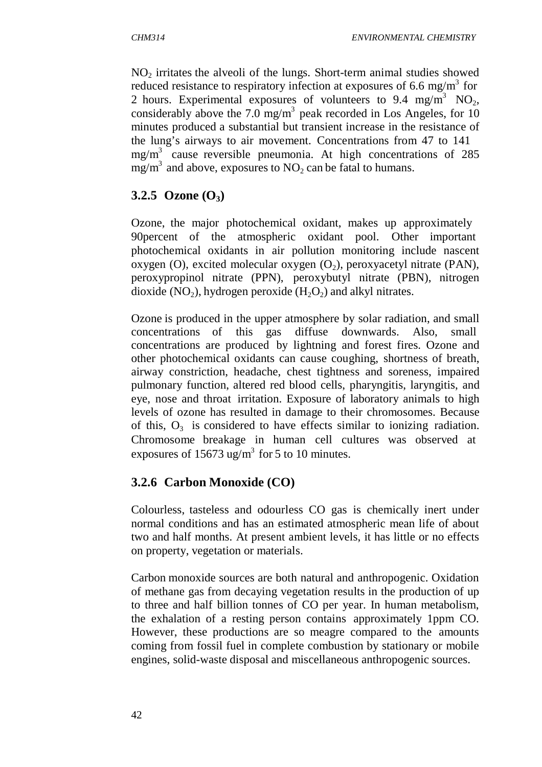$NO<sub>2</sub>$  irritates the alveoli of the lungs. Short-term animal studies showed reduced resistance to respiratory infection at exposures of 6.6 mg/m<sup>3</sup> for 2 hours. Experimental exposures of volunteers to 9.4 mg/m<sup>3</sup> NO<sub>2</sub>, considerably above the 7.0 mg/m<sup>3</sup> peak recorded in Los Angeles, for 10 minutes produced a substantial but transient increase in the resistance of the lung's airways to air movement. Concentrations from 47 to 141  $mg/m<sup>3</sup>$  cause reversible pneumonia. At high concentrations of 285 mg/m<sup>3</sup> and above, exposures to  $NO_2$  can be fatal to humans.

# **3.2.5 Ozone (O3)**

Ozone, the major photochemical oxidant, makes up approximately 90percent of the atmospheric oxidant pool. Other important photochemical oxidants in air pollution monitoring include nascent oxygen (O), excited molecular oxygen  $(O_2)$ , peroxyacetyl nitrate (PAN), peroxypropinol nitrate (PPN), peroxybutyl nitrate (PBN), nitrogen dioxide (NO<sub>2</sub>), hydrogen peroxide (H<sub>2</sub>O<sub>2</sub>) and alkyl nitrates.

Ozone is produced in the upper atmosphere by solar radiation, and small concentrations of this gas diffuse downwards. Also, small concentrations are produced by lightning and forest fires. Ozone and other photochemical oxidants can cause coughing, shortness of breath, airway constriction, headache, chest tightness and soreness, impaired pulmonary function, altered red blood cells, pharyngitis, laryngitis, and eye, nose and throat irritation. Exposure of laboratory animals to high levels of ozone has resulted in damage to their chromosomes. Because of this,  $O_3$  is considered to have effects similar to ionizing radiation. Chromosome breakage in human cell cultures was observed at exposures of  $15673 \text{ ug/m}^3$  for 5 to 10 minutes.

# **3.2.6 Carbon Monoxide (CO)**

Colourless, tasteless and odourless CO gas is chemically inert under normal conditions and has an estimated atmospheric mean life of about two and half months. At present ambient levels, it has little or no effects on property, vegetation or materials.

Carbon monoxide sources are both natural and anthropogenic. Oxidation of methane gas from decaying vegetation results in the production of up to three and half billion tonnes of CO per year. In human metabolism, the exhalation of a resting person contains approximately 1ppm CO. However, these productions are so meagre compared to the amounts coming from fossil fuel in complete combustion by stationary or mobile engines, solid-waste disposal and miscellaneous anthropogenic sources.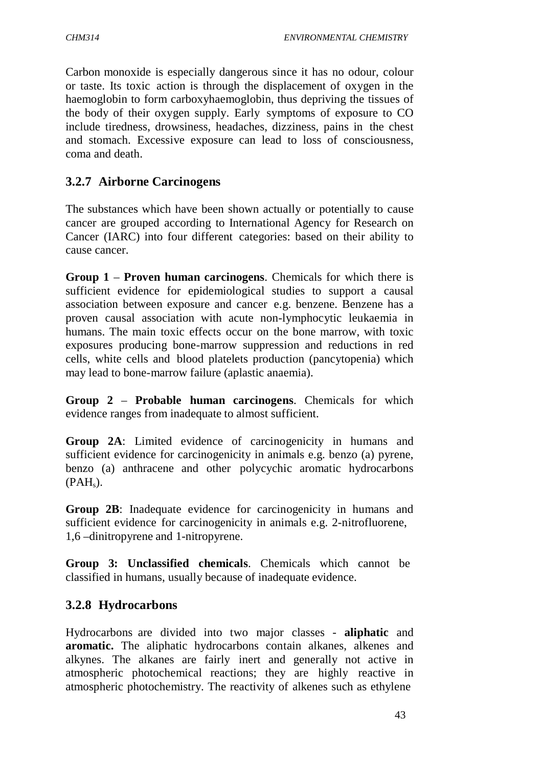Carbon monoxide is especially dangerous since it has no odour, colour or taste. Its toxic action is through the displacement of oxygen in the haemoglobin to form carboxyhaemoglobin, thus depriving the tissues of the body of their oxygen supply. Early symptoms of exposure to CO include tiredness, drowsiness, headaches, dizziness, pains in the chest and stomach. Excessive exposure can lead to loss of consciousness, coma and death.

### **3.2.7 Airborne Carcinogens**

The substances which have been shown actually or potentially to cause cancer are grouped according to International Agency for Research on Cancer (IARC) into four different categories: based on their ability to cause cancer.

**Group 1** – **Proven human carcinogens**. Chemicals for which there is sufficient evidence for epidemiological studies to support a causal association between exposure and cancer e.g. benzene. Benzene has a proven causal association with acute non-lymphocytic leukaemia in humans. The main toxic effects occur on the bone marrow, with toxic exposures producing bone-marrow suppression and reductions in red cells, white cells and blood platelets production (pancytopenia) which may lead to bone-marrow failure (aplastic anaemia).

**Group 2** – **Probable human carcinogens**. Chemicals for which evidence ranges from inadequate to almost sufficient.

**Group 2A**: Limited evidence of carcinogenicity in humans and sufficient evidence for carcinogenicity in animals e.g. benzo (a) pyrene, benzo (a) anthracene and other polycychic aromatic hydrocarbons  $(PAH<sub>s</sub>)$ .

**Group 2B**: Inadequate evidence for carcinogenicity in humans and sufficient evidence for carcinogenicity in animals e.g. 2-nitrofluorene, 1,6 –dinitropyrene and 1-nitropyrene.

**Group 3: Unclassified chemicals**. Chemicals which cannot be classified in humans, usually because of inadequate evidence.

#### **3.2.8 Hydrocarbons**

Hydrocarbons are divided into two major classes - **aliphatic** and **aromatic.** The aliphatic hydrocarbons contain alkanes, alkenes and alkynes. The alkanes are fairly inert and generally not active in atmospheric photochemical reactions; they are highly reactive in atmospheric photochemistry. The reactivity of alkenes such as ethylene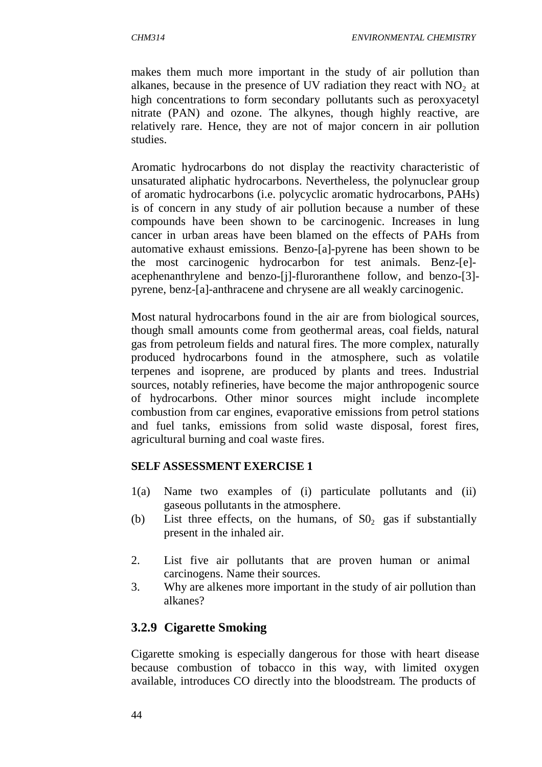makes them much more important in the study of air pollution than alkanes, because in the presence of UV radiation they react with  $NO<sub>2</sub>$  at high concentrations to form secondary pollutants such as peroxyacetyl nitrate (PAN) and ozone. The alkynes, though highly reactive, are relatively rare. Hence, they are not of major concern in air pollution studies.

Aromatic hydrocarbons do not display the reactivity characteristic of unsaturated aliphatic hydrocarbons. Nevertheless, the polynuclear group of aromatic hydrocarbons (i.e. polycyclic aromatic hydrocarbons, PAHs) is of concern in any study of air pollution because a number of these compounds have been shown to be carcinogenic. Increases in lung cancer in urban areas have been blamed on the effects of PAHs from automative exhaust emissions. Benzo-[a]-pyrene has been shown to be the most carcinogenic hydrocarbon for test animals. Benz-[e] acephenanthrylene and benzo-[j]-fluroranthene follow, and benzo-[3] pyrene, benz-[a]-anthracene and chrysene are all weakly carcinogenic.

Most natural hydrocarbons found in the air are from biological sources, though small amounts come from geothermal areas, coal fields, natural gas from petroleum fields and natural fires. The more complex, naturally produced hydrocarbons found in the atmosphere, such as volatile terpenes and isoprene, are produced by plants and trees. Industrial sources, notably refineries, have become the major anthropogenic source of hydrocarbons. Other minor sources might include incomplete combustion from car engines, evaporative emissions from petrol stations and fuel tanks, emissions from solid waste disposal, forest fires, agricultural burning and coal waste fires.

#### **SELF ASSESSMENT EXERCISE 1**

- 1(a) Name two examples of (i) particulate pollutants and (ii) gaseous pollutants in the atmosphere.
- (b) List three effects, on the humans, of  $S_0$  gas if substantially present in the inhaled air.
- 2. List five air pollutants that are proven human or animal carcinogens. Name their sources.
- 3. Why are alkenes more important in the study of air pollution than alkanes?

# **3.2.9 Cigarette Smoking**

Cigarette smoking is especially dangerous for those with heart disease because combustion of tobacco in this way, with limited oxygen available, introduces CO directly into the bloodstream. The products of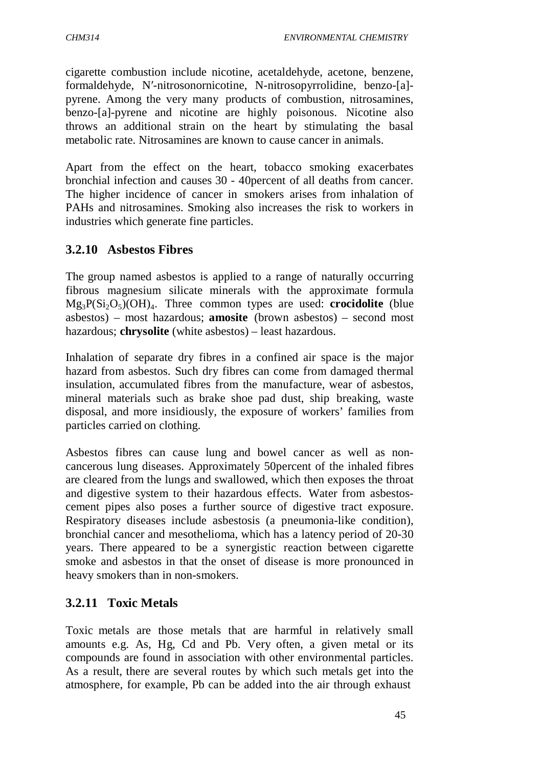cigarette combustion include nicotine, acetaldehyde, acetone, benzene, formaldehyde, N′-nitrosonornicotine, N-nitrosopyrrolidine, benzo-[a] pyrene. Among the very many products of combustion, nitrosamines, benzo-[a]-pyrene and nicotine are highly poisonous. Nicotine also throws an additional strain on the heart by stimulating the basal metabolic rate. Nitrosamines are known to cause cancer in animals.

Apart from the effect on the heart, tobacco smoking exacerbates bronchial infection and causes 30 - 40percent of all deaths from cancer. The higher incidence of cancer in smokers arises from inhalation of PAHs and nitrosamines. Smoking also increases the risk to workers in industries which generate fine particles.

### **3.2.10 Asbestos Fibres**

The group named asbestos is applied to a range of naturally occurring fibrous magnesium silicate minerals with the approximate formula Mg3P(Si2O5)(OH)<sup>4</sup> . Three common types are used: **crocidolite** (blue asbestos) – most hazardous; **amosite** (brown asbestos) – second most hazardous; **chrysolite** (white asbestos) – least hazardous.

Inhalation of separate dry fibres in a confined air space is the major hazard from asbestos. Such dry fibres can come from damaged thermal insulation, accumulated fibres from the manufacture, wear of asbestos, mineral materials such as brake shoe pad dust, ship breaking, waste disposal, and more insidiously, the exposure of workers' families from particles carried on clothing.

Asbestos fibres can cause lung and bowel cancer as well as noncancerous lung diseases. Approximately 50percent of the inhaled fibres are cleared from the lungs and swallowed, which then exposes the throat and digestive system to their hazardous effects. Water from asbestoscement pipes also poses a further source of digestive tract exposure. Respiratory diseases include asbestosis (a pneumonia-like condition), bronchial cancer and mesothelioma, which has a latency period of 20-30 years. There appeared to be a synergistic reaction between cigarette smoke and asbestos in that the onset of disease is more pronounced in heavy smokers than in non-smokers.

# **3.2.11 Toxic Metals**

Toxic metals are those metals that are harmful in relatively small amounts e.g. As, Hg, Cd and Pb. Very often, a given metal or its compounds are found in association with other environmental particles. As a result, there are several routes by which such metals get into the atmosphere, for example, Pb can be added into the air through exhaust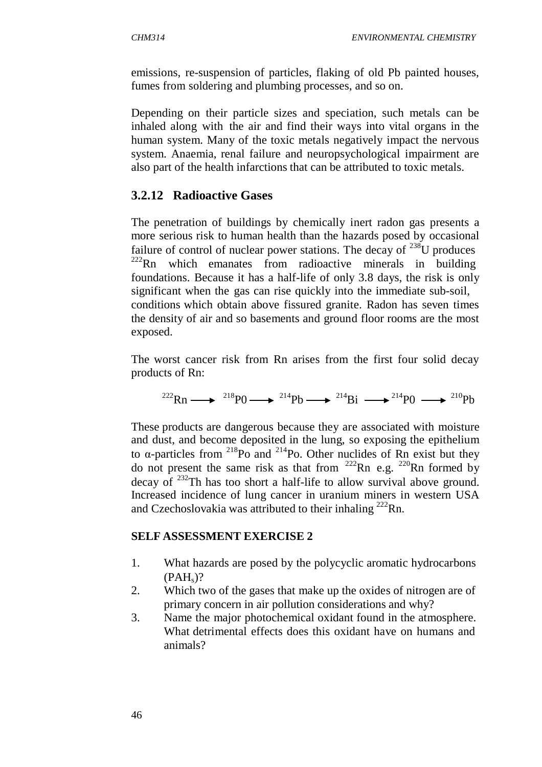emissions, re-suspension of particles, flaking of old Pb painted houses, fumes from soldering and plumbing processes, and so on.

Depending on their particle sizes and speciation, such metals can be inhaled along with the air and find their ways into vital organs in the human system. Many of the toxic metals negatively impact the nervous system. Anaemia, renal failure and neuropsychological impairment are also part of the health infarctions that can be attributed to toxic metals.

#### **3.2.12 Radioactive Gases**

The penetration of buildings by chemically inert radon gas presents a more serious risk to human health than the hazards posed by occasional failure of control of nuclear power stations. The decay of  $^{238}$ U produces  $222$ Rn which emanates from radioactive minerals in building foundations. Because it has a half-life of only 3.8 days, the risk is only significant when the gas can rise quickly into the immediate sub-soil, conditions which obtain above fissured granite. Radon has seven times the density of air and so basements and ground floor rooms are the most exposed.

The worst cancer risk from Rn arises from the first four solid decay products of Rn:

$$
^{222}\text{Rn} \longrightarrow ^{218}\text{P0} \longrightarrow ^{214}\text{Pb} \longrightarrow ^{214}\text{Bi} \longrightarrow ^{214}\text{P0} \longrightarrow ^{210}\text{Pb}
$$

These products are dangerous because they are associated with moisture and dust, and become deposited in the lung, so exposing the epithelium to α-particles from <sup>218</sup>Po and <sup>214</sup>Po. Other nuclides of Rn exist but they do not present the same risk as that from  $222$ Rn e.g.  $220$ Rn formed by decay of <sup>232</sup>Th has too short a half-life to allow survival above ground. Increased incidence of lung cancer in uranium miners in western USA and Czechoslovakia was attributed to their inhaling  $^{222}$ Rn.

#### **SELF ASSESSMENT EXERCISE 2**

- 1. What hazards are posed by the polycyclic aromatic hydrocarbons  $(PAH<sub>s</sub>)$ ?
- 2. Which two of the gases that make up the oxides of nitrogen are of primary concern in air pollution considerations and why?
- 3. Name the major photochemical oxidant found in the atmosphere. What detrimental effects does this oxidant have on humans and animals?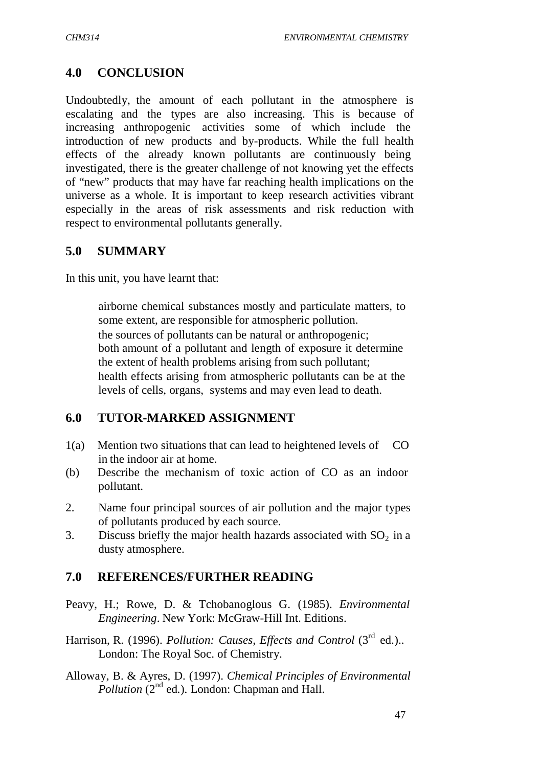# **4.0 CONCLUSION**

Undoubtedly, the amount of each pollutant in the atmosphere is escalating and the types are also increasing. This is because of increasing anthropogenic activities some of which include the introduction of new products and by-products. While the full health effects of the already known pollutants are continuously being investigated, there is the greater challenge of not knowing yet the effects of "new" products that may have far reaching health implications on the universe as a whole. It is important to keep research activities vibrant especially in the areas of risk assessments and risk reduction with respect to environmental pollutants generally.

#### **5.0 SUMMARY**

In this unit, you have learnt that:

 airborne chemical substances mostly and particulate matters, to some extent, are responsible for atmospheric pollution. the sources of pollutants can be natural or anthropogenic; both amount of a pollutant and length of exposure it determine the extent of health problems arising from such pollutant; health effects arising from atmospheric pollutants can be at the levels of cells, organs, systems and may even lead to death.

#### **6.0 TUTOR-MARKED ASSIGNMENT**

- 1(a) Mention two situations that can lead to heightened levels of CO in the indoor air at home.
- (b) Describe the mechanism of toxic action of CO as an indoor pollutant.
- 2. Name four principal sources of air pollution and the major types of pollutants produced by each source.
- 3. Discuss briefly the major health hazards associated with  $SO<sub>2</sub>$  in a dusty atmosphere.

#### **7.0 REFERENCES/FURTHER READING**

- Peavy, H.; Rowe, D. & Tchobanoglous G. (1985). *Environmental Engineering*. New York: McGraw-Hill Int. Editions.
- Harrison, R. (1996). *Pollution: Causes, Effects and Control* (3<sup>rd</sup> ed.).. London: The Royal Soc. of Chemistry.
- Alloway, B. & Ayres, D. (1997). *Chemical Principles of Environmental Pollution* (2<sup>nd</sup> ed.). London: Chapman and Hall.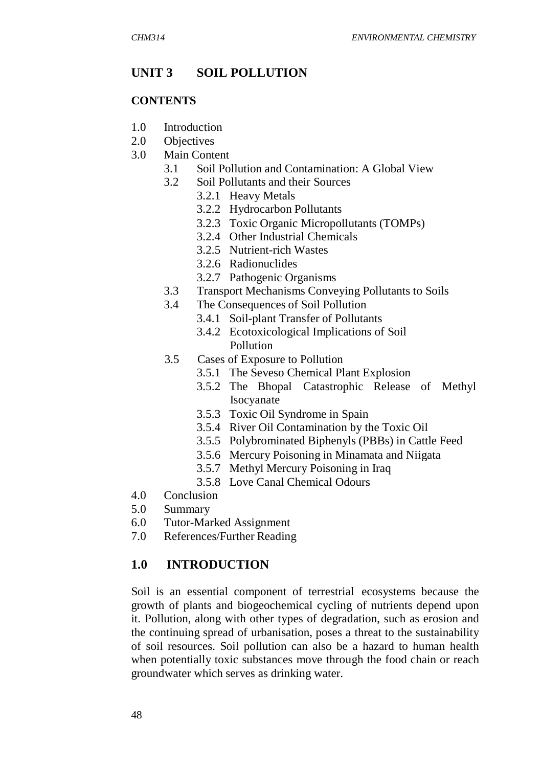### **UNIT 3 SOIL POLLUTION**

#### **CONTENTS**

- 1.0 Introduction
- 2.0 Objectives
- 3.0 Main Content
	- 3.1 Soil Pollution and Contamination: A Global View
	- 3.2 Soil Pollutants and their Sources
		- 3.2.1 Heavy Metals
		- 3.2.2 Hydrocarbon Pollutants
		- 3.2.3 Toxic Organic Micropollutants (TOMPs)
		- 3.2.4 Other Industrial Chemicals
		- 3.2.5 Nutrient-rich Wastes
		- 3.2.6 Radionuclides
		- 3.2.7 Pathogenic Organisms
	- 3.3 Transport Mechanisms Conveying Pollutants to Soils
	- 3.4 The Consequences of Soil Pollution
		- 3.4.1 Soil-plant Transfer of Pollutants
		- 3.4.2 Ecotoxicological Implications of Soil Pollution
	- 3.5 Cases of Exposure to Pollution
		- 3.5.1 The Seveso Chemical Plant Explosion
		- 3.5.2 The Bhopal Catastrophic Release of Methyl Isocyanate
		- 3.5.3 Toxic Oil Syndrome in Spain
		- 3.5.4 River Oil Contamination by the Toxic Oil
		- 3.5.5 Polybrominated Biphenyls (PBBs) in Cattle Feed
		- 3.5.6 Mercury Poisoning in Minamata and Niigata
		- 3.5.7 Methyl Mercury Poisoning in Iraq
		- 3.5.8 Love Canal Chemical Odours
- 4.0 Conclusion
- 5.0 Summary
- 6.0 Tutor-Marked Assignment
- 7.0 References/Further Reading

# **1.0 INTRODUCTION**

Soil is an essential component of terrestrial ecosystems because the growth of plants and biogeochemical cycling of nutrients depend upon it. Pollution, along with other types of degradation, such as erosion and the continuing spread of urbanisation, poses a threat to the sustainability of soil resources. Soil pollution can also be a hazard to human health when potentially toxic substances move through the food chain or reach groundwater which serves as drinking water.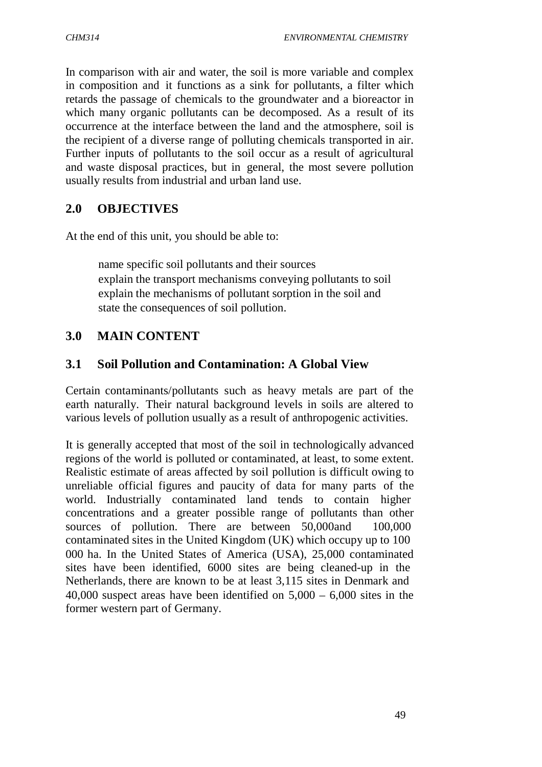In comparison with air and water, the soil is more variable and complex in composition and it functions as a sink for pollutants, a filter which retards the passage of chemicals to the groundwater and a bioreactor in which many organic pollutants can be decomposed. As a result of its occurrence at the interface between the land and the atmosphere, soil is the recipient of a diverse range of polluting chemicals transported in air. Further inputs of pollutants to the soil occur as a result of agricultural and waste disposal practices, but in general, the most severe pollution usually results from industrial and urban land use.

#### **2.0 OBJECTIVES**

At the end of this unit, you should be able to:

 name specific soil pollutants and their sources explain the transport mechanisms conveying pollutants to soil explain the mechanisms of pollutant sorption in the soil and state the consequences of soil pollution.

### **3.0 MAIN CONTENT**

#### **3.1 Soil Pollution and Contamination: A Global View**

Certain contaminants/pollutants such as heavy metals are part of the earth naturally. Their natural background levels in soils are altered to various levels of pollution usually as a result of anthropogenic activities.

It is generally accepted that most of the soil in technologically advanced regions of the world is polluted or contaminated, at least, to some extent. Realistic estimate of areas affected by soil pollution is difficult owing to unreliable official figures and paucity of data for many parts of the world. Industrially contaminated land tends to contain higher concentrations and a greater possible range of pollutants than other sources of pollution. There are between 50,000 and 100,000 contaminated sites in the United Kingdom (UK) which occupy up to 100 000 ha. In the United States of America (USA), 25,000 contaminated sites have been identified, 6000 sites are being cleaned-up in the Netherlands, there are known to be at least 3,115 sites in Denmark and 40,000 suspect areas have been identified on  $5,000 - 6,000$  sites in the former western part of Germany.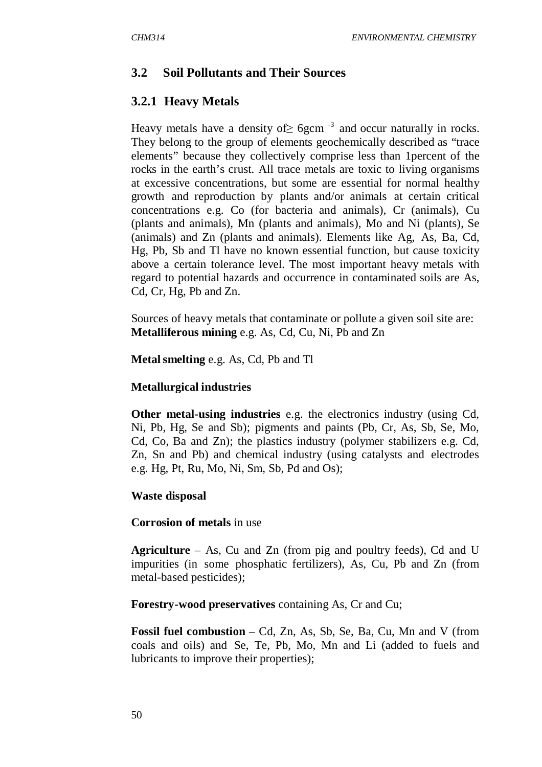# **3.2 Soil Pollutants and Their Sources**

## **3.2.1 Heavy Metals**

Heavy metals have a density of  $\geq 6$ gcm<sup>-3</sup> and occur naturally in rocks. They belong to the group of elements geochemically described as "trace elements" because they collectively comprise less than 1percent of the rocks in the earth's crust. All trace metals are toxic to living organisms at excessive concentrations, but some are essential for normal healthy growth and reproduction by plants and/or animals at certain critical concentrations e.g. Co (for bacteria and animals), Cr (animals), Cu (plants and animals), Mn (plants and animals), Mo and Ni (plants), Se (animals) and Zn (plants and animals). Elements like Ag, As, Ba, Cd, Hg, Pb, Sb and Tl have no known essential function, but cause toxicity above a certain tolerance level. The most important heavy metals with regard to potential hazards and occurrence in contaminated soils are As, Cd, Cr, Hg, Pb and Zn.

Sources of heavy metals that contaminate or pollute a given soil site are: **Metalliferous mining** e.g. As, Cd, Cu, Ni, Pb and Zn

**Metal smelting** e.g. As, Cd, Pb and Tl

#### **Metallurgical industries**

**Other metal-using industries** e.g. the electronics industry (using Cd, Ni, Pb, Hg, Se and Sb); pigments and paints (Pb, Cr, As, Sb, Se, Mo, Cd, Co, Ba and Zn); the plastics industry (polymer stabilizers e.g. Cd, Zn, Sn and Pb) and chemical industry (using catalysts and electrodes e.g. Hg, Pt, Ru, Mo, Ni, Sm, Sb, Pd and Os);

#### **Waste disposal**

#### **Corrosion of metals** in use

**Agriculture** – As, Cu and Zn (from pig and poultry feeds), Cd and U impurities (in some phosphatic fertilizers), As, Cu, Pb and Zn (from metal-based pesticides);

**Forestry-wood preservatives** containing As, Cr and Cu;

**Fossil fuel combustion** – Cd, Zn, As, Sb, Se, Ba, Cu, Mn and V (from coals and oils) and Se, Te, Pb, Mo, Mn and Li (added to fuels and lubricants to improve their properties);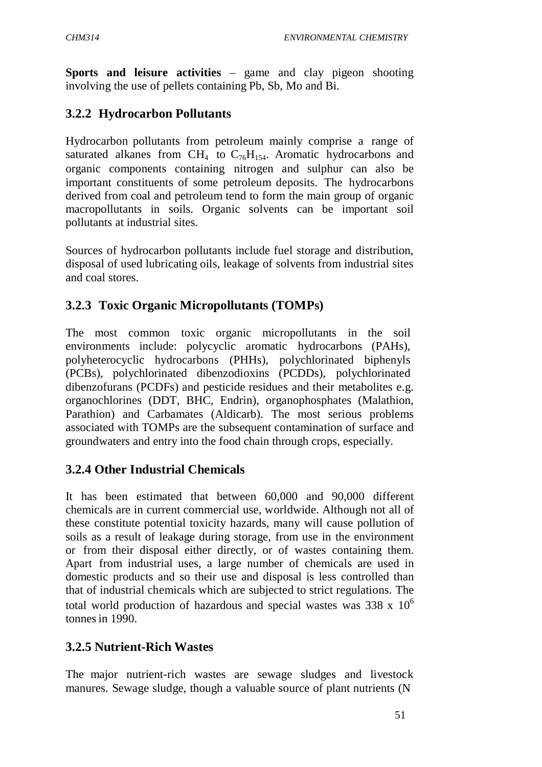**Sports and leisure activities** – game and clay pigeon shooting involving the use of pellets containing Pb, Sb, Mo and Bi.

# **3.2.2 Hydrocarbon Pollutants**

Hydrocarbon pollutants from petroleum mainly comprise a range of saturated alkanes from  $\text{CH}_4$  to  $\text{C}_{76}\text{H}_{154}$ . Aromatic hydrocarbons and organic components containing nitrogen and sulphur can also be important constituents of some petroleum deposits. The hydrocarbons derived from coal and petroleum tend to form the main group of organic macropollutants in soils. Organic solvents can be important soil pollutants at industrial sites.

Sources of hydrocarbon pollutants include fuel storage and distribution, disposal of used lubricating oils, leakage of solvents from industrial sites and coal stores.

# **3.2.3 Toxic Organic Micropollutants (TOMPs)**

The most common toxic organic micropollutants in the soil environments include: polycyclic aromatic hydrocarbons (PAHs), polyheterocyclic hydrocarbons (PHHs), polychlorinated biphenyls (PCBs), polychlorinated dibenzodioxins (PCDDs), polychlorinated dibenzofurans (PCDFs) and pesticide residues and their metabolites e.g. organochlorines (DDT, BHC, Endrin), organophosphates (Malathion, Parathion) and Carbamates (Aldicarb). The most serious problems associated with TOMPs are the subsequent contamination of surface and groundwaters and entry into the food chain through crops, especially.

# **3.2.4 Other Industrial Chemicals**

It has been estimated that between 60,000 and 90,000 different chemicals are in current commercial use, worldwide. Although not all of these constitute potential toxicity hazards, many will cause pollution of soils as a result of leakage during storage, from use in the environment or from their disposal either directly, or of wastes containing them. Apart from industrial uses, a large number of chemicals are used in domestic products and so their use and disposal is less controlled than that of industrial chemicals which are subjected to strict regulations. The total world production of hazardous and special wastes was  $338 \times 10^6$ tonnes in 1990.

# **3.2.5 Nutrient-Rich Wastes**

The major nutrient-rich wastes are sewage sludges and livestock manures. Sewage sludge, though a valuable source of plant nutrients (N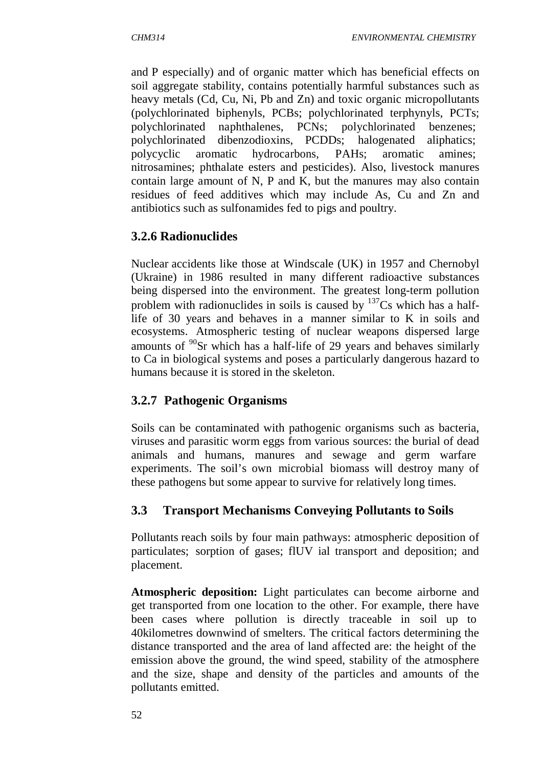and P especially) and of organic matter which has beneficial effects on soil aggregate stability, contains potentially harmful substances such as heavy metals (Cd, Cu, Ni, Pb and Zn) and toxic organic micropollutants (polychlorinated biphenyls, PCBs; polychlorinated terphynyls, PCTs; polychlorinated naphthalenes, PCNs; polychlorinated benzenes; polychlorinated dibenzodioxins, PCDDs; halogenated aliphatics; polycyclic aromatic hydrocarbons, PAHs; aromatic amines; nitrosamines; phthalate esters and pesticides). Also, livestock manures contain large amount of N, P and K, but the manures may also contain residues of feed additives which may include As, Cu and Zn and antibiotics such as sulfonamides fed to pigs and poultry.

### **3.2.6 Radionuclides**

Nuclear accidents like those at Windscale (UK) in 1957 and Chernobyl (Ukraine) in 1986 resulted in many different radioactive substances being dispersed into the environment. The greatest long-term pollution problem with radionuclides in soils is caused by  $137Cs$  which has a halflife of 30 years and behaves in a manner similar to K in soils and ecosystems. Atmospheric testing of nuclear weapons dispersed large amounts of  $90$ Sr which has a half-life of 29 years and behaves similarly to Ca in biological systems and poses a particularly dangerous hazard to humans because it is stored in the skeleton.

# **3.2.7 Pathogenic Organisms**

Soils can be contaminated with pathogenic organisms such as bacteria, viruses and parasitic worm eggs from various sources: the burial of dead animals and humans, manures and sewage and germ warfare experiments. The soil's own microbial biomass will destroy many of these pathogens but some appear to survive for relatively long times.

# **3.3 Transport Mechanisms Conveying Pollutants to Soils**

Pollutants reach soils by four main pathways: atmospheric deposition of particulates; sorption of gases; flUV ial transport and deposition; and placement.

**Atmospheric deposition:** Light particulates can become airborne and get transported from one location to the other. For example, there have been cases where pollution is directly traceable in soil up to 40kilometres downwind of smelters. The critical factors determining the distance transported and the area of land affected are: the height of the emission above the ground, the wind speed, stability of the atmosphere and the size, shape and density of the particles and amounts of the pollutants emitted.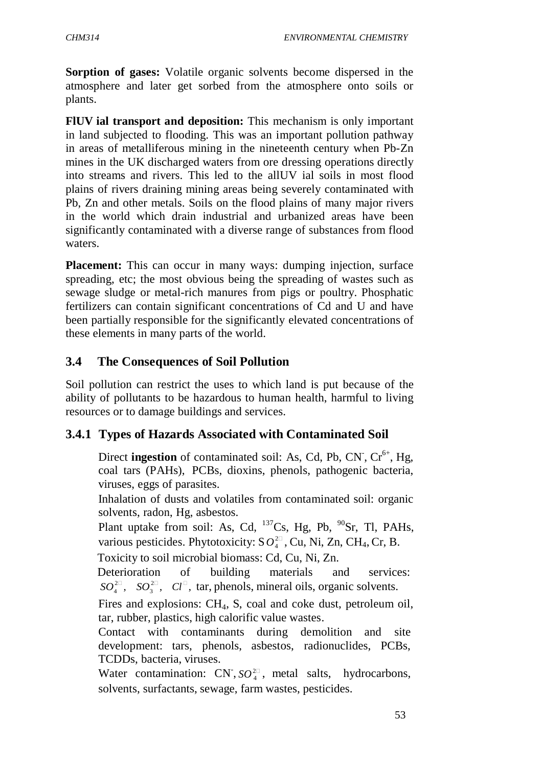**Sorption of gases:** Volatile organic solvents become dispersed in the atmosphere and later get sorbed from the atmosphere onto soils or plants.

**FlUV ial transport and deposition:** This mechanism is only important in land subjected to flooding. This was an important pollution pathway in areas of metalliferous mining in the nineteenth century when Pb-Zn mines in the UK discharged waters from ore dressing operations directly into streams and rivers. This led to the allUV ial soils in most flood plains of rivers draining mining areas being severely contaminated with Pb, Zn and other metals. Soils on the flood plains of many major rivers in the world which drain industrial and urbanized areas have been significantly contaminated with a diverse range of substances from flood waters.

**Placement:** This can occur in many ways: dumping injection, surface spreading, etc; the most obvious being the spreading of wastes such as sewage sludge or metal-rich manures from pigs or poultry. Phosphatic fertilizers can contain significant concentrations of Cd and U and have been partially responsible for the significantly elevated concentrations of these elements in many parts of the world.

#### **3.4 The Consequences of Soil Pollution**

Soil pollution can restrict the uses to which land is put because of the ability of pollutants to be hazardous to human health, harmful to living resources or to damage buildings and services.

#### **3.4.1 Types of Hazards Associated with Contaminated Soil**

Direct **ingestion** of contaminated soil: As, Cd, Pb, CN, Cr<sup>6+</sup>, Hg, coal tars (PAHs), PCBs, dioxins, phenols, pathogenic bacteria, viruses, eggs of parasites.

 Inhalation of dusts and volatiles from contaminated soil: organic solvents, radon, Hg, asbestos.

various pesticides. Phytotoxicity:  $SO_4^{2\Box}$ , Cu, Ni, Zn, CH<sub>4</sub>, Cr, B. Plant uptake from soil: As, Cd,  $^{137}Cs$ , Hg, Pb,  $^{90}Sr$ , Tl, PAHs,

Toxicity to soil microbial biomass: Cd, Cu, Ni, Zn.

 $SO_4^{2\Box}$ ,  $SO_3^{2\Box}$ ,  $Cl^{\Box}$ , tar, phenols, mineral oils, organic solvents. Deterioration of building materials and services:

Fires and explosions: CH<sub>4</sub>, S, coal and coke dust, petroleum oil, tar, rubber, plastics, high calorific value wastes.

 Contact with contaminants during demolition and site development: tars, phenols, asbestos, radionuclides, PCBs, TCDDs, bacteria, viruses.

Water contamination: CN<sup>-</sup>, *SO*<sup>2</sup><sup>1</sup><sub>4</sub><sup>2</sup>, metal salts, hydrocarbons, solvents, surfactants, sewage, farm wastes, pesticides.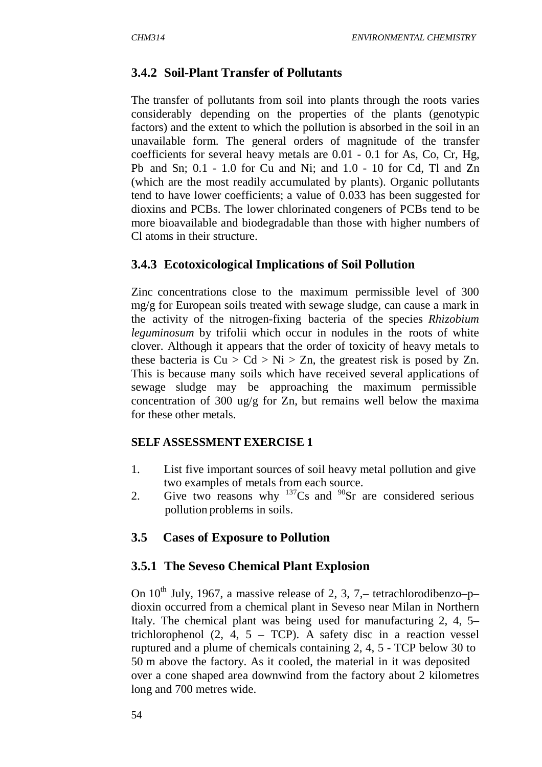# **3.4.2 Soil-Plant Transfer of Pollutants**

The transfer of pollutants from soil into plants through the roots varies considerably depending on the properties of the plants (genotypic factors) and the extent to which the pollution is absorbed in the soil in an unavailable form. The general orders of magnitude of the transfer coefficients for several heavy metals are 0.01 - 0.1 for As, Co, Cr, Hg, Pb and Sn; 0.1 - 1.0 for Cu and Ni; and 1.0 - 10 for Cd, Tl and Zn (which are the most readily accumulated by plants). Organic pollutants tend to have lower coefficients; a value of 0.033 has been suggested for dioxins and PCBs. The lower chlorinated congeners of PCBs tend to be more bioavailable and biodegradable than those with higher numbers of Cl atoms in their structure.

### **3.4.3 Ecotoxicological Implications of Soil Pollution**

Zinc concentrations close to the maximum permissible level of 300 mg/g for European soils treated with sewage sludge, can cause a mark in the activity of the nitrogen-fixing bacteria of the species *Rhizobium leguminosum* by trifolii which occur in nodules in the roots of white clover. Although it appears that the order of toxicity of heavy metals to these bacteria is  $Cu > Cd > Ni > Zn$ , the greatest risk is posed by Zn. This is because many soils which have received several applications of sewage sludge may be approaching the maximum permissible concentration of 300 ug/g for Zn, but remains well below the maxima for these other metals.

#### **SELF ASSESSMENT EXERCISE 1**

- 1. List five important sources of soil heavy metal pollution and give two examples of metals from each source.
- 2. Give two reasons why  $137$ Cs and  $90$ Sr are considered serious pollution problems in soils.

#### **3.5 Cases of Exposure to Pollution**

#### **3.5.1 The Seveso Chemical Plant Explosion**

On  $10^{th}$  July, 1967, a massive release of 2, 3, 7, – tetrachlorodibenzo–p– dioxin occurred from a chemical plant in Seveso near Milan in Northern Italy. The chemical plant was being used for manufacturing 2, 4, 5– trichlorophenol  $(2, 4, 5 - TCP)$ . A safety disc in a reaction vessel ruptured and a plume of chemicals containing 2, 4, 5 - TCP below 30 to 50 m above the factory. As it cooled, the material in it was deposited over a cone shaped area downwind from the factory about 2 kilometres long and 700 metres wide.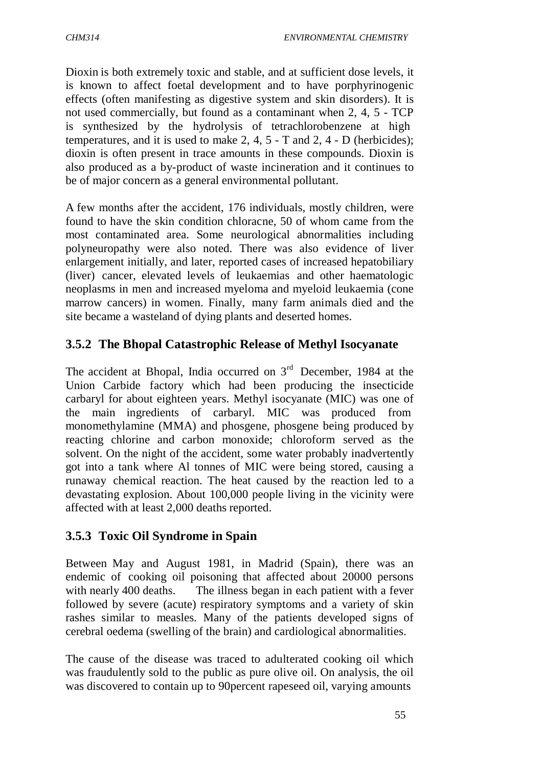Dioxin is both extremely toxic and stable, and at sufficient dose levels, it is known to affect foetal development and to have porphyrinogenic effects (often manifesting as digestive system and skin disorders). It is not used commercially, but found as a contaminant when 2, 4, 5 - TCP is synthesized by the hydrolysis of tetrachlorobenzene at high temperatures, and it is used to make 2, 4, 5 - T and 2, 4 - D (herbicides); dioxin is often present in trace amounts in these compounds. Dioxin is also produced as a by-product of waste incineration and it continues to be of major concern as a general environmental pollutant.

A few months after the accident, 176 individuals, mostly children, were found to have the skin condition chloracne, 50 of whom came from the most contaminated area. Some neurological abnormalities including polyneuropathy were also noted. There was also evidence of liver enlargement initially, and later, reported cases of increased hepatobiliary (liver) cancer, elevated levels of leukaemias and other haematologic neoplasms in men and increased myeloma and myeloid leukaemia (cone marrow cancers) in women. Finally, many farm animals died and the site became a wasteland of dying plants and deserted homes.

### **3.5.2 The Bhopal Catastrophic Release of Methyl Isocyanate**

The accident at Bhopal, India occurred on  $3<sup>rd</sup>$  December, 1984 at the Union Carbide factory which had been producing the insecticide carbaryl for about eighteen years. Methyl isocyanate (MIC) was one of the main ingredients of carbaryl. MIC was produced from monomethylamine (MMA) and phosgene, phosgene being produced by reacting chlorine and carbon monoxide; chloroform served as the solvent. On the night of the accident, some water probably inadvertently got into a tank where Al tonnes of MIC were being stored, causing a runaway chemical reaction. The heat caused by the reaction led to a devastating explosion. About 100,000 people living in the vicinity were affected with at least 2,000 deaths reported.

# **3.5.3 Toxic Oil Syndrome in Spain**

Between May and August 1981, in Madrid (Spain), there was an endemic of cooking oil poisoning that affected about 20000 persons with nearly 400 deaths. The illness began in each patient with a fever followed by severe (acute) respiratory symptoms and a variety of skin rashes similar to measles. Many of the patients developed signs of cerebral oedema (swelling of the brain) and cardiological abnormalities.

The cause of the disease was traced to adulterated cooking oil which was fraudulently sold to the public as pure olive oil. On analysis, the oil was discovered to contain up to 90percent rapeseed oil, varying amounts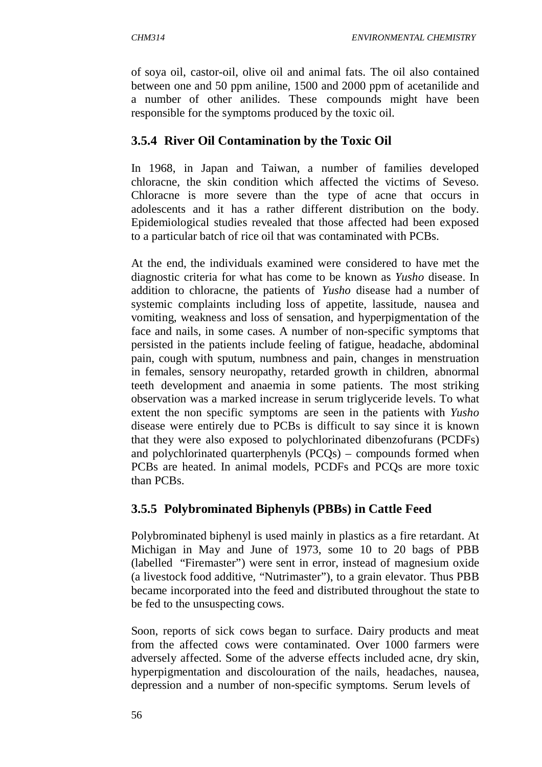of soya oil, castor-oil, olive oil and animal fats. The oil also contained between one and 50 ppm aniline, 1500 and 2000 ppm of acetanilide and a number of other anilides. These compounds might have been responsible for the symptoms produced by the toxic oil.

### **3.5.4 River Oil Contamination by the Toxic Oil**

In 1968, in Japan and Taiwan, a number of families developed chloracne, the skin condition which affected the victims of Seveso. Chloracne is more severe than the type of acne that occurs in adolescents and it has a rather different distribution on the body. Epidemiological studies revealed that those affected had been exposed to a particular batch of rice oil that was contaminated with PCBs.

At the end, the individuals examined were considered to have met the diagnostic criteria for what has come to be known as *Yusho* disease. In addition to chloracne, the patients of *Yusho* disease had a number of systemic complaints including loss of appetite, lassitude, nausea and vomiting, weakness and loss of sensation, and hyperpigmentation of the face and nails, in some cases. A number of non-specific symptoms that persisted in the patients include feeling of fatigue, headache, abdominal pain, cough with sputum, numbness and pain, changes in menstruation in females, sensory neuropathy, retarded growth in children, abnormal teeth development and anaemia in some patients. The most striking observation was a marked increase in serum triglyceride levels. To what extent the non specific symptoms are seen in the patients with *Yusho*  disease were entirely due to PCBs is difficult to say since it is known that they were also exposed to polychlorinated dibenzofurans (PCDFs) and polychlorinated quarterphenyls (PCQs) – compounds formed when PCBs are heated. In animal models, PCDFs and PCQs are more toxic than PCBs.

# **3.5.5 Polybrominated Biphenyls (PBBs) in Cattle Feed**

Polybrominated biphenyl is used mainly in plastics as a fire retardant. At Michigan in May and June of 1973, some 10 to 20 bags of PBB (labelled "Firemaster") were sent in error, instead of magnesium oxide (a livestock food additive, "Nutrimaster"), to a grain elevator. Thus PBB became incorporated into the feed and distributed throughout the state to be fed to the unsuspecting cows.

Soon, reports of sick cows began to surface. Dairy products and meat from the affected cows were contaminated. Over 1000 farmers were adversely affected. Some of the adverse effects included acne, dry skin, hyperpigmentation and discolouration of the nails, headaches, nausea, depression and a number of non-specific symptoms. Serum levels of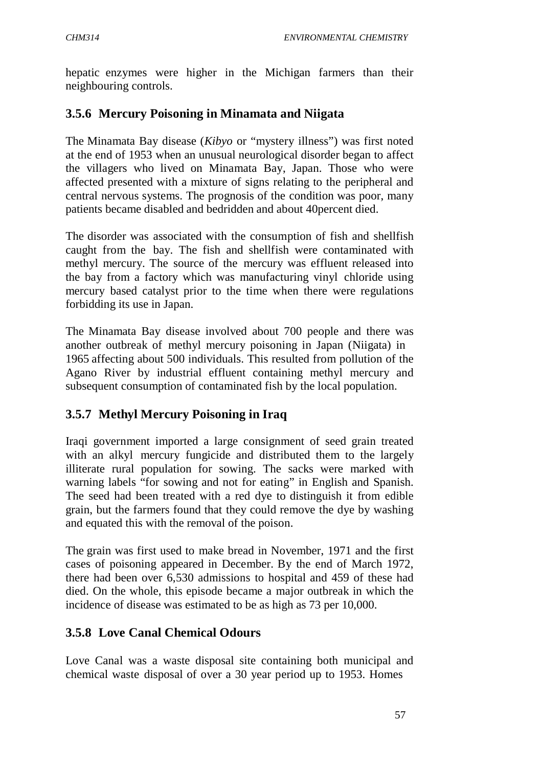hepatic enzymes were higher in the Michigan farmers than their neighbouring controls.

# **3.5.6 Mercury Poisoning in Minamata and Niigata**

The Minamata Bay disease (*Kibyo* or "mystery illness") was first noted at the end of 1953 when an unusual neurological disorder began to affect the villagers who lived on Minamata Bay, Japan. Those who were affected presented with a mixture of signs relating to the peripheral and central nervous systems. The prognosis of the condition was poor, many patients became disabled and bedridden and about 40percent died.

The disorder was associated with the consumption of fish and shellfish caught from the bay. The fish and shellfish were contaminated with methyl mercury. The source of the mercury was effluent released into the bay from a factory which was manufacturing vinyl chloride using mercury based catalyst prior to the time when there were regulations forbidding its use in Japan.

The Minamata Bay disease involved about 700 people and there was another outbreak of methyl mercury poisoning in Japan (Niigata) in 1965 affecting about 500 individuals. This resulted from pollution of the Agano River by industrial effluent containing methyl mercury and subsequent consumption of contaminated fish by the local population.

# **3.5.7 Methyl Mercury Poisoning in Iraq**

Iraqi government imported a large consignment of seed grain treated with an alkyl mercury fungicide and distributed them to the largely illiterate rural population for sowing. The sacks were marked with warning labels "for sowing and not for eating" in English and Spanish. The seed had been treated with a red dye to distinguish it from edible grain, but the farmers found that they could remove the dye by washing and equated this with the removal of the poison.

The grain was first used to make bread in November, 1971 and the first cases of poisoning appeared in December. By the end of March 1972, there had been over 6,530 admissions to hospital and 459 of these had died. On the whole, this episode became a major outbreak in which the incidence of disease was estimated to be as high as 73 per 10,000.

# **3.5.8 Love Canal Chemical Odours**

Love Canal was a waste disposal site containing both municipal and chemical waste disposal of over a 30 year period up to 1953. Homes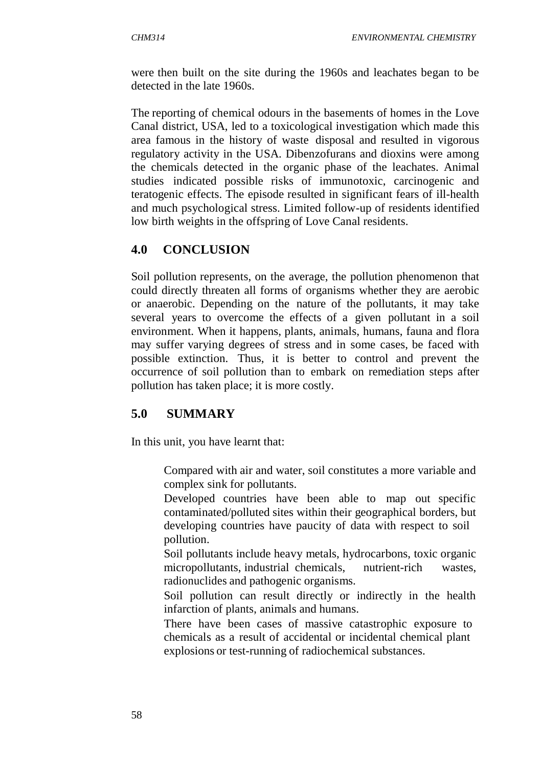were then built on the site during the 1960s and leachates began to be detected in the late 1960s.

The reporting of chemical odours in the basements of homes in the Love Canal district, USA, led to a toxicological investigation which made this area famous in the history of waste disposal and resulted in vigorous regulatory activity in the USA. Dibenzofurans and dioxins were among the chemicals detected in the organic phase of the leachates. Animal studies indicated possible risks of immunotoxic, carcinogenic and teratogenic effects. The episode resulted in significant fears of ill-health and much psychological stress. Limited follow-up of residents identified low birth weights in the offspring of Love Canal residents.

# **4.0 CONCLUSION**

Soil pollution represents, on the average, the pollution phenomenon that could directly threaten all forms of organisms whether they are aerobic or anaerobic. Depending on the nature of the pollutants, it may take several years to overcome the effects of a given pollutant in a soil environment. When it happens, plants, animals, humans, fauna and flora may suffer varying degrees of stress and in some cases, be faced with possible extinction. Thus, it is better to control and prevent the occurrence of soil pollution than to embark on remediation steps after pollution has taken place; it is more costly.

# **5.0 SUMMARY**

In this unit, you have learnt that:

 Compared with air and water, soil constitutes a more variable and complex sink for pollutants.

 Developed countries have been able to map out specific contaminated/polluted sites within their geographical borders, but developing countries have paucity of data with respect to soil pollution.

 Soil pollutants include heavy metals, hydrocarbons, toxic organic micropollutants, industrial chemicals, nutrient-rich wastes, radionuclides and pathogenic organisms.

 Soil pollution can result directly or indirectly in the health infarction of plants, animals and humans.

 There have been cases of massive catastrophic exposure to chemicals as a result of accidental or incidental chemical plant explosions or test-running of radiochemical substances.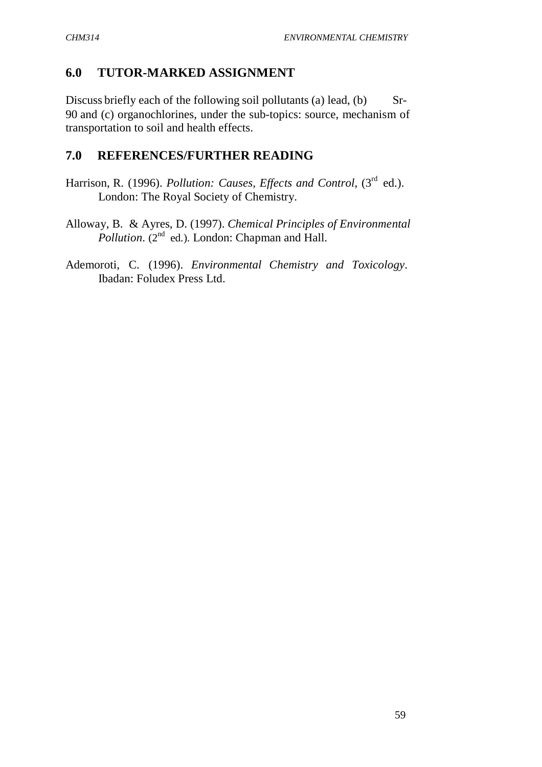# **6.0 TUTOR-MARKED ASSIGNMENT**

Discuss briefly each of the following soil pollutants (a) lead, (b)  $S_r$ -90 and (c) organochlorines, under the sub-topics: source, mechanism of transportation to soil and health effects.

## **7.0 REFERENCES/FURTHER READING**

- Harrison, R. (1996). *Pollution: Causes, Effects and Control*, (3<sup>rd</sup> ed.). London: The Royal Society of Chemistry.
- Alloway, B. & Ayres, D. (1997). *Chemical Principles of Environmental Pollution.* (2<sup>nd</sup> ed.). London: Chapman and Hall.
- Ademoroti, C. (1996). *Environmental Chemistry and Toxicology*. Ibadan: Foludex Press Ltd.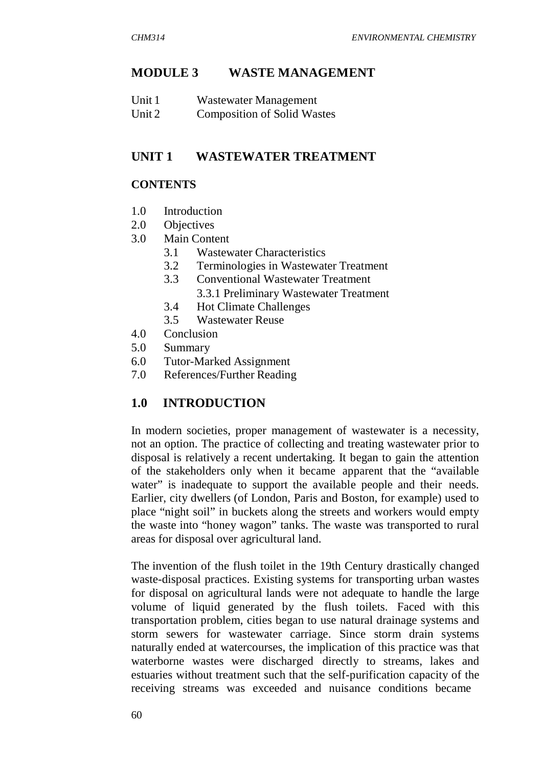### **MODULE 3 WASTE MANAGEMENT**

| Unit 1 | Wastewater Management              |
|--------|------------------------------------|
| Unit 2 | <b>Composition of Solid Wastes</b> |

### **UNIT 1 WASTEWATER TREATMENT**

#### **CONTENTS**

- 1.0 Introduction
- 2.0 Objectives
- 3.0 Main Content
	- 3.1 Wastewater Characteristics
	- 3.2 Terminologies in Wastewater Treatment
	- 3.3 Conventional Wastewater Treatment
		- 3.3.1 Preliminary Wastewater Treatment
	- 3.4 Hot Climate Challenges
	- 3.5 Wastewater Reuse
- 4.0 Conclusion
- 5.0 Summary
- 6.0 Tutor-Marked Assignment
- 7.0 References/Further Reading

## **1.0 INTRODUCTION**

In modern societies, proper management of wastewater is a necessity, not an option. The practice of collecting and treating wastewater prior to disposal is relatively a recent undertaking. It began to gain the attention of the stakeholders only when it became apparent that the "available water" is inadequate to support the available people and their needs. Earlier, city dwellers (of London, Paris and Boston, for example) used to place "night soil" in buckets along the streets and workers would empty the waste into "honey wagon" tanks. The waste was transported to rural areas for disposal over agricultural land.

The invention of the flush toilet in the 19th Century drastically changed waste-disposal practices. Existing systems for transporting urban wastes for disposal on agricultural lands were not adequate to handle the large volume of liquid generated by the flush toilets. Faced with this transportation problem, cities began to use natural drainage systems and storm sewers for wastewater carriage. Since storm drain systems naturally ended at watercourses, the implication of this practice was that waterborne wastes were discharged directly to streams, lakes and estuaries without treatment such that the self-purification capacity of the receiving streams was exceeded and nuisance conditions became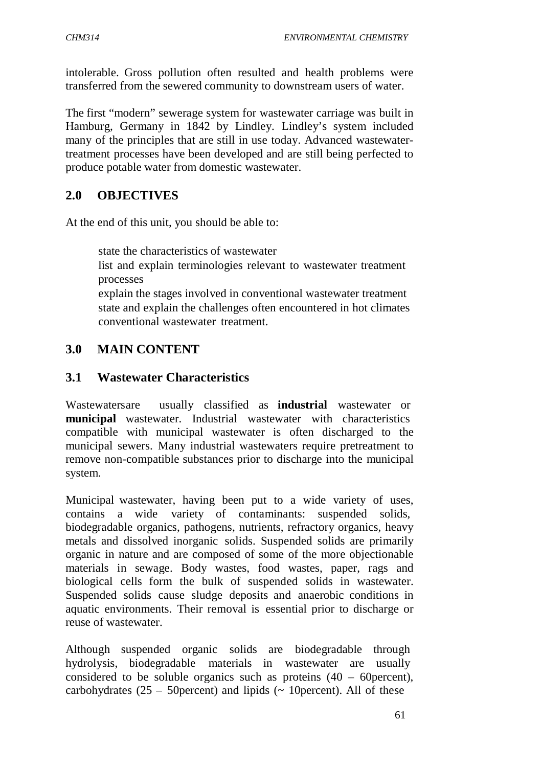intolerable. Gross pollution often resulted and health problems were transferred from the sewered community to downstream users of water.

The first "modern" sewerage system for wastewater carriage was built in Hamburg, Germany in 1842 by Lindley. Lindley's system included many of the principles that are still in use today. Advanced wastewatertreatment processes have been developed and are still being perfected to produce potable water from domestic wastewater.

# **2.0 OBJECTIVES**

At the end of this unit, you should be able to:

state the characteristics of wastewater

 list and explain terminologies relevant to wastewater treatment processes

 explain the stages involved in conventional wastewater treatment state and explain the challenges often encountered in hot climates conventional wastewater treatment.

# **3.0 MAIN CONTENT**

## **3.1 Wastewater Characteristics**

Wastewaters are usually classified as **industrial** wastewater or **municipal** wastewater. Industrial wastewater with characteristics compatible with municipal wastewater is often discharged to the municipal sewers. Many industrial wastewaters require pretreatment to remove non-compatible substances prior to discharge into the municipal system.

Municipal wastewater, having been put to a wide variety of uses, contains a wide variety of contaminants: suspended solids, biodegradable organics, pathogens, nutrients, refractory organics, heavy metals and dissolved inorganic solids. Suspended solids are primarily organic in nature and are composed of some of the more objectionable materials in sewage. Body wastes, food wastes, paper, rags and biological cells form the bulk of suspended solids in wastewater. Suspended solids cause sludge deposits and anaerobic conditions in aquatic environments. Their removal is essential prior to discharge or reuse of wastewater.

Although suspended organic solids are biodegradable through hydrolysis, biodegradable materials in wastewater are usually considered to be soluble organics such as proteins (40 – 60percent), carbohydrates  $(25 - 50$  percent) and lipids ( $\sim 10$  percent). All of these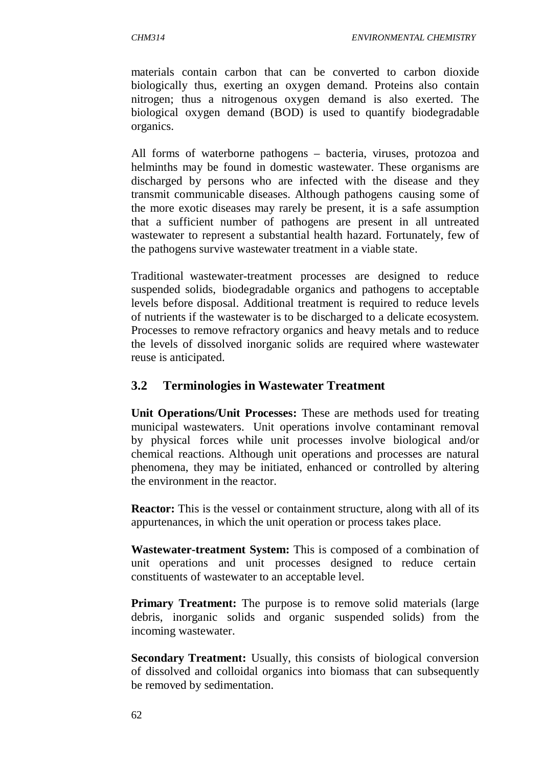materials contain carbon that can be converted to carbon dioxide biologically thus, exerting an oxygen demand. Proteins also contain nitrogen; thus a nitrogenous oxygen demand is also exerted. The biological oxygen demand (BOD) is used to quantify biodegradable organics.

All forms of waterborne pathogens – bacteria, viruses, protozoa and helminths may be found in domestic wastewater. These organisms are discharged by persons who are infected with the disease and they transmit communicable diseases. Although pathogens causing some of the more exotic diseases may rarely be present, it is a safe assumption that a sufficient number of pathogens are present in all untreated wastewater to represent a substantial health hazard. Fortunately, few of the pathogens survive wastewater treatment in a viable state.

Traditional wastewater-treatment processes are designed to reduce suspended solids, biodegradable organics and pathogens to acceptable levels before disposal. Additional treatment is required to reduce levels of nutrients if the wastewater is to be discharged to a delicate ecosystem. Processes to remove refractory organics and heavy metals and to reduce the levels of dissolved inorganic solids are required where wastewater reuse is anticipated.

# **3.2 Terminologies in Wastewater Treatment**

**Unit Operations/Unit Processes:** These are methods used for treating municipal wastewaters. Unit operations involve contaminant removal by physical forces while unit processes involve biological and/or chemical reactions. Although unit operations and processes are natural phenomena, they may be initiated, enhanced or controlled by altering the environment in the reactor.

**Reactor:** This is the vessel or containment structure, along with all of its appurtenances, in which the unit operation or process takes place.

**Wastewater-treatment System:** This is composed of a combination of unit operations and unit processes designed to reduce certain constituents of wastewater to an acceptable level.

**Primary Treatment:** The purpose is to remove solid materials (large debris, inorganic solids and organic suspended solids) from the incoming wastewater.

**Secondary Treatment:** Usually, this consists of biological conversion of dissolved and colloidal organics into biomass that can subsequently be removed by sedimentation.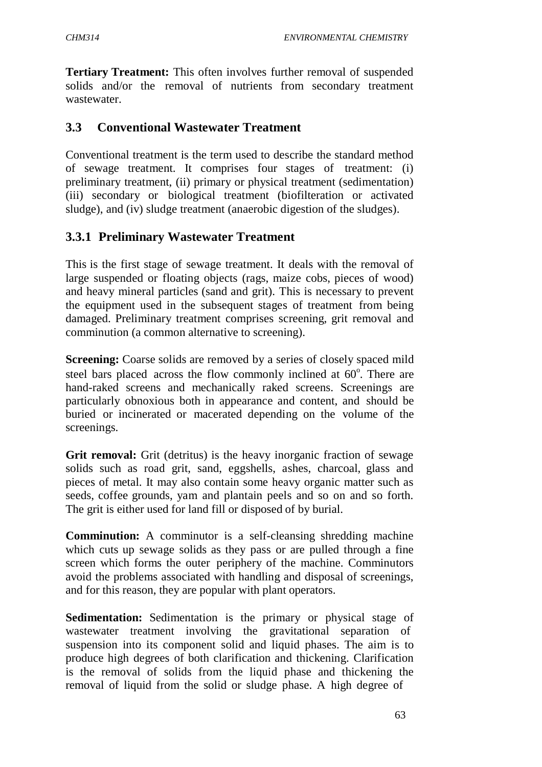**Tertiary Treatment:** This often involves further removal of suspended solids and/or the removal of nutrients from secondary treatment wastewater.

### **3.3 Conventional Wastewater Treatment**

Conventional treatment is the term used to describe the standard method of sewage treatment. It comprises four stages of treatment: (i) preliminary treatment, (ii) primary or physical treatment (sedimentation) (iii) secondary or biological treatment (biofilteration or activated sludge), and (iv) sludge treatment (anaerobic digestion of the sludges).

## **3.3.1 Preliminary Wastewater Treatment**

This is the first stage of sewage treatment. It deals with the removal of large suspended or floating objects (rags, maize cobs, pieces of wood) and heavy mineral particles (sand and grit). This is necessary to prevent the equipment used in the subsequent stages of treatment from being damaged. Preliminary treatment comprises screening, grit removal and comminution (a common alternative to screening).

**Screening:** Coarse solids are removed by a series of closely spaced mild steel bars placed across the flow commonly inclined at  $60^\circ$ . There are hand-raked screens and mechanically raked screens. Screenings are particularly obnoxious both in appearance and content, and should be buried or incinerated or macerated depending on the volume of the screenings.

**Grit removal:** Grit (detritus) is the heavy inorganic fraction of sewage solids such as road grit, sand, eggshells, ashes, charcoal, glass and pieces of metal. It may also contain some heavy organic matter such as seeds, coffee grounds, yam and plantain peels and so on and so forth. The grit is either used for land fill or disposed of by burial.

**Comminution:** A comminutor is a self-cleansing shredding machine which cuts up sewage solids as they pass or are pulled through a fine screen which forms the outer periphery of the machine. Comminutors avoid the problems associated with handling and disposal of screenings, and for this reason, they are popular with plant operators.

**Sedimentation:** Sedimentation is the primary or physical stage of wastewater treatment involving the gravitational separation of suspension into its component solid and liquid phases. The aim is to produce high degrees of both clarification and thickening. Clarification is the removal of solids from the liquid phase and thickening the removal of liquid from the solid or sludge phase. A high degree of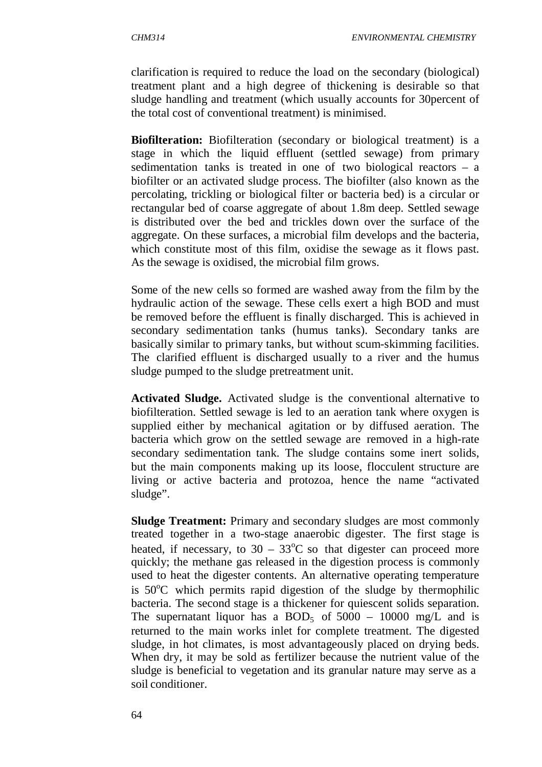clarification is required to reduce the load on the secondary (biological) treatment plant and a high degree of thickening is desirable so that sludge handling and treatment (which usually accounts for 30percent of the total cost of conventional treatment) is minimised.

**Biofilteration:** Biofilteration (secondary or biological treatment) is a stage in which the liquid effluent (settled sewage) from primary sedimentation tanks is treated in one of two biological reactors – a biofilter or an activated sludge process. The biofilter (also known as the percolating, trickling or biological filter or bacteria bed) is a circular or rectangular bed of coarse aggregate of about 1.8m deep. Settled sewage is distributed over the bed and trickles down over the surface of the aggregate. On these surfaces, a microbial film develops and the bacteria, which constitute most of this film, oxidise the sewage as it flows past. As the sewage is oxidised, the microbial film grows.

Some of the new cells so formed are washed away from the film by the hydraulic action of the sewage. These cells exert a high BOD and must be removed before the effluent is finally discharged. This is achieved in secondary sedimentation tanks (humus tanks). Secondary tanks are basically similar to primary tanks, but without scum-skimming facilities. The clarified effluent is discharged usually to a river and the humus sludge pumped to the sludge pretreatment unit.

**Activated Sludge.** Activated sludge is the conventional alternative to biofilteration. Settled sewage is led to an aeration tank where oxygen is supplied either by mechanical agitation or by diffused aeration. The bacteria which grow on the settled sewage are removed in a high-rate secondary sedimentation tank. The sludge contains some inert solids, but the main components making up its loose, flocculent structure are living or active bacteria and protozoa, hence the name "activated sludge".

**Sludge Treatment:** Primary and secondary sludges are most commonly treated together in a two-stage anaerobic digester. The first stage is heated, if necessary, to  $30 - 33^{\circ}$ C so that digester can proceed more quickly; the methane gas released in the digestion process is commonly used to heat the digester contents. An alternative operating temperature is  $50^{\circ}$ C which permits rapid digestion of the sludge by thermophilic bacteria. The second stage is a thickener for quiescent solids separation. The supernatant liquor has a BOD<sub>5</sub> of  $5000 - 10000$  mg/L and is returned to the main works inlet for complete treatment. The digested sludge, in hot climates, is most advantageously placed on drying beds. When dry, it may be sold as fertilizer because the nutrient value of the sludge is beneficial to vegetation and its granular nature may serve as a soil conditioner.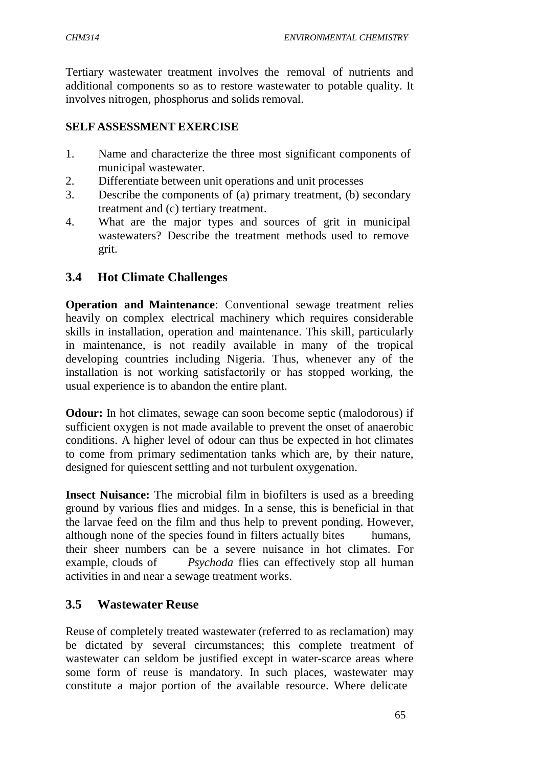Tertiary wastewater treatment involves the removal of nutrients and additional components so as to restore wastewater to potable quality. It involves nitrogen, phosphorus and solids removal.

## **SELF ASSESSMENT EXERCISE**

- 1. Name and characterize the three most significant components of municipal wastewater.
- 2. Differentiate between unit operations and unit processes
- 3. Describe the components of (a) primary treatment, (b) secondary treatment and (c) tertiary treatment.
- 4. What are the major types and sources of grit in municipal wastewaters? Describe the treatment methods used to remove grit.

# **3.4 Hot Climate Challenges**

**Operation and Maintenance**: Conventional sewage treatment relies heavily on complex electrical machinery which requires considerable skills in installation, operation and maintenance. This skill, particularly in maintenance, is not readily available in many of the tropical developing countries including Nigeria. Thus, whenever any of the installation is not working satisfactorily or has stopped working, the usual experience is to abandon the entire plant.

**Odour:** In hot climates, sewage can soon become septic (malodorous) if sufficient oxygen is not made available to prevent the onset of anaerobic conditions. A higher level of odour can thus be expected in hot climates to come from primary sedimentation tanks which are, by their nature, designed for quiescent settling and not turbulent oxygenation.

**Insect Nuisance:** The microbial film in biofilters is used as a breeding ground by various flies and midges. In a sense, this is beneficial in that the larvae feed on the film and thus help to prevent ponding. However, although none of the species found in filters actually bites humans, their sheer numbers can be a severe nuisance in hot climates. For example, clouds of *Psychoda* flies can effectively stop all human activities in and near a sewage treatment works.

# **3.5 Wastewater Reuse**

Reuse of completely treated wastewater (referred to as reclamation) may be dictated by several circumstances; this complete treatment of wastewater can seldom be justified except in water-scarce areas where some form of reuse is mandatory. In such places, wastewater may constitute a major portion of the available resource. Where delicate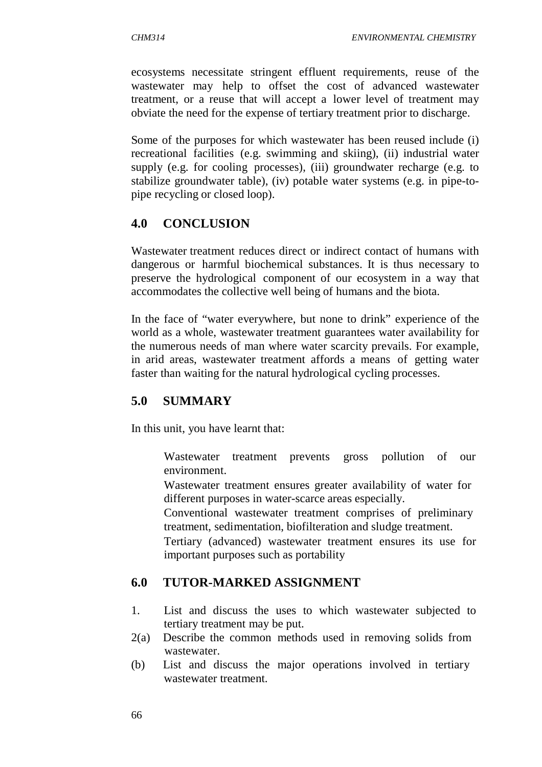ecosystems necessitate stringent effluent requirements, reuse of the wastewater may help to offset the cost of advanced wastewater treatment, or a reuse that will accept a lower level of treatment may obviate the need for the expense of tertiary treatment prior to discharge.

Some of the purposes for which wastewater has been reused include (i) recreational facilities (e.g. swimming and skiing), (ii) industrial water supply (e.g. for cooling processes), (iii) groundwater recharge (e.g. to stabilize groundwater table), (iv) potable water systems (e.g. in pipe-topipe recycling or closed loop).

# **4.0 CONCLUSION**

Wastewater treatment reduces direct or indirect contact of humans with dangerous or harmful biochemical substances. It is thus necessary to preserve the hydrological component of our ecosystem in a way that accommodates the collective well being of humans and the biota.

In the face of "water everywhere, but none to drink" experience of the world as a whole, wastewater treatment guarantees water availability for the numerous needs of man where water scarcity prevails. For example, in arid areas, wastewater treatment affords a means of getting water faster than waiting for the natural hydrological cycling processes.

# **5.0 SUMMARY**

In this unit, you have learnt that:

 Wastewater treatment prevents gross pollution of our environment.

 Wastewater treatment ensures greater availability of water for different purposes in water-scarce areas especially.

 Conventional wastewater treatment comprises of preliminary treatment, sedimentation, biofilteration and sludge treatment.

 Tertiary (advanced) wastewater treatment ensures its use for important purposes such as portability

# **6.0 TUTOR-MARKED ASSIGNMENT**

- 1. List and discuss the uses to which wastewater subjected to tertiary treatment may be put.
- 2(a) Describe the common methods used in removing solids from wastewater.
- (b) List and discuss the major operations involved in tertiary wastewater treatment.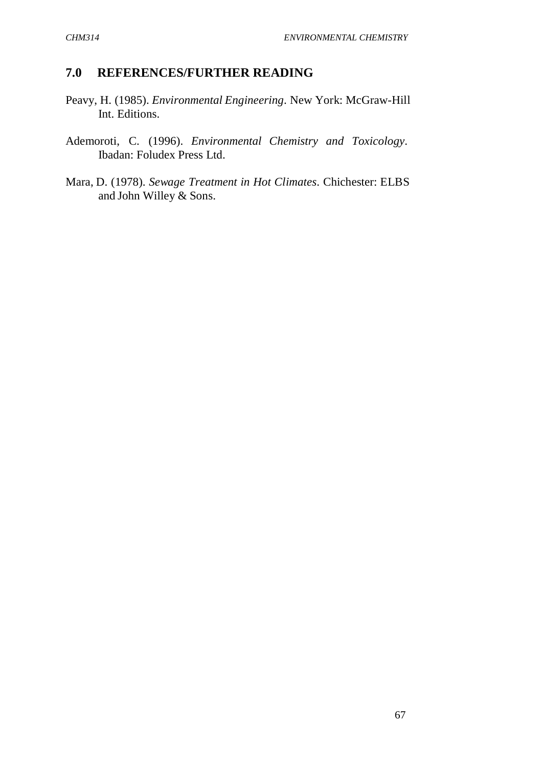## **7.0 REFERENCES/FURTHER READING**

- Peavy, H. (1985). *Environmental Engineering*. New York: McGraw-Hill Int. Editions.
- Ademoroti, C. (1996). *Environmental Chemistry and Toxicology*. Ibadan: Foludex Press Ltd.
- Mara, D. (1978). *Sewage Treatment in Hot Climates*. Chichester: ELBS and John Willey & Sons.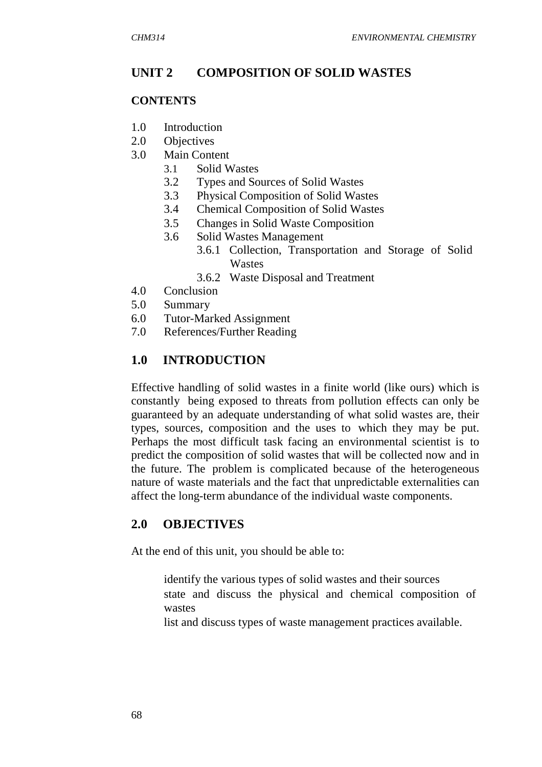## **UNIT 2 COMPOSITION OF SOLID WASTES**

#### **CONTENTS**

- 1.0 Introduction
- 2.0 Objectives
- 3.0 Main Content
	- 3.1 Solid Wastes
	- 3.2 Types and Sources of Solid Wastes
	- 3.3 Physical Composition of Solid Wastes
	- 3.4 Chemical Composition of Solid Wastes
	- 3.5 Changes in Solid Waste Composition
	- 3.6 Solid Wastes Management
		- 3.6.1 Collection, Transportation and Storage of Solid Wastes
		- 3.6.2 Waste Disposal and Treatment
- 4.0 Conclusion
- 5.0 Summary
- 6.0 Tutor-Marked Assignment
- 7.0 References/Further Reading

# **1.0 INTRODUCTION**

Effective handling of solid wastes in a finite world (like ours) which is constantly being exposed to threats from pollution effects can only be guaranteed by an adequate understanding of what solid wastes are, their types, sources, composition and the uses to which they may be put. Perhaps the most difficult task facing an environmental scientist is to predict the composition of solid wastes that will be collected now and in the future. The problem is complicated because of the heterogeneous nature of waste materials and the fact that unpredictable externalities can affect the long-term abundance of the individual waste components.

## **2.0 OBJECTIVES**

At the end of this unit, you should be able to:

- identify the various types of solid wastes and their sources state and discuss the physical and chemical composition of wastes
- list and discuss types of waste management practices available.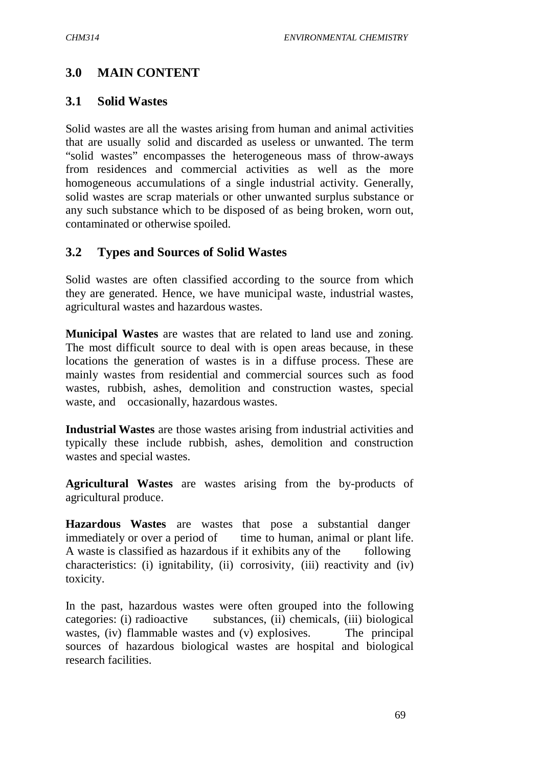## **3.0 MAIN CONTENT**

#### **3.1 Solid Wastes**

Solid wastes are all the wastes arising from human and animal activities that are usually solid and discarded as useless or unwanted. The term "solid wastes" encompasses the heterogeneous mass of throw-aways from residences and commercial activities as well as the more homogeneous accumulations of a single industrial activity. Generally, solid wastes are scrap materials or other unwanted surplus substance or any such substance which to be disposed of as being broken, worn out, contaminated or otherwise spoiled.

## **3.2 Types and Sources of Solid Wastes**

Solid wastes are often classified according to the source from which they are generated. Hence, we have municipal waste, industrial wastes, agricultural wastes and hazardous wastes.

**Municipal Wastes** are wastes that are related to land use and zoning. The most difficult source to deal with is open areas because, in these locations the generation of wastes is in a diffuse process. These are mainly wastes from residential and commercial sources such as food wastes, rubbish, ashes, demolition and construction wastes, special waste, and occasionally, hazardous wastes.

**Industrial Wastes** are those wastes arising from industrial activities and typically these include rubbish, ashes, demolition and construction wastes and special wastes.

**Agricultural Wastes** are wastes arising from the by-products of agricultural produce.

**Hazardous Wastes** are wastes that pose a substantial danger immediately or over a period of time to human, animal or plant life. A waste is classified as hazardous if it exhibits any of the following characteristics: (i) ignitability, (ii) corrosivity, (iii) reactivity and (iv) toxicity.

In the past, hazardous wastes were often grouped into the following categories: (i) radioactive substances, (ii) chemicals, (iii) biological wastes, (iv) flammable wastes and (y) explosives. The principal sources of hazardous biological wastes are hospital and biological research facilities.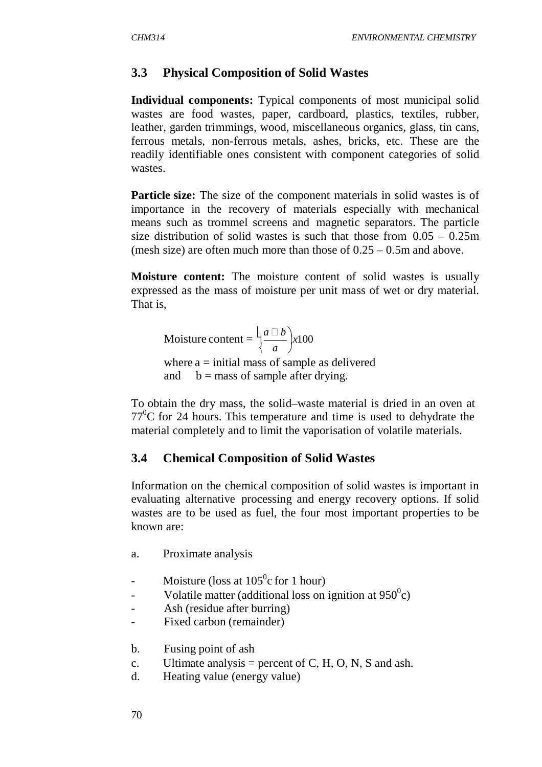# **3.3 Physical Composition of Solid Wastes**

**Individual components:** Typical components of most municipal solid wastes are food wastes, paper, cardboard, plastics, textiles, rubber, leather, garden trimmings, wood, miscellaneous organics, glass, tin cans, ferrous metals, non-ferrous metals, ashes, bricks, etc. These are the readily identifiable ones consistent with component categories of solid wastes.

**Particle size:** The size of the component materials in solid wastes is of importance in the recovery of materials especially with mechanical means such as trommel screens and magnetic separators. The particle size distribution of solid wastes is such that those from  $0.05 - 0.25$ m (mesh size) are often much more than those of 0.25 – 0.5m and above.

**Moisture content:** The moisture content of solid wastes is usually expressed as the mass of moisture per unit mass of wet or dry material. That is,

Moisture content = 
$$
\left(\frac{a \Box b}{a}\right) x 100
$$
  
where a = initial mass of sample as delivered

and  $b =$  mass of sample after drying.

To obtain the dry mass, the solid–waste material is dried in an oven at  $77^{\circ}$ C for 24 hours. This temperature and time is used to dehydrate the material completely and to limit the vaporisation of volatile materials.

# **3.4 Chemical Composition of Solid Wastes**

Information on the chemical composition of solid wastes is important in evaluating alternative processing and energy recovery options. If solid wastes are to be used as fuel, the four most important properties to be known are:

- a. Proximate analysis
- Moisture (loss at  $105^{\circ}$ c for 1 hour)
- Volatile matter (additional loss on ignition at  $950^{\circ}$ c)
- Ash (residue after burring)
- Fixed carbon (remainder)
- b. Fusing point of ash
- c. Ultimate analysis = percent of C, H, O, N, S and ash.
- d. Heating value (energy value)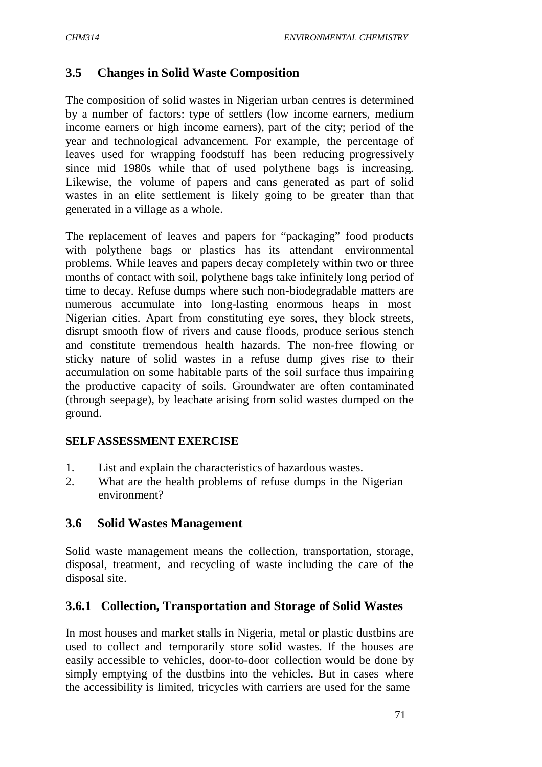# **3.5 Changes in Solid Waste Composition**

The composition of solid wastes in Nigerian urban centres is determined by a number of factors: type of settlers (low income earners, medium income earners or high income earners), part of the city; period of the year and technological advancement. For example, the percentage of leaves used for wrapping foodstuff has been reducing progressively since mid 1980s while that of used polythene bags is increasing. Likewise, the volume of papers and cans generated as part of solid wastes in an elite settlement is likely going to be greater than that generated in a village as a whole.

The replacement of leaves and papers for "packaging" food products with polythene bags or plastics has its attendant environmental problems. While leaves and papers decay completely within two or three months of contact with soil, polythene bags take infinitely long period of time to decay. Refuse dumps where such non-biodegradable matters are numerous accumulate into long-lasting enormous heaps in most Nigerian cities. Apart from constituting eye sores, they block streets, disrupt smooth flow of rivers and cause floods, produce serious stench and constitute tremendous health hazards. The non-free flowing or sticky nature of solid wastes in a refuse dump gives rise to their accumulation on some habitable parts of the soil surface thus impairing the productive capacity of soils. Groundwater are often contaminated (through seepage), by leachate arising from solid wastes dumped on the ground.

## **SELF ASSESSMENT EXERCISE**

- 1. List and explain the characteristics of hazardous wastes.
- 2. What are the health problems of refuse dumps in the Nigerian environment?

## **3.6 Solid Wastes Management**

Solid waste management means the collection, transportation, storage, disposal, treatment, and recycling of waste including the care of the disposal site.

# **3.6.1 Collection, Transportation and Storage of Solid Wastes**

In most houses and market stalls in Nigeria, metal or plastic dustbins are used to collect and temporarily store solid wastes. If the houses are easily accessible to vehicles, door-to-door collection would be done by simply emptying of the dustbins into the vehicles. But in cases where the accessibility is limited, tricycles with carriers are used for the same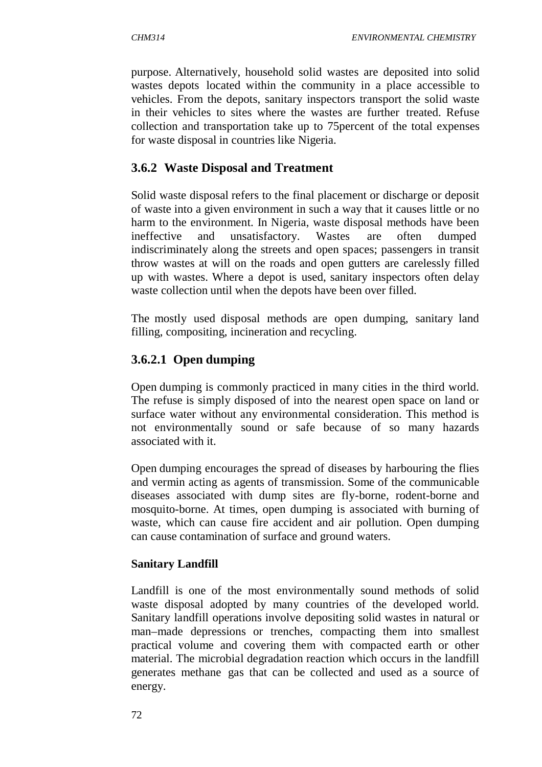purpose. Alternatively, household solid wastes are deposited into solid wastes depots located within the community in a place accessible to vehicles. From the depots, sanitary inspectors transport the solid waste in their vehicles to sites where the wastes are further treated. Refuse collection and transportation take up to 75percent of the total expenses for waste disposal in countries like Nigeria.

# **3.6.2 Waste Disposal and Treatment**

Solid waste disposal refers to the final placement or discharge or deposit of waste into a given environment in such a way that it causes little or no harm to the environment. In Nigeria, waste disposal methods have been ineffective and unsatisfactory. Wastes are often dumped indiscriminately along the streets and open spaces; passengers in transit throw wastes at will on the roads and open gutters are carelessly filled up with wastes. Where a depot is used, sanitary inspectors often delay waste collection until when the depots have been over filled.

The mostly used disposal methods are open dumping, sanitary land filling, compositing, incineration and recycling.

# **3.6.2.1 Open dumping**

Open dumping is commonly practiced in many cities in the third world. The refuse is simply disposed of into the nearest open space on land or surface water without any environmental consideration. This method is not environmentally sound or safe because of so many hazards associated with it.

Open dumping encourages the spread of diseases by harbouring the flies and vermin acting as agents of transmission. Some of the communicable diseases associated with dump sites are fly-borne, rodent-borne and mosquito-borne. At times, open dumping is associated with burning of waste, which can cause fire accident and air pollution. Open dumping can cause contamination of surface and ground waters.

# **Sanitary Landfill**

Landfill is one of the most environmentally sound methods of solid waste disposal adopted by many countries of the developed world. Sanitary landfill operations involve depositing solid wastes in natural or man–made depressions or trenches, compacting them into smallest practical volume and covering them with compacted earth or other material. The microbial degradation reaction which occurs in the landfill generates methane gas that can be collected and used as a source of energy.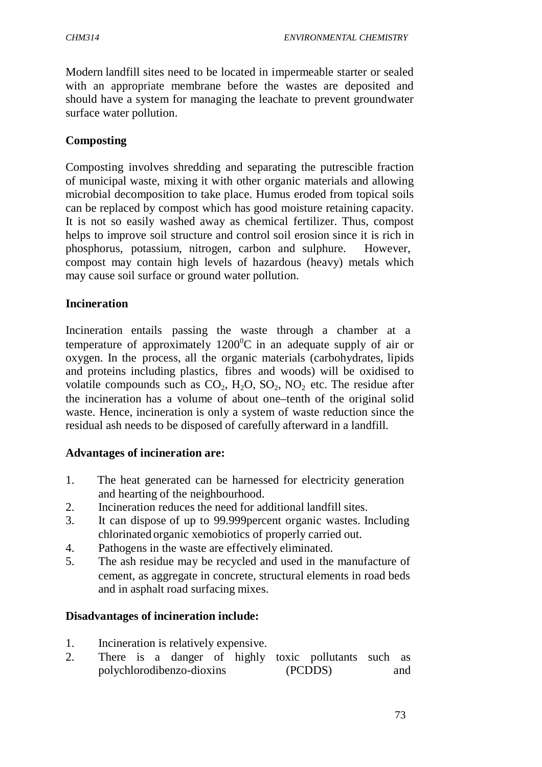Modern landfill sites need to be located in impermeable starter or sealed with an appropriate membrane before the wastes are deposited and should have a system for managing the leachate to prevent groundwater surface water pollution.

## **Composting**

Composting involves shredding and separating the putrescible fraction of municipal waste, mixing it with other organic materials and allowing microbial decomposition to take place. Humus eroded from topical soils can be replaced by compost which has good moisture retaining capacity. It is not so easily washed away as chemical fertilizer. Thus, compost helps to improve soil structure and control soil erosion since it is rich in phosphorus, potassium, nitrogen, carbon and sulphure. However, compost may contain high levels of hazardous (heavy) metals which may cause soil surface or ground water pollution.

## **Incineration**

Incineration entails passing the waste through a chamber at a temperature of approximately  $1200^{\circ}$ C in an adequate supply of air or oxygen. In the process, all the organic materials (carbohydrates, lipids and proteins including plastics, fibres and woods) will be oxidised to volatile compounds such as  $CO_2$ ,  $H_2O$ ,  $SO_2$ ,  $NO_2$  etc. The residue after the incineration has a volume of about one–tenth of the original solid waste. Hence, incineration is only a system of waste reduction since the residual ash needs to be disposed of carefully afterward in a landfill.

## **Advantages of incineration are:**

- 1. The heat generated can be harnessed for electricity generation and hearting of the neighbourhood.
- 2. Incineration reduces the need for additional landfill sites.
- 3. It can dispose of up to 99.999percent organic wastes. Including chlorinated organic xemobiotics of properly carried out.
- 4. Pathogens in the waste are effectively eliminated.
- 5. The ash residue may be recycled and used in the manufacture of cement, as aggregate in concrete, structural elements in road beds and in asphalt road surfacing mixes.

# **Disadvantages of incineration include:**

- 1. Incineration is relatively expensive.
- 2. There is a danger of highly toxic pollutants such as polychlorodibenzo-dioxins (PCDDS) and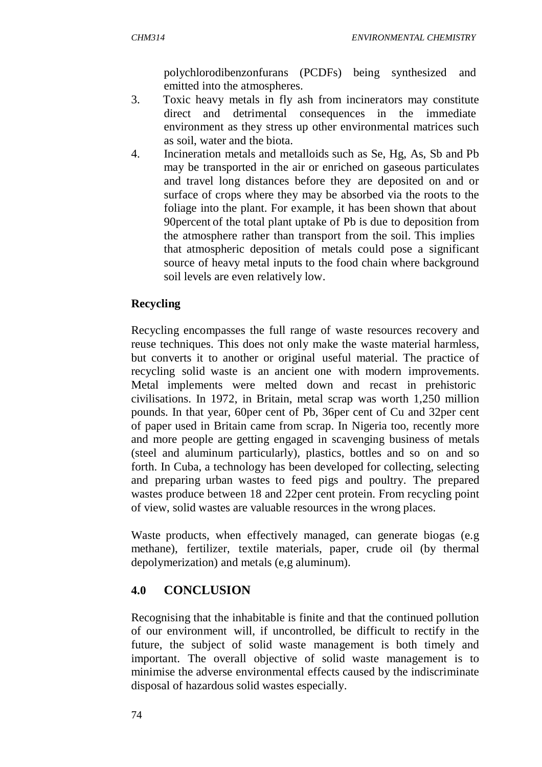polychlorodibenzonfurans (PCDFs) being synthesized and emitted into the atmospheres.

- 3. Toxic heavy metals in fly ash from incinerators may constitute direct and detrimental consequences in the immediate environment as they stress up other environmental matrices such as soil, water and the biota.
- 4. Incineration metals and metalloids such as Se, Hg, As, Sb and Pb may be transported in the air or enriched on gaseous particulates and travel long distances before they are deposited on and or surface of crops where they may be absorbed via the roots to the foliage into the plant. For example, it has been shown that about 90percent of the total plant uptake of Pb is due to deposition from the atmosphere rather than transport from the soil. This implies that atmospheric deposition of metals could pose a significant source of heavy metal inputs to the food chain where background soil levels are even relatively low.

# **Recycling**

Recycling encompasses the full range of waste resources recovery and reuse techniques. This does not only make the waste material harmless, but converts it to another or original useful material. The practice of recycling solid waste is an ancient one with modern improvements. Metal implements were melted down and recast in prehistoric civilisations. In 1972, in Britain, metal scrap was worth 1,250 million pounds. In that year, 60per cent of Pb, 36per cent of Cu and 32per cent of paper used in Britain came from scrap. In Nigeria too, recently more and more people are getting engaged in scavenging business of metals (steel and aluminum particularly), plastics, bottles and so on and so forth. In Cuba, a technology has been developed for collecting, selecting and preparing urban wastes to feed pigs and poultry. The prepared wastes produce between 18 and 22per cent protein. From recycling point of view, solid wastes are valuable resources in the wrong places.

Waste products, when effectively managed, can generate biogas (e.g methane), fertilizer, textile materials, paper, crude oil (by thermal depolymerization) and metals (e,g aluminum).

# **4.0 CONCLUSION**

Recognising that the inhabitable is finite and that the continued pollution of our environment will, if uncontrolled, be difficult to rectify in the future, the subject of solid waste management is both timely and important. The overall objective of solid waste management is to minimise the adverse environmental effects caused by the indiscriminate disposal of hazardous solid wastes especially.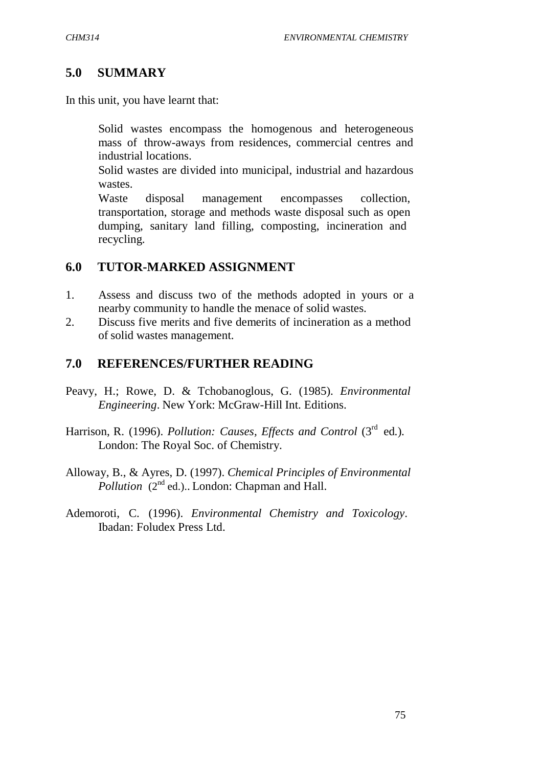## **5.0 SUMMARY**

In this unit, you have learnt that:

 Solid wastes encompass the homogenous and heterogeneous mass of throw-aways from residences, commercial centres and industrial locations.

 Solid wastes are divided into municipal, industrial and hazardous wastes.

 Waste disposal management encompasses collection, transportation, storage and methods waste disposal such as open dumping, sanitary land filling, composting, incineration and recycling.

## **6.0 TUTOR-MARKED ASSIGNMENT**

- 1. Assess and discuss two of the methods adopted in yours or a nearby community to handle the menace of solid wastes.
- 2. Discuss five merits and five demerits of incineration as a method of solid wastes management.

## **7.0 REFERENCES/FURTHER READING**

- Peavy, H.; Rowe, D. & Tchobanoglous, G. (1985). *Environmental Engineering*. New York: McGraw-Hill Int. Editions.
- Harrison, R. (1996). *Pollution: Causes, Effects and Control* (3<sup>rd</sup> ed.). London: The Royal Soc. of Chemistry.
- Alloway, B., & Ayres, D. (1997). *Chemical Principles of Environmental Pollution* (2<sup>nd</sup> ed.).. London: Chapman and Hall.
- Ademoroti, C. (1996). *Environmental Chemistry and Toxicology*. Ibadan: Foludex Press Ltd.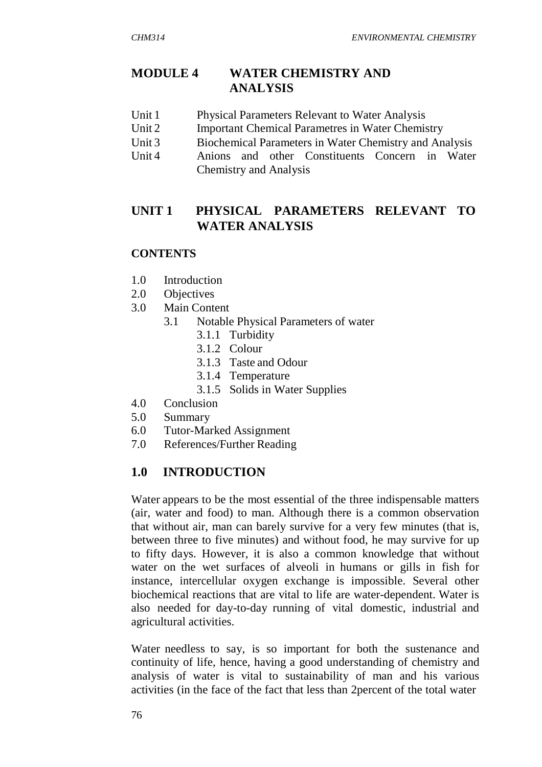# **MODULE 4 WATER CHEMISTRY AND ANALYSIS**

- Unit 1 Physical Parameters Relevant to Water Analysis
- Unit 2 Important Chemical Parametres in Water Chemistry
- Unit 3 Biochemical Parameters in Water Chemistry and Analysis
- Unit 4 Anions and other Constituents Concern in Water Chemistry and Analysis

# **UNIT 1 PHYSICAL PARAMETERS RELEVANT TO WATER ANALYSIS**

# **CONTENTS**

- 1.0 Introduction
- 2.0 Objectives
- 3.0 Main Content
	- 3.1 Notable Physical Parameters of water
		- 3.1.1 Turbidity
		- 3.1.2 Colour
		- 3.1.3 Taste and Odour
		- 3.1.4 Temperature
		- 3.1.5 Solids in Water Supplies
- 4.0 Conclusion
- 5.0 Summary
- 6.0 Tutor-Marked Assignment
- 7.0 References/Further Reading

# **1.0 INTRODUCTION**

Water appears to be the most essential of the three indispensable matters (air, water and food) to man. Although there is a common observation that without air, man can barely survive for a very few minutes (that is, between three to five minutes) and without food, he may survive for up to fifty days. However, it is also a common knowledge that without water on the wet surfaces of alveoli in humans or gills in fish for instance, intercellular oxygen exchange is impossible. Several other biochemical reactions that are vital to life are water-dependent. Water is also needed for day-to-day running of vital domestic, industrial and agricultural activities.

Water needless to say, is so important for both the sustenance and continuity of life, hence, having a good understanding of chemistry and analysis of water is vital to sustainability of man and his various activities (in the face of the fact that less than 2percent of the total water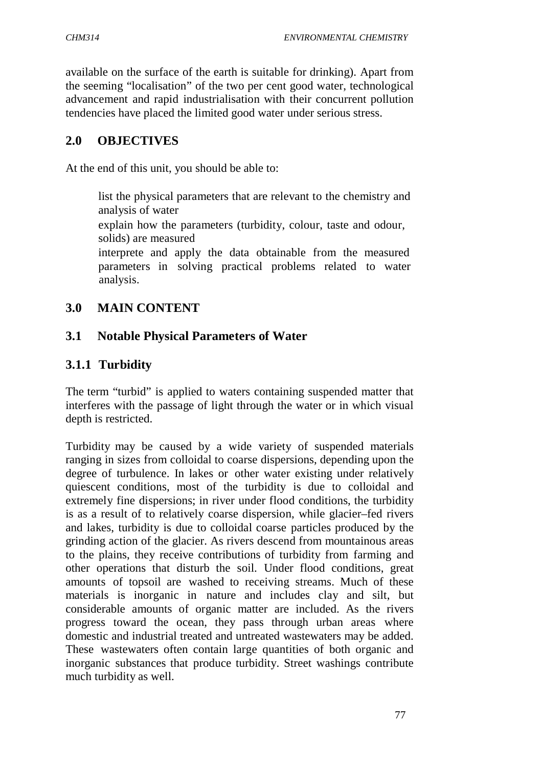available on the surface of the earth is suitable for drinking). Apart from the seeming "localisation" of the two per cent good water, technological advancement and rapid industrialisation with their concurrent pollution tendencies have placed the limited good water under serious stress.

## **2.0 OBJECTIVES**

At the end of this unit, you should be able to:

 list the physical parameters that are relevant to the chemistry and analysis of water

 explain how the parameters (turbidity, colour, taste and odour, solids) are measured

 interprete and apply the data obtainable from the measured parameters in solving practical problems related to water analysis.

## **3.0 MAIN CONTENT**

## **3.1 Notable Physical Parameters of Water**

## **3.1.1 Turbidity**

The term "turbid" is applied to waters containing suspended matter that interferes with the passage of light through the water or in which visual depth is restricted.

Turbidity may be caused by a wide variety of suspended materials ranging in sizes from colloidal to coarse dispersions, depending upon the degree of turbulence. In lakes or other water existing under relatively quiescent conditions, most of the turbidity is due to colloidal and extremely fine dispersions; in river under flood conditions, the turbidity is as a result of to relatively coarse dispersion, while glacier–fed rivers and lakes, turbidity is due to colloidal coarse particles produced by the grinding action of the glacier. As rivers descend from mountainous areas to the plains, they receive contributions of turbidity from farming and other operations that disturb the soil. Under flood conditions, great amounts of topsoil are washed to receiving streams. Much of these materials is inorganic in nature and includes clay and silt, but considerable amounts of organic matter are included. As the rivers progress toward the ocean, they pass through urban areas where domestic and industrial treated and untreated wastewaters may be added. These wastewaters often contain large quantities of both organic and inorganic substances that produce turbidity. Street washings contribute much turbidity as well.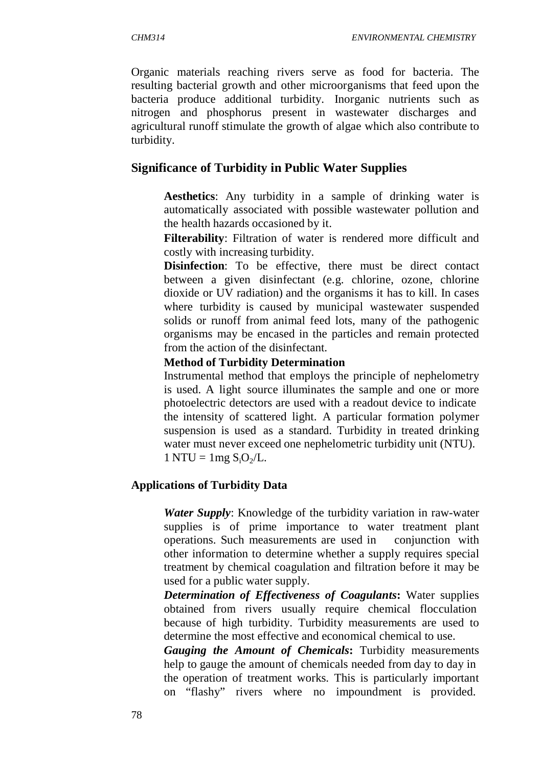Organic materials reaching rivers serve as food for bacteria. The resulting bacterial growth and other microorganisms that feed upon the bacteria produce additional turbidity. Inorganic nutrients such as nitrogen and phosphorus present in wastewater discharges and agricultural runoff stimulate the growth of algae which also contribute to turbidity.

#### **Significance of Turbidity in Public Water Supplies**

 **Aesthetics**: Any turbidity in a sample of drinking water is automatically associated with possible wastewater pollution and the health hazards occasioned by it.

 **Filterability**: Filtration of water is rendered more difficult and costly with increasing turbidity.

**Disinfection:** To be effective, there must be direct contact between a given disinfectant (e.g. chlorine, ozone, chlorine dioxide or UV radiation) and the organisms it has to kill. In cases where turbidity is caused by municipal wastewater suspended solids or runoff from animal feed lots, many of the pathogenic organisms may be encased in the particles and remain protected from the action of the disinfectant.

#### **Method of Turbidity Determination**

Instrumental method that employs the principle of nephelometry is used. A light source illuminates the sample and one or more photoelectric detectors are used with a readout device to indicate the intensity of scattered light. A particular formation polymer suspension is used as a standard. Turbidity in treated drinking water must never exceed one nephelometric turbidity unit (NTU).  $1 NTU = 1 mg S<sub>i</sub>O<sub>2</sub>/L.$ 

#### **Applications of Turbidity Data**

 *Water Supply*: Knowledge of the turbidity variation in raw-water supplies is of prime importance to water treatment plant operations. Such measurements are used in conjunction with other information to determine whether a supply requires special treatment by chemical coagulation and filtration before it may be used for a public water supply.

 *Determination of Effectiveness of Coagulants***:** Water supplies obtained from rivers usually require chemical flocculation because of high turbidity. Turbidity measurements are used to determine the most effective and economical chemical to use.

 *Gauging the Amount of Chemicals***:** Turbidity measurements help to gauge the amount of chemicals needed from day to day in the operation of treatment works. This is particularly important on "flashy" rivers where no impoundment is provided.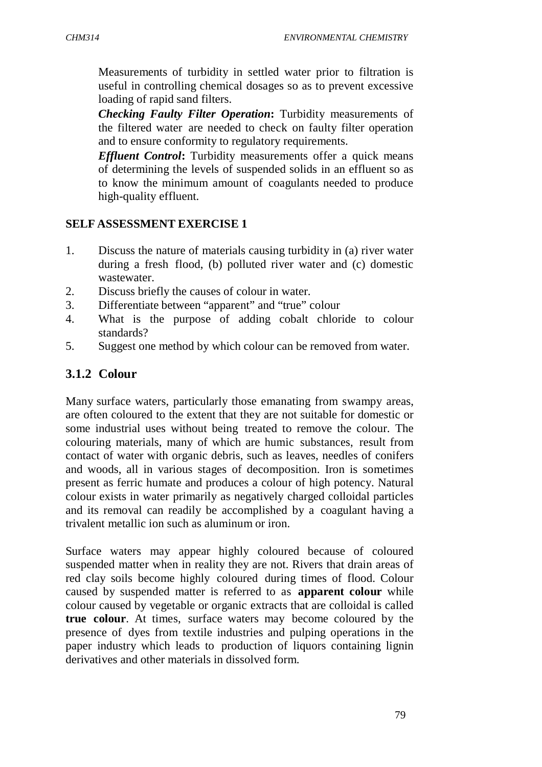Measurements of turbidity in settled water prior to filtration is useful in controlling chemical dosages so as to prevent excessive loading of rapid sand filters.

 *Checking Faulty Filter Operation***:** Turbidity measurements of the filtered water are needed to check on faulty filter operation and to ensure conformity to regulatory requirements.

 *Effluent Control***:** Turbidity measurements offer a quick means of determining the levels of suspended solids in an effluent so as to know the minimum amount of coagulants needed to produce high-quality effluent.

## **SELF ASSESSMENT EXERCISE 1**

- 1. Discuss the nature of materials causing turbidity in (a) river water during a fresh flood, (b) polluted river water and (c) domestic wastewater.
- 2. Discuss briefly the causes of colour in water.
- 3. Differentiate between "apparent" and "true" colour
- 4. What is the purpose of adding cobalt chloride to colour standards?
- 5. Suggest one method by which colour can be removed from water.

# **3.1.2 Colour**

Many surface waters, particularly those emanating from swampy areas, are often coloured to the extent that they are not suitable for domestic or some industrial uses without being treated to remove the colour. The colouring materials, many of which are humic substances, result from contact of water with organic debris, such as leaves, needles of conifers and woods, all in various stages of decomposition. Iron is sometimes present as ferric humate and produces a colour of high potency. Natural colour exists in water primarily as negatively charged colloidal particles and its removal can readily be accomplished by a coagulant having a trivalent metallic ion such as aluminum or iron.

Surface waters may appear highly coloured because of coloured suspended matter when in reality they are not. Rivers that drain areas of red clay soils become highly coloured during times of flood. Colour caused by suspended matter is referred to as **apparent colour** while colour caused by vegetable or organic extracts that are colloidal is called **true colour**. At times, surface waters may become coloured by the presence of dyes from textile industries and pulping operations in the paper industry which leads to production of liquors containing lignin derivatives and other materials in dissolved form.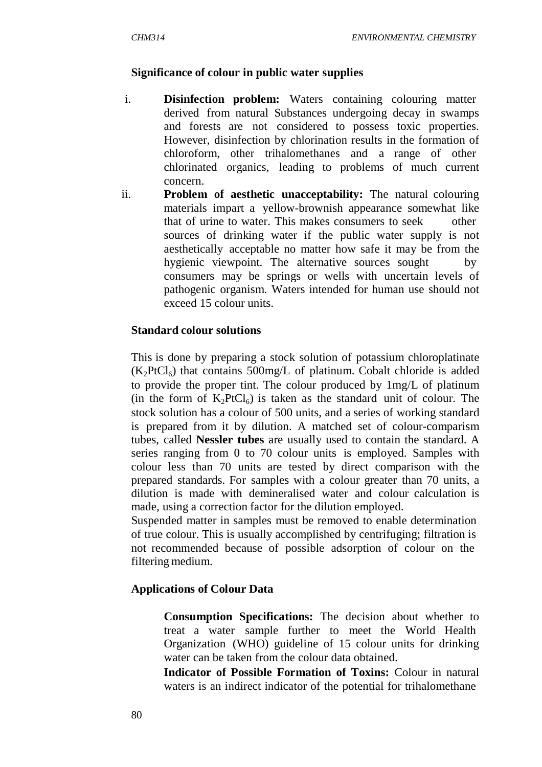#### **Significance of colour in public water supplies**

- i. **Disinfection problem:** Waters containing colouring matter derived from natural Substances undergoing decay in swamps and forests are not considered to possess toxic properties. However, disinfection by chlorination results in the formation of chloroform, other trihalomethanes and a range of other chlorinated organics, leading to problems of much current concern.
- ii. **Problem of aesthetic unacceptability:** The natural colouring materials impart a yellow-brownish appearance somewhat like that of urine to water. This makes consumers to seek other sources of drinking water if the public water supply is not aesthetically acceptable no matter how safe it may be from the hygienic viewpoint. The alternative sources sought by consumers may be springs or wells with uncertain levels of pathogenic organism. Waters intended for human use should not exceed 15 colour units.

#### **Standard colour solutions**

This is done by preparing a stock solution of potassium chloroplatinate  $(K<sub>2</sub>PtCl<sub>6</sub>)$  that contains 500mg/L of platinum. Cobalt chloride is added to provide the proper tint. The colour produced by 1mg/L of platinum (in the form of  $K_2PtCl_6$ ) is taken as the standard unit of colour. The stock solution has a colour of 500 units, and a series of working standard is prepared from it by dilution. A matched set of colour-comparism tubes, called **Nessler tubes** are usually used to contain the standard. A series ranging from 0 to 70 colour units is employed. Samples with colour less than 70 units are tested by direct comparison with the prepared standards. For samples with a colour greater than 70 units, a dilution is made with demineralised water and colour calculation is made, using a correction factor for the dilution employed.

Suspended matter in samples must be removed to enable determination of true colour. This is usually accomplished by centrifuging; filtration is not recommended because of possible adsorption of colour on the filtering medium.

#### **Applications of Colour Data**

 **Consumption Specifications:** The decision about whether to treat a water sample further to meet the World Health Organization (WHO) guideline of 15 colour units for drinking water can be taken from the colour data obtained.

 **Indicator of Possible Formation of Toxins:** Colour in natural waters is an indirect indicator of the potential for trihalomethane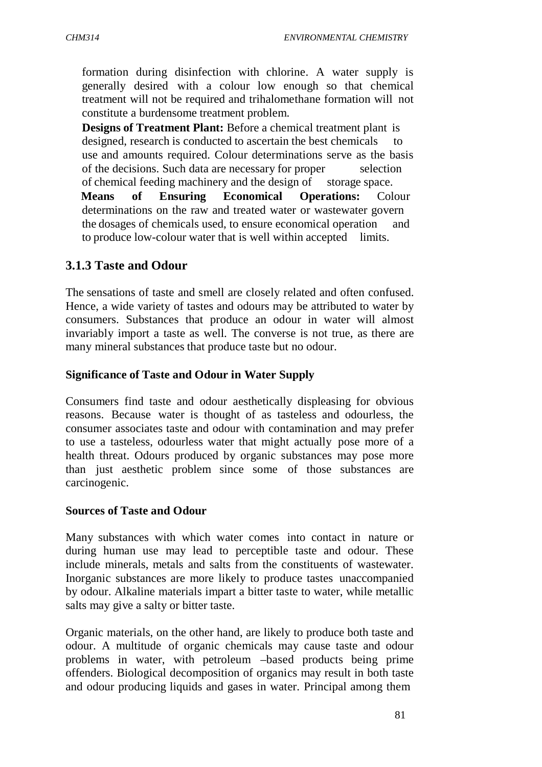formation during disinfection with chlorine. A water supply is generally desired with a colour low enough so that chemical treatment will not be required and trihalomethane formation will not constitute a burdensome treatment problem.

 **Designs of Treatment Plant:** Before a chemical treatment plant is designed, research is conducted to ascertain the best chemicals to use and amounts required. Colour determinations serve as the basis of the decisions. Such data are necessary for proper selection of chemical feeding machinery and the design of storage space. **Means of Ensuring Economical Operations:** Colour determinations on the raw and treated water or wastewater govern the dosages of chemicals used, to ensure economical operation and to produce low-colour water that is well within accepted limits.

## **3.1.3 Taste and Odour**

The sensations of taste and smell are closely related and often confused. Hence, a wide variety of tastes and odours may be attributed to water by consumers. Substances that produce an odour in water will almost invariably import a taste as well. The converse is not true, as there are many mineral substances that produce taste but no odour.

### **Significance of Taste and Odour in Water Supply**

Consumers find taste and odour aesthetically displeasing for obvious reasons. Because water is thought of as tasteless and odourless, the consumer associates taste and odour with contamination and may prefer to use a tasteless, odourless water that might actually pose more of a health threat. Odours produced by organic substances may pose more than just aesthetic problem since some of those substances are carcinogenic.

#### **Sources of Taste and Odour**

Many substances with which water comes into contact in nature or during human use may lead to perceptible taste and odour. These include minerals, metals and salts from the constituents of wastewater. Inorganic substances are more likely to produce tastes unaccompanied by odour. Alkaline materials impart a bitter taste to water, while metallic salts may give a salty or bitter taste.

Organic materials, on the other hand, are likely to produce both taste and odour. A multitude of organic chemicals may cause taste and odour problems in water, with petroleum –based products being prime offenders. Biological decomposition of organics may result in both taste and odour producing liquids and gases in water. Principal among them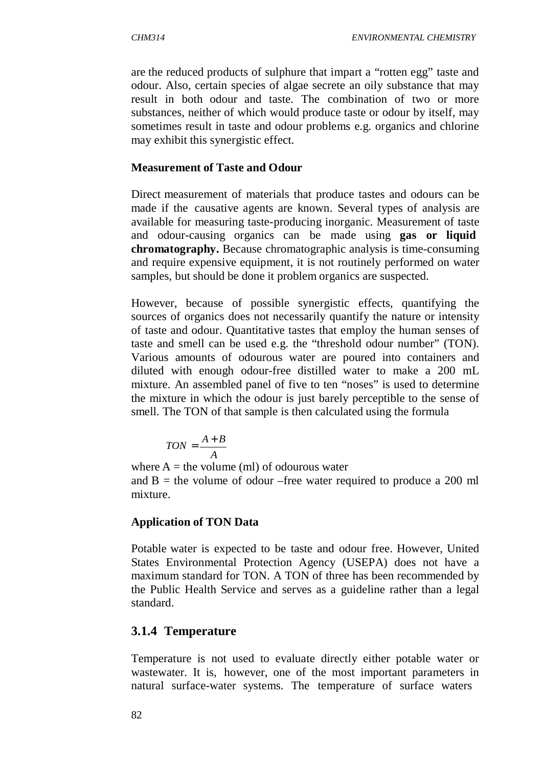are the reduced products of sulphure that impart a "rotten egg" taste and odour. Also, certain species of algae secrete an oily substance that may result in both odour and taste. The combination of two or more substances, neither of which would produce taste or odour by itself, may sometimes result in taste and odour problems e.g. organics and chlorine may exhibit this synergistic effect.

### **Measurement of Taste and Odour**

Direct measurement of materials that produce tastes and odours can be made if the causative agents are known. Several types of analysis are available for measuring taste-producing inorganic. Measurement of taste and odour-causing organics can be made using **gas or liquid chromatography.** Because chromatographic analysis is time-consuming and require expensive equipment, it is not routinely performed on water samples, but should be done it problem organics are suspected.

However, because of possible synergistic effects, quantifying the sources of organics does not necessarily quantify the nature or intensity of taste and odour. Quantitative tastes that employ the human senses of taste and smell can be used e.g. the "threshold odour number" (TON). Various amounts of odourous water are poured into containers and diluted with enough odour-free distilled water to make a 200 mL mixture. An assembled panel of five to ten "noses" is used to determine the mixture in which the odour is just barely perceptible to the sense of smell. The TON of that sample is then calculated using the formula

$$
TON = \frac{A + B}{A}
$$

where  $A =$  the volume (ml) of odourous water and  $B =$  the volume of odour –free water required to produce a 200 ml mixture.

## **Application of TON Data**

Potable water is expected to be taste and odour free. However, United States Environmental Protection Agency (USEPA) does not have a maximum standard for TON. A TON of three has been recommended by the Public Health Service and serves as a guideline rather than a legal standard.

## **3.1.4 Temperature**

Temperature is not used to evaluate directly either potable water or wastewater. It is, however, one of the most important parameters in natural surface-water systems. The temperature of surface waters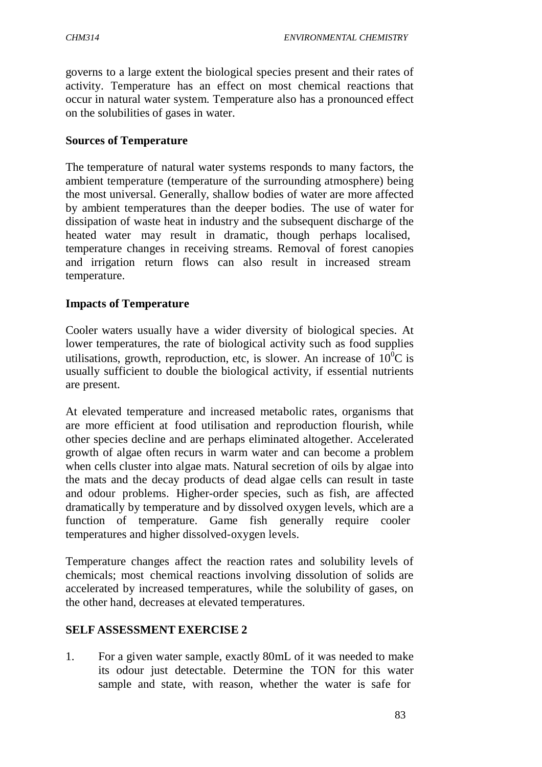governs to a large extent the biological species present and their rates of activity. Temperature has an effect on most chemical reactions that occur in natural water system. Temperature also has a pronounced effect on the solubilities of gases in water.

### **Sources of Temperature**

The temperature of natural water systems responds to many factors, the ambient temperature (temperature of the surrounding atmosphere) being the most universal. Generally, shallow bodies of water are more affected by ambient temperatures than the deeper bodies. The use of water for dissipation of waste heat in industry and the subsequent discharge of the heated water may result in dramatic, though perhaps localised, temperature changes in receiving streams. Removal of forest canopies and irrigation return flows can also result in increased stream temperature.

## **Impacts of Temperature**

Cooler waters usually have a wider diversity of biological species. At lower temperatures, the rate of biological activity such as food supplies utilisations, growth, reproduction, etc, is slower. An increase of  $10^{0}C$  is usually sufficient to double the biological activity, if essential nutrients are present.

At elevated temperature and increased metabolic rates, organisms that are more efficient at food utilisation and reproduction flourish, while other species decline and are perhaps eliminated altogether. Accelerated growth of algae often recurs in warm water and can become a problem when cells cluster into algae mats. Natural secretion of oils by algae into the mats and the decay products of dead algae cells can result in taste and odour problems. Higher-order species, such as fish, are affected dramatically by temperature and by dissolved oxygen levels, which are a function of temperature. Game fish generally require cooler temperatures and higher dissolved-oxygen levels.

Temperature changes affect the reaction rates and solubility levels of chemicals; most chemical reactions involving dissolution of solids are accelerated by increased temperatures, while the solubility of gases, on the other hand, decreases at elevated temperatures.

## **SELF ASSESSMENT EXERCISE 2**

1. For a given water sample, exactly 80mL of it was needed to make its odour just detectable. Determine the TON for this water sample and state, with reason, whether the water is safe for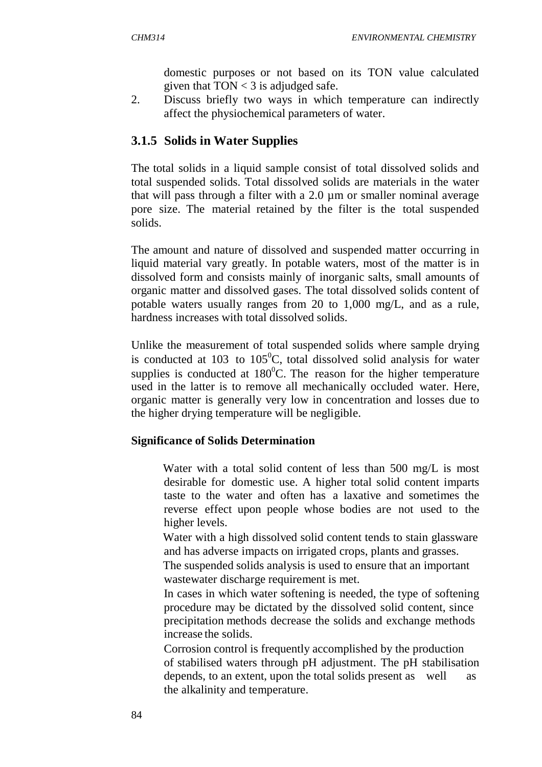domestic purposes or not based on its TON value calculated given that  $TON < 3$  is adjudged safe.

2. Discuss briefly two ways in which temperature can indirectly affect the physiochemical parameters of water.

# **3.1.5 Solids in Water Supplies**

The total solids in a liquid sample consist of total dissolved solids and total suspended solids. Total dissolved solids are materials in the water that will pass through a filter with a 2.0 µm or smaller nominal average pore size. The material retained by the filter is the total suspended solids.

The amount and nature of dissolved and suspended matter occurring in liquid material vary greatly. In potable waters, most of the matter is in dissolved form and consists mainly of inorganic salts, small amounts of organic matter and dissolved gases. The total dissolved solids content of potable waters usually ranges from 20 to 1,000 mg/L, and as a rule, hardness increases with total dissolved solids.

Unlike the measurement of total suspended solids where sample drying is conducted at  $103$  to  $105^{\circ}$ C, total dissolved solid analysis for water supplies is conducted at  $180^{\circ}$ C. The reason for the higher temperature used in the latter is to remove all mechanically occluded water. Here, organic matter is generally very low in concentration and losses due to the higher drying temperature will be negligible.

# **Significance of Solids Determination**

 Water with a total solid content of less than 500 mg/L is most desirable for domestic use. A higher total solid content imparts taste to the water and often has a laxative and sometimes the reverse effect upon people whose bodies are not used to the higher levels.

 Water with a high dissolved solid content tends to stain glassware and has adverse impacts on irrigated crops, plants and grasses.

 The suspended solids analysis is used to ensure that an important wastewater discharge requirement is met.

 In cases in which water softening is needed, the type of softening procedure may be dictated by the dissolved solid content, since precipitation methods decrease the solids and exchange methods increase the solids.

 Corrosion control is frequently accomplished by the production of stabilised waters through pH adjustment. The pH stabilisation depends, to an extent, upon the total solids present as well as the alkalinity and temperature.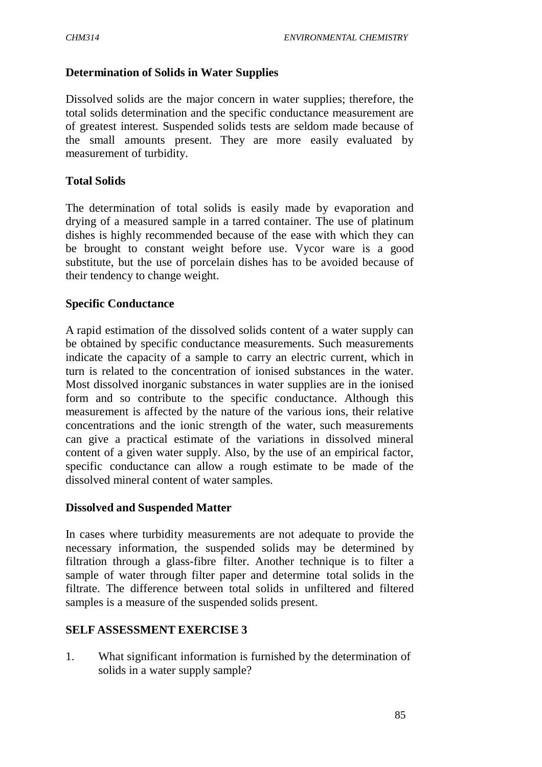### **Determination of Solids in Water Supplies**

Dissolved solids are the major concern in water supplies; therefore, the total solids determination and the specific conductance measurement are of greatest interest. Suspended solids tests are seldom made because of the small amounts present. They are more easily evaluated by measurement of turbidity.

#### **Total Solids**

The determination of total solids is easily made by evaporation and drying of a measured sample in a tarred container. The use of platinum dishes is highly recommended because of the ease with which they can be brought to constant weight before use. Vycor ware is a good substitute, but the use of porcelain dishes has to be avoided because of their tendency to change weight.

### **Specific Conductance**

A rapid estimation of the dissolved solids content of a water supply can be obtained by specific conductance measurements. Such measurements indicate the capacity of a sample to carry an electric current, which in turn is related to the concentration of ionised substances in the water. Most dissolved inorganic substances in water supplies are in the ionised form and so contribute to the specific conductance. Although this measurement is affected by the nature of the various ions, their relative concentrations and the ionic strength of the water, such measurements can give a practical estimate of the variations in dissolved mineral content of a given water supply. Also, by the use of an empirical factor, specific conductance can allow a rough estimate to be made of the dissolved mineral content of water samples.

#### **Dissolved and Suspended Matter**

In cases where turbidity measurements are not adequate to provide the necessary information, the suspended solids may be determined by filtration through a glass-fibre filter. Another technique is to filter a sample of water through filter paper and determine total solids in the filtrate. The difference between total solids in unfiltered and filtered samples is a measure of the suspended solids present.

#### **SELF ASSESSMENT EXERCISE 3**

1. What significant information is furnished by the determination of solids in a water supply sample?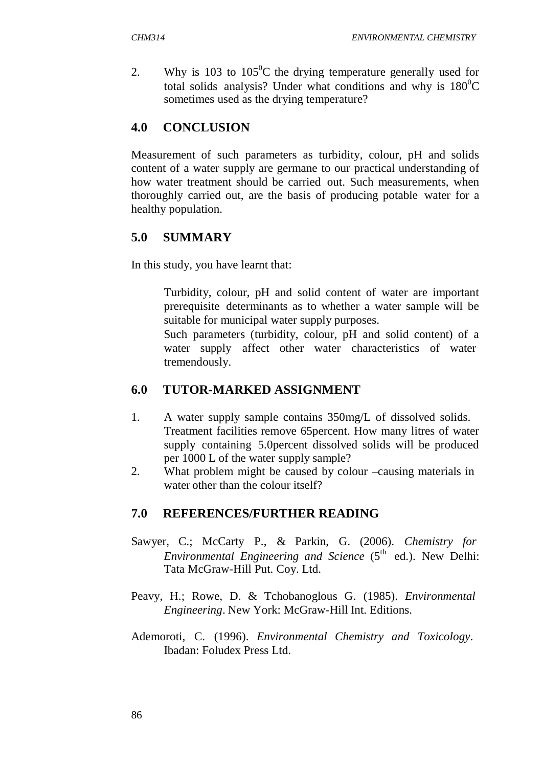2. Why is 103 to  $105^{\circ}$ C the drying temperature generally used for total solids analysis? Under what conditions and why is  $180^{\circ}$ C sometimes used as the drying temperature?

# **4.0 CONCLUSION**

Measurement of such parameters as turbidity, colour, pH and solids content of a water supply are germane to our practical understanding of how water treatment should be carried out. Such measurements, when thoroughly carried out, are the basis of producing potable water for a healthy population.

# **5.0 SUMMARY**

In this study, you have learnt that:

 Turbidity, colour, pH and solid content of water are important prerequisite determinants as to whether a water sample will be suitable for municipal water supply purposes.

 Such parameters (turbidity, colour, pH and solid content) of a water supply affect other water characteristics of water tremendously.

# **6.0 TUTOR-MARKED ASSIGNMENT**

- 1. A water supply sample contains 350mg/L of dissolved solids. Treatment facilities remove 65percent. How many litres of water supply containing 5.0percent dissolved solids will be produced per 1000 L of the water supply sample?
- 2. What problem might be caused by colour –causing materials in water other than the colour itself?

# **7.0 REFERENCES/FURTHER READING**

- Sawyer, C.; McCarty P., & Parkin, G. (2006). *Chemistry for Environmental Engineering and Science* (5<sup>th</sup> ed.). New Delhi: Tata McGraw-Hill Put. Coy. Ltd.
- Peavy, H.; Rowe, D. & Tchobanoglous G. (1985). *Environmental Engineering*. New York: McGraw-Hill Int. Editions.
- Ademoroti, C. (1996). *Environmental Chemistry and Toxicology*. Ibadan: Foludex Press Ltd.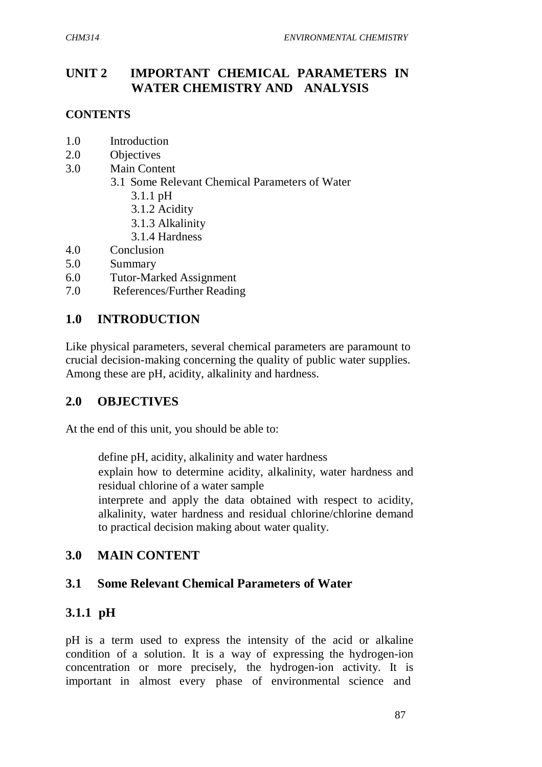# **UNIT 2 IMPORTANT CHEMICAL PARAMETERS IN WATER CHEMISTRY AND ANALYSIS**

## **CONTENTS**

- 1.0 Introduction
- 2.0 Objectives
- 3.0 Main Content
	- 3.1 Some Relevant Chemical Parameters of Water
		- 3.1.1 pH
		- 3.1.2 Acidity
		- 3.1.3 Alkalinity
		- 3.1.4 Hardness
- 4.0 Conclusion
- 5.0 Summary
- 6.0 Tutor-Marked Assignment
- 7.0 References/Further Reading

# **1.0 INTRODUCTION**

Like physical parameters, several chemical parameters are paramount to crucial decision-making concerning the quality of public water supplies. Among these are pH, acidity, alkalinity and hardness.

# **2.0 OBJECTIVES**

At the end of this unit, you should be able to:

 define pH, acidity, alkalinity and water hardness explain how to determine acidity, alkalinity, water hardness and residual chlorine of a water sample

 interprete and apply the data obtained with respect to acidity, alkalinity, water hardness and residual chlorine/chlorine demand to practical decision making about water quality.

# **3.0 MAIN CONTENT**

# **3.1 Some Relevant Chemical Parameters of Water**

# **3.1.1 pH**

pH is a term used to express the intensity of the acid or alkaline condition of a solution. It is a way of expressing the hydrogen-ion concentration or more precisely, the hydrogen-ion activity. It is important in almost every phase of environmental science and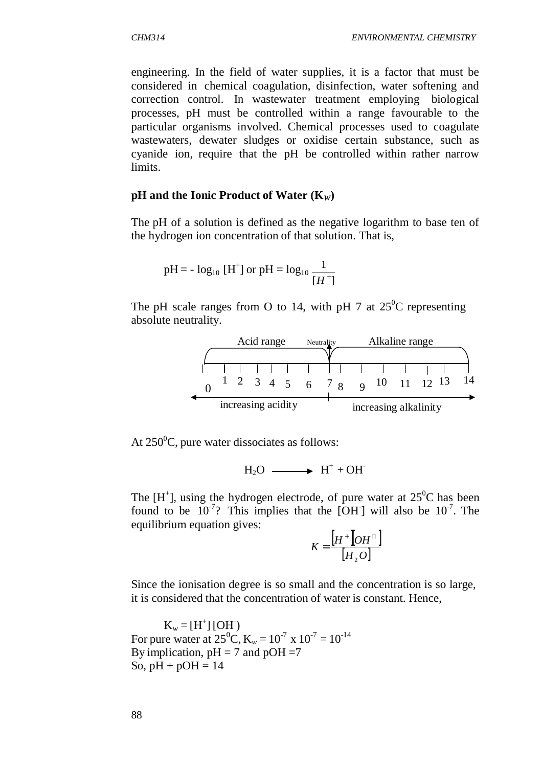engineering. In the field of water supplies, it is a factor that must be considered in chemical coagulation, disinfection, water softening and correction control. In wastewater treatment employing biological processes, pH must be controlled within a range favourable to the particular organisms involved. Chemical processes used to coagulate wastewaters, dewater sludges or oxidise certain substance, such as cyanide ion, require that the pH be controlled within rather narrow limits.

#### **pH and the Ionic Product of Water (K***W***)**

The pH of a solution is defined as the negative logarithm to base ten of the hydrogen ion concentration of that solution. That is,

pH = - log<sub>10</sub> [H<sup>+</sup>] or pH = log<sub>10</sub> 
$$
\frac{1}{[H^+]}
$$

The pH scale ranges from O to 14, with pH 7 at  $25^{\circ}$ C representing absolute neutrality.



At  $250^{\circ}$ C, pure water dissociates as follows:

 $H_2O \longrightarrow H^+ + OH^-$ 

The  $[H^+]$ , using the hydrogen electrode, of pure water at  $25^{\circ}$ C has been found to be  $10^{-7}$ ? This implies that the [OH] will also be  $10^{-7}$ . The equilibrium equation gives:

$$
K = \frac{\begin{bmatrix} H^+ \end{bmatrix} O H^{\square} \end{bmatrix}}{\begin{bmatrix} H_2 O \end{bmatrix}}
$$

Since the ionisation degree is so small and the concentration is so large, it is considered that the concentration of water is constant. Hence,

 $K_w = [H^+] [OH]$ For pure water at  $25^{\circ}$ C, K<sub>w</sub> =  $10^{-7}$  x  $10^{-7}$  =  $10^{-14}$ By implication,  $pH = 7$  and  $pOH = 7$ So,  $pH + pOH = 14$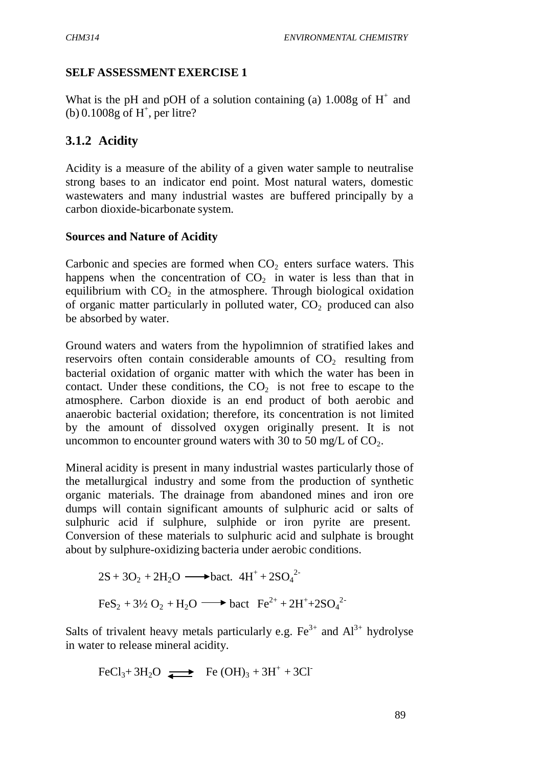### **SELF ASSESSMENT EXERCISE 1**

What is the pH and pOH of a solution containing (a)  $1.008g$  of H<sup>+</sup> and (b)  $0.1008g$  of H<sup>+</sup>, per litre?

# **3.1.2 Acidity**

Acidity is a measure of the ability of a given water sample to neutralise strong bases to an indicator end point. Most natural waters, domestic wastewaters and many industrial wastes are buffered principally by a carbon dioxide-bicarbonate system.

### **Sources and Nature of Acidity**

Carbonic and species are formed when  $CO<sub>2</sub>$  enters surface waters. This happens when the concentration of  $CO<sub>2</sub>$  in water is less than that in equilibrium with  $CO<sub>2</sub>$  in the atmosphere. Through biological oxidation of organic matter particularly in polluted water,  $CO<sub>2</sub>$  produced can also be absorbed by water.

Ground waters and waters from the hypolimnion of stratified lakes and reservoirs often contain considerable amounts of  $CO<sub>2</sub>$  resulting from bacterial oxidation of organic matter with which the water has been in contact. Under these conditions, the  $CO<sub>2</sub>$  is not free to escape to the atmosphere. Carbon dioxide is an end product of both aerobic and anaerobic bacterial oxidation; therefore, its concentration is not limited by the amount of dissolved oxygen originally present. It is not uncommon to encounter ground waters with 30 to 50 mg/L of  $CO<sub>2</sub>$ .

Mineral acidity is present in many industrial wastes particularly those of the metallurgical industry and some from the production of synthetic organic materials. The drainage from abandoned mines and iron ore dumps will contain significant amounts of sulphuric acid or salts of sulphuric acid if sulphure, sulphide or iron pyrite are present. Conversion of these materials to sulphuric acid and sulphate is brought about by sulphure-oxidizing bacteria under aerobic conditions.

$$
2S + 3O_2 + 2H_2O \longrightarrow \text{back. } 4H^+ + 2SO_4^2
$$
  
FeS<sub>2</sub> + 3½ O<sub>2</sub> + H<sub>2</sub>O \longrightarrow \text{back } Fe^{2+} + 2H^+ + 2SO\_4^2

Salts of trivalent heavy metals particularly e.g.  $Fe^{3+}$  and  $Al^{3+}$  hydrolyse in water to release mineral acidity.

$$
FeCl3+3H2O \longrightarrow Fe(OH)3+3H++3Cl-
$$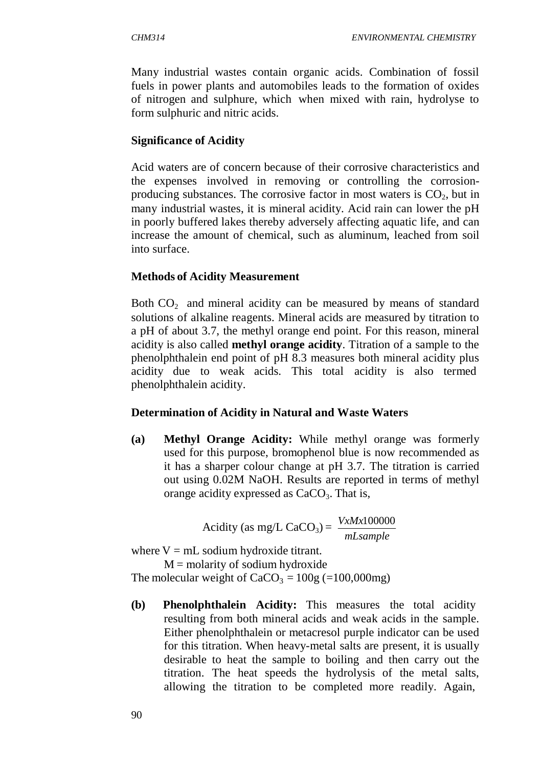Many industrial wastes contain organic acids. Combination of fossil fuels in power plants and automobiles leads to the formation of oxides of nitrogen and sulphure, which when mixed with rain, hydrolyse to form sulphuric and nitric acids.

# **Significance of Acidity**

Acid waters are of concern because of their corrosive characteristics and the expenses involved in removing or controlling the corrosionproducing substances. The corrosive factor in most waters is  $CO<sub>2</sub>$ , but in many industrial wastes, it is mineral acidity. Acid rain can lower the pH in poorly buffered lakes thereby adversely affecting aquatic life, and can increase the amount of chemical, such as aluminum, leached from soil into surface.

# **Methods of Acidity Measurement**

Both  $CO<sub>2</sub>$  and mineral acidity can be measured by means of standard solutions of alkaline reagents. Mineral acids are measured by titration to a pH of about 3.7, the methyl orange end point. For this reason, mineral acidity is also called **methyl orange acidity**. Titration of a sample to the phenolphthalein end point of pH 8.3 measures both mineral acidity plus acidity due to weak acids. This total acidity is also termed phenolphthalein acidity.

# **Determination of Acidity in Natural and Waste Waters**

**(a) Methyl Orange Acidity:** While methyl orange was formerly used for this purpose, bromophenol blue is now recommended as it has a sharper colour change at pH 3.7. The titration is carried out using 0.02M NaOH. Results are reported in terms of methyl orange acidity expressed as  $CaCO<sub>3</sub>$ . That is,

> Acidity (as mg/L CaCO<sub>3</sub>) =  $\frac{V \times M \times 100000}{I}$ *mLsample*

where  $V = mL$  sodium hydroxide titrant.

 $M =$  molarity of sodium hydroxide The molecular weight of  $CaCO<sub>3</sub> = 100g (=100,000mg)$ 

**(b) Phenolphthalein Acidity:** This measures the total acidity resulting from both mineral acids and weak acids in the sample. Either phenolphthalein or metacresol purple indicator can be used for this titration. When heavy-metal salts are present, it is usually desirable to heat the sample to boiling and then carry out the titration. The heat speeds the hydrolysis of the metal salts, allowing the titration to be completed more readily. Again,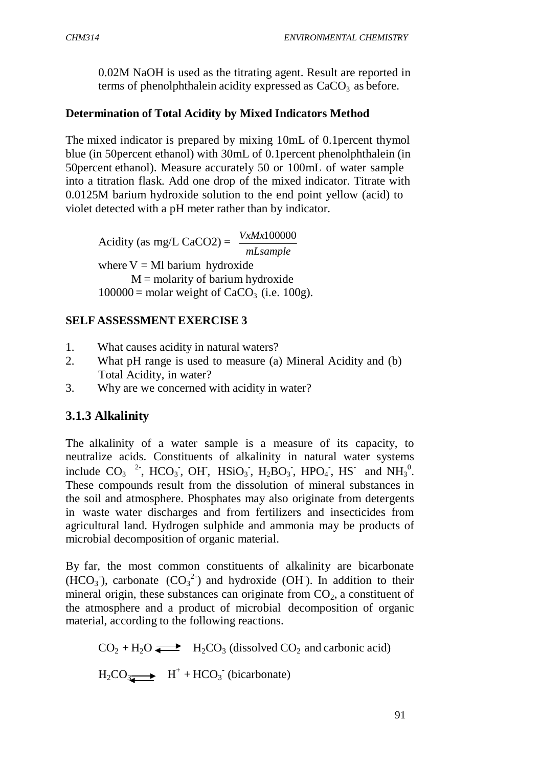0.02M NaOH is used as the titrating agent. Result are reported in terms of phenolphthalein acidity expressed as  $CaCO<sub>3</sub>$  as before.

## **Determination of Total Acidity by Mixed Indicators Method**

The mixed indicator is prepared by mixing 10mL of 0.1percent thymol blue (in 50percent ethanol) with 30mL of 0.1percent phenolphthalein (in 50percent ethanol). Measure accurately 50 or 100mL of water sample into a titration flask. Add one drop of the mixed indicator. Titrate with 0.0125M barium hydroxide solution to the end point yellow (acid) to violet detected with a pH meter rather than by indicator.

Acidity (as mg/L CaCO2) =  $\frac{V \times M \times 100000}{V}$ *mLsample* where  $V = Ml$  barium hydroxide  $M =$  molarity of barium hydroxide  $100000 =$  molar weight of CaCO<sub>3</sub> (i.e. 100g).

## **SELF ASSESSMENT EXERCISE 3**

- 1. What causes acidity in natural waters?
- 2. What pH range is used to measure (a) Mineral Acidity and (b) Total Acidity, in water?
- 3. Why are we concerned with acidity in water?

# **3.1.3 Alkalinity**

The alkalinity of a water sample is a measure of its capacity, to neutralize acids. Constituents of alkalinity in natural water systems include  $CO_3$  <sup>2</sup>, HCO<sub>3</sub>, OH, HSiO<sub>3</sub>, H<sub>2</sub>BO<sub>3</sub>, HPO<sub>4</sub>, HS and NH<sub>3</sub><sup>0</sup>. These compounds result from the dissolution of mineral substances in the soil and atmosphere. Phosphates may also originate from detergents in waste water discharges and from fertilizers and insecticides from agricultural land. Hydrogen sulphide and ammonia may be products of microbial decomposition of organic material.

By far, the most common constituents of alkalinity are bicarbonate (HCO<sub>3</sub>), carbonate  $(CO_3^2)$  and hydroxide (OH). In addition to their mineral origin, these substances can originate from  $CO<sub>2</sub>$ , a constituent of the atmosphere and a product of microbial decomposition of organic material, according to the following reactions.

 $CO<sub>2</sub> + H<sub>2</sub>O \rightleftarrows$   $H<sub>2</sub>CO<sub>3</sub>$  (dissolved CO<sub>2</sub> and carbonic acid)  $H_2CO_3 \longrightarrow H^+ + HCO_3$  (bicarbonate)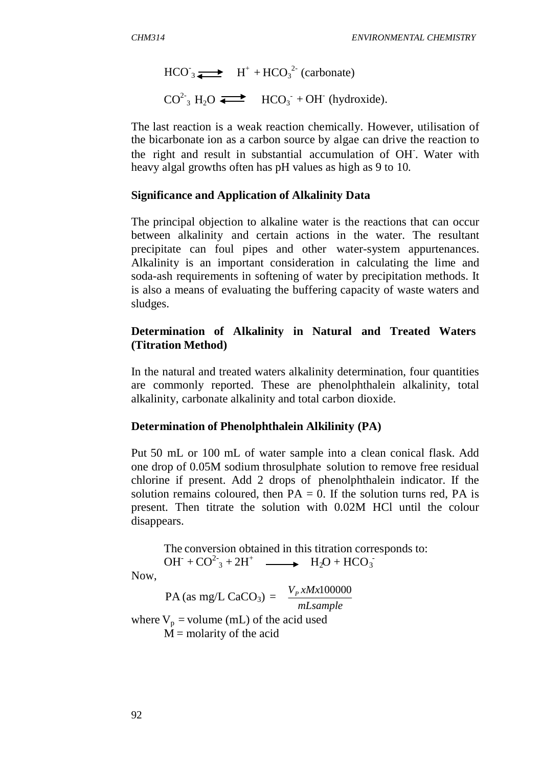$\text{HCO}_3 \rightleftharpoons \text{H}^+ + \text{HCO}_3^{2-} \text{(carbonate)}$  $CO^{2}$ <sub>3</sub> H<sub>2</sub>O  $\leftarrow$  HCO<sub>3</sub><sup>-</sup>+OH<sup>-</sup> (hydroxide).

The last reaction is a weak reaction chemically. However, utilisation of the bicarbonate ion as a carbon source by algae can drive the reaction to the right and result in substantial accumulation of OH- . Water with heavy algal growths often has pH values as high as 9 to 10.

### **Significance and Application of Alkalinity Data**

The principal objection to alkaline water is the reactions that can occur between alkalinity and certain actions in the water. The resultant precipitate can foul pipes and other water-system appurtenances. Alkalinity is an important consideration in calculating the lime and soda-ash requirements in softening of water by precipitation methods. It is also a means of evaluating the buffering capacity of waste waters and sludges.

## **Determination of Alkalinity in Natural and Treated Waters (Titration Method)**

In the natural and treated waters alkalinity determination, four quantities are commonly reported. These are phenolphthalein alkalinity, total alkalinity, carbonate alkalinity and total carbon dioxide.

## **Determination of Phenolphthalein Alkilinity (PA)**

Put 50 mL or 100 mL of water sample into a clean conical flask. Add one drop of 0.05M sodium throsulphate solution to remove free residual chlorine if present. Add 2 drops of phenolphthalein indicator. If the solution remains coloured, then  $PA = 0$ . If the solution turns red, PA is present. Then titrate the solution with 0.02M HCl until the colour disappears.

The conversion obtained in this titration corresponds to:  $OH^- + CO^2_3 + 2H^+$   $\longrightarrow$   $H_2O + HCO_3^-$ 

Now,

 $PA$  (as mg/L CaCO<sub>3</sub>) =  $\frac{V_p x M x 100000}{I}$ *mLsample* where  $V_p$  = volume (mL) of the acid used  $M =$  molarity of the acid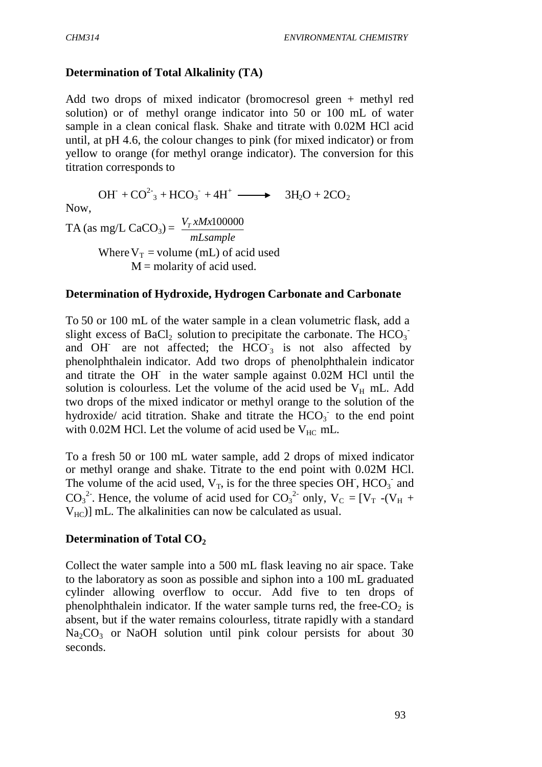## **Determination of Total Alkalinity (TA)**

Add two drops of mixed indicator (bromocresol green + methyl red solution) or of methyl orange indicator into 50 or 100 mL of water sample in a clean conical flask. Shake and titrate with 0.02M HCl acid until, at pH 4.6, the colour changes to pink (for mixed indicator) or from yellow to orange (for methyl orange indicator). The conversion for this titration corresponds to

 $OH + CO^{2-}{}_{3} + HCO_{3} + 4H^{+} \longrightarrow 3H_{2}O + 2CO_{2}$ 

Now,

 $TA$  (as mg/L CaCO<sub>3</sub>) =  $\frac{V_T x M x 100000}{I}$ *mLsample* Where  $V_T$  = volume (mL) of acid used  $M =$  molarity of acid used.

#### **Determination of Hydroxide, Hydrogen Carbonate and Carbonate**

and OH are not affected; the  $HCO<sub>3</sub>$  is not also affected by To 50 or 100 mL of the water sample in a clean volumetric flask, add a slight excess of BaCl<sub>2</sub> solution to precipitate the carbonate. The  $HCO<sub>3</sub>$ <sup>-</sup> phenolphthalein indicator. Add two drops of phenolphthalein indicator and titrate the OH- in the water sample against 0.02M HCl until the solution is colourless. Let the volume of the acid used be  $V_H$  mL. Add two drops of the mixed indicator or methyl orange to the solution of the hydroxide/ acid titration. Shake and titrate the  $HCO<sub>3</sub>$  to the end point with 0.02M HCl. Let the volume of acid used be  $V_{HC}$  mL.

To a fresh 50 or 100 mL water sample, add 2 drops of mixed indicator or methyl orange and shake. Titrate to the end point with 0.02M HCl. The volume of the acid used,  $V_T$ , is for the three species OH,  $HCO_3^-$  and CO<sub>3</sub><sup>2</sup>. Hence, the volume of acid used for CO<sub>3</sub><sup>2</sup> only,  $V_C = [V_T - (V_H +$  $V_{HC}$ ] mL. The alkalinities can now be calculated as usual.

#### **Determination of Total CO<sup>2</sup>**

Collect the water sample into a 500 mL flask leaving no air space. Take to the laboratory as soon as possible and siphon into a 100 mL graduated cylinder allowing overflow to occur. Add five to ten drops of phenolphthalein indicator. If the water sample turns red, the free- $CO<sub>2</sub>$  is absent, but if the water remains colourless, titrate rapidly with a standard  $Na<sub>2</sub>CO<sub>3</sub>$  or NaOH solution until pink colour persists for about 30 seconds.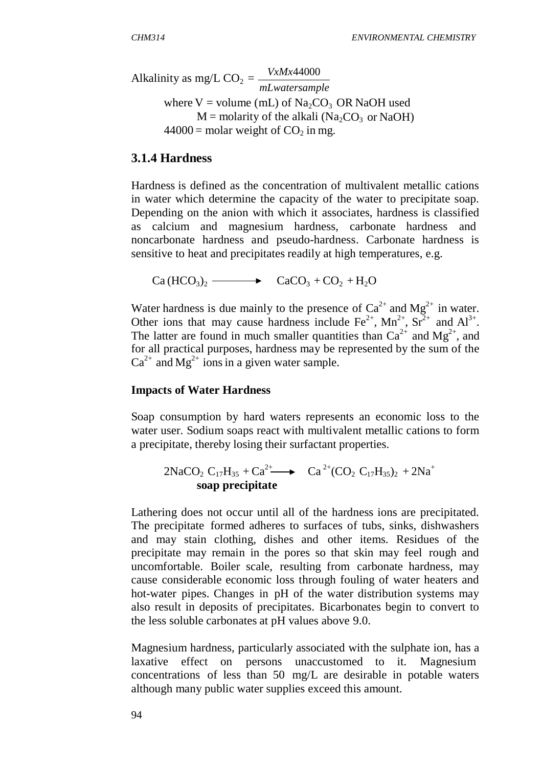Alkalinity as mg/L  $CO_2 = \frac{V x M x 44000}{I}$ *mLwatersample* where  $V =$  volume (mL) of Na<sub>2</sub>CO<sub>3</sub> OR NaOH used  $M =$  molarity of the alkali (Na<sub>2</sub>CO<sub>3</sub> or NaOH)  $44000 =$  molar weight of CO<sub>2</sub> in mg.

### **3.1.4 Hardness**

Hardness is defined as the concentration of multivalent metallic cations in water which determine the capacity of the water to precipitate soap. Depending on the anion with which it associates, hardness is classified as calcium and magnesium hardness, carbonate hardness and noncarbonate hardness and pseudo-hardness. Carbonate hardness is sensitive to heat and precipitates readily at high temperatures, e.g.

 $Ca(HCO<sub>3</sub>)<sub>2</sub>$   $\longrightarrow$   $CaCO<sub>3</sub> + CO<sub>2</sub> + H<sub>2</sub>O$ 

Water hardness is due mainly to the presence of  $Ca^{2+}$  and  $Mg^{2+}$  in water. Other ions that may cause hardness include  $\text{Fe}^{2+}$ ,  $\text{Mn}^{2+}$ ,  $\text{Sr}^{2+}$  and  $\text{Al}^{3+}$ . The latter are found in much smaller quantities than  $Ca^{2+}$  and  $Me^{2+}$ , and for all practical purposes, hardness may be represented by the sum of the  $Ca^{2+}$  and  $Mg^{2+}$  ions in a given water sample.

#### **Impacts of Water Hardness**

Soap consumption by hard waters represents an economic loss to the water user. Sodium soaps react with multivalent metallic cations to form a precipitate, thereby losing their surfactant properties.

$$
2NaCO2 C17H35 + Ca2+ \longrightarrow Ca2+(CO2 C17H35)2 + 2Na+
$$
  
soap precipitate

Lathering does not occur until all of the hardness ions are precipitated. The precipitate formed adheres to surfaces of tubs, sinks, dishwashers and may stain clothing, dishes and other items. Residues of the precipitate may remain in the pores so that skin may feel rough and uncomfortable. Boiler scale, resulting from carbonate hardness, may cause considerable economic loss through fouling of water heaters and hot-water pipes. Changes in pH of the water distribution systems may also result in deposits of precipitates. Bicarbonates begin to convert to the less soluble carbonates at pH values above 9.0.

Magnesium hardness, particularly associated with the sulphate ion, has a laxative effect on persons unaccustomed to it. Magnesium concentrations of less than 50 mg/L are desirable in potable waters although many public water supplies exceed this amount.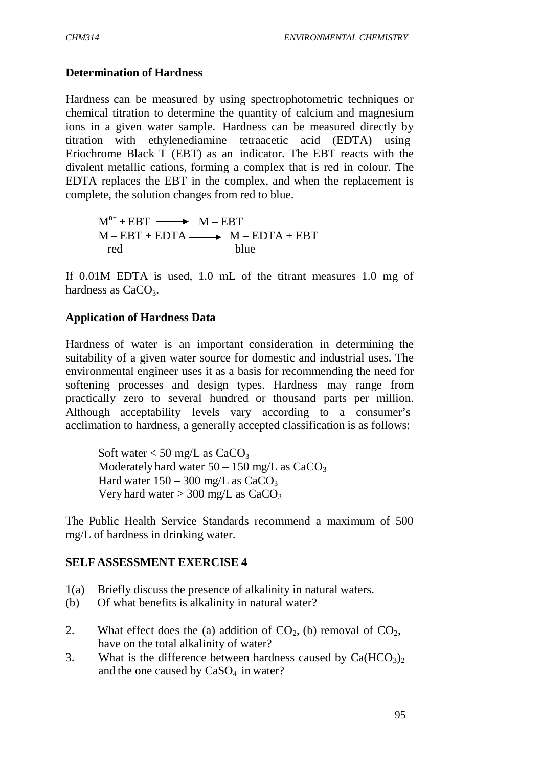#### **Determination of Hardness**

Hardness can be measured by using spectrophotometric techniques or chemical titration to determine the quantity of calcium and magnesium ions in a given water sample. Hardness can be measured directly by titration with ethylenediamine tetraacetic acid (EDTA) using Eriochrome Black T (EBT) as an indicator. The EBT reacts with the divalent metallic cations, forming a complex that is red in colour. The EDTA replaces the EBT in the complex, and when the replacement is complete, the solution changes from red to blue.

 $M^{n+} + EBT \longrightarrow M - EBT$  $M - EBT + EDTA \longrightarrow M - EDTA + EBT$ red blue

If 0.01M EDTA is used, 1.0 mL of the titrant measures 1.0 mg of hardness as  $CaCO<sub>3</sub>$ .

#### **Application of Hardness Data**

Hardness of water is an important consideration in determining the suitability of a given water source for domestic and industrial uses. The environmental engineer uses it as a basis for recommending the need for softening processes and design types. Hardness may range from practically zero to several hundred or thousand parts per million. Although acceptability levels vary according to a consumer's acclimation to hardness, a generally accepted classification is as follows:

Soft water  $<$  50 mg/L as CaCO<sub>3</sub> Moderately hard water  $50 - 150$  mg/L as  $CaCO<sub>3</sub>$ Hard water  $150 - 300$  mg/L as  $CaCO<sub>3</sub>$ Very hard water  $> 300$  mg/L as CaCO<sub>3</sub>

The Public Health Service Standards recommend a maximum of 500 mg/L of hardness in drinking water.

#### **SELF ASSESSMENT EXERCISE 4**

- 1(a) Briefly discuss the presence of alkalinity in natural waters.
- (b) Of what benefits is alkalinity in natural water?
- 2. What effect does the (a) addition of  $CO<sub>2</sub>$ , (b) removal of  $CO<sub>2</sub>$ , have on the total alkalinity of water?
- 3. What is the difference between hardness caused by  $Ca(HCO<sub>3</sub>)<sub>2</sub>$ and the one caused by  $CaSO<sub>4</sub>$  in water?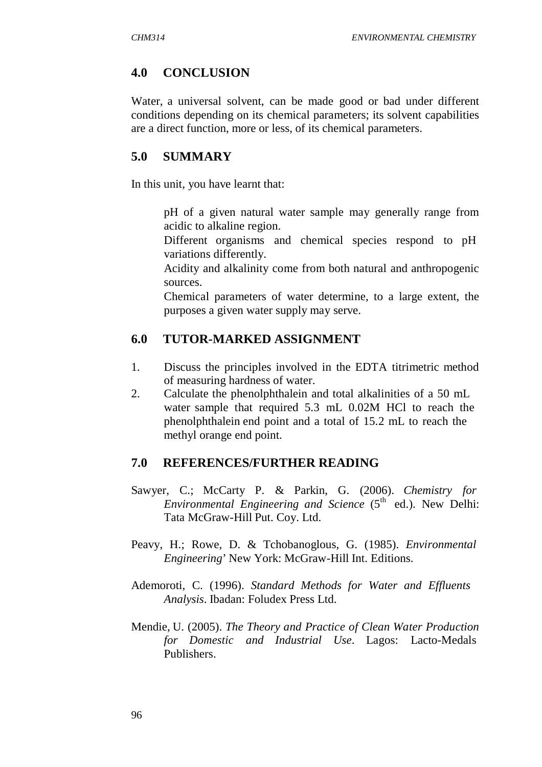### **4.0 CONCLUSION**

Water, a universal solvent, can be made good or bad under different conditions depending on its chemical parameters; its solvent capabilities are a direct function, more or less, of its chemical parameters.

### **5.0 SUMMARY**

In this unit, you have learnt that:

 pH of a given natural water sample may generally range from acidic to alkaline region.

 Different organisms and chemical species respond to pH variations differently.

 Acidity and alkalinity come from both natural and anthropogenic sources.

 Chemical parameters of water determine, to a large extent, the purposes a given water supply may serve.

### **6.0 TUTOR-MARKED ASSIGNMENT**

- 1. Discuss the principles involved in the EDTA titrimetric method of measuring hardness of water.
- 2. Calculate the phenolphthalein and total alkalinities of a 50 mL water sample that required 5.3 mL 0.02M HCl to reach the phenolphthalein end point and a total of 15.2 mL to reach the methyl orange end point.

### **7.0 REFERENCES/FURTHER READING**

- Sawyer, C.; McCarty P. & Parkin, G. (2006). *Chemistry for Environmental Engineering and Science* (5<sup>th</sup> ed.). New Delhi: Tata McGraw-Hill Put. Coy. Ltd.
- Peavy, H.; Rowe, D. & Tchobanoglous, G. (1985). *Environmental Engineering*' New York: McGraw-Hill Int. Editions.
- Ademoroti, C. (1996). *Standard Methods for Water and Effluents Analysis*. Ibadan: Foludex Press Ltd.
- Mendie, U. (2005). *The Theory and Practice of Clean Water Production for Domestic and Industrial Use*. Lagos: Lacto-Medals Publishers.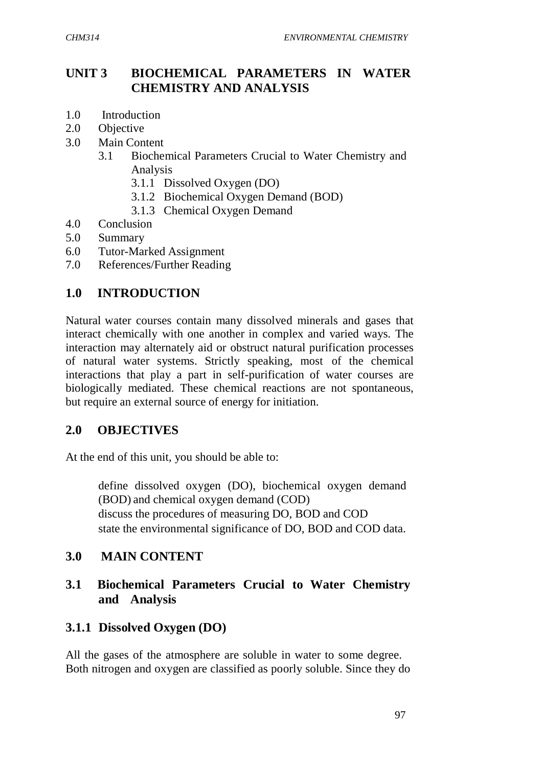## **UNIT 3 BIOCHEMICAL PARAMETERS IN WATER CHEMISTRY AND ANALYSIS**

- 1.0 Introduction
- 2.0 Objective
- 3.0 Main Content
	- 3.1 Biochemical Parameters Crucial to Water Chemistry and Analysis
		- 3.1.1 Dissolved Oxygen (DO)
		- 3.1.2 Biochemical Oxygen Demand (BOD)
		- 3.1.3 Chemical Oxygen Demand
- 4.0 Conclusion
- 5.0 Summary
- 6.0 Tutor-Marked Assignment
- 7.0 References/Further Reading

## **1.0 INTRODUCTION**

Natural water courses contain many dissolved minerals and gases that interact chemically with one another in complex and varied ways. The interaction may alternately aid or obstruct natural purification processes of natural water systems. Strictly speaking, most of the chemical interactions that play a part in self-purification of water courses are biologically mediated. These chemical reactions are not spontaneous, but require an external source of energy for initiation.

### **2.0 OBJECTIVES**

At the end of this unit, you should be able to:

 define dissolved oxygen (DO), biochemical oxygen demand (BOD) and chemical oxygen demand (COD) discuss the procedures of measuring DO, BOD and COD state the environmental significance of DO, BOD and COD data.

### **3.0 MAIN CONTENT**

### **3.1 Biochemical Parameters Crucial to Water Chemistry and Analysis**

## **3.1.1 Dissolved Oxygen (DO)**

All the gases of the atmosphere are soluble in water to some degree. Both nitrogen and oxygen are classified as poorly soluble. Since they do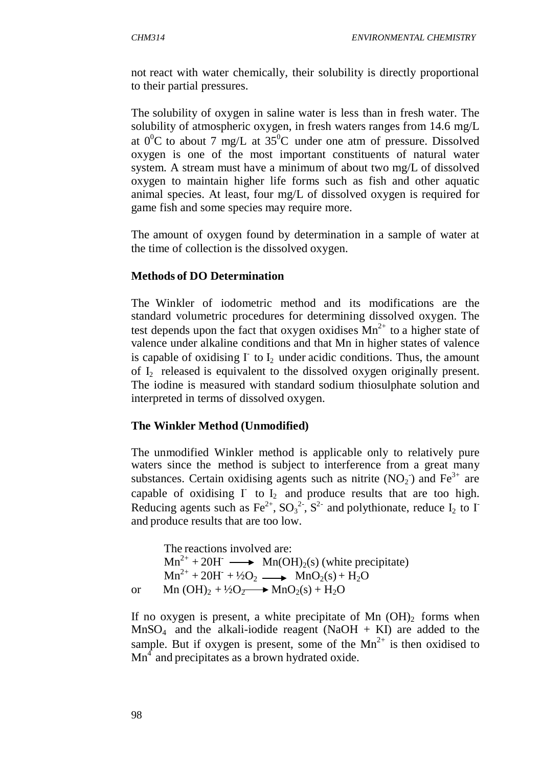not react with water chemically, their solubility is directly proportional to their partial pressures.

The solubility of oxygen in saline water is less than in fresh water. The solubility of atmospheric oxygen, in fresh waters ranges from 14.6 mg/L at  $0^0C$  to about 7 mg/L at 35<sup>°</sup>C under one atm of pressure. Dissolved oxygen is one of the most important constituents of natural water system. A stream must have a minimum of about two mg/L of dissolved oxygen to maintain higher life forms such as fish and other aquatic animal species. At least, four mg/L of dissolved oxygen is required for game fish and some species may require more.

The amount of oxygen found by determination in a sample of water at the time of collection is the dissolved oxygen.

#### **Methods of DO Determination**

The Winkler of iodometric method and its modifications are the standard volumetric procedures for determining dissolved oxygen. The test depends upon the fact that oxygen oxidises  $Mn^{2+}$  to a higher state of valence under alkaline conditions and that Mn in higher states of valence is capable of oxidising  $\Gamma$  to  $I_2$  under acidic conditions. Thus, the amount of I<sub>2</sub> released is equivalent to the dissolved oxygen originally present. The iodine is measured with standard sodium thiosulphate solution and interpreted in terms of dissolved oxygen.

#### **The Winkler Method (Unmodified)**

The unmodified Winkler method is applicable only to relatively pure waters since the method is subject to interference from a great many substances. Certain oxidising agents such as nitrite  $(NO<sub>2</sub>)$  and  $Fe<sup>3+</sup>$  are capable of oxidising  $\Gamma$  to  $I_2$  and produce results that are too high. Reducing agents such as  $\text{Fe}^{2+}$ ,  $\text{SO}_3^{2}$ <sup>-</sup>,  $\text{S}^{2}$ - and polythionate, reduce  $\text{I}_2$  to  $\text{I}^$ and produce results that are too low.

```
The reactions involved are:
Mn^{2+} + 20H^- \longrightarrow Mn(OH)_2(s) (white precipitate)
Mn^{2+} + 20H + \frac{1}{2}O_2 \longrightarrow MnO_2(s) + H_2Oor Mn (OH)<sub>2</sub> + \frac{1}{2}O<sub>2</sub> \longrightarrow MnO<sub>2</sub>(s) + H<sub>2</sub>O
```
If no oxygen is present, a white precipitate of Mn  $(OH)_{2}$  forms when  $MnSO<sub>4</sub>$  and the alkali-iodide reagent (NaOH + KI) are added to the sample. But if oxygen is present, some of the  $Mn^{2+}$  is then oxidised to  $Mn<sup>4</sup>$  and precipitates as a brown hydrated oxide.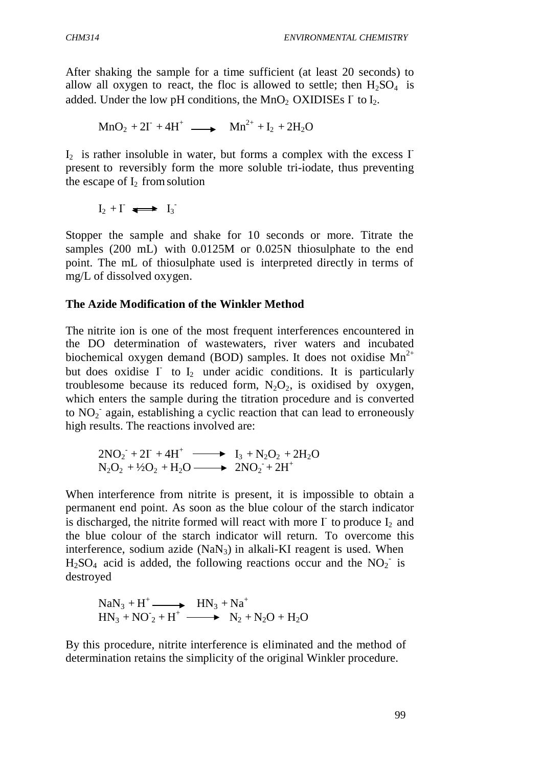After shaking the sample for a time sufficient (at least 20 seconds) to allow all oxygen to react, the floc is allowed to settle; then  $H_2SO_4$  is added. Under the low pH conditions, the  $MnO_2$  OXIDISEs  $\Gamma$  to  $I_2$ .

$$
MnO_2 + 2\Gamma + 4H^+ \longrightarrow Mn^{2+} + I_2 + 2H_2O
$$

 $I_2$  is rather insoluble in water, but forms a complex with the excess  $\Gamma$ present to reversibly form the more soluble tri-iodate, thus preventing the escape of  $I_2$  from solution

$$
I_2 + \Gamma \iff I_3
$$

Stopper the sample and shake for 10 seconds or more. Titrate the samples (200 mL) with 0.0125M or 0.025N thiosulphate to the end point. The mL of thiosulphate used is interpreted directly in terms of mg/L of dissolved oxygen.

#### **The Azide Modification of the Winkler Method**

The nitrite ion is one of the most frequent interferences encountered in the DO determination of wastewaters, river waters and incubated biochemical oxygen demand (BOD) samples. It does not oxidise  $Mn^{2+}$ but does oxidise  $\Gamma$  to  $I_2$  under acidic conditions. It is particularly troublesome because its reduced form,  $N_2O_2$ , is oxidised by oxygen, which enters the sample during the titration procedure and is converted to  $NO<sub>2</sub>$  again, establishing a cyclic reaction that can lead to erroneously high results. The reactions involved are:

$$
2NO2- + 2I- + 4H+ \longrightarrow I3 + N2O2 + 2H2ON2O2 + 42O2 + H2O \longrightarrow 2NO2- + 2H+
$$

When interference from nitrite is present, it is impossible to obtain a permanent end point. As soon as the blue colour of the starch indicator is discharged, the nitrite formed will react with more  $\Gamma$  to produce  $I_2$  and the blue colour of the starch indicator will return. To overcome this interference, sodium azide (NaN<sub>3</sub>) in alkali-KI reagent is used. When  $H_2SO_4$  acid is added, the following reactions occur and the  $NO_2^-$  is destroyed

$$
NaN3 + H+ \longrightarrow HN3 + Na+
$$
  

$$
HN3 + NO2 + H+ \longrightarrow N2 + N2O + H2O
$$

By this procedure, nitrite interference is eliminated and the method of determination retains the simplicity of the original Winkler procedure.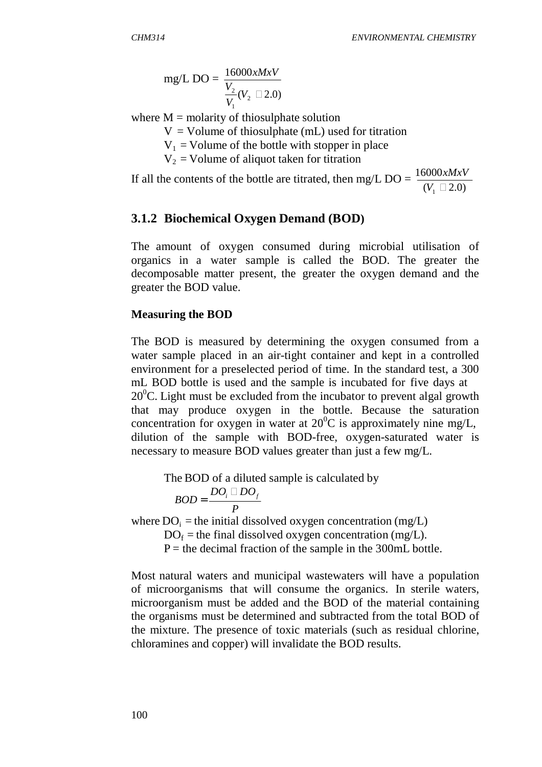mg/L DO = 
$$
\frac{16000xMxV}{V_1}(V_2 \square 2.0)
$$

where  $M =$  molarity of thiosulphate solution

 $V =$  Volume of thiosulphate (mL) used for titration

 $V_1$  = Volume of the bottle with stopper in place

 $V_2$  = Volume of aliquot taken for titration

If all the contents of the bottle are titrated, then mg/L DO =  $\frac{16000xMxV}{xL-2.00}$  $(V_1 \square 2.0)$ 

### **3.1.2 Biochemical Oxygen Demand (BOD)**

The amount of oxygen consumed during microbial utilisation of organics in a water sample is called the BOD. The greater the decomposable matter present, the greater the oxygen demand and the greater the BOD value.

#### **Measuring the BOD**

The BOD is measured by determining the oxygen consumed from a water sample placed in an air-tight container and kept in a controlled environment for a preselected period of time. In the standard test, a 300 mL BOD bottle is used and the sample is incubated for five days at  $20^{\circ}$ C. Light must be excluded from the incubator to prevent algal growth that may produce oxygen in the bottle. Because the saturation concentration for oxygen in water at  $20^{\circ}$ C is approximately nine mg/L, dilution of the sample with BOD-free, oxygen-saturated water is necessary to measure BOD values greater than just a few mg/L.

The BOD of a diluted sample is calculated by

$$
BOD = \frac{DO_i \square DO_f}{P}
$$

where  $DO<sub>i</sub> =$  the initial dissolved oxygen concentration (mg/L)

 $DO<sub>f</sub>$  = the final dissolved oxygen concentration (mg/L).

 $P =$  the decimal fraction of the sample in the 300mL bottle.

Most natural waters and municipal wastewaters will have a population of microorganisms that will consume the organics. In sterile waters, microorganism must be added and the BOD of the material containing the organisms must be determined and subtracted from the total BOD of the mixture. The presence of toxic materials (such as residual chlorine, chloramines and copper) will invalidate the BOD results.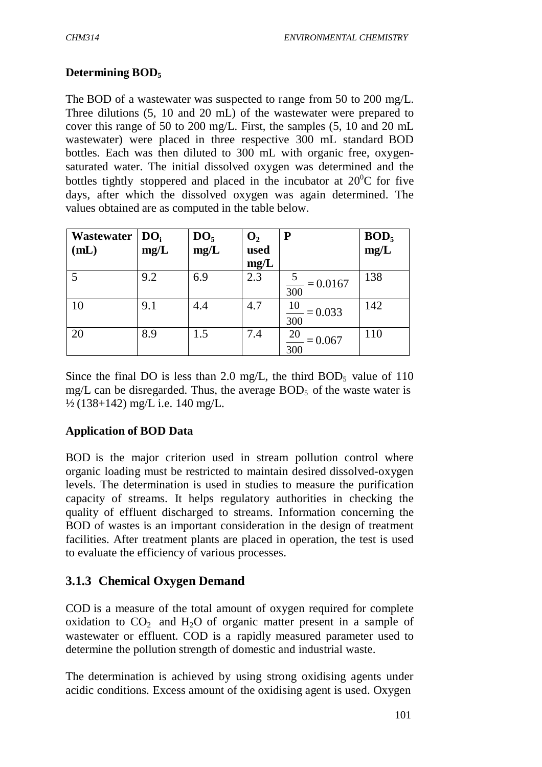### **Determining BOD<sup>5</sup>**

The BOD of a wastewater was suspected to range from 50 to 200 mg/L. Three dilutions (5, 10 and 20 mL) of the wastewater were prepared to cover this range of 50 to 200 mg/L. First, the samples (5, 10 and 20 mL wastewater) were placed in three respective 300 mL standard BOD bottles. Each was then diluted to 300 mL with organic free, oxygensaturated water. The initial dissolved oxygen was determined and the bottles tightly stoppered and placed in the incubator at  $20^{\circ}$ C for five days, after which the dissolved oxygen was again determined. The values obtained are as computed in the table below.

| Wastewater $\mid$ DO <sub>i</sub> |      | DO <sub>5</sub> | $\mathbf{O}_2$ | ${\bf P}$       | BOD <sub>5</sub> |
|-----------------------------------|------|-----------------|----------------|-----------------|------------------|
| (mL)                              | mg/L | mg/L            | used           |                 | mg/L             |
|                                   |      |                 | mg/L           |                 |                  |
|                                   | 9.2  | 6.9             | 2.3            | $= 0.0167$      | 138              |
|                                   |      |                 |                | 300             |                  |
| 10                                | 9.1  | 4.4             | 4.7            | 10<br>$= 0.033$ | 142              |
|                                   |      |                 |                | 300             |                  |
| 20                                | 8.9  | 1.5             | 7.4            | 20<br>$= 0.067$ | 110              |
|                                   |      |                 |                | 300             |                  |

Since the final DO is less than 2.0 mg/L, the third BOD<sub>5</sub> value of 110 mg/L can be disregarded. Thus, the average  $BOD<sub>5</sub>$  of the waste water is ½ (138+142) mg/L i.e. 140 mg/L.

### **Application of BOD Data**

BOD is the major criterion used in stream pollution control where organic loading must be restricted to maintain desired dissolved-oxygen levels. The determination is used in studies to measure the purification capacity of streams. It helps regulatory authorities in checking the quality of effluent discharged to streams. Information concerning the BOD of wastes is an important consideration in the design of treatment facilities. After treatment plants are placed in operation, the test is used to evaluate the efficiency of various processes.

## **3.1.3 Chemical Oxygen Demand**

COD is a measure of the total amount of oxygen required for complete oxidation to  $CO<sub>2</sub>$  and  $H<sub>2</sub>O$  of organic matter present in a sample of wastewater or effluent. COD is a rapidly measured parameter used to determine the pollution strength of domestic and industrial waste.

The determination is achieved by using strong oxidising agents under acidic conditions. Excess amount of the oxidising agent is used. Oxygen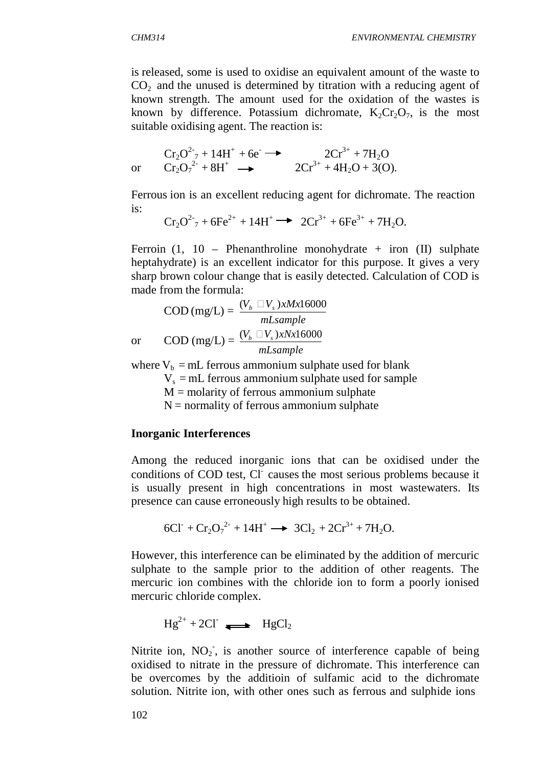is released, some is used to oxidise an equivalent amount of the waste to  $CO<sub>2</sub>$  and the unused is determined by titration with a reducing agent of known strength. The amount used for the oxidation of the wastes is known by difference. Potassium dichromate,  $K_2Cr_2O_7$ , is the most suitable oxidising agent. The reaction is:

$$
\text{Or} \quad \begin{array}{c} Cr_2O^2 \gamma + 14H^+ + 6e^- \longrightarrow & 2Cr^{3+} + 7H_2O \\ Cr_2O_7{}^{2+} + 8H^+ \longrightarrow & 2Cr^{3+} + 4H_2O + 3(O). \end{array}
$$

Ferrous ion is an excellent reducing agent for dichromate. The reaction is:

$$
Cr_2O^{2-} + 6Fe^{2+} + 14H^+ \longrightarrow 2Cr^{3+} + 6Fe^{3+} + 7H_2O.
$$

Ferroin  $(1, 10$  – Phenanthroline monohydrate + iron  $(II)$  sulphate heptahydrate) is an excellent indicator for this purpose. It gives a very sharp brown colour change that is easily detected. Calculation of COD is made from the formula:

$$
COD (mg/L) = \frac{(V_b \Box V_s)xMx16000}{mLsample}
$$
  
or 
$$
COD (mg/L) = \frac{(V_b \Box V_s)xNx16000}{mLsample}
$$

where  $V_b = mL$  ferrous ammonium sulphate used for blank

 $V<sub>s</sub>$  = mL ferrous ammonium sulphate used for sample

 $M =$  molarity of ferrous ammonium sulphate

 $N =$  normality of ferrous ammonium sulphate

#### **Inorganic Interferences**

Among the reduced inorganic ions that can be oxidised under the conditions of COD test, Cl- causes the most serious problems because it is usually present in high concentrations in most wastewaters. Its presence can cause erroneously high results to be obtained.

$$
6Cl+ + Cr2O72- + 14H+ \longrightarrow 3Cl2 + 2Cr3+ + 7H2O.
$$

However, this interference can be eliminated by the addition of mercuric sulphate to the sample prior to the addition of other reagents. The mercuric ion combines with the chloride ion to form a poorly ionised mercuric chloride complex.

$$
Hg^{2+} + 2Cl^- \longrightarrow HgCl_2
$$

Nitrite ion,  $NO<sub>2</sub>$ , is another source of interference capable of being oxidised to nitrate in the pressure of dichromate. This interference can be overcomes by the additioin of sulfamic acid to the dichromate solution. Nitrite ion, with other ones such as ferrous and sulphide ions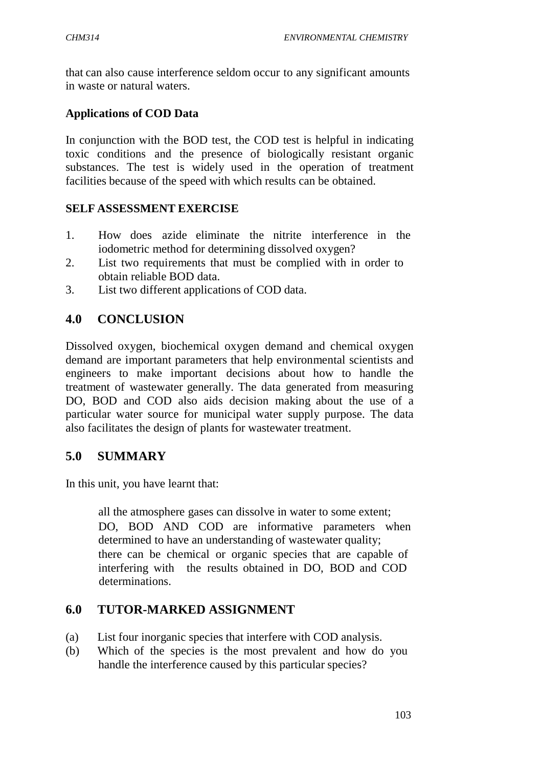that can also cause interference seldom occur to any significant amounts in waste or natural waters.

### **Applications of COD Data**

In conjunction with the BOD test, the COD test is helpful in indicating toxic conditions and the presence of biologically resistant organic substances. The test is widely used in the operation of treatment facilities because of the speed with which results can be obtained.

#### **SELF ASSESSMENT EXERCISE**

- 1. How does azide eliminate the nitrite interference in the iodometric method for determining dissolved oxygen?
- 2. List two requirements that must be complied with in order to obtain reliable BOD data.
- 3. List two different applications of COD data.

## **4.0 CONCLUSION**

Dissolved oxygen, biochemical oxygen demand and chemical oxygen demand are important parameters that help environmental scientists and engineers to make important decisions about how to handle the treatment of wastewater generally. The data generated from measuring DO, BOD and COD also aids decision making about the use of a particular water source for municipal water supply purpose. The data also facilitates the design of plants for wastewater treatment.

### **5.0 SUMMARY**

In this unit, you have learnt that:

 all the atmosphere gases can dissolve in water to some extent; DO, BOD AND COD are informative parameters when determined to have an understanding of wastewater quality; there can be chemical or organic species that are capable of interfering with the results obtained in DO, BOD and COD determinations.

### **6.0 TUTOR-MARKED ASSIGNMENT**

- (a) List four inorganic species that interfere with COD analysis.
- (b) Which of the species is the most prevalent and how do you handle the interference caused by this particular species?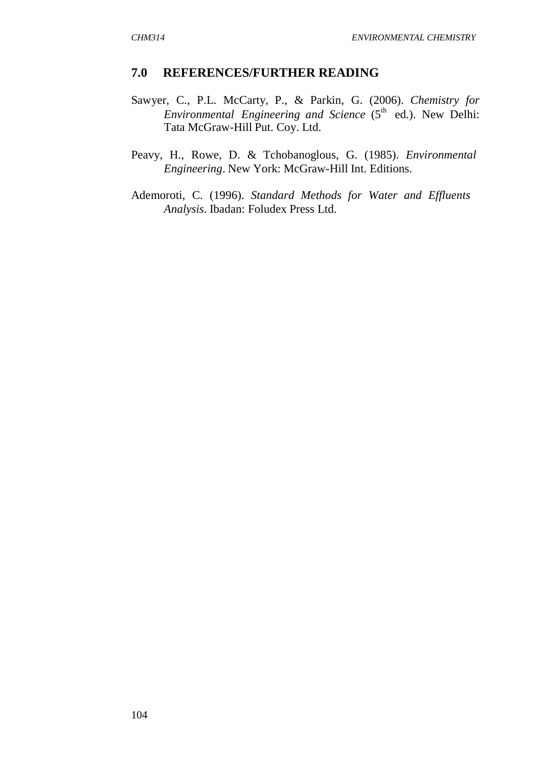#### **7.0 REFERENCES/FURTHER READING**

- Sawyer, C., P.L. McCarty, P., & Parkin, G. (2006). *Chemistry for Environmental Engineering and Science* (5<sup>th</sup> ed.). New Delhi: Tata McGraw-Hill Put. Coy. Ltd.
- Peavy, H., Rowe, D. & Tchobanoglous, G. (1985). *Environmental Engineering*. New York: McGraw-Hill Int. Editions.
- Ademoroti, C. (1996). *Standard Methods for Water and Effluents Analysis*. Ibadan: Foludex Press Ltd.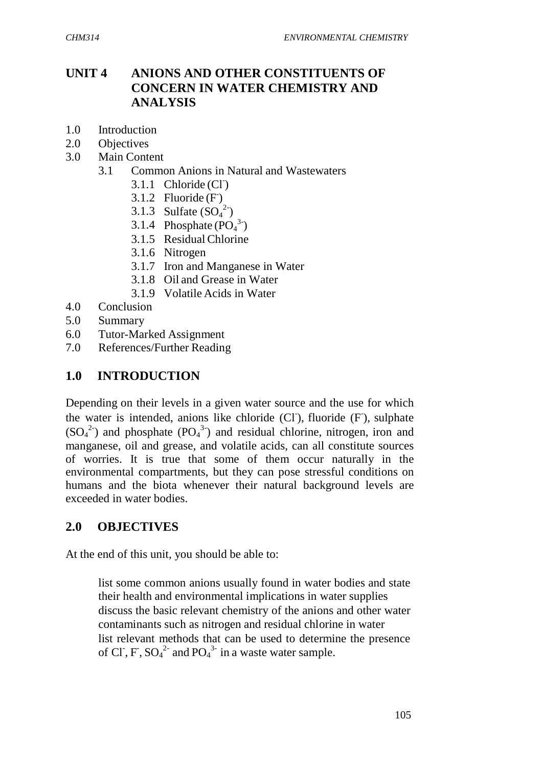## **UNIT 4 ANIONS AND OTHER CONSTITUENTS OF CONCERN IN WATER CHEMISTRY AND ANALYSIS**

- 1.0 Introduction
- 2.0 Objectives
- 3.0 Main Content
	- 3.1 Common Anions in Natural and Wastewaters
		- 3.1.1 Chloride  $(Cl<sup>-</sup>)$
		- 3.1.2 Fluoride  $(F)$
		- 3.1.3 Sulfate  $(SO_4^2)$
		- 3.1.4 Phosphate  $(PO<sub>4</sub><sup>3</sup>)$
		- 3.1.5 ResidualChlorine
		- 3.1.6 Nitrogen
		- 3.1.7 Iron and Manganese in Water
		- 3.1.8 Oil and Grease in Water
		- 3.1.9 Volatile Acids in Water
- 4.0 Conclusion
- 5.0 Summary
- 6.0 Tutor-Marked Assignment
- 7.0 References/Further Reading

### **1.0 INTRODUCTION**

Depending on their levels in a given water source and the use for which the water is intended, anions like chloride (Cl), fluoride (F), sulphate  $(SO_4^2)$  and phosphate  $(PO_4^3)$  and residual chlorine, nitrogen, iron and manganese, oil and grease, and volatile acids, can all constitute sources of worries. It is true that some of them occur naturally in the environmental compartments, but they can pose stressful conditions on humans and the biota whenever their natural background levels are exceeded in water bodies.

### **2.0 OBJECTIVES**

At the end of this unit, you should be able to:

 list some common anions usually found in water bodies and state their health and environmental implications in water supplies discuss the basic relevant chemistry of the anions and other water contaminants such as nitrogen and residual chlorine in water list relevant methods that can be used to determine the presence of Cl, F,  $SO_4^2$  and  $PO_4^3$  in a waste water sample.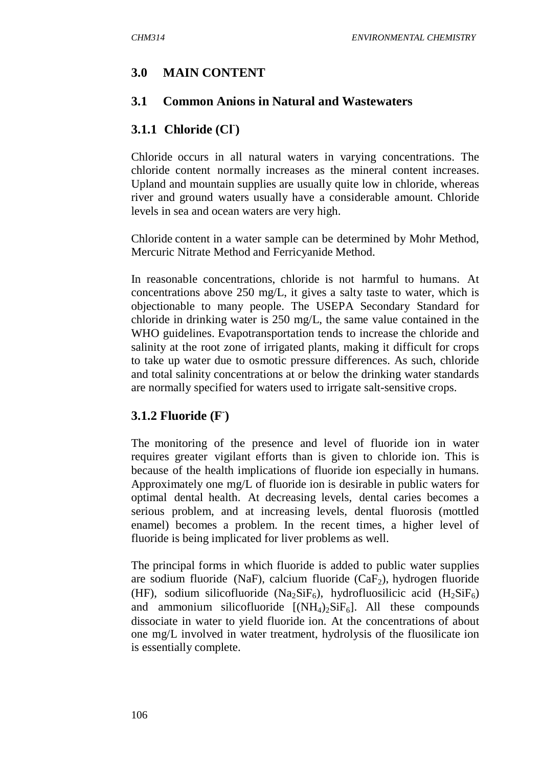### **3.0 MAIN CONTENT**

#### **3.1 Common Anions in Natural and Wastewaters**

## **3.1.1 Chloride (Cl- )**

Chloride occurs in all natural waters in varying concentrations. The chloride content normally increases as the mineral content increases. Upland and mountain supplies are usually quite low in chloride, whereas river and ground waters usually have a considerable amount. Chloride levels in sea and ocean waters are very high.

Chloride content in a water sample can be determined by Mohr Method, Mercuric Nitrate Method and Ferricyanide Method.

In reasonable concentrations, chloride is not harmful to humans. At concentrations above 250 mg/L, it gives a salty taste to water, which is objectionable to many people. The USEPA Secondary Standard for chloride in drinking water is 250 mg/L, the same value contained in the WHO guidelines. Evapotransportation tends to increase the chloride and salinity at the root zone of irrigated plants, making it difficult for crops to take up water due to osmotic pressure differences. As such, chloride and total salinity concentrations at or below the drinking water standards are normally specified for waters used to irrigate salt-sensitive crops.

## **3.1.2 Fluoride (F- )**

The monitoring of the presence and level of fluoride ion in water requires greater vigilant efforts than is given to chloride ion. This is because of the health implications of fluoride ion especially in humans. Approximately one mg/L of fluoride ion is desirable in public waters for optimal dental health. At decreasing levels, dental caries becomes a serious problem, and at increasing levels, dental fluorosis (mottled enamel) becomes a problem. In the recent times, a higher level of fluoride is being implicated for liver problems as well.

The principal forms in which fluoride is added to public water supplies are sodium fluoride (NaF), calcium fluoride (CaF<sub>2</sub>), hydrogen fluoride (HF), sodium silicofluoride (Na<sub>2</sub>SiF<sub>6</sub>), hydrofluosilicic acid (H<sub>2</sub>SiF<sub>6</sub>) and ammonium silicofluoride  $[(NH_4)_2SiF_6]$ . All these compounds dissociate in water to yield fluoride ion. At the concentrations of about one mg/L involved in water treatment, hydrolysis of the fluosilicate ion is essentially complete.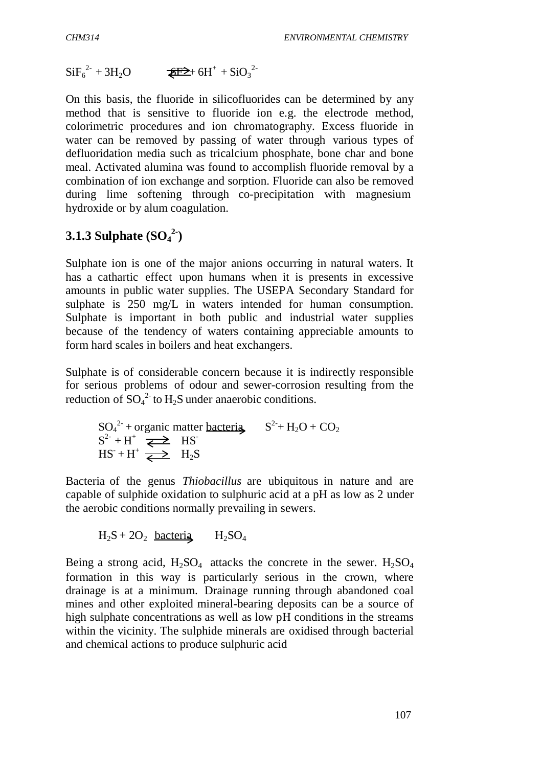$\text{SiF}_6^{2-} + 3\text{H}_2\text{O}$   $\qquad \qquad \text{EF2+}6\text{H}^+ + \text{SiO}_3^{2-}$ 

On this basis, the fluoride in silicofluorides can be determined by any method that is sensitive to fluoride ion e.g. the electrode method, colorimetric procedures and ion chromatography. Excess fluoride in water can be removed by passing of water through various types of defluoridation media such as tricalcium phosphate, bone char and bone meal. Activated alumina was found to accomplish fluoride removal by a combination of ion exchange and sorption. Fluoride can also be removed during lime softening through co-precipitation with magnesium hydroxide or by alum coagulation.

# **3.1.3 Sulphate (SO<sup>4</sup> 2-)**

Sulphate ion is one of the major anions occurring in natural waters. It has a cathartic effect upon humans when it is presents in excessive amounts in public water supplies. The USEPA Secondary Standard for sulphate is 250 mg/L in waters intended for human consumption. Sulphate is important in both public and industrial water supplies because of the tendency of waters containing appreciable amounts to form hard scales in boilers and heat exchangers.

Sulphate is of considerable concern because it is indirectly responsible for serious problems of odour and sewer-corrosion resulting from the reduction of  $SO_4^2$  to  $H_2S$  under anaerobic conditions.

 $SO_4^2$  + organic matter bacteria  $S^2$  + H<sub>2</sub>O + CO<sub>2</sub>  $S^{2-} + H^+ \xrightarrow{\sim} HS^ HS + H^+ \xrightarrow{\sim} H_2S$ 

Bacteria of the genus *Thiobacillus* are ubiquitous in nature and are capable of sulphide oxidation to sulphuric acid at a pH as low as 2 under the aerobic conditions normally prevailing in sewers.

$$
H_2S + 2O_2 \text{ bacteria} \qquad H_2SO_4
$$

Being a strong acid,  $H_2SO_4$  attacks the concrete in the sewer.  $H_2SO_4$ formation in this way is particularly serious in the crown, where drainage is at a minimum. Drainage running through abandoned coal mines and other exploited mineral-bearing deposits can be a source of high sulphate concentrations as well as low pH conditions in the streams within the vicinity. The sulphide minerals are oxidised through bacterial and chemical actions to produce sulphuric acid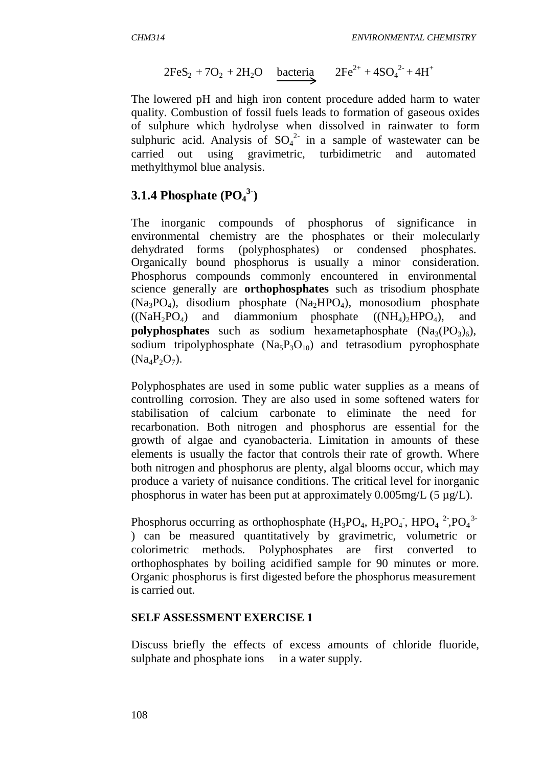$$
2FeS_2 + 7O_2 + 2H_2O \quad \text{bacteria} \quad 2Fe^{2+} + 4SO_4^{2-} + 4H^+
$$

The lowered pH and high iron content procedure added harm to water quality. Combustion of fossil fuels leads to formation of gaseous oxides of sulphure which hydrolyse when dissolved in rainwater to form sulphuric acid. Analysis of  $SO_4^2$  in a sample of wastewater can be carried out using gravimetric, turbidimetric and automated methylthymol blue analysis.

# **3.1.4 Phosphate (PO<sup>4</sup> 3-)**

The inorganic compounds of phosphorus of significance in environmental chemistry are the phosphates or their molecularly dehydrated forms (polyphosphates) or condensed phosphates. Organically bound phosphorus is usually a minor consideration. Phosphorus compounds commonly encountered in environmental science generally are **orthophosphates** such as trisodium phosphate  $(Na_3PO_4)$ , disodium phosphate  $(Na_2HPO_4)$ , monosodium phosphate  $((NaH<sub>2</sub>PO<sub>4</sub>)$  and diammonium phosphate  $((NH<sub>4</sub>)<sub>2</sub>HPO<sub>4</sub>)$ , and **polyphosphates** such as sodium hexametaphosphate  $(Na_3(PO_3)_6)$ , sodium tripolyphosphate  $(Na_5P_3O_{10})$  and tetrasodium pyrophosphate  $(Na_4P_2O_7)$ .

Polyphosphates are used in some public water supplies as a means of controlling corrosion. They are also used in some softened waters for stabilisation of calcium carbonate to eliminate the need for recarbonation. Both nitrogen and phosphorus are essential for the growth of algae and cyanobacteria. Limitation in amounts of these elements is usually the factor that controls their rate of growth. Where both nitrogen and phosphorus are plenty, algal blooms occur, which may produce a variety of nuisance conditions. The critical level for inorganic phosphorus in water has been put at approximately  $0.005$ mg/L (5  $\mu$ g/L).

Phosphorus occurring as orthophosphate  $(H_3PO_4, H_2PO_4$ ,  $HPO_4^2$ ,  $PO_4^3$ ) can be measured quantitatively by gravimetric, volumetric or colorimetric methods. Polyphosphates are first converted to orthophosphates by boiling acidified sample for 90 minutes or more. Organic phosphorus is first digested before the phosphorus measurement is carried out.

### **SELF ASSESSMENT EXERCISE 1**

Discuss briefly the effects of excess amounts of chloride fluoride, sulphate and phosphate ions in a water supply.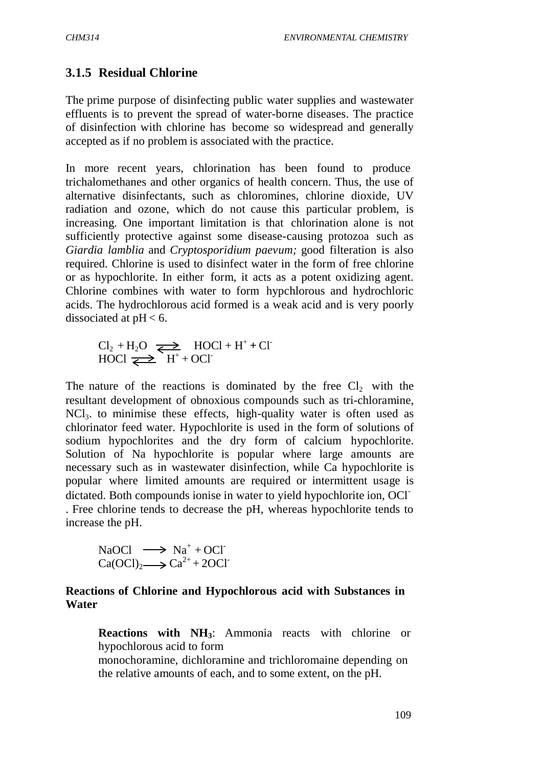### **3.1.5 Residual Chlorine**

The prime purpose of disinfecting public water supplies and wastewater effluents is to prevent the spread of water-borne diseases. The practice of disinfection with chlorine has become so widespread and generally accepted as if no problem is associated with the practice.

In more recent years, chlorination has been found to produce trichalomethanes and other organics of health concern. Thus, the use of alternative disinfectants, such as chloromines, chlorine dioxide, UV radiation and ozone, which do not cause this particular problem, is increasing. One important limitation is that chlorination alone is not sufficiently protective against some disease-causing protozoa such as *Giardia lamblia* and *Cryptosporidium paevum;* good filteration is also required. Chlorine is used to disinfect water in the form of free chlorine or as hypochlorite. In either form, it acts as a potent oxidizing agent. Chlorine combines with water to form hypchlorous and hydrochloric acids. The hydrochlorous acid formed is a weak acid and is very poorly dissociated at  $pH < 6$ .

$$
Cl2 + H2O \xrightarrow{\longrightarrow} HOCI + H+ + CI
$$
  
HOCI \xrightarrow{\longrightarrow} H<sup>+</sup> + OCI

The nature of the reactions is dominated by the free  $Cl_2$  with the resultant development of obnoxious compounds such as tri-chloramine,  $NCI<sub>3</sub>$  to minimise these effects, high-quality water is often used as chlorinator feed water. Hypochlorite is used in the form of solutions of sodium hypochlorites and the dry form of calcium hypochlorite. Solution of Na hypochlorite is popular where large amounts are necessary such as in wastewater disinfection, while Ca hypochlorite is popular where limited amounts are required or intermittent usage is dictated. Both compounds ionise in water to yield hypochlorite ion, OCl-

. Free chlorine tends to decrease the pH, whereas hypochlorite tends to increase the pH.

NaOCl 
$$
\longrightarrow
$$
 Na<sup>+</sup> + OCl  
Ca(OCl)<sub>2</sub>  $\longrightarrow$  Ca<sup>2+</sup> + 2OCl<sup>-</sup>

#### **Reactions of Chlorine and Hypochlorous acid with Substances in Water**

 **Reactions with NH3**: Ammonia reacts with chlorine or hypochlorous acid to form

monochoramine, dichloramine and trichloromaine depending on the relative amounts of each, and to some extent, on the pH.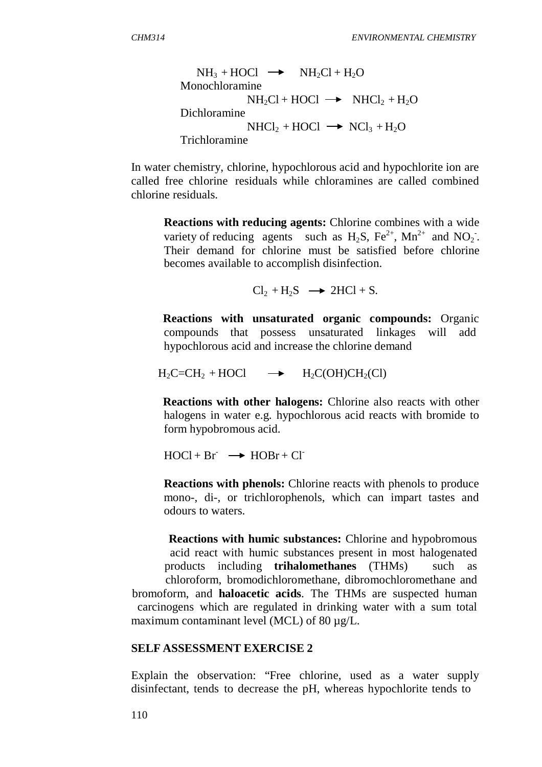$$
NH_3 + HOCI \longrightarrow NH_2Cl + H_2O
$$
  
Monochloramine  

$$
NH_2Cl + HOCI \longrightarrow NHCl_2 + H_2O
$$
  
Dichloramine  

$$
NHCI_2 + HOCI \longrightarrow NCI_3 + H_2O
$$
  
Trichloramine

In water chemistry, chlorine, hypochlorous acid and hypochlorite ion are called free chlorine residuals while chloramines are called combined chlorine residuals.

 **Reactions with reducing agents:** Chlorine combines with a wide variety of reducing agents such as  $H_2S$ ,  $Fe^{2+}$ ,  $Mn^{2+}$  and  $NO_2$ . Their demand for chlorine must be satisfied before chlorine becomes available to accomplish disinfection.

 $Cl_2 + H_2S \rightarrow 2HCl + S.$ 

 **Reactions with unsaturated organic compounds:** Organic compounds that possess unsaturated linkages will add hypochlorous acid and increase the chlorine demand

 $H_2C=CH_2 + HOC1 \longrightarrow H_2C(OH)CH_2(Cl)$ 

 **Reactions with other halogens:** Chlorine also reacts with other halogens in water e.g. hypochlorous acid reacts with bromide to form hypobromous acid.

 $HOCI + Br \rightarrow HOBr + Cl$ 

 **Reactions with phenols:** Chlorine reacts with phenols to produce mono-, di-, or trichlorophenols, which can impart tastes and odours to waters.

 **Reactions with humic substances:** Chlorine and hypobromous acid react with humic substances present in most halogenated products including **trihalomethanes** (THMs) such as chloroform, bromodichloromethane, dibromochloromethane and bromoform, and **haloacetic acids**. The THMs are suspected human carcinogens which are regulated in drinking water with a sum total maximum contaminant level (MCL) of 80  $\mu$ g/L.

#### **SELF ASSESSMENT EXERCISE 2**

Explain the observation: "Free chlorine, used as a water supply disinfectant, tends to decrease the pH, whereas hypochlorite tends to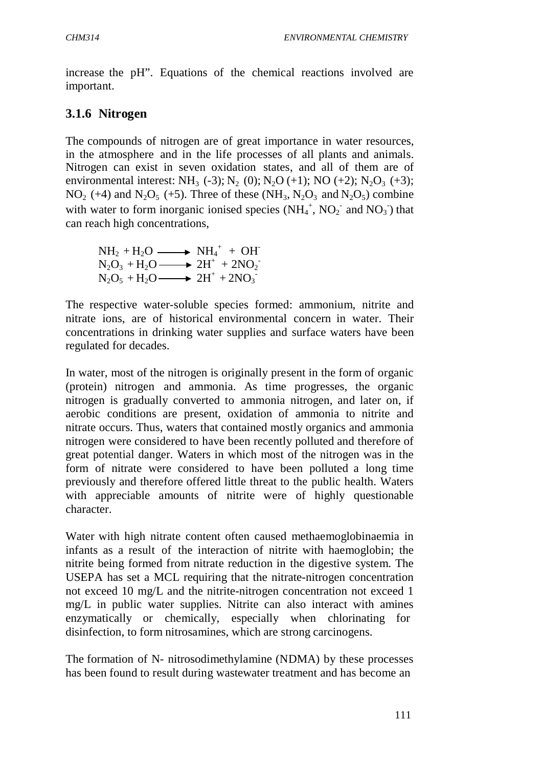increase the pH". Equations of the chemical reactions involved are important.

## **3.1.6 Nitrogen**

The compounds of nitrogen are of great importance in water resources, in the atmosphere and in the life processes of all plants and animals. Nitrogen can exist in seven oxidation states, and all of them are of environmental interest: NH<sub>3</sub> (-3); N<sub>2</sub> (0); N<sub>2</sub>O (+1); NO (+2); N<sub>2</sub>O<sub>3</sub> (+3);  $NO<sub>2</sub> (+4)$  and  $N<sub>2</sub>O<sub>5</sub> (+5)$ . Three of these (NH<sub>3</sub>, N<sub>2</sub>O<sub>3</sub> and N<sub>2</sub>O<sub>5</sub>) combine with water to form inorganic ionised species  $(NH_4^+, NO_2^-$  and  $NO_3^-)$  that can reach high concentrations,

$$
NH2 + H2O \longrightarrow NH4+ + OH\nN2O3 + H2O \longrightarrow 2H+ + 2NO2-\nN2O5 + H2O \longrightarrow 2H+ + 2NO3-
$$

The respective water-soluble species formed: ammonium, nitrite and nitrate ions, are of historical environmental concern in water. Their concentrations in drinking water supplies and surface waters have been regulated for decades.

In water, most of the nitrogen is originally present in the form of organic (protein) nitrogen and ammonia. As time progresses, the organic nitrogen is gradually converted to ammonia nitrogen, and later on, if aerobic conditions are present, oxidation of ammonia to nitrite and nitrate occurs. Thus, waters that contained mostly organics and ammonia nitrogen were considered to have been recently polluted and therefore of great potential danger. Waters in which most of the nitrogen was in the form of nitrate were considered to have been polluted a long time previously and therefore offered little threat to the public health. Waters with appreciable amounts of nitrite were of highly questionable character.

Water with high nitrate content often caused methaemoglobinaemia in infants as a result of the interaction of nitrite with haemoglobin; the nitrite being formed from nitrate reduction in the digestive system. The USEPA has set a MCL requiring that the nitrate-nitrogen concentration not exceed 10 mg/L and the nitrite-nitrogen concentration not exceed 1 mg/L in public water supplies. Nitrite can also interact with amines enzymatically or chemically, especially when chlorinating for disinfection, to form nitrosamines, which are strong carcinogens.

The formation of N- nitrosodimethylamine (NDMA) by these processes has been found to result during wastewater treatment and has become an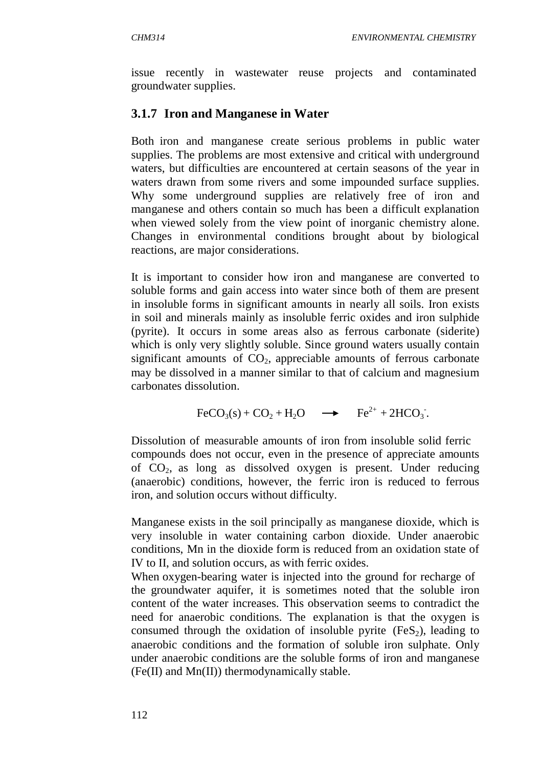issue recently in wastewater reuse projects and contaminated groundwater supplies.

## **3.1.7 Iron and Manganese in Water**

Both iron and manganese create serious problems in public water supplies. The problems are most extensive and critical with underground waters, but difficulties are encountered at certain seasons of the year in waters drawn from some rivers and some impounded surface supplies. Why some underground supplies are relatively free of iron and manganese and others contain so much has been a difficult explanation when viewed solely from the view point of inorganic chemistry alone. Changes in environmental conditions brought about by biological reactions, are major considerations.

It is important to consider how iron and manganese are converted to soluble forms and gain access into water since both of them are present in insoluble forms in significant amounts in nearly all soils. Iron exists in soil and minerals mainly as insoluble ferric oxides and iron sulphide (pyrite). It occurs in some areas also as ferrous carbonate (siderite) which is only very slightly soluble. Since ground waters usually contain significant amounts of  $CO<sub>2</sub>$ , appreciable amounts of ferrous carbonate may be dissolved in a manner similar to that of calcium and magnesium carbonates dissolution.

 $\text{FeCO}_3(\text{s}) + \text{CO}_2 + \text{H}_2\text{O} \rightarrow \text{Fe}^{2+} + 2\text{HCO}_3.$ 

Dissolution of measurable amounts of iron from insoluble solid ferric compounds does not occur, even in the presence of appreciate amounts of CO<sup>2</sup> , as long as dissolved oxygen is present. Under reducing (anaerobic) conditions, however, the ferric iron is reduced to ferrous iron, and solution occurs without difficulty.

Manganese exists in the soil principally as manganese dioxide, which is very insoluble in water containing carbon dioxide. Under anaerobic conditions, Mn in the dioxide form is reduced from an oxidation state of IV to II, and solution occurs, as with ferric oxides.

When oxygen-bearing water is injected into the ground for recharge of the groundwater aquifer, it is sometimes noted that the soluble iron content of the water increases. This observation seems to contradict the need for anaerobic conditions. The explanation is that the oxygen is consumed through the oxidation of insoluble pyrite  $(F \in S_2)$ , leading to anaerobic conditions and the formation of soluble iron sulphate. Only under anaerobic conditions are the soluble forms of iron and manganese (Fe(II) and Mn(II)) thermodynamically stable.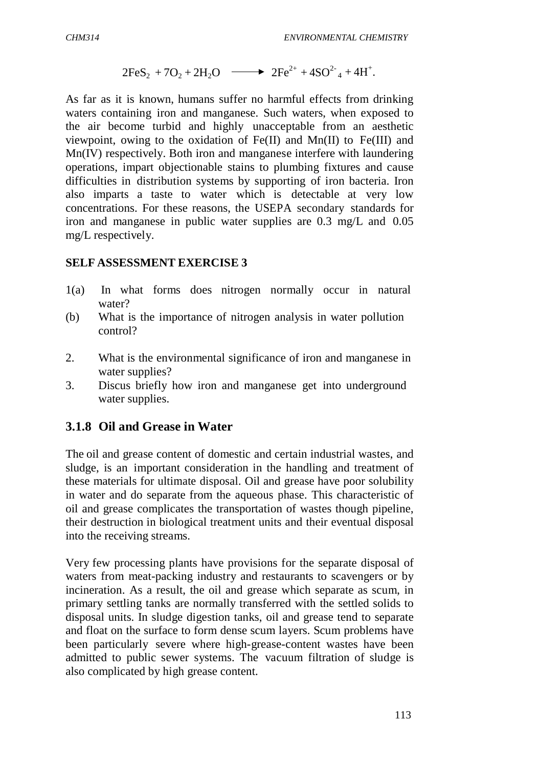$$
2FeS_2 + 7O_2 + 2H_2O \longrightarrow 2Fe^{2+} + 4SO^{2-} + 4H^{+}.
$$

As far as it is known, humans suffer no harmful effects from drinking waters containing iron and manganese. Such waters, when exposed to the air become turbid and highly unacceptable from an aesthetic viewpoint, owing to the oxidation of  $Fe(II)$  and  $Mn(II)$  to  $Fe(III)$  and Mn(IV) respectively. Both iron and manganese interfere with laundering operations, impart objectionable stains to plumbing fixtures and cause difficulties in distribution systems by supporting of iron bacteria. Iron also imparts a taste to water which is detectable at very low concentrations. For these reasons, the USEPA secondary standards for iron and manganese in public water supplies are 0.3 mg/L and 0.05 mg/L respectively.

#### **SELF ASSESSMENT EXERCISE 3**

- 1(a) In what forms does nitrogen normally occur in natural water?
- (b) What is the importance of nitrogen analysis in water pollution control?
- 2. What is the environmental significance of iron and manganese in water supplies?
- 3. Discus briefly how iron and manganese get into underground water supplies.

### **3.1.8 Oil and Grease in Water**

The oil and grease content of domestic and certain industrial wastes, and sludge, is an important consideration in the handling and treatment of these materials for ultimate disposal. Oil and grease have poor solubility in water and do separate from the aqueous phase. This characteristic of oil and grease complicates the transportation of wastes though pipeline, their destruction in biological treatment units and their eventual disposal into the receiving streams.

Very few processing plants have provisions for the separate disposal of waters from meat-packing industry and restaurants to scavengers or by incineration. As a result, the oil and grease which separate as scum, in primary settling tanks are normally transferred with the settled solids to disposal units. In sludge digestion tanks, oil and grease tend to separate and float on the surface to form dense scum layers. Scum problems have been particularly severe where high-grease-content wastes have been admitted to public sewer systems. The vacuum filtration of sludge is also complicated by high grease content.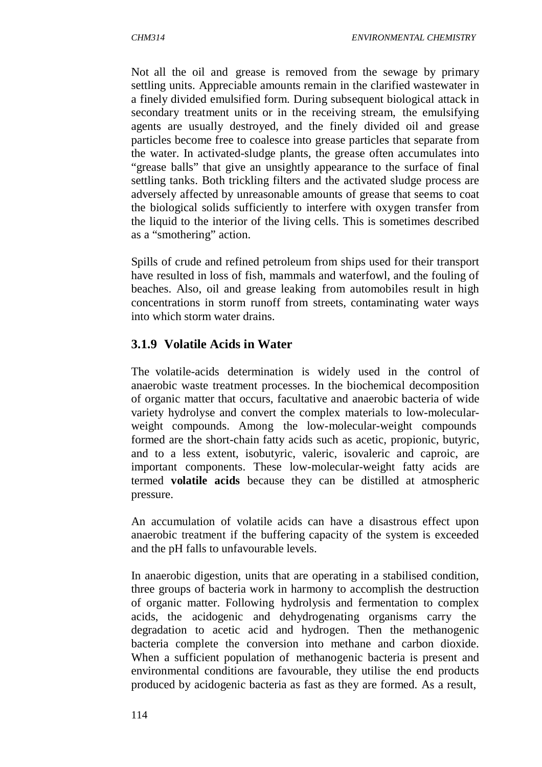Not all the oil and grease is removed from the sewage by primary settling units. Appreciable amounts remain in the clarified wastewater in a finely divided emulsified form. During subsequent biological attack in secondary treatment units or in the receiving stream, the emulsifying agents are usually destroyed, and the finely divided oil and grease particles become free to coalesce into grease particles that separate from the water. In activated-sludge plants, the grease often accumulates into "grease balls" that give an unsightly appearance to the surface of final settling tanks. Both trickling filters and the activated sludge process are adversely affected by unreasonable amounts of grease that seems to coat the biological solids sufficiently to interfere with oxygen transfer from the liquid to the interior of the living cells. This is sometimes described as a "smothering" action.

Spills of crude and refined petroleum from ships used for their transport have resulted in loss of fish, mammals and waterfowl, and the fouling of beaches. Also, oil and grease leaking from automobiles result in high concentrations in storm runoff from streets, contaminating water ways into which storm water drains.

## **3.1.9 Volatile Acids in Water**

The volatile-acids determination is widely used in the control of anaerobic waste treatment processes. In the biochemical decomposition of organic matter that occurs, facultative and anaerobic bacteria of wide variety hydrolyse and convert the complex materials to low-molecularweight compounds. Among the low-molecular-weight compounds formed are the short-chain fatty acids such as acetic, propionic, butyric, and to a less extent, isobutyric, valeric, isovaleric and caproic, are important components. These low-molecular-weight fatty acids are termed **volatile acids** because they can be distilled at atmospheric pressure.

An accumulation of volatile acids can have a disastrous effect upon anaerobic treatment if the buffering capacity of the system is exceeded and the pH falls to unfavourable levels.

In anaerobic digestion, units that are operating in a stabilised condition, three groups of bacteria work in harmony to accomplish the destruction of organic matter. Following hydrolysis and fermentation to complex acids, the acidogenic and dehydrogenating organisms carry the degradation to acetic acid and hydrogen. Then the methanogenic bacteria complete the conversion into methane and carbon dioxide. When a sufficient population of methanogenic bacteria is present and environmental conditions are favourable, they utilise the end products produced by acidogenic bacteria as fast as they are formed. As a result,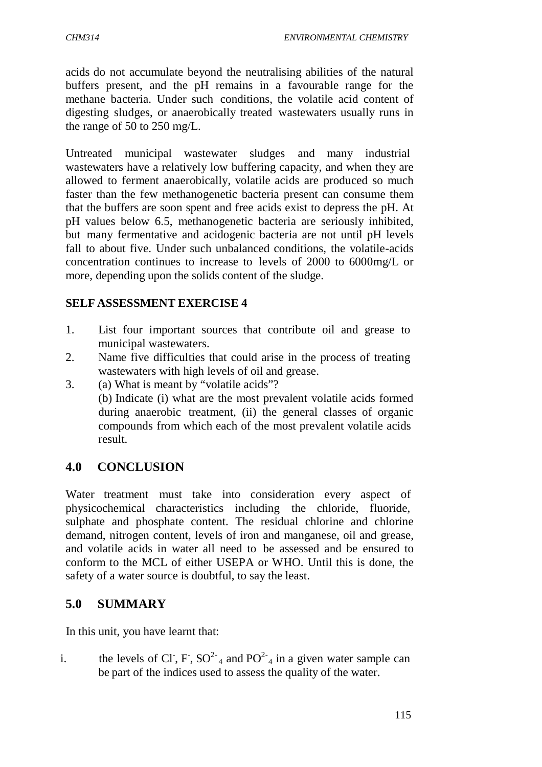acids do not accumulate beyond the neutralising abilities of the natural buffers present, and the pH remains in a favourable range for the methane bacteria. Under such conditions, the volatile acid content of digesting sludges, or anaerobically treated wastewaters usually runs in the range of 50 to 250 mg/L.

Untreated municipal wastewater sludges and many industrial wastewaters have a relatively low buffering capacity, and when they are allowed to ferment anaerobically, volatile acids are produced so much faster than the few methanogenetic bacteria present can consume them that the buffers are soon spent and free acids exist to depress the pH. At pH values below 6.5, methanogenetic bacteria are seriously inhibited, but many fermentative and acidogenic bacteria are not until pH levels fall to about five. Under such unbalanced conditions, the volatile-acids concentration continues to increase to levels of 2000 to 6000mg/L or more, depending upon the solids content of the sludge.

### **SELF ASSESSMENT EXERCISE 4**

- 1. List four important sources that contribute oil and grease to municipal wastewaters.
- 2. Name five difficulties that could arise in the process of treating wastewaters with high levels of oil and grease.
- 3. (a) What is meant by "volatile acids"? (b) Indicate (i) what are the most prevalent volatile acids formed during anaerobic treatment, (ii) the general classes of organic compounds from which each of the most prevalent volatile acids result.

## **4.0 CONCLUSION**

Water treatment must take into consideration every aspect of physicochemical characteristics including the chloride, fluoride, sulphate and phosphate content. The residual chlorine and chlorine demand, nitrogen content, levels of iron and manganese, oil and grease, and volatile acids in water all need to be assessed and be ensured to conform to the MCL of either USEPA or WHO. Until this is done, the safety of a water source is doubtful, to say the least.

## **5.0 SUMMARY**

In this unit, you have learnt that:

i. the levels of Cl, F,  $SO<sup>2-</sup><sub>4</sub>$  and  $PO<sup>2-</sup><sub>4</sub>$  in a given water sample can be part of the indices used to assess the quality of the water.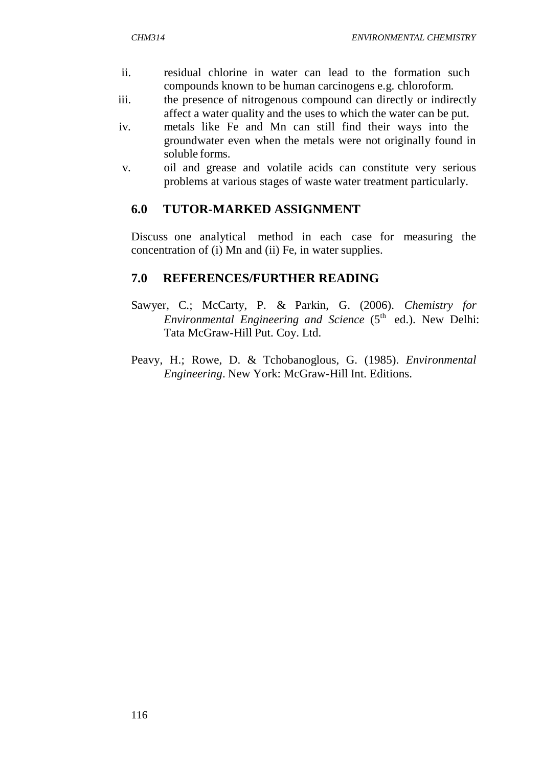- ii. residual chlorine in water can lead to the formation such compounds known to be human carcinogens e.g. chloroform.
- iii. the presence of nitrogenous compound can directly or indirectly affect a water quality and the uses to which the water can be put.
- iv. metals like Fe and Mn can still find their ways into the groundwater even when the metals were not originally found in soluble forms.
- v. oil and grease and volatile acids can constitute very serious problems at various stages of waste water treatment particularly.

#### **6.0 TUTOR-MARKED ASSIGNMENT**

Discuss one analytical method in each case for measuring the concentration of (i) Mn and (ii) Fe, in water supplies.

#### **7.0 REFERENCES/FURTHER READING**

- Sawyer, C.; McCarty, P. & Parkin, G. (2006). *Chemistry for Environmental Engineering and Science* (5<sup>th</sup> ed.). New Delhi: Tata McGraw-Hill Put. Coy. Ltd.
- Peavy, H.; Rowe, D. & Tchobanoglous, G. (1985). *Environmental Engineering*. New York: McGraw-Hill Int. Editions.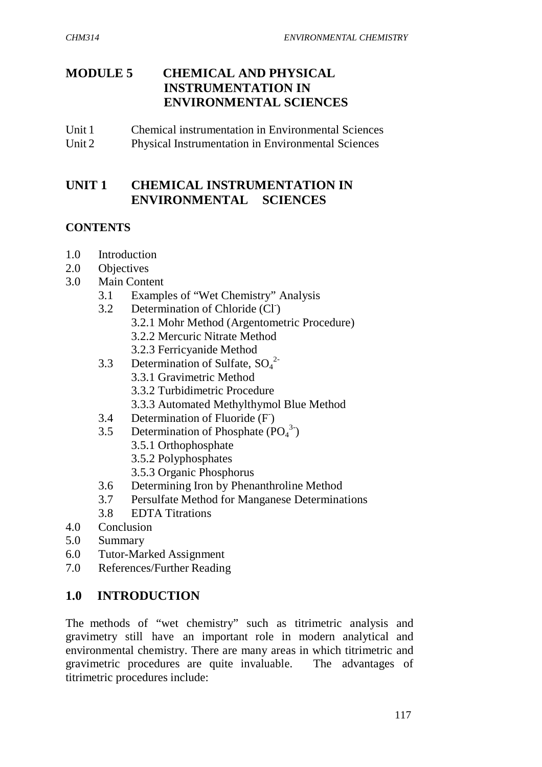## **MODULE 5 CHEMICAL AND PHYSICAL INSTRUMENTATION IN ENVIRONMENTAL SCIENCES**

Unit 1 Chemical instrumentation in Environmental Sciences Unit 2 Physical Instrumentation in Environmental Sciences

## **UNIT 1 CHEMICAL INSTRUMENTATION IN ENVIRONMENTAL SCIENCES**

### **CONTENTS**

- 1.0 Introduction
- 2.0 Objectives
- 3.0 Main Content
	- 3.1 Examples of "Wet Chemistry" Analysis
	- 3.2 Determination of Chloride (CI)
		- 3.2.1 Mohr Method (Argentometric Procedure)
		- 3.2.2 Mercuric Nitrate Method
		- 3.2.3 Ferricyanide Method
	- 3.3 Determination of Sulfate,  $SO_4^2$ 
		- 3.3.1 Gravimetric Method
		- 3.3.2 Turbidimetric Procedure
		- 3.3.3 Automated Methylthymol Blue Method
	- 3.4 Determination of Fluoride (F)
	- 3.5 Determination of Phosphate  $(PO<sub>4</sub><sup>3</sup>)$ 
		- 3.5.1 Orthophosphate
		- 3.5.2 Polyphosphates
		- 3.5.3 Organic Phosphorus
	- 3.6 Determining Iron by Phenanthroline Method
	- 3.7 Persulfate Method for Manganese Determinations
	- 3.8 EDTA Titrations
- 4.0 Conclusion
- 5.0 Summary
- 6.0 Tutor-Marked Assignment
- 7.0 References/Further Reading

## **1.0 INTRODUCTION**

The methods of "wet chemistry" such as titrimetric analysis and gravimetry still have an important role in modern analytical and environmental chemistry. There are many areas in which titrimetric and gravimetric procedures are quite invaluable. The advantages of titrimetric procedures include: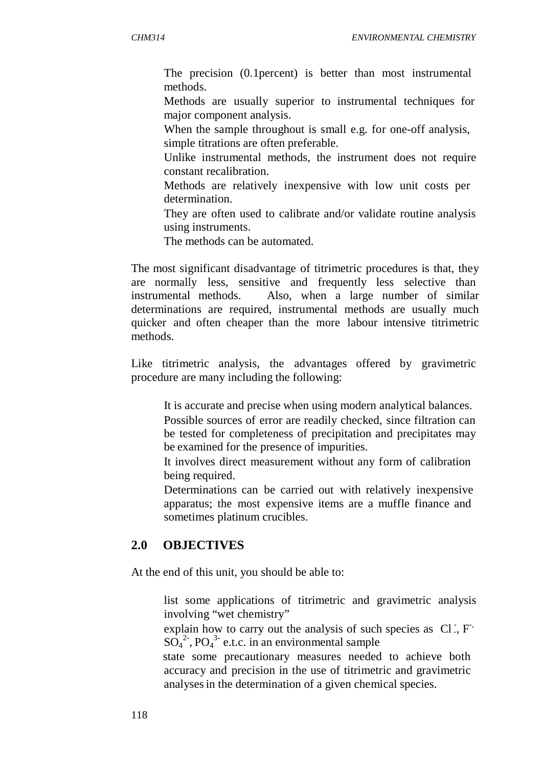The precision (0.1percent) is better than most instrumental methods.

 Methods are usually superior to instrumental techniques for major component analysis.

 When the sample throughout is small e.g. for one-off analysis, simple titrations are often preferable.

 Unlike instrumental methods, the instrument does not require constant recalibration.

 Methods are relatively inexpensive with low unit costs per determination.

 They are often used to calibrate and/or validate routine analysis using instruments.

The methods can be automated.

The most significant disadvantage of titrimetric procedures is that, they are normally less, sensitive and frequently less selective than instrumental methods. Also, when a large number of similar determinations are required, instrumental methods are usually much quicker and often cheaper than the more labour intensive titrimetric methods.

Like titrimetric analysis, the advantages offered by gravimetric procedure are many including the following:

 It is accurate and precise when using modern analytical balances. Possible sources of error are readily checked, since filtration can

be tested for completeness of precipitation and precipitates may be examined for the presence of impurities.

 It involves direct measurement without any form of calibration being required.

 Determinations can be carried out with relatively inexpensive apparatus; the most expensive items are a muffle finance and sometimes platinum crucibles.

## **2.0 OBJECTIVES**

At the end of this unit, you should be able to:

 list some applications of titrimetric and gravimetric analysis involving "wet chemistry"

explain how to carry out the analysis of such species as  $Cl<sub>1</sub>, F<sub>1</sub>$  $SO_4^2$ <sup>2</sup>, PO<sub>4</sub><sup>3</sup> e.t.c. in an environmental sample

 state some precautionary measures needed to achieve both accuracy and precision in the use of titrimetric and gravimetric analyses in the determination of a given chemical species.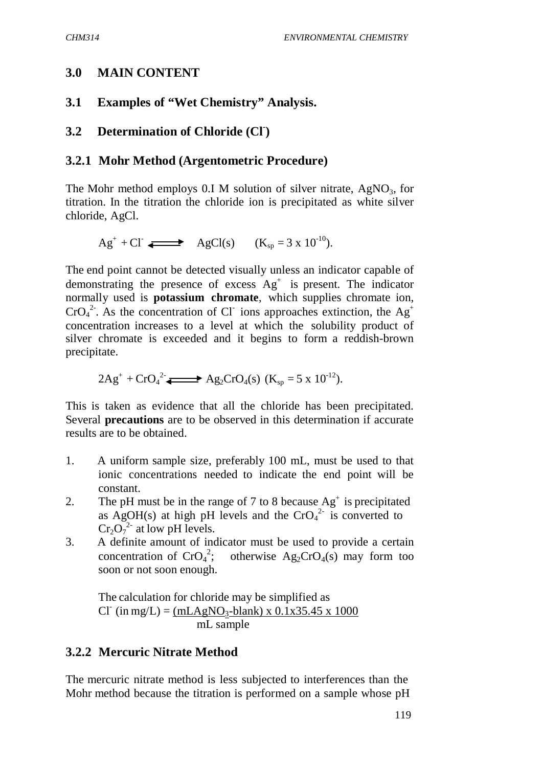### **3.0 MAIN CONTENT**

### **3.1 Examples of "Wet Chemistry" Analysis.**

## **3.2 Determination of Chloride (Cl- )**

#### **3.2.1 Mohr Method (Argentometric Procedure)**

The Mohr method employs  $0.I$  M solution of silver nitrate, AgNO<sub>3</sub>, for titration. In the titration the chloride ion is precipitated as white silver chloride, AgCl.

$$
Ag^+ + Cl \longrightarrow AgCl(s) \qquad (K_{sp} = 3 \times 10^{-10}).
$$

The end point cannot be detected visually unless an indicator capable of demonstrating the presence of excess  $Ag^+$  is present. The indicator normally used is **potassium chromate**, which supplies chromate ion,  $CrO<sub>4</sub><sup>2</sup>$ . As the concentration of Cl<sup>-</sup> ions approaches extinction, the Ag<sup>+</sup> concentration increases to a level at which the solubility product of silver chromate is exceeded and it begins to form a reddish-brown precipitate.

$$
2Ag^{+} + CrO_{4}^{2}
$$
  $\longrightarrow$   $Ag_{2}CrO_{4}(s)$   $(K_{sp} = 5 \times 10^{-12})$ .

This is taken as evidence that all the chloride has been precipitated. Several **precautions** are to be observed in this determination if accurate results are to be obtained.

- 1. A uniform sample size, preferably 100 mL, must be used to that ionic concentrations needed to indicate the end point will be constant.
- 2. The pH must be in the range of 7 to 8 because  $Ag<sup>+</sup>$  is precipitated as AgOH(s) at high pH levels and the  $CrO<sub>4</sub><sup>2</sup>$  is converted to  $Cr_2O_7^{2}$  at low pH levels.
- 3. A definite amount of indicator must be used to provide a certain concentration of  $CrO<sub>4</sub><sup>2</sup>$ ; otherwise Ag<sub>2</sub>CrO<sub>4</sub>(s) may form too soon or not soon enough.

The calculation for chloride may be simplified as  $CI$  (in mg/L) = (mLAgNO<sub>3</sub>-blank) x 0.1x35.45 x 1000 mL sample

#### **3.2.2 Mercuric Nitrate Method**

The mercuric nitrate method is less subjected to interferences than the Mohr method because the titration is performed on a sample whose pH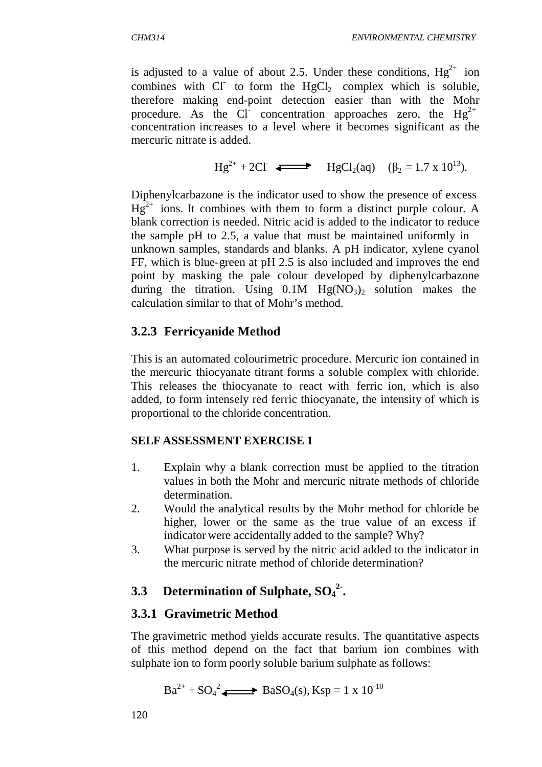is adjusted to a value of about 2.5. Under these conditions,  $Hg^{2+}$  ion combines with  $Cl^-$  to form the  $HgCl_2$  complex which is soluble, therefore making end-point detection easier than with the Mohr procedure. As the Cl<sup>-</sup> concentration approaches zero, the  $Hg^{2+}$ concentration increases to a level where it becomes significant as the mercuric nitrate is added.

$$
Hg^{2+} + 2Cl \implies HgCl_2(aq) \quad (\beta_2 = 1.7 \times 10^{13}).
$$

Diphenylcarbazone is the indicator used to show the presence of excess  $Hg^{2+}$  ions. It combines with them to form a distinct purple colour. A blank correction is needed. Nitric acid is added to the indicator to reduce the sample pH to 2.5, a value that must be maintained uniformly in unknown samples, standards and blanks. A pH indicator, xylene cyanol FF, which is blue-green at pH 2.5 is also included and improves the end point by masking the pale colour developed by diphenylcarbazone during the titration. Using  $0.1M$  Hg(NO<sub>3</sub>)<sub>2</sub> solution makes the calculation similar to that of Mohr's method.

### **3.2.3 Ferricyanide Method**

This is an automated colourimetric procedure. Mercuric ion contained in the mercuric thiocyanate titrant forms a soluble complex with chloride. This releases the thiocyanate to react with ferric ion, which is also added, to form intensely red ferric thiocyanate, the intensity of which is proportional to the chloride concentration.

#### **SELF ASSESSMENT EXERCISE 1**

- 1. Explain why a blank correction must be applied to the titration values in both the Mohr and mercuric nitrate methods of chloride determination.
- 2. Would the analytical results by the Mohr method for chloride be higher, lower or the same as the true value of an excess if indicator were accidentally added to the sample? Why?
- 3. What purpose is served by the nitric acid added to the indicator in the mercuric nitrate method of chloride determination?

# **3.3 Determination of Sulphate, SO<sup>4</sup> 2- .**

## **3.3.1 Gravimetric Method**

The gravimetric method yields accurate results. The quantitative aspects of this method depend on the fact that barium ion combines with sulphate ion to form poorly soluble barium sulphate as follows:

$$
Ba^{2+} + SO_4^2 \longrightarrow BaSO_4(s), Ksp = 1 \times 10^{-10}
$$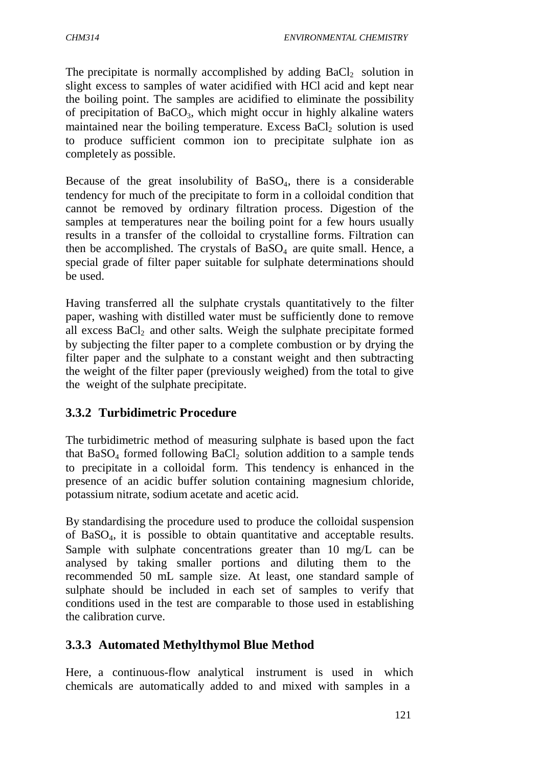The precipitate is normally accomplished by adding  $BaCl<sub>2</sub>$  solution in slight excess to samples of water acidified with HCl acid and kept near the boiling point. The samples are acidified to eliminate the possibility of precipitation of  $BaCO<sub>3</sub>$ , which might occur in highly alkaline waters maintained near the boiling temperature. Excess BaCl<sub>2</sub> solution is used to produce sufficient common ion to precipitate sulphate ion as completely as possible.

Because of the great insolubility of  $BaSO<sub>4</sub>$ , there is a considerable tendency for much of the precipitate to form in a colloidal condition that cannot be removed by ordinary filtration process. Digestion of the samples at temperatures near the boiling point for a few hours usually results in a transfer of the colloidal to crystalline forms. Filtration can then be accomplished. The crystals of  $BaSO<sub>4</sub>$  are quite small. Hence, a special grade of filter paper suitable for sulphate determinations should be used.

Having transferred all the sulphate crystals quantitatively to the filter paper, washing with distilled water must be sufficiently done to remove all excess  $BaCl<sub>2</sub>$  and other salts. Weigh the sulphate precipitate formed by subjecting the filter paper to a complete combustion or by drying the filter paper and the sulphate to a constant weight and then subtracting the weight of the filter paper (previously weighed) from the total to give the weight of the sulphate precipitate.

## **3.3.2 Turbidimetric Procedure**

The turbidimetric method of measuring sulphate is based upon the fact that  $BaSO<sub>4</sub>$  formed following  $BaCl<sub>2</sub>$  solution addition to a sample tends to precipitate in a colloidal form. This tendency is enhanced in the presence of an acidic buffer solution containing magnesium chloride, potassium nitrate, sodium acetate and acetic acid.

By standardising the procedure used to produce the colloidal suspension of BaSO4, it is possible to obtain quantitative and acceptable results. Sample with sulphate concentrations greater than 10 mg/L can be analysed by taking smaller portions and diluting them to the recommended 50 mL sample size. At least, one standard sample of sulphate should be included in each set of samples to verify that conditions used in the test are comparable to those used in establishing the calibration curve.

## **3.3.3 Automated Methylthymol Blue Method**

Here, a continuous-flow analytical instrument is used in which chemicals are automatically added to and mixed with samples in a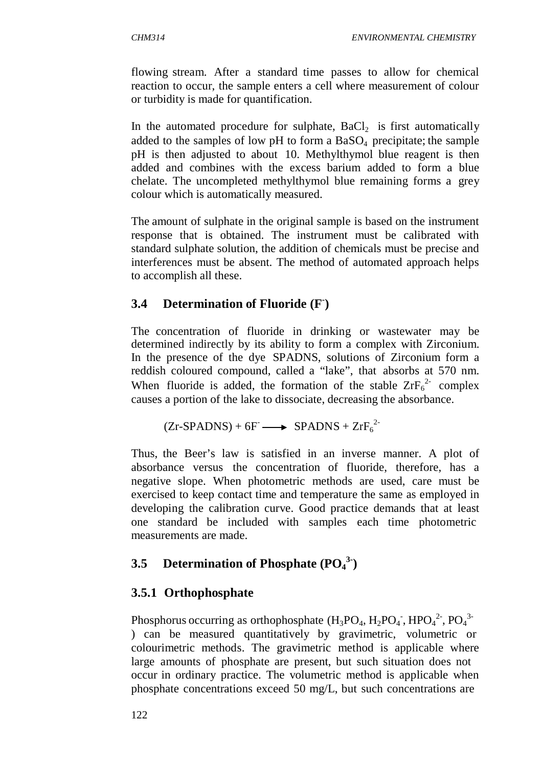flowing stream. After a standard time passes to allow for chemical reaction to occur, the sample enters a cell where measurement of colour or turbidity is made for quantification.

In the automated procedure for sulphate,  $BaCl<sub>2</sub>$  is first automatically added to the samples of low pH to form a  $BaSO<sub>4</sub>$  precipitate; the sample pH is then adjusted to about 10. Methylthymol blue reagent is then added and combines with the excess barium added to form a blue chelate. The uncompleted methylthymol blue remaining forms a grey colour which is automatically measured.

The amount of sulphate in the original sample is based on the instrument response that is obtained. The instrument must be calibrated with standard sulphate solution, the addition of chemicals must be precise and interferences must be absent. The method of automated approach helps to accomplish all these.

## **3.4 Determination of Fluoride (F- )**

The concentration of fluoride in drinking or wastewater may be determined indirectly by its ability to form a complex with Zirconium. In the presence of the dye SPADNS, solutions of Zirconium form a reddish coloured compound, called a "lake", that absorbs at 570 nm. When fluoride is added, the formation of the stable  $\text{ZrF}_6^{2-}$  complex causes a portion of the lake to dissociate, decreasing the absorbance.

$$
(Zr-SPADNS) + 6F \longrightarrow SPADNS + ZrF_6^{2}
$$

Thus, the Beer's law is satisfied in an inverse manner. A plot of absorbance versus the concentration of fluoride, therefore, has a negative slope. When photometric methods are used, care must be exercised to keep contact time and temperature the same as employed in developing the calibration curve. Good practice demands that at least one standard be included with samples each time photometric measurements are made.

# **3.5 Determination of Phosphate (PO<sup>4</sup> 3-)**

## **3.5.1 Orthophosphate**

Phosphorus occurring as orthophosphate  $(H_3PO_4, H_2PO_4$ ,  $HPO_4^2$ ,  $PO_4^3$ ) can be measured quantitatively by gravimetric, volumetric or colourimetric methods. The gravimetric method is applicable where large amounts of phosphate are present, but such situation does not occur in ordinary practice. The volumetric method is applicable when phosphate concentrations exceed 50 mg/L, but such concentrations are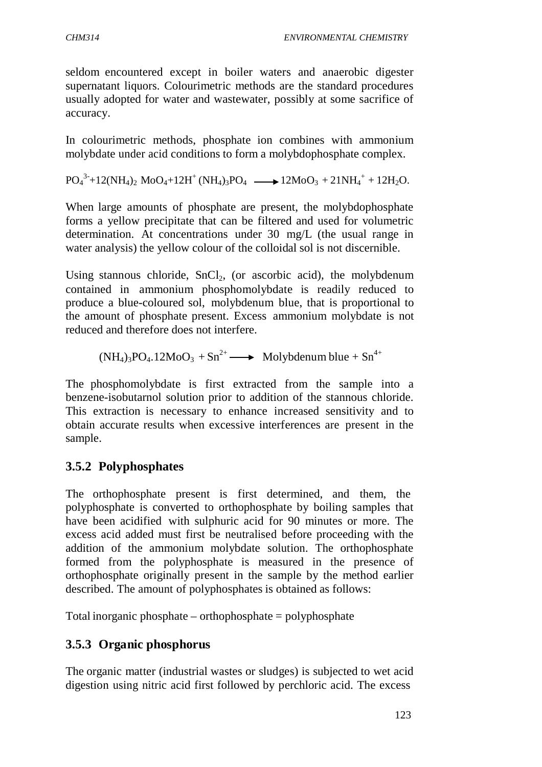seldom encountered except in boiler waters and anaerobic digester supernatant liquors. Colourimetric methods are the standard procedures usually adopted for water and wastewater, possibly at some sacrifice of accuracy.

In colourimetric methods, phosphate ion combines with ammonium molybdate under acid conditions to form a molybdophosphate complex.

 $PO_4^{3}+12(NH_4)_2 \text{ MoO}_4+12H^+(NH_4)_3PO_4 \longrightarrow 12MoO_3+21NH_4^++12H_2O.$ 

When large amounts of phosphate are present, the molybdophosphate forms a yellow precipitate that can be filtered and used for volumetric determination. At concentrations under 30 mg/L (the usual range in water analysis) the yellow colour of the colloidal sol is not discernible.

Using stannous chloride,  $SnCl<sub>2</sub>$ , (or ascorbic acid), the molybdenum contained in ammonium phosphomolybdate is readily reduced to produce a blue-coloured sol, molybdenum blue, that is proportional to the amount of phosphate present. Excess ammonium molybdate is not reduced and therefore does not interfere.

 $(NH_4)_3PO_4.12MoO_3 + Sn^{2+} \longrightarrow Molybdenum blue + Sn^{4+}$ 

The phosphomolybdate is first extracted from the sample into a benzene-isobutarnol solution prior to addition of the stannous chloride. This extraction is necessary to enhance increased sensitivity and to obtain accurate results when excessive interferences are present in the sample.

## **3.5.2 Polyphosphates**

The orthophosphate present is first determined, and them, the polyphosphate is converted to orthophosphate by boiling samples that have been acidified with sulphuric acid for 90 minutes or more. The excess acid added must first be neutralised before proceeding with the addition of the ammonium molybdate solution. The orthophosphate formed from the polyphosphate is measured in the presence of orthophosphate originally present in the sample by the method earlier described. The amount of polyphosphates is obtained as follows:

Total inorganic phosphate – orthophosphate = polyphosphate

## **3.5.3 Organic phosphorus**

The organic matter (industrial wastes or sludges) is subjected to wet acid digestion using nitric acid first followed by perchloric acid. The excess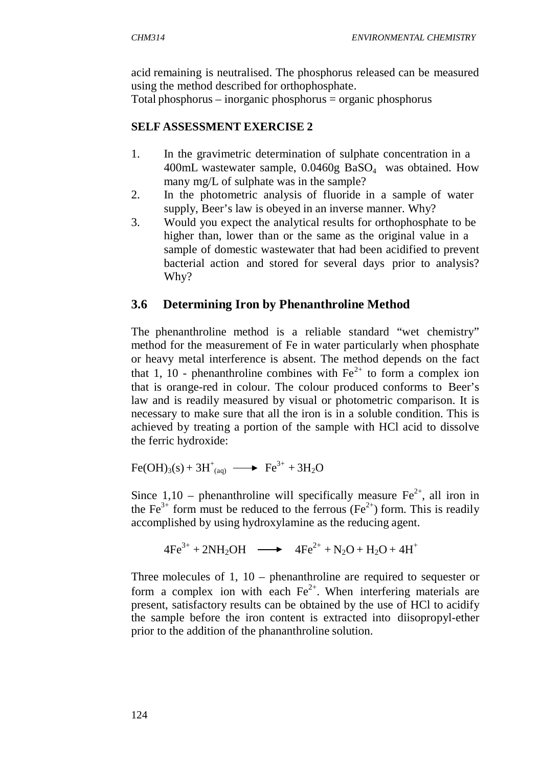acid remaining is neutralised. The phosphorus released can be measured using the method described for orthophosphate.

Total phosphorus – inorganic phosphorus = organic phosphorus

### **SELF ASSESSMENT EXERCISE 2**

- 1. In the gravimetric determination of sulphate concentration in a 400mL wastewater sample,  $0.0460g$  BaSO<sub>4</sub> was obtained. How many mg/L of sulphate was in the sample?
- 2. In the photometric analysis of fluoride in a sample of water supply, Beer's law is obeyed in an inverse manner. Why?
- 3. Would you expect the analytical results for orthophosphate to be higher than, lower than or the same as the original value in a sample of domestic wastewater that had been acidified to prevent bacterial action and stored for several days prior to analysis? Why?

## **3.6 Determining Iron by Phenanthroline Method**

The phenanthroline method is a reliable standard "wet chemistry" method for the measurement of Fe in water particularly when phosphate or heavy metal interference is absent. The method depends on the fact that 1, 10 - phenanthroline combines with  $Fe^{2+}$  to form a complex ion that is orange-red in colour. The colour produced conforms to Beer's law and is readily measured by visual or photometric comparison. It is necessary to make sure that all the iron is in a soluble condition. This is achieved by treating a portion of the sample with HCl acid to dissolve the ferric hydroxide:

$$
Fe(OH)3(s) + 3H+(aq) \longrightarrow Fe3+ + 3H2O
$$

Since 1,10 – phenanthroline will specifically measure  $Fe^{2+}$ , all iron in the Fe<sup>3+</sup> form must be reduced to the ferrous (Fe<sup>2+</sup>) form. This is readily accomplished by using hydroxylamine as the reducing agent.

$$
4Fe^{3+} + 2NH_2OH \longrightarrow 4Fe^{2+} + N_2O + H_2O + 4H^+
$$

Three molecules of 1, 10 – phenanthroline are required to sequester or form a complex ion with each  $Fe<sup>2+</sup>$ . When interfering materials are present, satisfactory results can be obtained by the use of HCl to acidify the sample before the iron content is extracted into diisopropyl-ether prior to the addition of the phananthroline solution.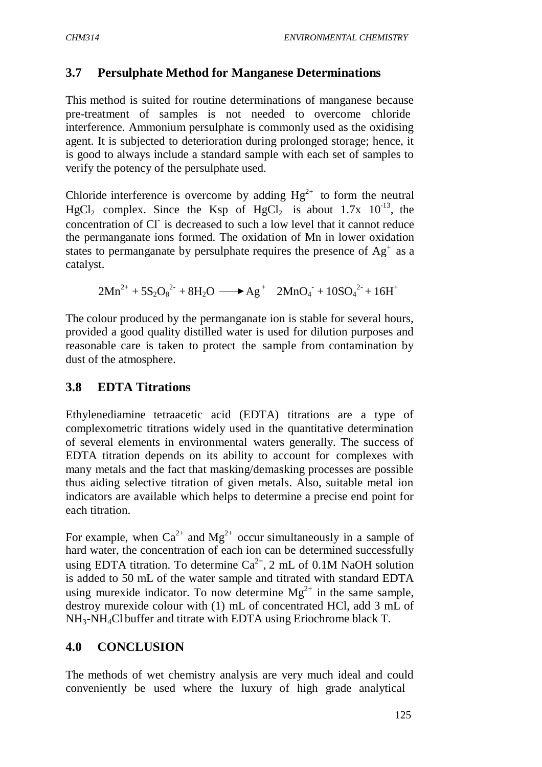### **3.7 Persulphate Method for Manganese Determinations**

This method is suited for routine determinations of manganese because pre-treatment of samples is not needed to overcome chloride interference. Ammonium persulphate is commonly used as the oxidising agent. It is subjected to deterioration during prolonged storage; hence, it is good to always include a standard sample with each set of samples to verify the potency of the persulphate used.

Chloride interference is overcome by adding  $Hg^{2+}$  to form the neutral HgCl<sub>2</sub> complex. Since the Ksp of HgCl<sub>2</sub> is about  $1.7x$   $10^{-13}$ , the concentration of Cl- is decreased to such a low level that it cannot reduce the permanganate ions formed. The oxidation of Mn in lower oxidation states to permanganate by persulphate requires the presence of  $Ag<sup>+</sup>$  as a catalyst.

 $2Mn^{2+} + 5S_2O_8^{2-} + 8H_2O \longrightarrow Ag^+ 2MnO_4 + 10SO_4^{2-} + 16H^+$ 

The colour produced by the permanganate ion is stable for several hours, provided a good quality distilled water is used for dilution purposes and reasonable care is taken to protect the sample from contamination by dust of the atmosphere.

### **3.8 EDTA Titrations**

Ethylenediamine tetraacetic acid (EDTA) titrations are a type of complexometric titrations widely used in the quantitative determination of several elements in environmental waters generally. The success of EDTA titration depends on its ability to account for complexes with many metals and the fact that masking/demasking processes are possible thus aiding selective titration of given metals. Also, suitable metal ion indicators are available which helps to determine a precise end point for each titration.

For example, when  $Ca^{2+}$  and  $Mg^{2+}$  occur simultaneously in a sample of hard water, the concentration of each ion can be determined successfully using EDTA titration. To determine  $Ca^{2+}$ , 2 mL of 0.1M NaOH solution is added to 50 mL of the water sample and titrated with standard EDTA using murexide indicator. To now determine  $Mg^{2+}$  in the same sample, destroy murexide colour with (1) mL of concentrated HCl, add 3 mL of NH3-NH4Cl buffer and titrate with EDTA using Eriochrome black T.

### **4.0 CONCLUSION**

The methods of wet chemistry analysis are very much ideal and could conveniently be used where the luxury of high grade analytical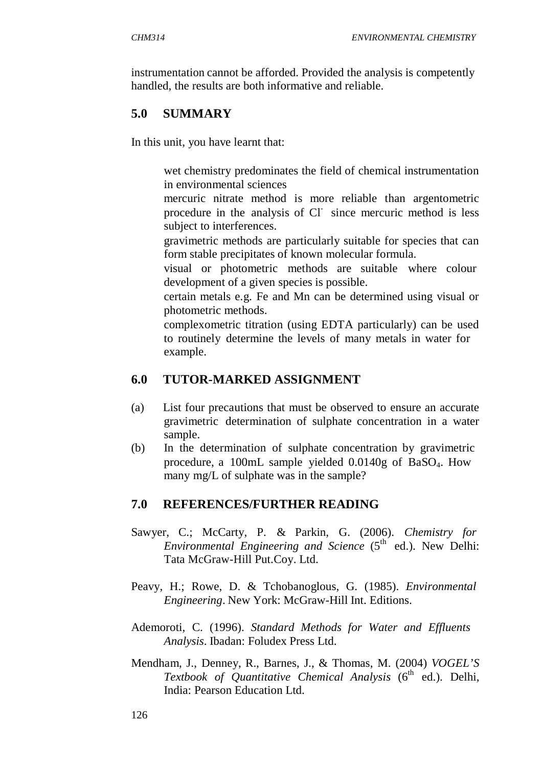instrumentation cannot be afforded. Provided the analysis is competently handled, the results are both informative and reliable.

## **5.0 SUMMARY**

In this unit, you have learnt that:

- wet chemistry predominates the field of chemical instrumentation in environmental sciences
- mercuric nitrate method is more reliable than argentometric procedure in the analysis of Cl since mercuric method is less subject to interferences.
- gravimetric methods are particularly suitable for species that can form stable precipitates of known molecular formula.
- visual or photometric methods are suitable where colour development of a given species is possible.
- certain metals e.g. Fe and Mn can be determined using visual or photometric methods.

 complexometric titration (using EDTA particularly) can be used to routinely determine the levels of many metals in water for example.

## **6.0 TUTOR-MARKED ASSIGNMENT**

- (a) List four precautions that must be observed to ensure an accurate gravimetric determination of sulphate concentration in a water sample.
- (b) In the determination of sulphate concentration by gravimetric procedure, a 100mL sample yielded 0.0140g of BaSO<sub>4</sub>. How many mg/L of sulphate was in the sample?

## **7.0 REFERENCES/FURTHER READING**

- Sawyer, C.; McCarty, P. & Parkin, G. (2006). *Chemistry for Environmental Engineering and Science* (5<sup>th</sup> ed.). New Delhi: Tata McGraw-Hill Put.Coy. Ltd.
- Peavy, H.; Rowe, D. & Tchobanoglous, G. (1985). *Environmental Engineering*. New York: McGraw-Hill Int. Editions.
- Ademoroti, C. (1996). *Standard Methods for Water and Effluents Analysis*. Ibadan: Foludex Press Ltd.
- Mendham, J., Denney, R., Barnes, J., & Thomas, M. (2004) *VOGEL'S Textbook of Quantitative Chemical Analysis* (6<sup>th</sup> ed.). Delhi, India: Pearson Education Ltd.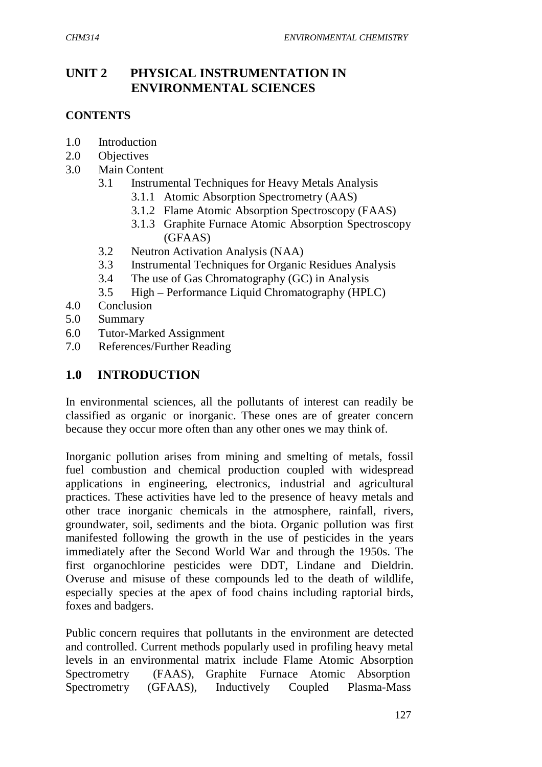## **UNIT 2 PHYSICAL INSTRUMENTATION IN ENVIRONMENTAL SCIENCES**

### **CONTENTS**

- 1.0 Introduction
- 2.0 Objectives
- 3.0 Main Content
	- 3.1 Instrumental Techniques for Heavy Metals Analysis
		- 3.1.1 Atomic Absorption Spectrometry (AAS)
		- 3.1.2 Flame Atomic Absorption Spectroscopy (FAAS)
		- 3.1.3 Graphite Furnace Atomic Absorption Spectroscopy (GFAAS)
	- 3.2 Neutron Activation Analysis (NAA)
	- 3.3 Instrumental Techniques for Organic Residues Analysis
	- 3.4 The use of Gas Chromatography (GC) in Analysis
	- 3.5 High Performance Liquid Chromatography (HPLC)
- 4.0 Conclusion
- 5.0 Summary
- 6.0 Tutor-Marked Assignment
- 7.0 References/Further Reading

### **1.0 INTRODUCTION**

In environmental sciences, all the pollutants of interest can readily be classified as organic or inorganic. These ones are of greater concern because they occur more often than any other ones we may think of.

Inorganic pollution arises from mining and smelting of metals, fossil fuel combustion and chemical production coupled with widespread applications in engineering, electronics, industrial and agricultural practices. These activities have led to the presence of heavy metals and other trace inorganic chemicals in the atmosphere, rainfall, rivers, groundwater, soil, sediments and the biota. Organic pollution was first manifested following the growth in the use of pesticides in the years immediately after the Second World War and through the 1950s. The first organochlorine pesticides were DDT, Lindane and Dieldrin. Overuse and misuse of these compounds led to the death of wildlife, especially species at the apex of food chains including raptorial birds, foxes and badgers.

Public concern requires that pollutants in the environment are detected and controlled. Current methods popularly used in profiling heavy metal levels in an environmental matrix include Flame Atomic Absorption Spectrometry (FAAS), Graphite Furnace Atomic Absorption Spectrometry (GFAAS), Inductively Coupled Plasma-Mass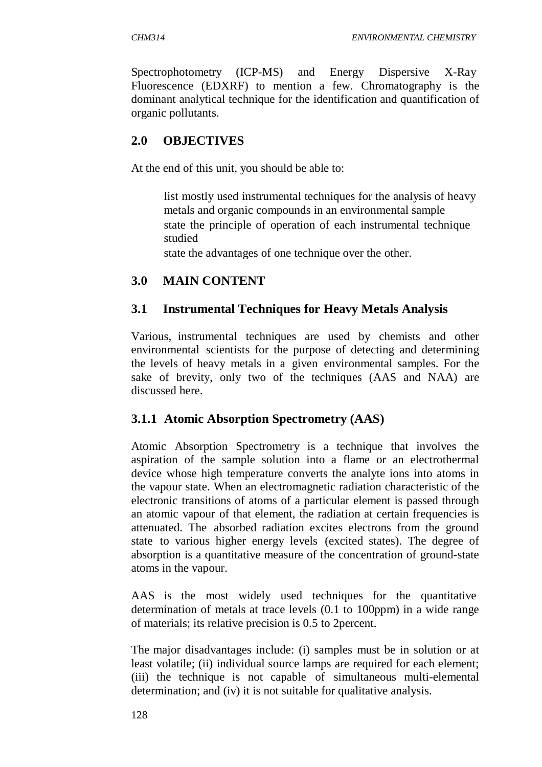Spectrophotometry (ICP-MS) and Energy Dispersive X-Ray Fluorescence (EDXRF) to mention a few. Chromatography is the dominant analytical technique for the identification and quantification of organic pollutants.

## **2.0 OBJECTIVES**

At the end of this unit, you should be able to:

 list mostly used instrumental techniques for the analysis of heavy metals and organic compounds in an environmental sample state the principle of operation of each instrumental technique studied

state the advantages of one technique over the other.

### **3.0 MAIN CONTENT**

### **3.1 Instrumental Techniques for Heavy Metals Analysis**

Various, instrumental techniques are used by chemists and other environmental scientists for the purpose of detecting and determining the levels of heavy metals in a given environmental samples. For the sake of brevity, only two of the techniques (AAS and NAA) are discussed here.

### **3.1.1 Atomic Absorption Spectrometry (AAS)**

Atomic Absorption Spectrometry is a technique that involves the aspiration of the sample solution into a flame or an electrothermal device whose high temperature converts the analyte ions into atoms in the vapour state. When an electromagnetic radiation characteristic of the electronic transitions of atoms of a particular element is passed through an atomic vapour of that element, the radiation at certain frequencies is attenuated. The absorbed radiation excites electrons from the ground state to various higher energy levels (excited states). The degree of absorption is a quantitative measure of the concentration of ground-state atoms in the vapour.

AAS is the most widely used techniques for the quantitative determination of metals at trace levels (0.1 to 100ppm) in a wide range of materials; its relative precision is 0.5 to 2percent.

The major disadvantages include: (i) samples must be in solution or at least volatile; (ii) individual source lamps are required for each element; (iii) the technique is not capable of simultaneous multi-elemental determination; and (iv) it is not suitable for qualitative analysis.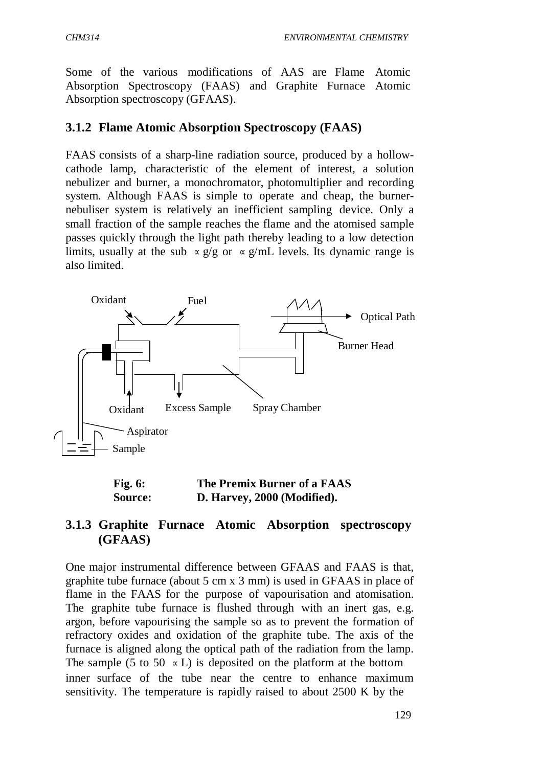Some of the various modifications of AAS are Flame Atomic Absorption Spectroscopy (FAAS) and Graphite Furnace Atomic Absorption spectroscopy (GFAAS).

#### **3.1.2 Flame Atomic Absorption Spectroscopy (FAAS)**

FAAS consists of a sharp-line radiation source, produced by a hollowcathode lamp, characteristic of the element of interest, a solution nebulizer and burner, a monochromator, photomultiplier and recording system. Although FAAS is simple to operate and cheap, the burnernebuliser system is relatively an inefficient sampling device. Only a small fraction of the sample reaches the flame and the atomised sample passes quickly through the light path thereby leading to a low detection limits, usually at the sub  $\propto g/g$  or  $\propto g/mL$  levels. Its dynamic range is also limited.



| <b>Fig. 6:</b> | The Premix Burner of a FAAS |
|----------------|-----------------------------|
| <b>Source:</b> | D. Harvey, 2000 (Modified). |

### **3.1.3 Graphite Furnace Atomic Absorption spectroscopy (GFAAS)**

One major instrumental difference between GFAAS and FAAS is that, graphite tube furnace (about 5 cm x 3 mm) is used in GFAAS in place of flame in the FAAS for the purpose of vapourisation and atomisation. The graphite tube furnace is flushed through with an inert gas, e.g. argon, before vapourising the sample so as to prevent the formation of refractory oxides and oxidation of the graphite tube. The axis of the furnace is aligned along the optical path of the radiation from the lamp. The sample (5 to 50  $\in$  L) is deposited on the platform at the bottom inner surface of the tube near the centre to enhance maximum sensitivity. The temperature is rapidly raised to about 2500 K by the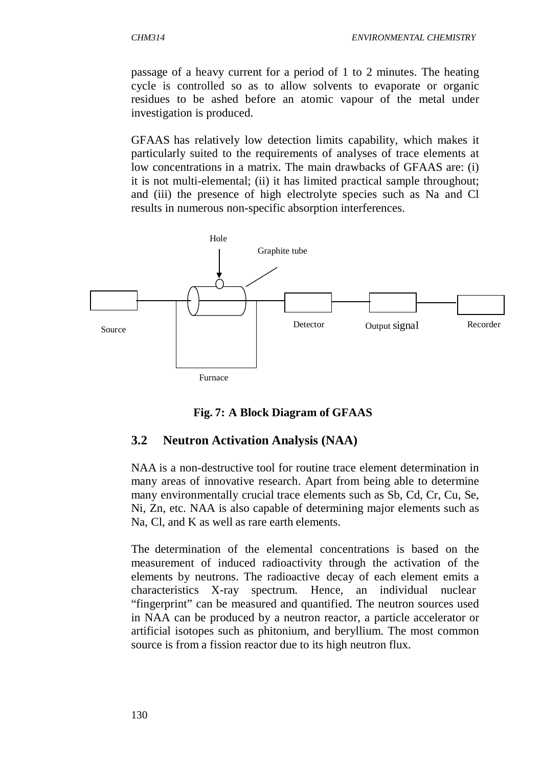passage of a heavy current for a period of 1 to 2 minutes. The heating cycle is controlled so as to allow solvents to evaporate or organic residues to be ashed before an atomic vapour of the metal under investigation is produced.

GFAAS has relatively low detection limits capability, which makes it particularly suited to the requirements of analyses of trace elements at low concentrations in a matrix. The main drawbacks of GFAAS are: (i) it is not multi-elemental; (ii) it has limited practical sample throughout; and (iii) the presence of high electrolyte species such as Na and Cl results in numerous non-specific absorption interferences.



#### **Fig. 7: A Block Diagram of GFAAS**

### **3.2 Neutron Activation Analysis (NAA)**

NAA is a non-destructive tool for routine trace element determination in many areas of innovative research. Apart from being able to determine many environmentally crucial trace elements such as Sb, Cd, Cr, Cu, Se, Ni, Zn, etc. NAA is also capable of determining major elements such as Na, Cl, and K as well as rare earth elements.

The determination of the elemental concentrations is based on the measurement of induced radioactivity through the activation of the elements by neutrons. The radioactive decay of each element emits a characteristics X-ray spectrum. Hence, an individual nuclear "fingerprint" can be measured and quantified. The neutron sources used in NAA can be produced by a neutron reactor, a particle accelerator or artificial isotopes such as phitonium, and beryllium. The most common source is from a fission reactor due to its high neutron flux.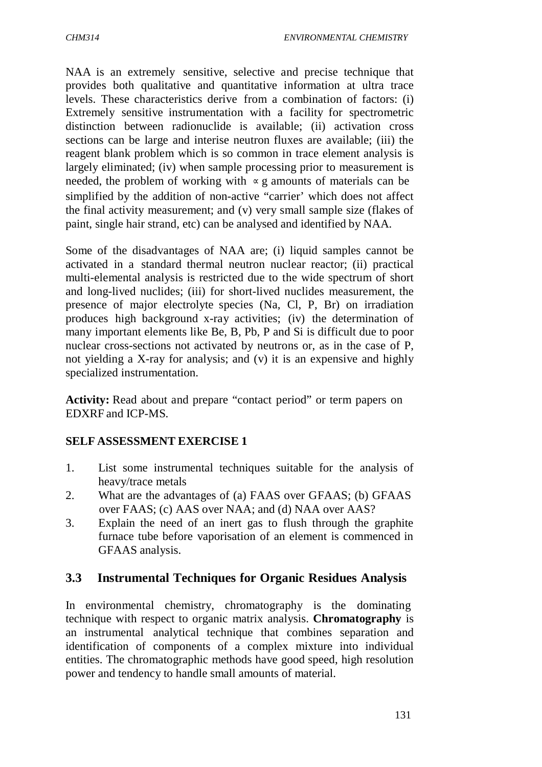NAA is an extremely sensitive, selective and precise technique that provides both qualitative and quantitative information at ultra trace levels. These characteristics derive from a combination of factors: (i) Extremely sensitive instrumentation with a facility for spectrometric distinction between radionuclide is available; (ii) activation cross sections can be large and interise neutron fluxes are available; (iii) the reagent blank problem which is so common in trace element analysis is largely eliminated; (iv) when sample processing prior to measurement is needed, the problem of working with  $\approx$  g amounts of materials can be simplified by the addition of non-active "carrier' which does not affect the final activity measurement; and (v) very small sample size (flakes of paint, single hair strand, etc) can be analysed and identified by NAA.

Some of the disadvantages of NAA are; (i) liquid samples cannot be activated in a standard thermal neutron nuclear reactor; (ii) practical multi-elemental analysis is restricted due to the wide spectrum of short and long-lived nuclides; (iii) for short-lived nuclides measurement, the presence of major electrolyte species (Na, Cl, P, Br) on irradiation produces high background x-ray activities; (iv) the determination of many important elements like Be, B, Pb, P and Si is difficult due to poor nuclear cross-sections not activated by neutrons or, as in the case of P, not yielding a X-ray for analysis; and (v) it is an expensive and highly specialized instrumentation.

**Activity:** Read about and prepare "contact period" or term papers on EDXRF and ICP-MS.

#### **SELF ASSESSMENT EXERCISE 1**

- 1. List some instrumental techniques suitable for the analysis of heavy/trace metals
- 2. What are the advantages of (a) FAAS over GFAAS; (b) GFAAS over FAAS; (c) AAS over NAA; and (d) NAA over AAS?
- 3. Explain the need of an inert gas to flush through the graphite furnace tube before vaporisation of an element is commenced in GFAAS analysis.

#### **3.3 Instrumental Techniques for Organic Residues Analysis**

In environmental chemistry, chromatography is the dominating technique with respect to organic matrix analysis. **Chromatography** is an instrumental analytical technique that combines separation and identification of components of a complex mixture into individual entities. The chromatographic methods have good speed, high resolution power and tendency to handle small amounts of material.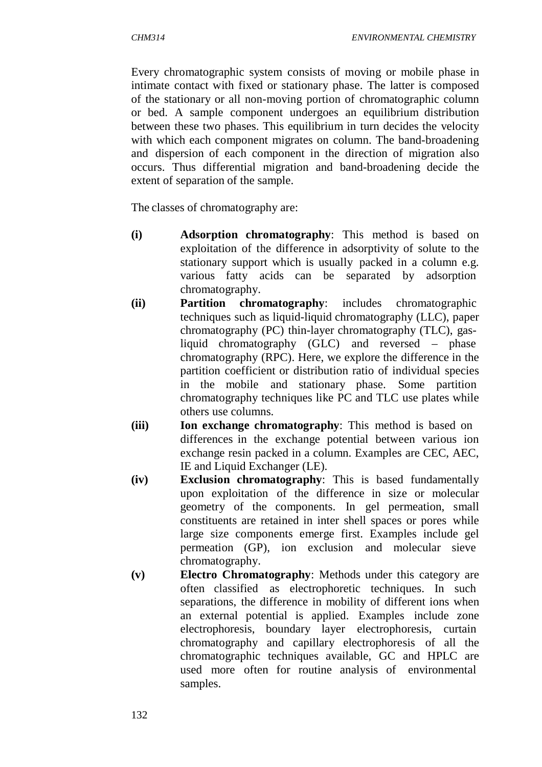Every chromatographic system consists of moving or mobile phase in intimate contact with fixed or stationary phase. The latter is composed of the stationary or all non-moving portion of chromatographic column or bed. A sample component undergoes an equilibrium distribution between these two phases. This equilibrium in turn decides the velocity with which each component migrates on column. The band-broadening and dispersion of each component in the direction of migration also occurs. Thus differential migration and band-broadening decide the extent of separation of the sample.

The classes of chromatography are:

- **(i) Adsorption chromatography**: This method is based on exploitation of the difference in adsorptivity of solute to the stationary support which is usually packed in a column e.g. various fatty acids can be separated by adsorption chromatography.
- **(ii) Partition chromatography**: includes chromatographic techniques such as liquid-liquid chromatography (LLC), paper chromatography (PC) thin-layer chromatography (TLC), gasliquid chromatography (GLC) and reversed – phase chromatography (RPC). Here, we explore the difference in the partition coefficient or distribution ratio of individual species in the mobile and stationary phase. Some partition chromatography techniques like PC and TLC use plates while others use columns.
- **(iii) Ion exchange chromatography**: This method is based on differences in the exchange potential between various ion exchange resin packed in a column. Examples are CEC, AEC, IE and Liquid Exchanger (LE).
- **(iv) Exclusion chromatography**: This is based fundamentally upon exploitation of the difference in size or molecular geometry of the components. In gel permeation, small constituents are retained in inter shell spaces or pores while large size components emerge first. Examples include gel permeation (GP), ion exclusion and molecular sieve chromatography.
- **(v) Electro Chromatography**: Methods under this category are often classified as electrophoretic techniques. In such separations, the difference in mobility of different ions when an external potential is applied. Examples include zone electrophoresis, boundary layer electrophoresis, curtain chromatography and capillary electrophoresis of all the chromatographic techniques available, GC and HPLC are used more often for routine analysis of environmental samples.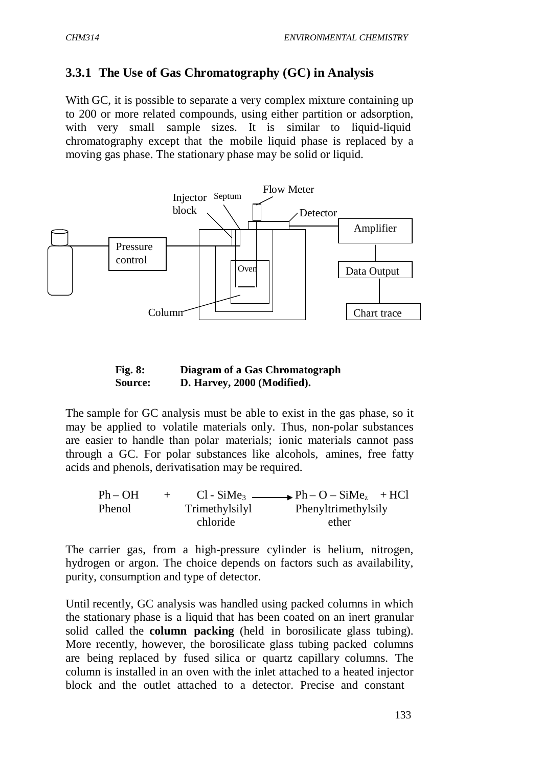# **3.3.1 The Use of Gas Chromatography (GC) in Analysis**

With GC, it is possible to separate a very complex mixture containing up to 200 or more related compounds, using either partition or adsorption, with very small sample sizes. It is similar to liquid-liquid chromatography except that the mobile liquid phase is replaced by a moving gas phase. The stationary phase may be solid or liquid.



#### **Fig. 8: Diagram of a Gas Chromatograph Source: D. Harvey, 2000 (Modified).**

The sample for GC analysis must be able to exist in the gas phase, so it may be applied to volatile materials only. Thus, non-polar substances are easier to handle than polar materials; ionic materials cannot pass through a GC. For polar substances like alcohols, amines, free fatty acids and phenols, derivatisation may be required.

| $Ph-OH$ | $+$ |                | $Cl - SiMe3$ Ph – O – SiMe <sub>z</sub> + HCl |  |
|---------|-----|----------------|-----------------------------------------------|--|
| Phenol  |     | Trimethylsilyl | Phenyltrimethylsily                           |  |
|         |     | chloride       | ether                                         |  |

The carrier gas, from a high-pressure cylinder is helium, nitrogen, hydrogen or argon. The choice depends on factors such as availability, purity, consumption and type of detector.

Until recently, GC analysis was handled using packed columns in which the stationary phase is a liquid that has been coated on an inert granular solid called the **column packing** (held in borosilicate glass tubing). More recently, however, the borosilicate glass tubing packed columns are being replaced by fused silica or quartz capillary columns. The column is installed in an oven with the inlet attached to a heated injector block and the outlet attached to a detector. Precise and constant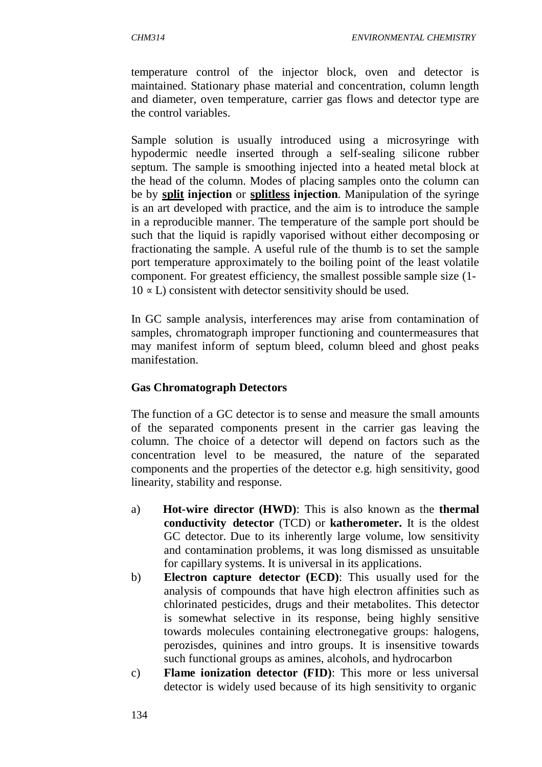temperature control of the injector block, oven and detector is maintained. Stationary phase material and concentration, column length and diameter, oven temperature, carrier gas flows and detector type are the control variables.

Sample solution is usually introduced using a microsyringe with hypodermic needle inserted through a self-sealing silicone rubber septum. The sample is smoothing injected into a heated metal block at the head of the column. Modes of placing samples onto the column can be by **split injection** or **splitless injection**. Manipulation of the syringe is an art developed with practice, and the aim is to introduce the sample in a reproducible manner. The temperature of the sample port should be such that the liquid is rapidly vaporised without either decomposing or fractionating the sample. A useful rule of the thumb is to set the sample port temperature approximately to the boiling point of the least volatile component. For greatest efficiency, the smallest possible sample size (1-  $10 \times L$ ) consistent with detector sensitivity should be used.

In GC sample analysis, interferences may arise from contamination of samples, chromatograph improper functioning and countermeasures that may manifest inform of septum bleed, column bleed and ghost peaks manifestation.

### **Gas Chromatograph Detectors**

The function of a GC detector is to sense and measure the small amounts of the separated components present in the carrier gas leaving the column. The choice of a detector will depend on factors such as the concentration level to be measured, the nature of the separated components and the properties of the detector e.g. high sensitivity, good linearity, stability and response.

- a) **Hot-wire director (HWD)**: This is also known as the **thermal conductivity detector** (TCD) or **katherometer.** It is the oldest GC detector. Due to its inherently large volume, low sensitivity and contamination problems, it was long dismissed as unsuitable for capillary systems. It is universal in its applications.
- b) **Electron capture detector (ECD)**: This usually used for the analysis of compounds that have high electron affinities such as chlorinated pesticides, drugs and their metabolites. This detector is somewhat selective in its response, being highly sensitive towards molecules containing electronegative groups: halogens, perozisdes, quinines and intro groups. It is insensitive towards such functional groups as amines, alcohols, and hydrocarbon
- c) **Flame ionization detector (FID)**: This more or less universal detector is widely used because of its high sensitivity to organic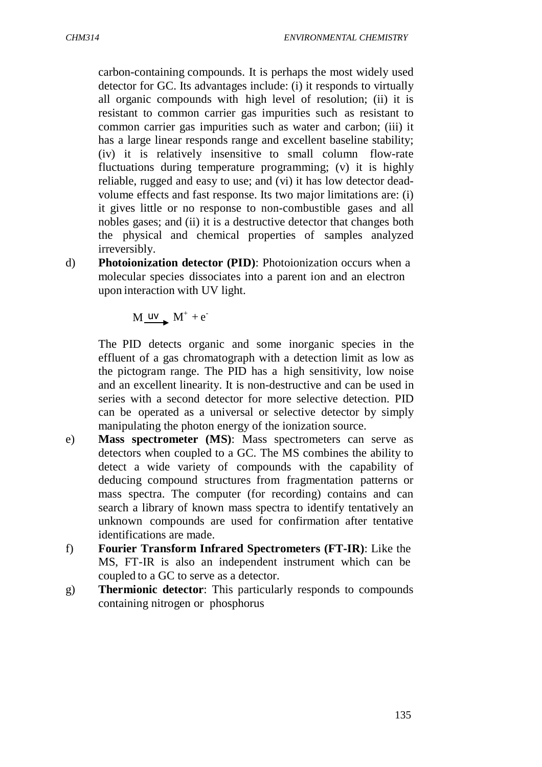carbon-containing compounds. It is perhaps the most widely used detector for GC. Its advantages include: (i) it responds to virtually all organic compounds with high level of resolution; (ii) it is resistant to common carrier gas impurities such as resistant to common carrier gas impurities such as water and carbon; (iii) it has a large linear responds range and excellent baseline stability; (iv) it is relatively insensitive to small column flow-rate fluctuations during temperature programming; (v) it is highly reliable, rugged and easy to use; and (vi) it has low detector deadvolume effects and fast response. Its two major limitations are: (i) it gives little or no response to non-combustible gases and all nobles gases; and (ii) it is a destructive detector that changes both the physical and chemical properties of samples analyzed irreversibly.

d) **Photoionization detector (PID)**: Photoionization occurs when a molecular species dissociates into a parent ion and an electron upon interaction with UV light.

 $M \xrightarrow{uv} M^+ + e^-$ 

The PID detects organic and some inorganic species in the effluent of a gas chromatograph with a detection limit as low as the pictogram range. The PID has a high sensitivity, low noise and an excellent linearity. It is non-destructive and can be used in series with a second detector for more selective detection. PID can be operated as a universal or selective detector by simply manipulating the photon energy of the ionization source.

- e) **Mass spectrometer (MS)**: Mass spectrometers can serve as detectors when coupled to a GC. The MS combines the ability to detect a wide variety of compounds with the capability of deducing compound structures from fragmentation patterns or mass spectra. The computer (for recording) contains and can search a library of known mass spectra to identify tentatively an unknown compounds are used for confirmation after tentative identifications are made.
- f) **Fourier Transform Infrared Spectrometers (FT-IR)**: Like the MS, FT-IR is also an independent instrument which can be coupled to a GC to serve as a detector.
- g) **Thermionic detector**: This particularly responds to compounds containing nitrogen or phosphorus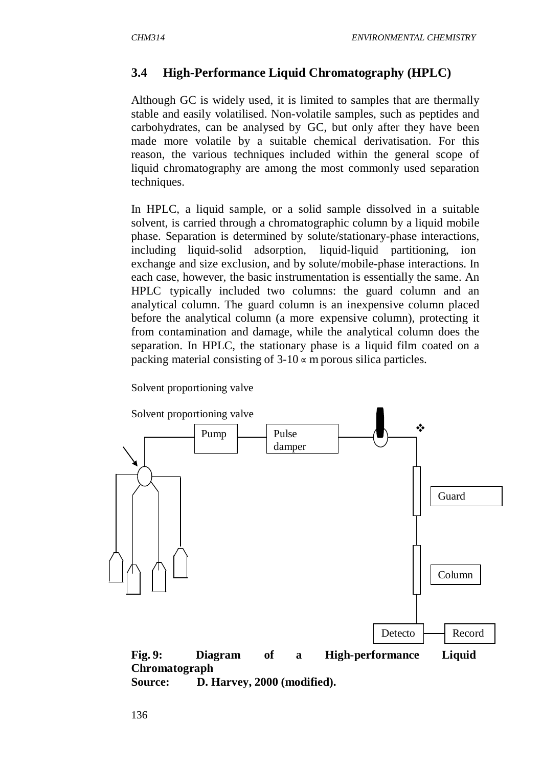# **3.4 High-Performance Liquid Chromatography (HPLC)**

Although GC is widely used, it is limited to samples that are thermally stable and easily volatilised. Non-volatile samples, such as peptides and carbohydrates, can be analysed by GC, but only after they have been made more volatile by a suitable chemical derivatisation. For this reason, the various techniques included within the general scope of liquid chromatography are among the most commonly used separation techniques.

In HPLC, a liquid sample, or a solid sample dissolved in a suitable solvent, is carried through a chromatographic column by a liquid mobile phase. Separation is determined by solute/stationary-phase interactions, including liquid-solid adsorption, liquid-liquid partitioning, ion exchange and size exclusion, and by solute/mobile-phase interactions. In each case, however, the basic instrumentation is essentially the same. An HPLC typically included two columns: the guard column and an analytical column. The guard column is an inexpensive column placed before the analytical column (a more expensive column), protecting it from contamination and damage, while the analytical column does the separation. In HPLC, the stationary phase is a liquid film coated on a packing material consisting of  $3\n-10 \times m$  porous silica particles.

Solvent proportioning valve



**Source: D. Harvey, 2000 (modified).**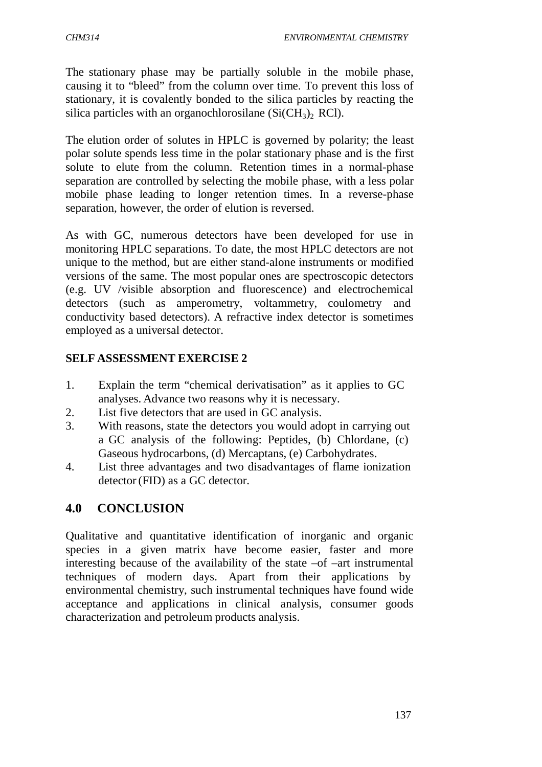The stationary phase may be partially soluble in the mobile phase, causing it to "bleed" from the column over time. To prevent this loss of stationary, it is covalently bonded to the silica particles by reacting the silica particles with an organochlorosilane  $(Si(CH_3)_2$  RCl).

The elution order of solutes in HPLC is governed by polarity; the least polar solute spends less time in the polar stationary phase and is the first solute to elute from the column. Retention times in a normal-phase separation are controlled by selecting the mobile phase, with a less polar mobile phase leading to longer retention times. In a reverse-phase separation, however, the order of elution is reversed.

As with GC, numerous detectors have been developed for use in monitoring HPLC separations. To date, the most HPLC detectors are not unique to the method, but are either stand-alone instruments or modified versions of the same. The most popular ones are spectroscopic detectors (e.g. UV /visible absorption and fluorescence) and electrochemical detectors (such as amperometry, voltammetry, coulometry and conductivity based detectors). A refractive index detector is sometimes employed as a universal detector.

### **SELF ASSESSMENT EXERCISE 2**

- 1. Explain the term "chemical derivatisation" as it applies to GC analyses. Advance two reasons why it is necessary.
- 2. List five detectors that are used in GC analysis.
- 3. With reasons, state the detectors you would adopt in carrying out a GC analysis of the following: Peptides, (b) Chlordane, (c) Gaseous hydrocarbons, (d) Mercaptans, (e) Carbohydrates.
- 4. List three advantages and two disadvantages of flame ionization detector (FID) as a GC detector.

# **4.0 CONCLUSION**

Qualitative and quantitative identification of inorganic and organic species in a given matrix have become easier, faster and more interesting because of the availability of the state –of –art instrumental techniques of modern days. Apart from their applications by environmental chemistry, such instrumental techniques have found wide acceptance and applications in clinical analysis, consumer goods characterization and petroleum products analysis.